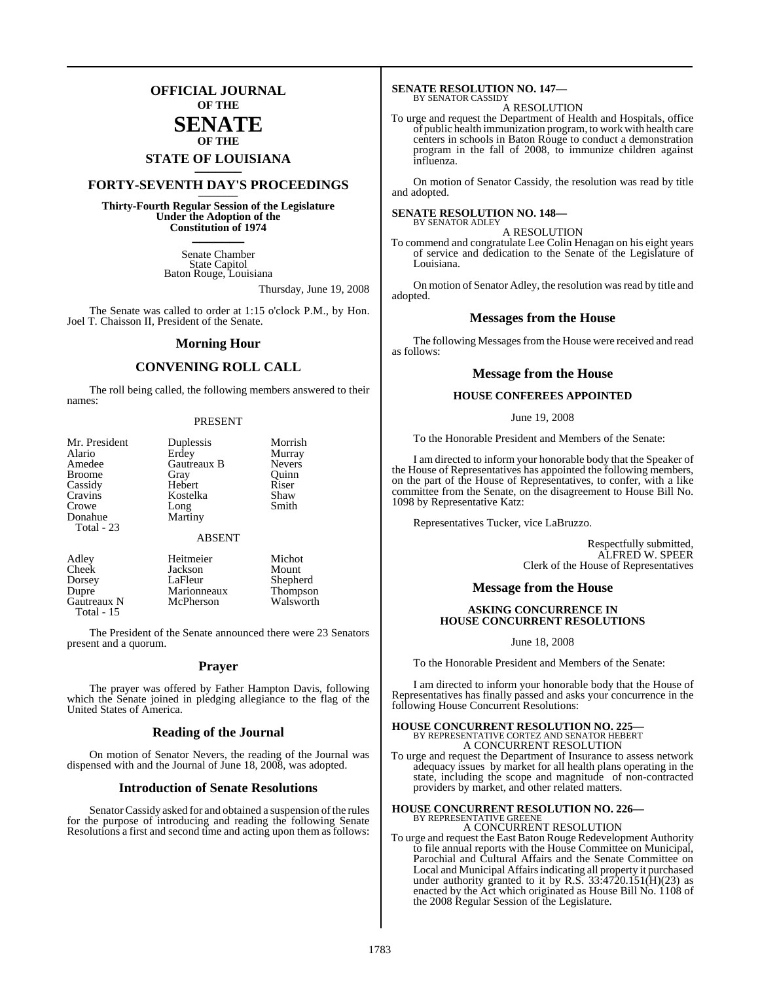## **OFFICIAL JOURNAL OF THE**

### **SENATE OF THE**

# **STATE OF LOUISIANA \_\_\_\_\_\_\_**

## **FORTY-SEVENTH DAY'S PROCEEDINGS \_\_\_\_\_\_\_**

**Thirty-Fourth Regular Session of the Legislature Under the Adoption of the Constitution of 1974 \_\_\_\_\_\_\_**

> Senate Chamber State Capitol Baton Rouge, Louisiana

> > Thursday, June 19, 2008

The Senate was called to order at 1:15 o'clock P.M., by Hon. Joel T. Chaisson II, President of the Senate.

#### **Morning Hour**

#### **CONVENING ROLL CALL**

The roll being called, the following members answered to their names:

#### PRESENT

| Mr. President<br>Alario<br>Amedee<br><b>Broome</b> | Duplessis<br>Erdey<br>Gautreaux B<br>Gray | Morrish<br>Murray<br><b>Nevers</b><br>Ouinn |
|----------------------------------------------------|-------------------------------------------|---------------------------------------------|
| Cassidy                                            | Hebert                                    | Riser                                       |
| Cravins                                            | Kostelka                                  | Shaw                                        |
| Crowe                                              | Long                                      | Smith                                       |
| Donahue<br>Total - 23                              | Martiny                                   |                                             |
|                                                    | <b>ABSENT</b>                             |                                             |
| Adley                                              | Heitmeier                                 | Michot                                      |
| Cheek                                              | Jackson                                   | Mount                                       |
| Dorsey                                             | LaFleur                                   | Shepherd                                    |

Dupre Marionneaux Thompson<br>
Gautreaux N McPherson Walsworth

Gautreaux N Total - 15

The President of the Senate announced there were 23 Senators present and a quorum.

#### **Prayer**

The prayer was offered by Father Hampton Davis, following which the Senate joined in pledging allegiance to the flag of the United States of America.

#### **Reading of the Journal**

On motion of Senator Nevers, the reading of the Journal was dispensed with and the Journal of June 18, 2008, was adopted.

#### **Introduction of Senate Resolutions**

Senator Cassidy asked for and obtained a suspension of the rules for the purpose of introducing and reading the following Senate Resolutions a first and second time and acting upon them as follows:

## **SENATE RESOLUTION NO. 147—** BY SENATOR CASSIDY

A RESOLUTION

To urge and request the Department of Health and Hospitals, office of public health immunization program, to work with health care centers in schools in Baton Rouge to conduct a demonstration program in the fall of 2008, to immunize children against influenza.

On motion of Senator Cassidy, the resolution was read by title and adopted.

#### **SENATE RESOLUTION NO. 148—** BY SENATOR ADLEY

A RESOLUTION

To commend and congratulate Lee Colin Henagan on his eight years of service and dedication to the Senate of the Legislature of Louisiana.

On motion of Senator Adley, the resolution was read by title and adopted.

#### **Messages from the House**

The following Messages from the House were received and read as follows:

#### **Message from the House**

#### **HOUSE CONFEREES APPOINTED**

June 19, 2008

To the Honorable President and Members of the Senate:

I am directed to inform your honorable body that the Speaker of the House of Representatives has appointed the following members, on the part of the House of Representatives, to confer, with a like committee from the Senate, on the disagreement to House Bill No. 1098 by Representative Katz:

Representatives Tucker, vice LaBruzzo.

Respectfully submitted, ALFRED W. SPEER Clerk of the House of Representatives

#### **Message from the House**

#### **ASKING CONCURRENCE IN HOUSE CONCURRENT RESOLUTIONS**

June 18, 2008

To the Honorable President and Members of the Senate:

I am directed to inform your honorable body that the House of Representatives has finally passed and asks your concurrence in the following House Concurrent Resolutions:

#### **HOUSE CONCURRENT RESOLUTION NO. 225—** BY REPRESENTATIVE CORTEZ AND SENATOR HEBERT A CONCURRENT RESOLUTION

To urge and request the Department of Insurance to assess network adequacy issues by market for all health plans operating in the state, including the scope and magnitude of non-contracted providers by market, and other related matters.

#### **HOUSE CONCURRENT RESOLUTION NO. 226—** BY REPRESENTATIVE GREENE A CONCURRENT RESOLUTION

To urge and request the East Baton Rouge Redevelopment Authority to file annual reports with the House Committee on Municipal, Parochial and Cultural Affairs and the Senate Committee on Local and Municipal Affairs indicating all property it purchased under authority granted to it by R.S. 33:4720.151(H)(23) as enacted by the Act which originated as House Bill No. 1108 of the 2008 Regular Session of the Legislature.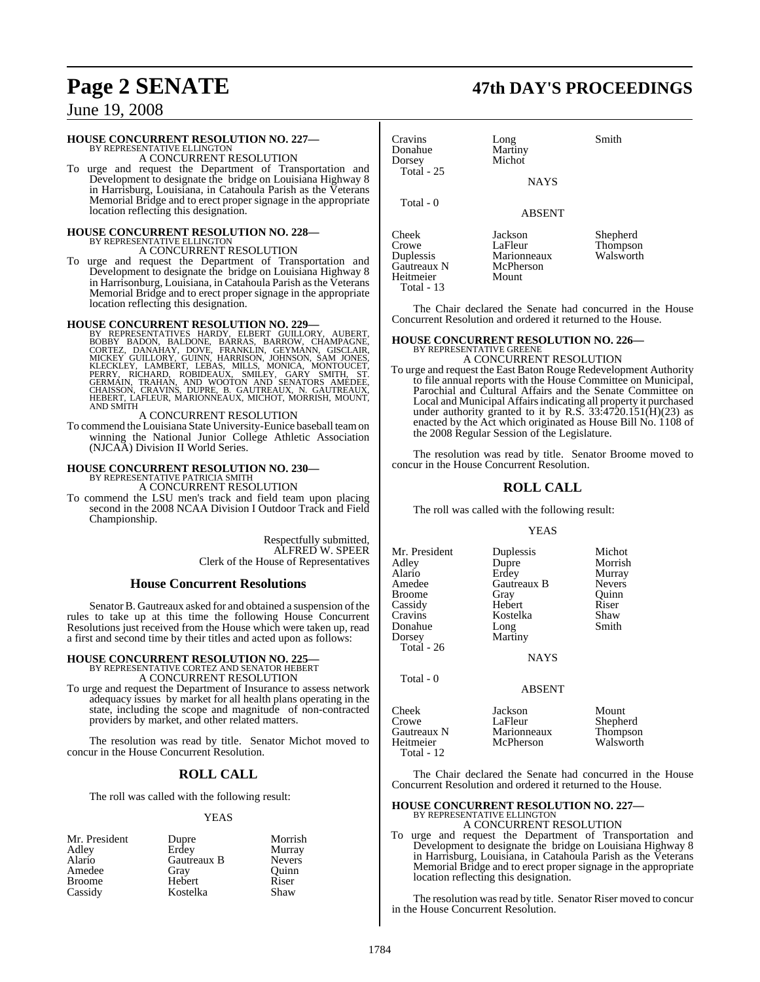# **Page 2 SENATE 47th DAY'S PROCEEDINGS**

## June 19, 2008

## **HOUSE CONCURRENT RESOLUTION NO. 227—** BY REPRESENTATIVE ELLINGTON

A CONCURRENT RESOLUTION

To urge and request the Department of Transportation and Development to designate the bridge on Louisiana Highway 8 in Harrisburg, Louisiana, in Catahoula Parish as the Veterans Memorial Bridge and to erect proper signage in the appropriate location reflecting this designation.

#### **HOUSE CONCURRENT RESOLUTION NO. 228—** BY REPRESENTATIVE ELLINGTON

A CONCURRENT RESOLUTION

To urge and request the Department of Transportation and Development to designate the bridge on Louisiana Highway 8 in Harrisonburg, Louisiana, in Catahoula Parish asthe Veterans Memorial Bridge and to erect proper signage in the appropriate location reflecting this designation.

HOUSE CONCURRENT RESOLUTION NO. 229—<br>
BY REPRESENTATIVES HARDY, ELBERT GUILLORY, AUBERT, BOBBY BADON, BALDONE, BARRAS, BARROW, CHAMPAGNE,<br>
CORTEZ, DANAHAY, DOVE, FRANKLIN, GEYMANN, GISCLAIR,<br>
MICKEY GUILLORY, GUINN, HARRIS HEBERT, LAFLEUR, MARIONNEAUX, MICHOT, MORRISH, MOUNT, AND SMITH

#### A CONCURRENT RESOLUTION

To commend the Louisiana State University-Eunice baseball teamon winning the National Junior College Athletic Association (NJCAA) Division II World Series.

## **HOUSE CONCURRENT RESOLUTION NO. 230—** BY REPRESENTATIVE PATRICIA SMITH A CONCURRENT RESOLUTION

To commend the LSU men's track and field team upon placing second in the 2008 NCAA Division I Outdoor Track and Field Championship.

> Respectfully submitted, ALFRED W. SPEER Clerk of the House of Representatives

#### **House Concurrent Resolutions**

Senator B. Gautreaux asked for and obtained a suspension of the rules to take up at this time the following House Concurrent Resolutions just received from the House which were taken up, read a first and second time by their titles and acted upon as follows:

## **HOUSE CONCURRENT RESOLUTION NO. 225—** BY REPRESENTATIVE CORTEZ AND SENATOR HEBERT A CONCURRENT RESOLUTION

To urge and request the Department of Insurance to assess network adequacy issues by market for all health plans operating in the state, including the scope and magnitude of non-contracted providers by market, and other related matters.

The resolution was read by title. Senator Michot moved to concur in the House Concurrent Resolution.

#### **ROLL CALL**

The roll was called with the following result:

#### YEAS

| Mr. President | Dupre       | Morrish       |
|---------------|-------------|---------------|
| Adley         | Erdey       | Murray        |
| Alario        | Gautreaux B | <b>Nevers</b> |
| Amedee        | Gray        | Ouinn         |
| <b>Broome</b> | Hebert      | Riser         |
| Cassidy       | Kostelka    | Shaw          |

Cravins Long Smith<br>
Donahue Martiny Smith Donahue Martiny<br>Dorsey Michot Dorsey Total - 25 **NAYS**  Total - 0 ABSENT Cheek Jackson Shepherd Crowe LaFleur Thompson<br>
Duplessis Marionneaux Walsworth Marionneaux<br>McPherson Gautreaux N McPhe<br>
Heitmeier Mount

The Chair declared the Senate had concurred in the House Concurrent Resolution and ordered it returned to the House.

#### **HOUSE CONCURRENT RESOLUTION NO. 226—** BY REPRESENTATIVE GREENE

A CONCURRENT RESOLUTION To urge and request the East Baton Rouge Redevelopment Authority to file annual reports with the House Committee on Municipal, Parochial and Cultural Affairs and the Senate Committee on Local and Municipal Affairs indicating all property it purchased under authority granted to it by R.S. 33:4720.151(H)(23) as enacted by the Act which originated as House Bill No. 1108 of the 2008 Regular Session of the Legislature.

The resolution was read by title. Senator Broome moved to concur in the House Concurrent Resolution.

#### **ROLL CALL**

The roll was called with the following result:

#### YEAS

| Mr. President | Duplessis   | Michot        |
|---------------|-------------|---------------|
| Adley         | Dupre       | Morrish       |
| Alario        | Erdey       | Murray        |
| Amedee        | Gautreaux B | <b>Nevers</b> |
| <b>Broome</b> | Gray        | Ouinn         |
| Cassidy       | Hebert      | Riser         |
| Cravins       | Kostelka    | Shaw          |
| Donahue       | Long        | Smith         |
| Dorsey        | Martiny     |               |
| Total - $26$  |             |               |
|               | 11 A V.C    |               |

Total - 0

Heitmeier Total - 13

NAYS

#### ABSENT

| Cheek        | Jackson     | Mount     |
|--------------|-------------|-----------|
| Crowe        | LaFleur     | Shepherd  |
| Gautreaux N  | Marionneaux | Thompson  |
| Heitmeier    | McPherson   | Walsworth |
| Total - $12$ |             |           |

The Chair declared the Senate had concurred in the House Concurrent Resolution and ordered it returned to the House.

#### **HOUSE CONCURRENT RESOLUTION NO. 227—** BY REPRESENTATIVE ELLINGTON

A CONCURRENT RESOLUTION

To urge and request the Department of Transportation and Development to designate the bridge on Louisiana Highway 8 in Harrisburg, Louisiana, in Catahoula Parish as the Veterans Memorial Bridge and to erect proper signage in the appropriate location reflecting this designation.

The resolution was read by title. Senator Riser moved to concur in the House Concurrent Resolution.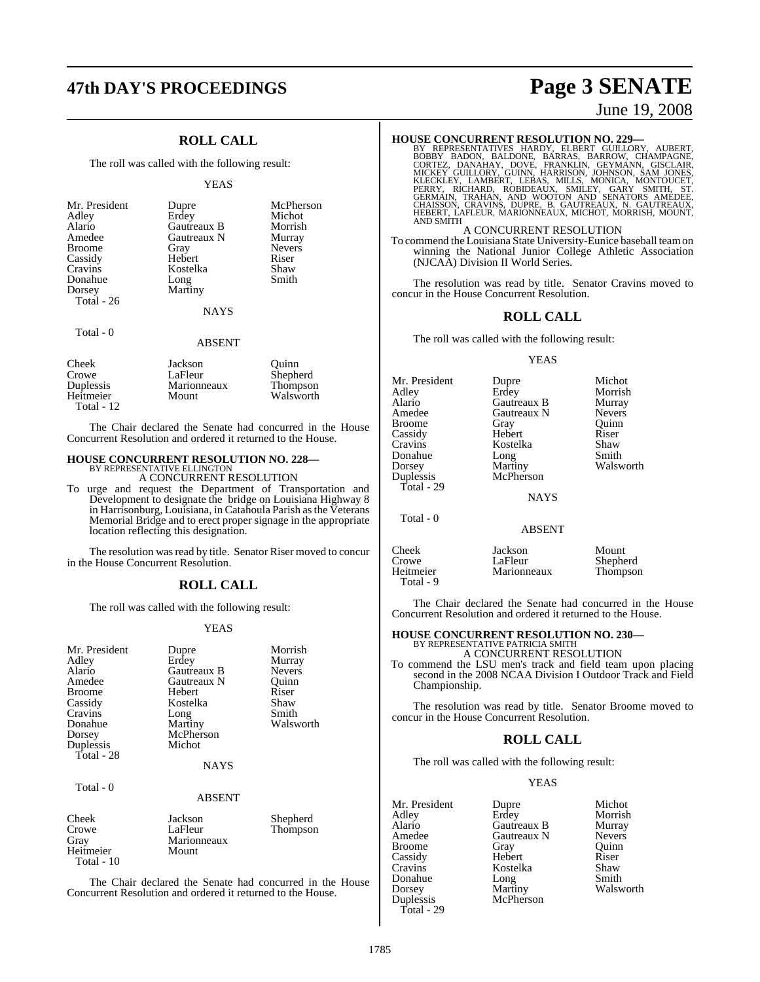# **47th DAY'S PROCEEDINGS Page 3 SENATE**

### **ROLL CALL**

The roll was called with the following result:

#### YEAS

| Mr. President<br>Adley<br>Alario<br>Amedee<br><b>Broome</b><br>Cassidy<br>Cravins<br>Donahue<br>Dorsey<br>Total $-26$ | Dupre<br>Erdey<br>Gautreaux B<br>Gautreaux N<br>Gray<br>Hebert<br>Kostelka<br>Long<br>Martiny | McPherson<br>Michot<br>Morrish<br>Murray<br><b>Nevers</b><br>Riser<br>Shaw<br>Smith |
|-----------------------------------------------------------------------------------------------------------------------|-----------------------------------------------------------------------------------------------|-------------------------------------------------------------------------------------|
|                                                                                                                       | <b>NAYS</b>                                                                                   |                                                                                     |
| Total - 0                                                                                                             | ABSENT                                                                                        |                                                                                     |

| Cheek        | Jackson     | Ouinn     |
|--------------|-------------|-----------|
| Crowe        | LaFleur     | Shepherd  |
| Duplessis    | Marionneaux | Thompson  |
| Heitmeier    | Mount       | Walsworth |
| Total - $12$ |             |           |

The Chair declared the Senate had concurred in the House Concurrent Resolution and ordered it returned to the House.

## **HOUSE CONCURRENT RESOLUTION NO. 228—** BY REPRESENTATIVE ELLINGTON

A CONCURRENT RESOLUTION

To urge and request the Department of Transportation and Development to designate the bridge on Louisiana Highway 8 in Harrisonburg, Louisiana, in Catahoula Parish asthe Veterans Memorial Bridge and to erect proper signage in the appropriate location reflecting this designation.

The resolution was read by title. Senator Riser moved to concur in the House Concurrent Resolution.

### **ROLL CALL**

The roll was called with the following result:

#### YEAS

| Mr. President<br>Adley<br>Alario<br>Amedee<br><b>Broome</b><br>Cassidy<br>Cravins<br>Donahue<br>Dorsey<br>Duplessis<br>Total - 28 | Dupre<br>Erdey<br>Gautreaux B<br>Gautreaux N<br>Hebert<br>Kostelka<br>Long<br>Martiny<br>McPherson<br>Michot<br><b>NAYS</b> | Morrish<br>Murray<br><b>Nevers</b><br>Ouinn<br>Riser<br>Shaw<br>Smith<br>Walsworth |
|-----------------------------------------------------------------------------------------------------------------------------------|-----------------------------------------------------------------------------------------------------------------------------|------------------------------------------------------------------------------------|
| Total - 0                                                                                                                         | <b>ABSENT</b>                                                                                                               |                                                                                    |
| Cheek<br>Crowe<br>Gray<br>Heitmeier<br>Total - 10                                                                                 | Jackson<br>LaFleur<br>Marionneaux<br>Mount                                                                                  | Shepherd<br>Thompson                                                               |

The Chair declared the Senate had concurred in the House Concurrent Resolution and ordered it returned to the House.

# June 19, 2008

HOUSE CONCURRENT RESOLUTION NO. 229—<br>BY REPRESENTATIVES HARDY, ELBERT GUILLORY, AUBERT, BOBBY BADON, BALDONE, BARRAS, BARROW, CHAMPAGNE,<br>CORTEZ, DANAHAY, DOVE, FRANKLIN, GEYMANN, GISCLAIR,<br>MICKEY GUILLORY, GUINN, HARRISON, AND SMITH

#### A CONCURRENT RESOLUTION

To commend the Louisiana State University-Eunice baseball teamon winning the National Junior College Athletic Association (NJCAA) Division II World Series.

The resolution was read by title. Senator Cravins moved to concur in the House Concurrent Resolution.

#### **ROLL CALL**

The roll was called with the following result:

#### YEAS

| Mr. President<br>Adley<br>Alario<br>Amedee<br><b>Broome</b><br>Cassidy<br>Cravins<br>Donahue<br>Dorsey<br>Duplessis<br>Total - 29 | Dupre<br>Erdey<br>Gautreaux B<br>Gautreaux N<br>Gray<br>Hebert<br>Kostelka<br>Long<br>Martiny<br>McPherson | Michot<br>Morrish<br>Murray<br><b>Nevers</b><br>Ouinn<br>Riser<br>Shaw<br>Smith<br>Walsworth |
|-----------------------------------------------------------------------------------------------------------------------------------|------------------------------------------------------------------------------------------------------------|----------------------------------------------------------------------------------------------|
|                                                                                                                                   | <b>NAYS</b>                                                                                                |                                                                                              |
| Total - 0                                                                                                                         | <b>ABSENT</b>                                                                                              |                                                                                              |
| Cheek<br>Crowe<br>Heitmeier                                                                                                       | Jackson<br>LaFleur<br>Marionneaux                                                                          | Mount<br>Shepherd<br>Thompson                                                                |

The Chair declared the Senate had concurred in the House Concurrent Resolution and ordered it returned to the House.

#### **HOUSE CONCURRENT RESOLUTION NO. 230—** BY REPRESENTATIVE PATRICIA SMITH

A CONCURRENT RESOLUTION

To commend the LSU men's track and field team upon placing second in the 2008 NCAA Division I Outdoor Track and Field Championship.

The resolution was read by title. Senator Broome moved to concur in the House Concurrent Resolution.

### **ROLL CALL**

The roll was called with the following result:

McPherson

#### YEAS

Mr. President Dupre Michot<br>Adley Erdev Morrish Adley Erdey Morrish Alario Gautreaux B Murray Broome Gray Quinn<br>
Cassidy Hebert Riser Cassidy Hebert Riser Donahue Long<br>Dorsey Martiny Dorsey Martiny Walsworth<br>
Duplessis McPherson Total - 29

Total - 9

Gautreaux N Nevers<br>Gray Quinn Kostelka Shaw<br>Long Smith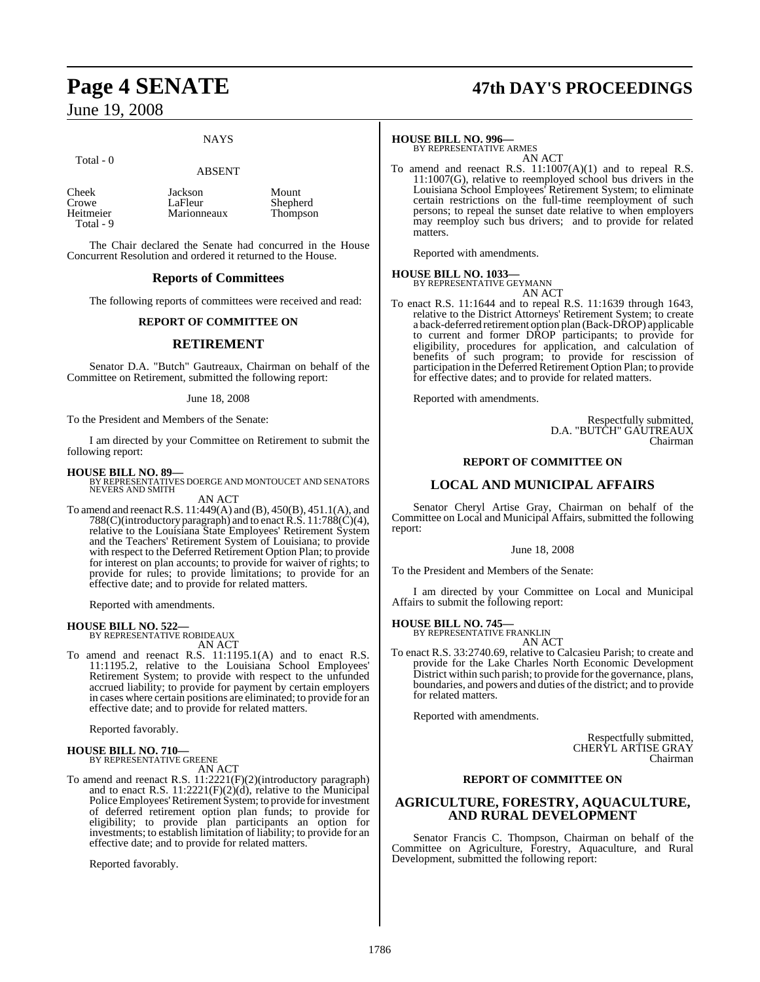Total - 0

#### **NAYS**

Mount Shepherd Thompson

## ABSENT

| Cheek     | Jackson     |
|-----------|-------------|
| Crowe     | LaFleur     |
| Heitmeier | Marionneaux |
| Total - 9 |             |

The Chair declared the Senate had concurred in the House Concurrent Resolution and ordered it returned to the House.

#### **Reports of Committees**

The following reports of committees were received and read:

#### **REPORT OF COMMITTEE ON**

#### **RETIREMENT**

Senator D.A. "Butch" Gautreaux, Chairman on behalf of the Committee on Retirement, submitted the following report:

#### June 18, 2008

To the President and Members of the Senate:

I am directed by your Committee on Retirement to submit the following report:

**HOUSE BILL NO. 89—** BY REPRESENTATIVES DOERGE AND MONTOUCET AND SENATORS NEVERS AND SMITH

AN ACT

To amend and reenactR.S. 11:449(A) and (B), 450(B), 451.1(A), and 788(C)(introductory paragraph) and to enact R.S. 11:788(C)(4), relative to the Louisiana State Employees' Retirement System and the Teachers' Retirement System of Louisiana; to provide with respect to the Deferred Retirement Option Plan; to provide for interest on plan accounts; to provide for waiver of rights; to provide for rules; to provide limitations; to provide for an effective date; and to provide for related matters.

Reported with amendments.

#### **HOUSE BILL NO. 522—**

BY REPRESENTATIVE ROBIDEAUX AN ACT

To amend and reenact R.S. 11:1195.1(A) and to enact R.S. 11:1195.2, relative to the Louisiana School Employees' Retirement System; to provide with respect to the unfunded accrued liability; to provide for payment by certain employers in cases where certain positions are eliminated; to provide for an effective date; and to provide for related matters.

Reported favorably.

# **HOUSE BILL NO. 710—** BY REPRESENTATIVE GREENE

AN ACT

To amend and reenact R.S. 11:2221(F)(2)(introductory paragraph) and to enact R.S. 11:2221(F)(2)(d), relative to the Municipal Police Employees' Retirement System; to provide for investment of deferred retirement option plan funds; to provide for eligibility; to provide plan participants an option for investments; to establish limitation of liability; to provide for an effective date; and to provide for related matters.

Reported favorably.

# **Page 4 SENATE 47th DAY'S PROCEEDINGS**

## **HOUSE BILL NO. 996—** BY REPRESENTATIVE ARMES

AN ACT

To amend and reenact R.S. 11:1007(A)(1) and to repeal R.S. 11:1007(G), relative to reemployed school bus drivers in the Louisiana School Employees' Retirement System; to eliminate certain restrictions on the full-time reemployment of such persons; to repeal the sunset date relative to when employers may reemploy such bus drivers; and to provide for related matters.

Reported with amendments.

## **HOUSE BILL NO. 1033—** BY REPRESENTATIVE GEYMANN



To enact R.S. 11:1644 and to repeal R.S. 11:1639 through 1643, relative to the District Attorneys' Retirement System; to create a back-deferred retirement option plan (Back-DROP) applicable to current and former DROP participants; to provide for eligibility, procedures for application, and calculation of benefits of such program; to provide for rescission of participation in the Deferred Retirement Option Plan; to provide for effective dates; and to provide for related matters.

Reported with amendments.

Respectfully submitted, D.A. "BUTCH" GAUTREAUX Chairman

#### **REPORT OF COMMITTEE ON**

#### **LOCAL AND MUNICIPAL AFFAIRS**

Senator Cheryl Artise Gray, Chairman on behalf of the Committee on Local and Municipal Affairs, submitted the following report:

#### June 18, 2008

To the President and Members of the Senate:

I am directed by your Committee on Local and Municipal Affairs to submit the following report:

## **HOUSE BILL NO. 745—** BY REPRESENTATIVE FRANKLIN

AN ACT

To enact R.S. 33:2740.69, relative to Calcasieu Parish; to create and provide for the Lake Charles North Economic Development District within such parish; to provide forthe governance, plans, boundaries, and powers and duties of the district; and to provide for related matters.

Reported with amendments.

Respectfully submitted, CHERYL ARTISE GRAY Chairman

#### **REPORT OF COMMITTEE ON**

#### **AGRICULTURE, FORESTRY, AQUACULTURE, AND RURAL DEVELOPMENT**

Senator Francis C. Thompson, Chairman on behalf of the Committee on Agriculture, Forestry, Aquaculture, and Rural Development, submitted the following report: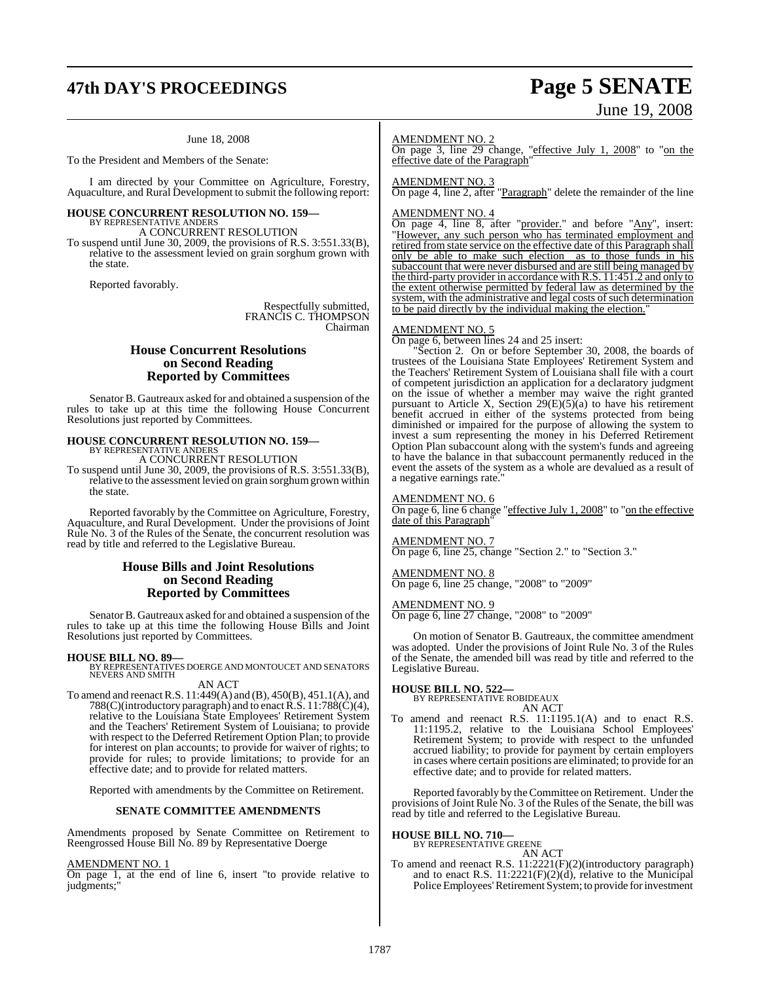# **47th DAY'S PROCEEDINGS Page 5 SENATE**

## June 18, 2008

To the President and Members of the Senate:

I am directed by your Committee on Agriculture, Forestry, Aquaculture, and Rural Development to submit the following report:

## **HOUSE CONCURRENT RESOLUTION NO. 159—** BY REPRESENTATIVE ANDERS

A CONCURRENT RESOLUTION

To suspend until June 30, 2009, the provisions of R.S. 3:551.33(B), relative to the assessment levied on grain sorghum grown with the state.

Reported favorably.

Respectfully submitted, FRANCIS C. THOMPSON Chairman

#### **House Concurrent Resolutions on Second Reading Reported by Committees**

Senator B. Gautreaux asked for and obtained a suspension of the rules to take up at this time the following House Concurrent Resolutions just reported by Committees.

## **HOUSE CONCURRENT RESOLUTION NO. 159—** BY REPRESENTATIVE ANDERS A CONCURRENT RESOLUTION

To suspend until June 30, 2009, the provisions of R.S. 3:551.33(B), relative to the assessment levied on grain sorghum grown within the state.

Reported favorably by the Committee on Agriculture, Forestry, Aquaculture, and Rural Development. Under the provisions of Joint Rule No. 3 of the Rules of the Senate, the concurrent resolution was read by title and referred to the Legislative Bureau.

#### **House Bills and Joint Resolutions on Second Reading Reported by Committees**

Senator B. Gautreaux asked for and obtained a suspension of the rules to take up at this time the following House Bills and Joint Resolutions just reported by Committees.

**HOUSE BILL NO. 89—** BY REPRESENTATIVES DOERGE AND MONTOUCET AND SENATORS NEVERS AND SMITH AN ACT

To amend and reenactR.S. 11:449(A) and (B), 450(B), 451.1(A), and 788(C)(introductory paragraph) and to enact R.S.  $11:788(\mathrm{C})(4)$ , relative to the Louisiana State Employees' Retirement System and the Teachers' Retirement System of Louisiana; to provide with respect to the Deferred Retirement Option Plan; to provide for interest on plan accounts; to provide for waiver of rights; to provide for rules; to provide limitations; to provide for an effective date; and to provide for related matters.

Reported with amendments by the Committee on Retirement.

#### **SENATE COMMITTEE AMENDMENTS**

Amendments proposed by Senate Committee on Retirement to Reengrossed House Bill No. 89 by Representative Doerge

#### AMENDMENT NO. 1

On page 1, at the end of line 6, insert "to provide relative to judgments;

#### AMENDMENT NO. 2

On page 3, line 29 change, "effective July 1, 2008" to "on the effective date of the Paragraph"

#### AMENDMENT NO. 3

On page 4, line 2, after "Paragraph" delete the remainder of the line

#### AMENDMENT NO. 4

On page 4, line 8, after "provider." and before "Any", insert: "However, any such person who has terminated employment and retired from state service on the effective date of this Paragraph shall only be able to make such election as to those funds in his subaccount that were never disbursed and are still being managed by the third-party provider in accordance with R.S. 11:451.2 and only to the extent otherwise permitted by federal law as determined by the system, with the administrative and legal costs of such determination to be paid directly by the individual making the election.

#### AMENDMENT NO. 5

On page 6, between lines 24 and 25 insert:

"Section 2. On or before September 30, 2008, the boards of trustees of the Louisiana State Employees' Retirement System and the Teachers' Retirement System of Louisiana shall file with a court of competent jurisdiction an application for a declaratory judgment on the issue of whether a member may waive the right granted pursuant to Article X, Section  $29(E)(5)(a)$  to have his retirement benefit accrued in either of the systems protected from being diminished or impaired for the purpose of allowing the system to invest a sum representing the money in his Deferred Retirement Option Plan subaccount along with the system's funds and agreeing to have the balance in that subaccount permanently reduced in the event the assets of the system as a whole are devalued as a result of a negative earnings rate.

#### AMENDMENT NO. 6

On page 6, line 6 change "effective July 1, 2008" to "on the effective date of this Paragraph"

#### **MENDMENT NO. 7**

On page 6, line 25, change "Section 2." to "Section 3."

#### AMENDMENT NO. 8

On page 6, line 25 change, "2008" to "2009"

#### AMENDMENT NO. 9

On page 6, line 27 change, "2008" to "2009"

On motion of Senator B. Gautreaux, the committee amendment was adopted. Under the provisions of Joint Rule No. 3 of the Rules of the Senate, the amended bill was read by title and referred to the Legislative Bureau.

## **HOUSE BILL NO. 522—** BY REPRESENTATIVE ROBIDEAUX

AN ACT

To amend and reenact R.S. 11:1195.1(A) and to enact R.S. 11:1195.2, relative to the Louisiana School Employees' Retirement System; to provide with respect to the unfunded accrued liability; to provide for payment by certain employers in cases where certain positions are eliminated; to provide for an effective date; and to provide for related matters.

Reported favorably by the Committee on Retirement. Under the provisions of Joint Rule No. 3 of the Rules of the Senate, the bill was read by title and referred to the Legislative Bureau.

#### **HOUSE BILL NO. 710—**

BY REPRESENTATIVE GREENE

AN ACT To amend and reenact R.S. 11:2221(F)(2)(introductory paragraph) and to enact R.S.  $11:2221(F)(2)(d)$ , relative to the Municipal Police Employees' Retirement System; to provide for investment

# June 19, 2008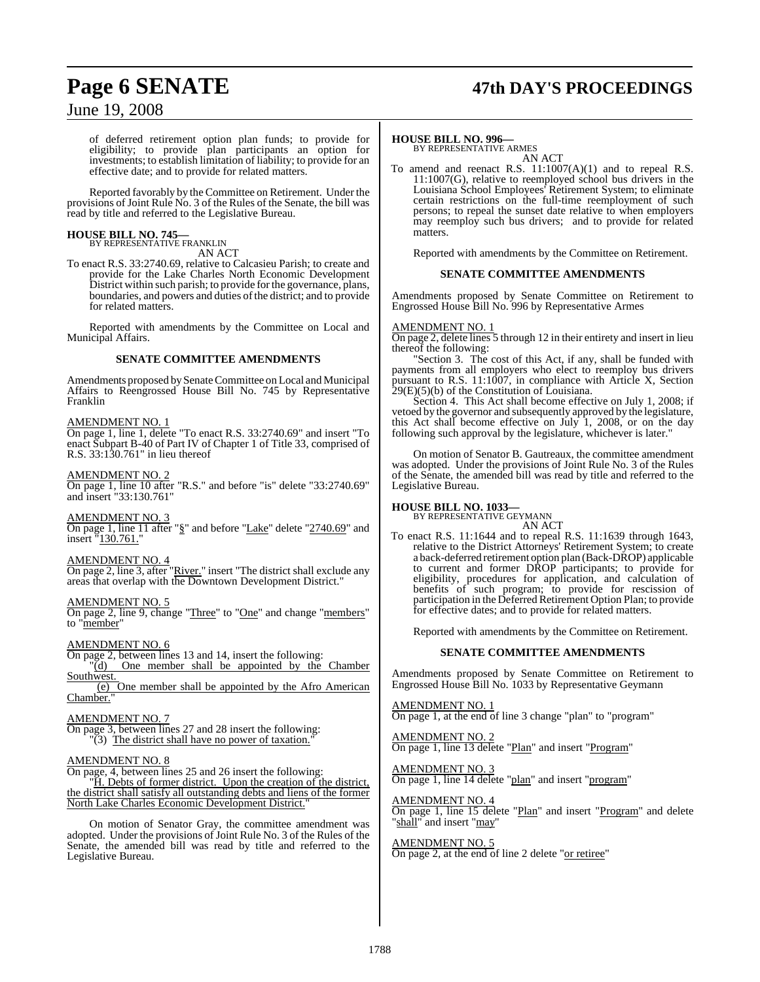# **Page 6 SENATE 47th DAY'S PROCEEDINGS**

## June 19, 2008

of deferred retirement option plan funds; to provide for eligibility; to provide plan participants an option for investments; to establish limitation of liability; to provide for an effective date; and to provide for related matters.

Reported favorably by the Committee on Retirement. Under the provisions of Joint Rule No. 3 of the Rules of the Senate, the bill was read by title and referred to the Legislative Bureau.

#### **HOUSE BILL NO. 745—** BY REPRESENTATIVE FRANKLIN

AN ACT

To enact R.S. 33:2740.69, relative to Calcasieu Parish; to create and provide for the Lake Charles North Economic Development District within such parish; to provide forthe governance, plans, boundaries, and powers and duties of the district; and to provide for related matters.

Reported with amendments by the Committee on Local and Municipal Affairs.

#### **SENATE COMMITTEE AMENDMENTS**

Amendments proposed by Senate Committee on Local and Municipal Affairs to Reengrossed House Bill No. 745 by Representative Franklin

#### AMENDMENT NO. 1

On page 1, line 1, delete "To enact R.S. 33:2740.69" and insert "To enact Subpart B-40 of Part IV of Chapter 1 of Title 33, comprised of R.S. 33:130.761" in lieu thereof

#### AMENDMENT NO. 2

On page 1, line 10 after "R.S." and before "is" delete "33:2740.69" and insert "33:130.761"

#### AMENDMENT NO. 3

On page 1, line 11 after "§" and before "Lake" delete "2740.69" and insert "130.761."

#### AMENDMENT NO. 4

On page 2, line 3, after "River." insert "The district shall exclude any areas that overlap with the Downtown Development District."

#### AMENDMENT NO. 5

On page 2, line 9, change "Three" to "One" and change "members" to "member"

#### AMENDMENT NO. 6

On page 2, between lines 13 and 14, insert the following: "(d) One member shall be appointed by the Chamber Southwest.

(e) One member shall be appointed by the Afro American Chamber.

#### AMENDMENT NO. 7

On page 3, between lines 27 and 28 insert the following:  $\Gamma(3)$  The district shall have no power of taxation.

#### AMENDMENT NO. 8

On page, 4, between lines 25 and 26 insert the following:

"H. Debts of former district. Upon the creation of the district, the district shall satisfy all outstanding debts and liens of the former North Lake Charles Economic Development District."

On motion of Senator Gray, the committee amendment was adopted. Under the provisions of Joint Rule No. 3 of the Rules of the Senate, the amended bill was read by title and referred to the Legislative Bureau.

**HOUSE BILL NO. 996—** BY REPRESENTATIVE ARMES AN ACT

To amend and reenact R.S. 11:1007(A)(1) and to repeal R.S. 11:1007(G), relative to reemployed school bus drivers in the Louisiana School Employees' Retirement System; to eliminate certain restrictions on the full-time reemployment of such persons; to repeal the sunset date relative to when employers may reemploy such bus drivers; and to provide for related matters.

Reported with amendments by the Committee on Retirement.

#### **SENATE COMMITTEE AMENDMENTS**

Amendments proposed by Senate Committee on Retirement to Engrossed House Bill No. 996 by Representative Armes

#### AMENDMENT NO. 1

On page 2, delete lines 5 through 12 in their entirety and insert in lieu thereof the following:

Section 3. The cost of this Act, if any, shall be funded with payments from all employers who elect to reemploy bus drivers pursuant to R.S. 11:1007, in compliance with Article X, Section  $29(E)(5)(b)$  of the Constitution of Louisiana.

Section 4. This Act shall become effective on July 1, 2008; if vetoed by the governor and subsequently approved by the legislature, this Act shall become effective on July 1, 2008, or on the day following such approval by the legislature, whichever is later."

On motion of Senator B. Gautreaux, the committee amendment was adopted. Under the provisions of Joint Rule No. 3 of the Rules of the Senate, the amended bill was read by title and referred to the Legislative Bureau.

#### **HOUSE BILL NO. 1033—**

BY REPRESENTATIVE GEYMANN AN ACT

To enact R.S. 11:1644 and to repeal R.S. 11:1639 through 1643, relative to the District Attorneys' Retirement System; to create a back-deferred retirement option plan (Back-DROP) applicable to current and former DROP participants; to provide for eligibility, procedures for application, and calculation of benefits of such program; to provide for rescission of participation in the Deferred Retirement Option Plan; to provide for effective dates; and to provide for related matters.

Reported with amendments by the Committee on Retirement.

#### **SENATE COMMITTEE AMENDMENTS**

Amendments proposed by Senate Committee on Retirement to Engrossed House Bill No. 1033 by Representative Geymann

AMENDMENT NO. 1 On page 1, at the end of line 3 change "plan" to "program"

AMENDMENT NO. 2 On page 1, line 13 delete "Plan" and insert "Program"

AMENDMENT NO. 3 On page 1, line 14 delete "plan" and insert "program"

#### AMENDMENT NO. 4

On page 1, line 15 delete "Plan" and insert "Program" and delete "shall" and insert "may"

AMENDMENT NO. 5 On page 2, at the end of line 2 delete "or retiree"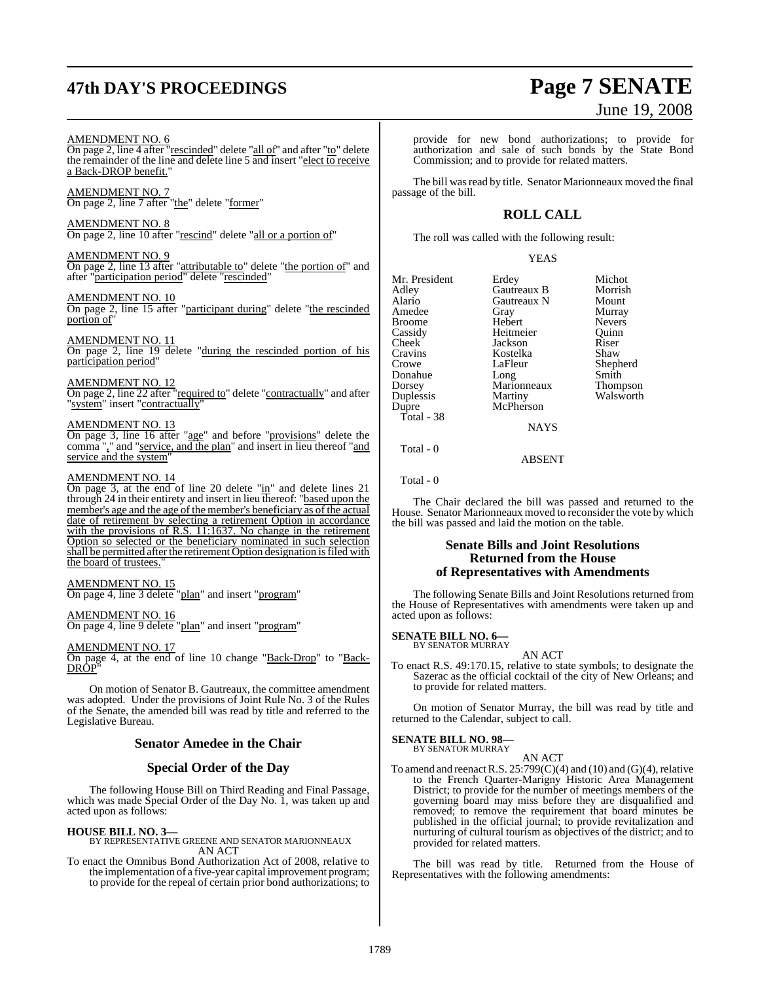# **47th DAY'S PROCEEDINGS Page 7 SENATE**

#### AMENDMENT NO. 6

On page 2, line 4 after "rescinded" delete "all of" and after "to" delete the remainder of the line and delete line 5 and insert "elect to receive a Back-DROP benefit."

#### AMENDMENT NO. 7

On page 2, line 7 after "the" delete "former"

#### AMENDMENT NO. 8

On page 2, line 10 after "rescind" delete "all or a portion of"

#### AMENDMENT NO. 9

On page 2, line 13 after "attributable to" delete "the portion of" and after "participation period" delete "rescinded"

#### AMENDMENT NO. 10

On page 2, line 15 after "participant during" delete "the rescinded portion of"

#### AMENDMENT NO. 11

On page 2, line 19 delete "during the rescinded portion of his participation period"

#### AMENDMENT NO. 12

On page 2, line 22 after "required to" delete "contractually" and after "system" insert "contractually"

#### AMENDMENT NO. 13

On page 3, line 16 after "age" and before "provisions" delete the comma "," and "service, and the plan" and insert in lieu thereof "and service and the system"

#### AMENDMENT NO. 14

On page 3, at the end of line 20 delete " $\frac{in}{in}$ " and delete lines 21 through 24 in their entirety and insert in lieu thereof: "based upon the member's age and the age of the member's beneficiary as of the actual date of retirement by selecting a retirement Option in accordance with the provisions of R.S. 11:1637. No change in the retirement Option so selected or the beneficiary nominated in such selection shall be permitted after the retirement Option designation is filed with the board of trustees."

#### AMENDMENT NO. 15

On page 4, line 3 delete "plan" and insert "program"

#### AMENDMENT NO. 16

On page 4, line 9 delete "plan" and insert "program"

#### AMENDMENT NO. 17

On page 4, at the end of line 10 change "Back-Drop" to "Back-<u>DRÔP</u>"

On motion of Senator B. Gautreaux, the committee amendment was adopted. Under the provisions of Joint Rule No. 3 of the Rules of the Senate, the amended bill was read by title and referred to the Legislative Bureau.

#### **Senator Amedee in the Chair**

#### **Special Order of the Day**

The following House Bill on Third Reading and Final Passage, which was made Special Order of the Day No. 1, was taken up and acted upon as follows:

**HOUSE BILL NO. 3—** BY REPRESENTATIVE GREENE AND SENATOR MARIONNEAUX AN ACT

To enact the Omnibus Bond Authorization Act of 2008, relative to the implementation of a five-year capital improvement program; to provide for the repeal of certain prior bond authorizations; to

# June 19, 2008

provide for new bond authorizations; to provide for authorization and sale of such bonds by the State Bond Commission; and to provide for related matters.

The bill was read by title. Senator Marionneaux moved the final passage of the bill.

#### **ROLL CALL**

The roll was called with the following result:

#### YEAS

Mr. President Erdey Michot<br>Adley Gautreaux B Morrish Adley Gautreaux B Morrish Amedee Gray Grament Crame Murray<br>Broome Hebert Nevers Broome Hebert Nevers<br>
Cassidy Heitmeier Quinn Cassidy Heitmeier Quinn Cheek Jackson Riser Cravins Kostelka<br>Crowe LaFleur Donahue Long Smith<br>Dorsey Marionneaux Thompson Dorsey Marionneaux<br>
Duplessis Martiny Duplessis Martiny Walsworth Total - 38

Gautreaux N Mount<br>
Gray Murray McPherson NAYS

Shepherd

ABSENT

Total - 0

Total - 0

The Chair declared the bill was passed and returned to the House. Senator Marionneaux moved to reconsider the vote by which the bill was passed and laid the motion on the table.

#### **Senate Bills and Joint Resolutions Returned from the House of Representatives with Amendments**

The following Senate Bills and Joint Resolutions returned from the House of Representatives with amendments were taken up and acted upon as follows:

## **SENATE BILL NO. 6—** BY SENATOR MURRAY

AN ACT

To enact R.S. 49:170.15, relative to state symbols; to designate the Sazerac as the official cocktail of the city of New Orleans; and to provide for related matters.

On motion of Senator Murray, the bill was read by title and returned to the Calendar, subject to call.

#### **SENATE BILL NO. 98—**

BY SENATOR MURRAY

AN ACT To amend and reenact R.S.  $25:799(C)(4)$  and (10) and (G)(4), relative to the French Quarter-Marigny Historic Area Management District; to provide for the number of meetings members of the governing board may miss before they are disqualified and removed; to remove the requirement that board minutes be published in the official journal; to provide revitalization and nurturing of cultural tourism as objectives of the district; and to provided for related matters.

The bill was read by title. Returned from the House of Representatives with the following amendments: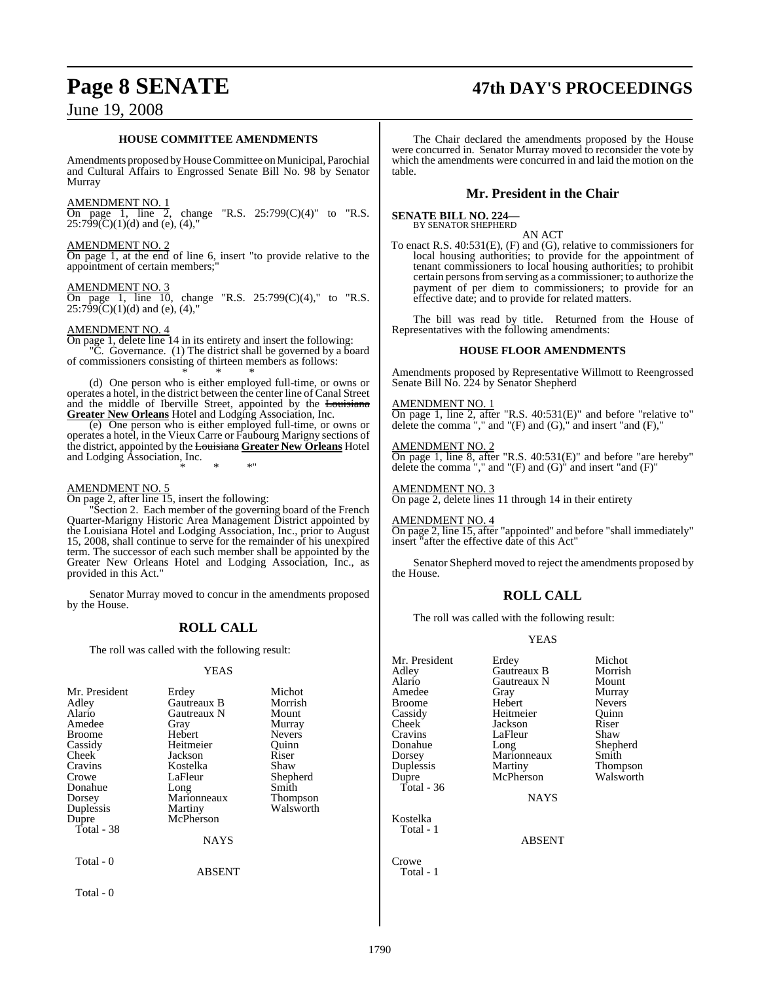## **Page 8 SENATE 47th DAY'S PROCEEDINGS**

## June 19, 2008

#### **HOUSE COMMITTEE AMENDMENTS**

Amendments proposed by House Committee on Municipal, Parochial and Cultural Affairs to Engrossed Senate Bill No. 98 by Senator Murray

#### AMENDMENT NO. 1

 $\frac{1}{2}$  on page 1, line 2, change "R.S. 25:799(C)(4)" to "R.S.  $25:799(\text{C})(1)(\text{d})$  and (e), (4),"

#### AMENDMENT NO. 2

On page 1, at the end of line 6, insert "to provide relative to the appointment of certain members;

#### <u>AMENDMENT NO.</u>

On page 1, line 10, change "R.S. 25:799(C)(4)," to "R.S.  $25:799(C)(1)(d)$  and (e), (4),"

#### AMENDMENT NO. 4

On page 1, delete line 14 in its entirety and insert the following: "C. Governance. (1) The district shall be governed by a board of commissioners consisting of thirteen members as follows:

\* \* \* (d) One person who is either employed full-time, or owns or operates a hotel, in the district between the center line of Canal Street and the middle of Iberville Street, appointed by the Louisiana **Greater New Orleans** Hotel and Lodging Association, Inc.

(e) One person who is either employed full-time, or owns or operates a hotel, in the Vieux Carre or Faubourg Marigny sections of the district, appointed by the Louisiana **Greater New Orleans** Hotel and Lodging Association, Inc.

\* \* \*"

#### AMENDMENT NO. 5

On page 2, after line 15, insert the following:

"Section 2. Each member of the governing board of the French Quarter-Marigny Historic Area Management District appointed by the Louisiana Hotel and Lodging Association, Inc., prior to August 15, 2008, shall continue to serve for the remainder of his unexpired term. The successor of each such member shall be appointed by the Greater New Orleans Hotel and Lodging Association, Inc., as provided in this Act."

Senator Murray moved to concur in the amendments proposed by the House.

#### **ROLL CALL**

The roll was called with the following result:

#### YEAS

| Mr. President<br>Adley<br>Alario<br>Amedee<br><b>Broome</b><br>Cassidy<br>Cheek<br>Cravins<br>Crowe<br>Donahue<br>Dorsey<br>Duplessis<br>Dupre<br>Total - 38 | Erdey<br>Gautreaux B<br>Gautreaux N<br>Gray<br>Hebert<br>Heitmeier<br>Jackson<br>Kostelka<br>LaFleur<br>Long<br>Marionneaux<br>Martiny<br>McPherson<br><b>NAYS</b> | Michot<br>Morrish<br>Mount<br>Murray<br><b>Nevers</b><br>Ouinn<br>Riser<br>Shaw<br>Shepherd<br>Smith<br>Thompson<br>Walsworth |
|--------------------------------------------------------------------------------------------------------------------------------------------------------------|--------------------------------------------------------------------------------------------------------------------------------------------------------------------|-------------------------------------------------------------------------------------------------------------------------------|
|                                                                                                                                                              |                                                                                                                                                                    |                                                                                                                               |
| Total - 0                                                                                                                                                    | <b>ABSENT</b>                                                                                                                                                      |                                                                                                                               |
| Total - 0                                                                                                                                                    |                                                                                                                                                                    |                                                                                                                               |

The Chair declared the amendments proposed by the House were concurred in. Senator Murray moved to reconsider the vote by which the amendments were concurred in and laid the motion on the table.

#### **Mr. President in the Chair**

#### **SENATE BILL NO. 224—** BY SENATOR SHEPHERD

AN ACT

To enact R.S. 40:531(E), (F) and (G), relative to commissioners for local housing authorities; to provide for the appointment of tenant commissioners to local housing authorities; to prohibit certain personsfromserving as a commissioner; to authorize the payment of per diem to commissioners; to provide for an effective date; and to provide for related matters.

The bill was read by title. Returned from the House of Representatives with the following amendments:

#### **HOUSE FLOOR AMENDMENTS**

Amendments proposed by Representative Willmott to Reengrossed Senate Bill No. 224 by Senator Shepherd

AMENDMENT NO. 1 On page 1, line 2, after "R.S. 40:531(E)" and before "relative to" delete the comma "," and " $(F)$  and  $(G)$ ," and insert "and  $(F)$ ,"

AMENDMENT NO. 2 On page 1, line 8, after "R.S. 40:531(E)" and before "are hereby" delete the comma "," and " $(F)$  and  $(G)$ " and insert "and  $(F)$ "

AMENDMENT NO. 3 On page 2, delete lines 11 through 14 in their entirety

AMENDMENT NO. 4

On page 2, line 15, after "appointed" and before "shall immediately" insert "after the effective date of this Act"

Senator Shepherd moved to reject the amendments proposed by the House.

#### **ROLL CALL**

The roll was called with the following result:

#### YEAS

| Mr. President<br>Adley | Erdey<br>Gautreaux B | Michot<br>Morrish |
|------------------------|----------------------|-------------------|
| Alario                 | Gautreaux N          | Mount             |
| Amedee                 | Gray                 | Murray            |
| <b>Broome</b>          | <b>Hebert</b>        | <b>Nevers</b>     |
| Cassidy                | Heitmeier            | Ouinn             |
| Cheek                  | Jackson              | Riser             |
| Cravins                | LaFleur              | Shaw              |
| Donahue                | Long                 | Shepherd          |
| Dorsey                 | Marionneaux          | Smith             |
| Duplessis              | Martiny              | Thompson          |
| Dupre                  | McPherson            | Walsworth         |
| Total - $36$           |                      |                   |
|                        | <b>NAYS</b>          |                   |
| Kostelka               |                      |                   |
| Total - 1              |                      |                   |
|                        | <b>ABSENT</b>        |                   |
|                        |                      |                   |
| 'r∩we                  |                      |                   |

Total - 1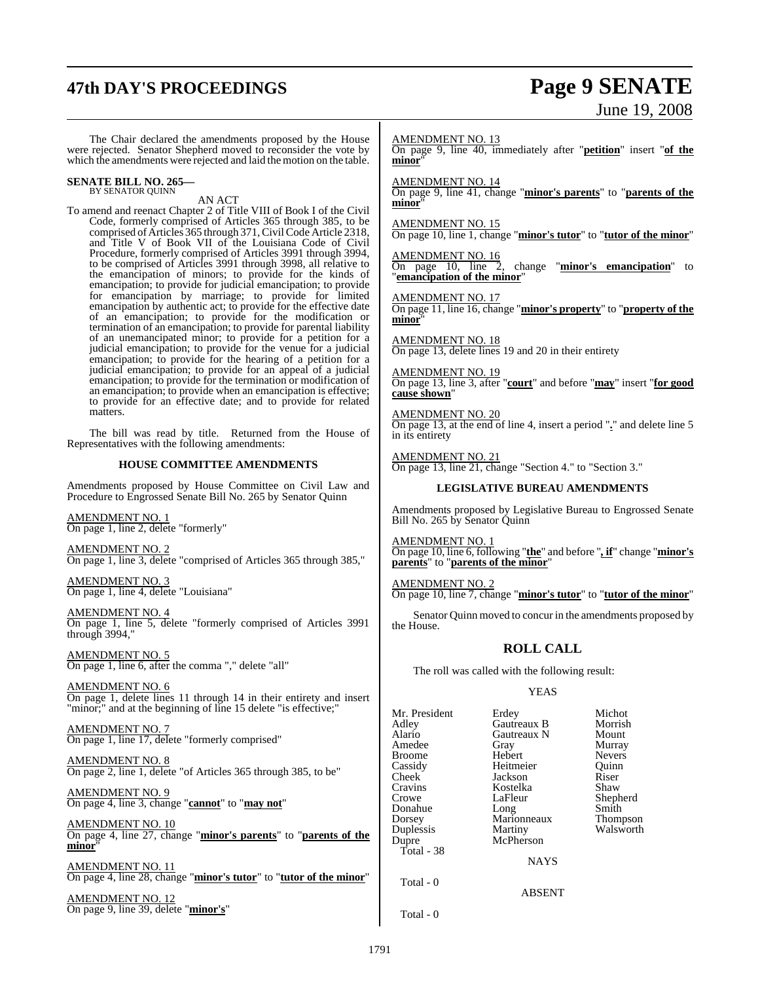# **47th DAY'S PROCEEDINGS Page 9 SENATE**

# June 19, 2008

The Chair declared the amendments proposed by the House were rejected. Senator Shepherd moved to reconsider the vote by which the amendments were rejected and laid the motion on the table.

## **SENATE BILL NO. 265—** BY SENATOR QUINN

AN ACT

To amend and reenact Chapter 2 of Title VIII of Book I of the Civil Code, formerly comprised of Articles 365 through 385, to be comprised of Articles 365 through 371, Civil Code Article 2318, and Title V of Book VII of the Louisiana Code of Civil Procedure, formerly comprised of Articles 3991 through 3994, to be comprised of Articles 3991 through 3998, all relative to the emancipation of minors; to provide for the kinds of emancipation; to provide for judicial emancipation; to provide for emancipation by marriage; to provide for limited emancipation by authentic act; to provide for the effective date of an emancipation; to provide for the modification or termination of an emancipation; to provide for parental liability of an unemancipated minor; to provide for a petition for a judicial emancipation; to provide for the venue for a judicial emancipation; to provide for the hearing of a petition for a judicial emancipation; to provide for an appeal of a judicial emancipation; to provide for the termination or modification of an emancipation; to provide when an emancipation is effective; to provide for an effective date; and to provide for related matters.

The bill was read by title. Returned from the House of Representatives with the following amendments:

#### **HOUSE COMMITTEE AMENDMENTS**

Amendments proposed by House Committee on Civil Law and Procedure to Engrossed Senate Bill No. 265 by Senator Quinn

AMENDMENT NO. 1 On page 1, line 2, delete "formerly"

AMENDMENT NO. 2 On page 1, line 3, delete "comprised of Articles 365 through 385,"

AMENDMENT NO. 3 On page 1, line 4, delete "Louisiana"

AMENDMENT NO. 4 On page 1, line 5, delete "formerly comprised of Articles 3991 through 3994,

AMENDMENT NO. 5 On page 1, line 6, after the comma "," delete "all"

AMENDMENT NO. 6 On page 1, delete lines 11 through 14 in their entirety and insert "minor;" and at the beginning of line 15 delete "is effective;"

AMENDMENT NO. 7 On page 1, line 17, delete "formerly comprised"

AMENDMENT NO. 8 On page 2, line 1, delete "of Articles 365 through 385, to be"

AMENDMENT NO. 9 On page 4, line 3, change "**cannot**" to "**may not**"

AMENDMENT NO. 10 On page 4, line 27, change "**minor's parents**" to "**parents of the minor**"

AMENDMENT NO. 11 On page 4, line 28, change "**minor's tutor**" to "**tutor of the minor**"

AMENDMENT NO. 12 On page 9, line 39, delete "**minor's**" AMENDMENT NO. 13 On page 9, line 40, immediately after "**petition**" insert "**of the** minor

AMENDMENT NO. 14

On page 9, line 41, change "**minor's parents**" to "**parents of the minor**"

AMENDMENT NO. 15

On page 10, line 1, change "**minor's tutor**" to "**tutor of the minor**"

AMENDMENT NO. 16<br>On page 10, line 2, change "**minor's emancipation**" to "**emancipation of the minor**"

AMENDMENT NO. 17

On page 11, line 16, change "**minor's property**" to "**property of the minor**"

AMENDMENT NO. 18 On page 13, delete lines 19 and 20 in their entirety

AMENDMENT NO. 19 On page 13, line 3, after "**court**" and before "**may**" insert "**for good cause shown**"

AMENDMENT NO. 20 On page 13, at the end of line 4, insert a period "**.**" and delete line 5 in its entirety

AMENDMENT NO. 21 On page 13, line 21, change "Section 4." to "Section 3."

#### **LEGISLATIVE BUREAU AMENDMENTS**

Amendments proposed by Legislative Bureau to Engrossed Senate Bill No. 265 by Senator Quinn

AMENDMENT NO. 1 On page 10, line 6, following "**the**" and before "*,* **if**" change "**minor's parents**" to "**parents of the minor**"

AMENDMENT NO. 2 On page 10, line 7, change "**minor's tutor**" to "**tutor of the minor**"

Senator Quinn moved to concur in the amendments proposed by the House.

## **ROLL CALL**

The roll was called with the following result:

#### YEAS

Mr. President Erdey Michot<br>Adley Gautreaux B Morrish Adley Gautreaux B Morrish Gautreaux N Mount<br>Gray Murray Amedee Gray Murray<br>Broome Hebert Nevers Broome Hebert Nevers<br>
Cassidy Heitmeier Ouinn Cassidy Heitmeier Quinn Jackson Cravins Kostelka Shaw LaFleur Shepherd<br>
Long Smith Donahue Long Smith<br>Dorsey Marionneaux Thompson Dorsey Marionneaux<br>
Duplessis Martiny Duplessis Martiny Walsworth<br>
Dupre McPherson McPherson Total - 38 NAYS Total - 0 ABSENT

Total - 0

1791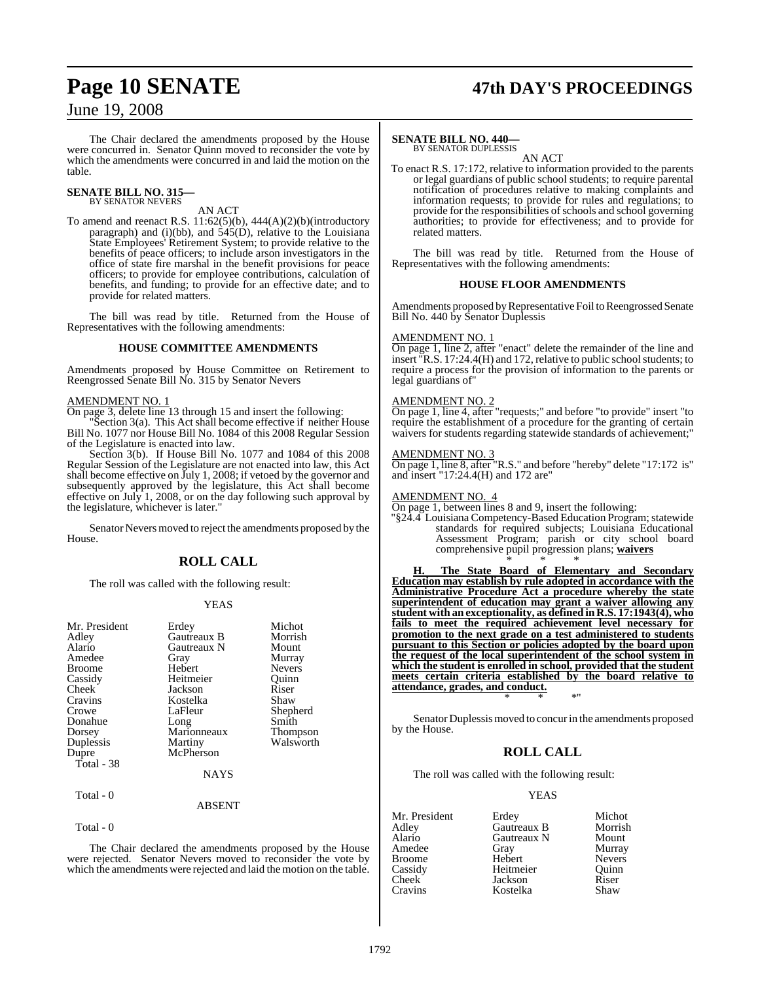# **Page 10 SENATE 47th DAY'S PROCEEDINGS**

## June 19, 2008

The Chair declared the amendments proposed by the House were concurred in. Senator Quinn moved to reconsider the vote by which the amendments were concurred in and laid the motion on the table.

#### **SENATE BILL NO. 315—** BY SENATOR NEVERS

#### AN ACT

To amend and reenact R.S.  $11:62(5)(b)$ ,  $444(A)(2)(b)$ (introductory paragraph) and (i)(bb), and  $545(D)$ , relative to the Louisiana State Employees' Retirement System; to provide relative to the benefits of peace officers; to include arson investigators in the office of state fire marshal in the benefit provisions for peace officers; to provide for employee contributions, calculation of benefits, and funding; to provide for an effective date; and to provide for related matters.

The bill was read by title. Returned from the House of Representatives with the following amendments:

#### **HOUSE COMMITTEE AMENDMENTS**

Amendments proposed by House Committee on Retirement to Reengrossed Senate Bill No. 315 by Senator Nevers

#### AMENDMENT NO. 1

On page 3, delete line 13 through 15 and insert the following:

"Section 3(a). This Act shall become effective if neither House Bill No. 1077 nor House Bill No. 1084 of this 2008 Regular Session of the Legislature is enacted into law.

Section 3(b). If House Bill No. 1077 and 1084 of this 2008 Regular Session of the Legislature are not enacted into law, this Act shall become effective on July 1, 2008; if vetoed by the governor and subsequently approved by the legislature, this Act shall become effective on July 1, 2008, or on the day following such approval by the legislature, whichever is later."

Senator Nevers moved to reject the amendments proposed by the House.

## **ROLL CALL**

The roll was called with the following result:

#### YEAS

| Mr. President<br>Adley<br>Alario<br>Amedee<br><b>Broome</b><br>Cassidy<br>Cheek<br>Cravins<br>Crowe<br>Donahue<br>Dorsey<br>Duplessis<br>Dupre<br>Total - 38 | Erdey<br>Gautreaux B<br>Gautreaux N<br>Gray<br>Hebert<br>Heitmeier<br>Jackson<br>Kostelka<br>LaFleur<br>Long<br>Marionneaux<br>Martiny<br>McPherson | Michot<br>Morrish<br>Mount<br>Murray<br><b>Nevers</b><br>Ouinn<br>Riser<br>Shaw<br>Shepherd<br>Smith<br><b>Thompson</b><br>Walsworth |
|--------------------------------------------------------------------------------------------------------------------------------------------------------------|-----------------------------------------------------------------------------------------------------------------------------------------------------|--------------------------------------------------------------------------------------------------------------------------------------|
|                                                                                                                                                              | NAYS                                                                                                                                                |                                                                                                                                      |
| Total - 0                                                                                                                                                    |                                                                                                                                                     |                                                                                                                                      |

#### ABSENT

Total - 0

The Chair declared the amendments proposed by the House were rejected. Senator Nevers moved to reconsider the vote by which the amendments were rejected and laid the motion on the table.

#### **SENATE BILL NO. 440—**

BY SENATOR DUPLESSIS AN ACT

To enact R.S. 17:172, relative to information provided to the parents or legal guardians of public school students; to require parental notification of procedures relative to making complaints and information requests; to provide for rules and regulations; to provide for the responsibilities of schools and school governing authorities; to provide for effectiveness; and to provide for related matters.

The bill was read by title. Returned from the House of Representatives with the following amendments:

#### **HOUSE FLOOR AMENDMENTS**

Amendments proposed by Representative Foil to Reengrossed Senate Bill No. 440 by Senator Duplessis

#### AMENDMENT NO. 1

On page 1, line 2, after "enact" delete the remainder of the line and insert  $\overline{R}$ .S. 17:24.4(H) and 172, relative to public school students; to require a process for the provision of information to the parents or legal guardians of"

#### AMENDMENT NO. 2

On page 1, line 4, after "requests;" and before "to provide" insert "to require the establishment of a procedure for the granting of certain waivers for students regarding statewide standards of achievement;"

#### AMENDMENT NO. 3

On page 1, line 8, after "R.S." and before "hereby" delete "17:172 is" and insert "17:24.4(H) and 172 are"

#### AMENDMENT NO. 4

On page 1, between lines 8 and 9, insert the following:

"§24.4 Louisiana Competency-Based Education Program; statewide standards for required subjects; Louisiana Educational Assessment Program; parish or city school board comprehensive pupil progression plans; **waivers** \* \* \*

**H. The State Board of Elementary and Secondary Education may establish by rule adopted in accordance with the Administrative Procedure Act a procedure whereby the state superintendent of education may grant a waiver allowing any student with an exceptionality, as defined in R.S. 17:1943(4), who fails to meet the required achievement level necessary for promotion to the next grade on a test administered to students pursuant to this Section or policies adopted by the board upon the request of the local superintendent of the school system in which the student is enrolled in school, provided that the student meets certain criteria established by the board relative to attendance, grades, and conduct.** \* \* \*"

Senator Duplessis moved to concur in the amendments proposed by the House.

#### **ROLL CALL**

The roll was called with the following result:

#### YEAS

| Mr. President | Erdey       | Michot        |
|---------------|-------------|---------------|
| Adley         | Gautreaux B | Morrish       |
| Alario        | Gautreaux N | Mount         |
| Amedee        | Gray        | Murray        |
| <b>Broome</b> | Hebert      | <b>Nevers</b> |
| Cassidy       | Heitmeier   | Ouinn         |
| Cheek         | Jackson     | Riser         |
| Cravins       | Kostelka    | Shaw          |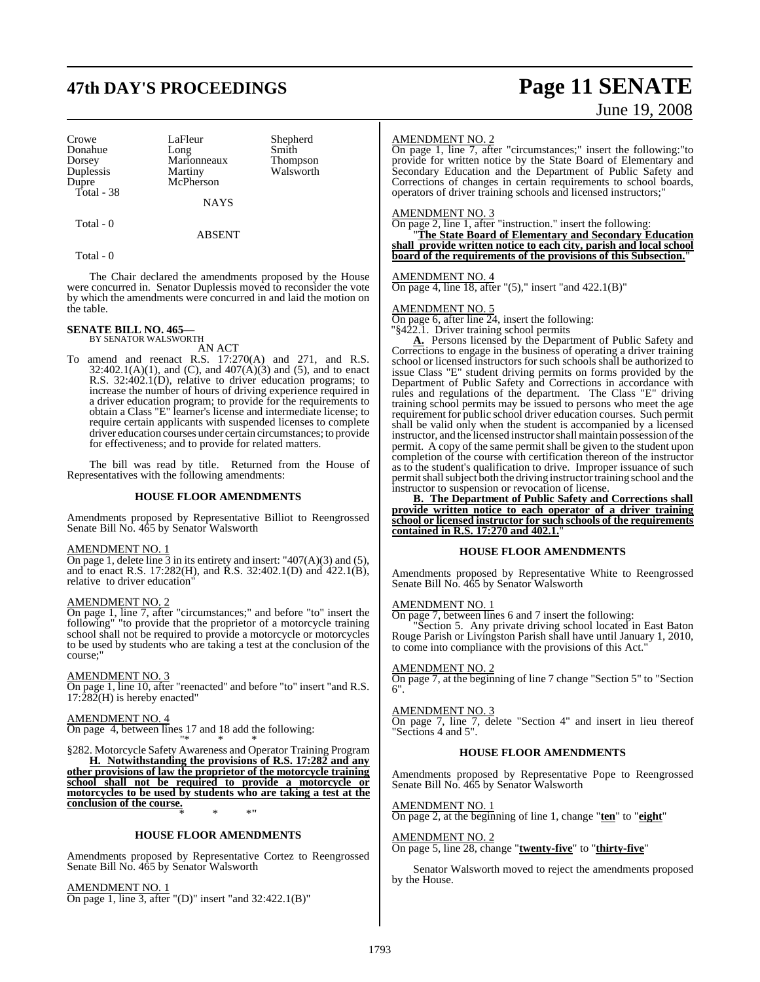# **47th DAY'S PROCEEDINGS Page 11 SENATE**

Crowe LaFleur Shepherd<br>Donahue Long Smith Donahue Long Smith Dorsey Marionneaux<br>
Duplessis Martiny Duplessis Martiny Walsworth<br>
Dupre McPherson Walsworth Total - 38

McPherson

NAYS

ABSENT

Total - 0

Total - 0

The Chair declared the amendments proposed by the House were concurred in. Senator Duplessis moved to reconsider the vote by which the amendments were concurred in and laid the motion on the table.

## **SENATE BILL NO. 465—** BY SENATOR WALSWORTH

AN ACT

To amend and reenact R.S. 17:270(A) and 271, and R.S.  $32:402.1(A)(1)$ , and (C), and  $407(A)(3)$  and (5), and to enact R.S. 32:402.1(D), relative to driver education programs; to increase the number of hours of driving experience required in a driver education program; to provide for the requirements to obtain a Class "E" learner's license and intermediate license; to require certain applicants with suspended licenses to complete driver education courses under certain circumstances; to provide for effectiveness; and to provide for related matters.

The bill was read by title. Returned from the House of Representatives with the following amendments:

#### **HOUSE FLOOR AMENDMENTS**

Amendments proposed by Representative Billiot to Reengrossed Senate Bill No. 465 by Senator Walsworth

#### AMENDMENT NO. 1

On page 1, delete line  $\overline{3}$  in its entirety and insert: "407(A)(3) and (5), and to enact R.S. 17:282(H), and R.S. 32:402.1(D) and 422.1(B), relative to driver education"

#### AMENDMENT NO. 2

On page 1, line 7, after "circumstances;" and before "to" insert the following" "to provide that the proprietor of a motorcycle training school shall not be required to provide a motorcycle or motorcycles to be used by students who are taking a test at the conclusion of the course;"

#### AMENDMENT NO. 3

On page 1, line 10, after "reenacted" and before "to" insert "and R.S.  $17:\hat{282}$ (H) is hereby enacted"

#### AMENDMENT NO. 4

On page 4, between lines 17 and 18 add the following: "\* \* \*

§282. Motorcycle Safety Awareness and Operator Training Program **H. Notwithstanding the provisions of R.S. 17:282 and any other provisions of law the proprietor of the motorcycle training school shall not be required to provide a motorcycle or motorcycles to be used by students who are taking a test at the conclusion of the course.** \* \* \***"**

#### **HOUSE FLOOR AMENDMENTS**

Amendments proposed by Representative Cortez to Reengrossed Senate Bill No. 465 by Senator Walsworth

#### AMENDMENT NO. 1

On page 1, line 3, after "(D)" insert "and 32:422.1(B)"

#### AMENDMENT NO. 2

On page 1, line 7, after "circumstances;" insert the following:"to provide for written notice by the State Board of Elementary and Secondary Education and the Department of Public Safety and Corrections of changes in certain requirements to school boards, operators of driver training schools and licensed instructors;"

#### AMENDMENT NO. 3

On page 2, line 1, after "instruction." insert the following:

"**The State Board of Elementary and Secondary Education shall provide written notice to each city, parish and local school board of the requirements of the provisions of this Subsection.**"

#### AMENDMENT NO. 4

On page 4, line 18, after  $"(5)$ ," insert "and  $422.1(B)$ "

#### AMENDMENT NO. 5

On page 6, after line 24, insert the following:

"§422.1. Driver training school permits

**A.** Persons licensed by the Department of Public Safety and Corrections to engage in the business of operating a driver training school or licensed instructors for such schools shall be authorized to issue Class "E" student driving permits on forms provided by the Department of Public Safety and Corrections in accordance with rules and regulations of the department. The Class "E" driving training school permits may be issued to persons who meet the age requirement for public school driver education courses. Such permit shall be valid only when the student is accompanied by a licensed instructor, and the licensed instructor shall maintain possession of the permit. A copy of the same permit shall be given to the student upon completion of the course with certification thereon of the instructor as to the student's qualification to drive. Improper issuance of such permit shall subject both the driving instructor training school and the instructor to suspension or revocation of license.

**B. The Department of Public Safety and Corrections shall provide written notice to each operator of a driver training school or licensed instructor for such schools of the requirements contained in R.S. 17:270 and 402.1.**"

#### **HOUSE FLOOR AMENDMENTS**

Amendments proposed by Representative White to Reengrossed Senate Bill No. 465 by Senator Walsworth

#### AMENDMENT NO. 1

On page 7, between lines 6 and 7 insert the following:

"Section 5. Any private driving school located in East Baton Rouge Parish or Livingston Parish shall have until January 1, 2010, to come into compliance with the provisions of this Act."

#### AMENDMENT NO. 2

On page 7, at the beginning of line 7 change "Section 5" to "Section 6".

#### AMENDMENT NO. 3

On page 7, line 7, delete "Section 4" and insert in lieu thereof "Sections 4 and 5".

#### **HOUSE FLOOR AMENDMENTS**

Amendments proposed by Representative Pope to Reengrossed Senate Bill No. 465 by Senator Walsworth

#### AMENDMENT NO. 1

On page 2, at the beginning of line 1, change "**ten**" to "**eight**"

AMENDMENT NO. 2

On page 5, line 28, change "**twenty-five**" to "**thirty-five**"

Senator Walsworth moved to reject the amendments proposed by the House.

# June 19, 2008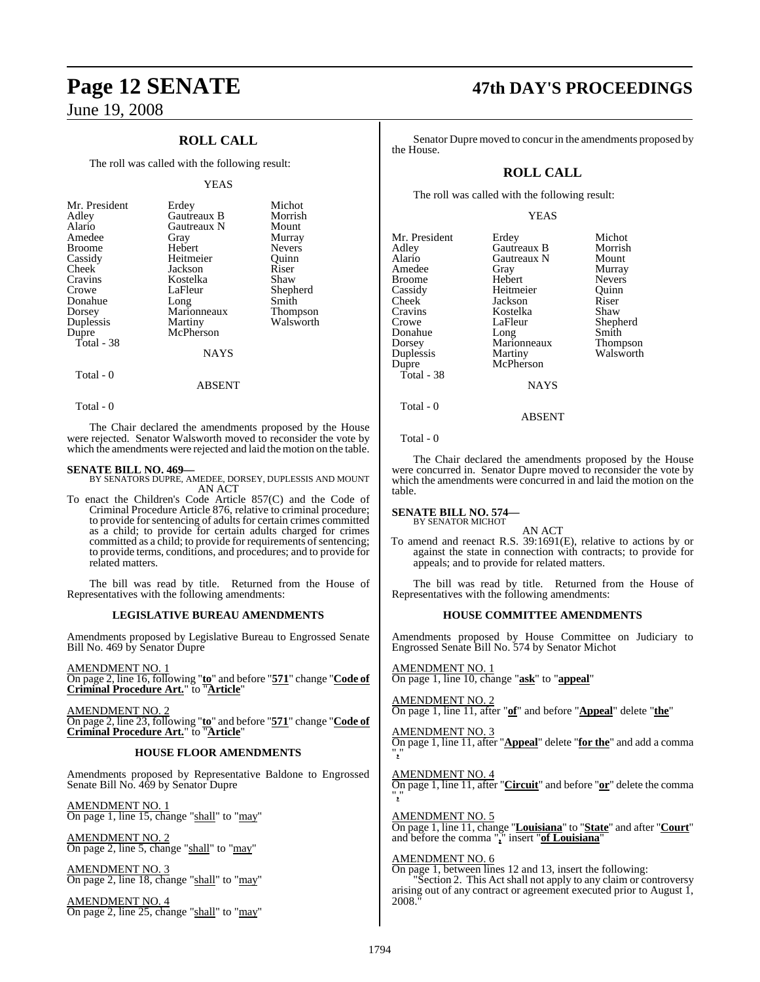## **ROLL CALL**

The roll was called with the following result:

#### YEAS

| Mr. President      | Erdey                | Michot        |
|--------------------|----------------------|---------------|
| Adley              | Gautreaux B          | Morrish       |
| Alario             | Gautreaux N          | Mount         |
| Amedee             | Gray                 | Murray        |
| <b>Broome</b>      | Hebert               | <b>Nevers</b> |
| Cassidy            | Heitmeier            | Ouinn         |
| Cheek              | Jackson              | Riser         |
| Cravins            | Kostelka             | Shaw          |
| Crowe              | LaFleur              | Shepherd      |
| Donahue            | Long                 | Smith         |
| Dorsey             | Marionneaux          | Thompson      |
| Duplessis<br>Dupre | Martiny<br>McPherson | Walsworth     |
| Total - 38         | <b>NAYS</b>          |               |

## Total - 0

Total - 0

The Chair declared the amendments proposed by the House were rejected. Senator Walsworth moved to reconsider the vote by which the amendments were rejected and laid the motion on the table.

ABSENT

**SENATE BILL NO. 469—** BY SENATORS DUPRE, AMEDEE, DORSEY, DUPLESSIS AND MOUNT AN ACT

To enact the Children's Code Article 857(C) and the Code of Criminal Procedure Article 876, relative to criminal procedure; to provide for sentencing of adults for certain crimes committed as a child; to provide for certain adults charged for crimes committed as a child; to provide for requirements of sentencing; to provide terms, conditions, and procedures; and to provide for related matters.

The bill was read by title. Returned from the House of Representatives with the following amendments:

#### **LEGISLATIVE BUREAU AMENDMENTS**

Amendments proposed by Legislative Bureau to Engrossed Senate Bill No. 469 by Senator Dupre

AMENDMENT NO. 1

On page 2, line 16, following "**to**" and before "**571**" change "**Code of Criminal Procedure Art.**" to "**Article**"

AMENDMENT NO. 2 On page 2, line 23, following "**to**" and before "**571**" change "**Code of Criminal Procedure Art.**" to "**Article**"

#### **HOUSE FLOOR AMENDMENTS**

Amendments proposed by Representative Baldone to Engrossed Senate Bill No. 469 by Senator Dupre

AMENDMENT NO. 1 On page 1, line 15, change "shall" to "may"

AMENDMENT NO. 2 On page 2, line 5, change "shall" to "may"

AMENDMENT NO. 3 On page 2, line 18, change "shall" to "may"

AMENDMENT NO. 4 On page 2, line 25, change "shall" to "may"

# **Page 12 SENATE 47th DAY'S PROCEEDINGS**

Senator Dupre moved to concur in the amendments proposed by the House.

## **ROLL CALL**

The roll was called with the following result:

#### YEAS

| Mr. President<br>Adley<br>Alario<br>Amedee<br><b>Broome</b><br>Cassidy<br>Cheek<br>Cravins<br>Crowe<br>Donahue<br>Dorsey<br>Duplessis<br>Dupre | Erdey<br>Gautreaux B<br>Gautreaux N<br>Gray<br>Hebert<br>Heitmeier<br>Jackson<br>Kostelka<br>LaFleur<br>Long<br>Marionneaux<br>Martiny<br>McPherson | Michot<br>Morrish<br>Mount<br>Murray<br><b>Nevers</b><br>Ouinn<br>Riser<br>Shaw<br>Shepherd<br>Smith<br>Thompson<br>Walsworth |
|------------------------------------------------------------------------------------------------------------------------------------------------|-----------------------------------------------------------------------------------------------------------------------------------------------------|-------------------------------------------------------------------------------------------------------------------------------|
| Total - 38                                                                                                                                     | <b>NAYS</b>                                                                                                                                         |                                                                                                                               |
| Total - 0                                                                                                                                      |                                                                                                                                                     |                                                                                                                               |

ABSENT

Total - 0

The Chair declared the amendments proposed by the House were concurred in. Senator Dupre moved to reconsider the vote by which the amendments were concurred in and laid the motion on the table.

**SENATE BILL NO. 574—**<br>BY SENATOR MICHOT

AN ACT

To amend and reenact R.S. 39:1691(E), relative to actions by or against the state in connection with contracts; to provide for appeals; and to provide for related matters.

The bill was read by title. Returned from the House of Representatives with the following amendments:

#### **HOUSE COMMITTEE AMENDMENTS**

Amendments proposed by House Committee on Judiciary to Engrossed Senate Bill No. 574 by Senator Michot

AMENDMENT NO. 1 On page 1, line 10, change "**ask**" to "**appeal**"

AMENDMENT NO. 2 On page 1, line 11, after "**of**" and before "**Appeal**" delete "**the**"

AMENDMENT NO. 3 On page 1, line 11, after "**Appeal**" delete "**for the**" and add a comma "**,**"

AMENDMENT NO. 4 On page 1, line 11, after "**Circuit**" and before "**or**" delete the comma "**,**"

AMENDMENT NO. 5 On page 1, line 11, change "**Louisiana**" to "**State**" and after "**Court**" and before the comma "**,**" insert "**of Louisiana**"

AMENDMENT NO. 6 On page 1, between lines 12 and 13, insert the following: "Section 2. This Act shall not apply to any claim or controversy arising out of any contract or agreement executed prior to August 1, 2008.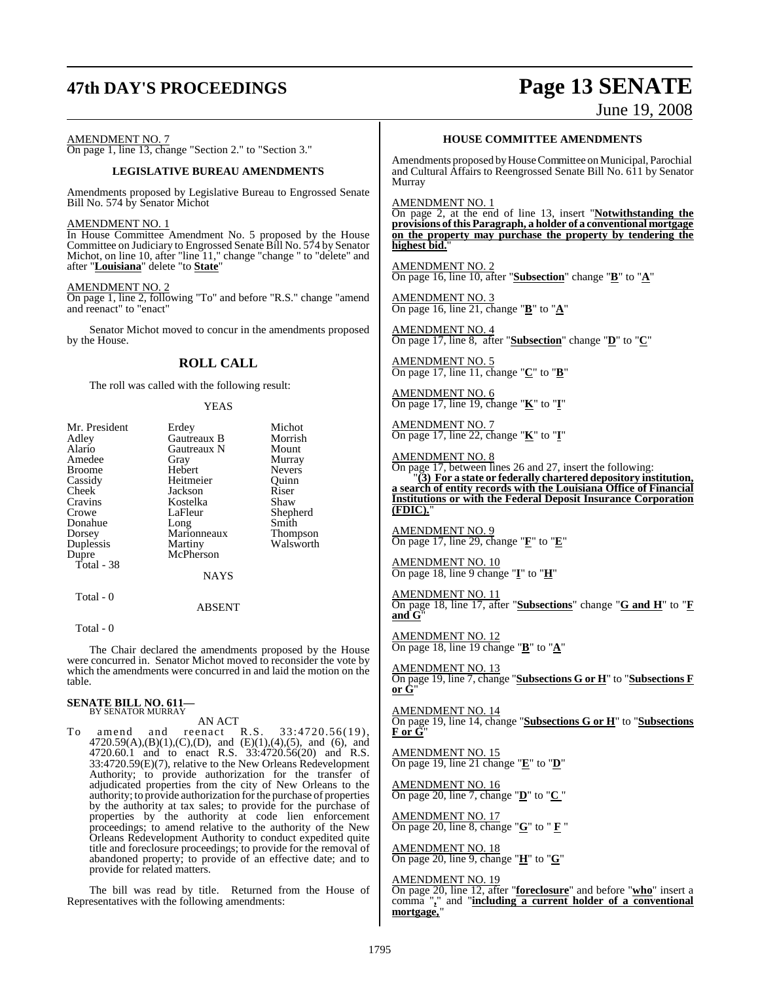# **47th DAY'S PROCEEDINGS Page 13 SENATE**

# June 19, 2008

AMENDMENT NO. 7

On page 1, line 13, change "Section 2." to "Section 3."

#### **LEGISLATIVE BUREAU AMENDMENTS**

Amendments proposed by Legislative Bureau to Engrossed Senate Bill No. 574 by Senator Michot

#### AMENDMENT NO. 1

In House Committee Amendment No. 5 proposed by the House Committee on Judiciary to Engrossed Senate Bill No. 574 by Senator Michot, on line 10, after "line 11," change "change " to "delete" and after "**Louisiana**" delete "to **State**"

#### **AMENDMENT NO.**

On page 1, line 2, following "To" and before "R.S." change "amend and reenact" to "enact"

Senator Michot moved to concur in the amendments proposed by the House.

#### **ROLL CALL**

The roll was called with the following result:

#### YEAS

| Mr. President | Erdey         | Michot          |
|---------------|---------------|-----------------|
| Adley         | Gautreaux B   | Morrish         |
| Alario        | Gautreaux N   | Mount           |
| Amedee        | Gray          | Murray          |
| <b>Broome</b> | Hebert        | <b>Nevers</b>   |
| Cassidy       | Heitmeier     | Ouinn           |
| Cheek         | Jackson       | Riser           |
| Cravins       | Kostelka      | Shaw            |
| Crowe         | LaFleur       | Shepherd        |
| Donahue       | Long          | Smith           |
| Dorsey        | Marionneaux   | <b>Thompson</b> |
| Duplessis     | Martiny       | Walsworth       |
| Dupre         | McPherson     |                 |
| Total - 38    |               |                 |
|               | <b>NAYS</b>   |                 |
| Total - 0     |               |                 |
|               | <b>ABSENT</b> |                 |

Total - 0

The Chair declared the amendments proposed by the House were concurred in. Senator Michot moved to reconsider the vote by which the amendments were concurred in and laid the motion on the table.

#### **SENATE BILL NO. 611—** BY SENATOR MURRAY

AN ACT<br>reenact R.S. To amend and reenact R.S. 33:4720.56(19), 4720.59(A),(B)(1),(C),(D), and (E)(1),(4),(5), and (6), and 4720.60.1 and to enact R.S. 33:4720.56(20) and R.S. 33:4720.59(E)(7), relative to the New Orleans Redevelopment Authority; to provide authorization for the transfer of adjudicated properties from the city of New Orleans to the authority; to provide authorization for the purchase of properties by the authority at tax sales; to provide for the purchase of properties by the authority at code lien enforcement proceedings; to amend relative to the authority of the New Orleans Redevelopment Authority to conduct expedited quite title and foreclosure proceedings; to provide for the removal of abandoned property; to provide of an effective date; and to provide for related matters.

The bill was read by title. Returned from the House of Representatives with the following amendments:

#### **HOUSE COMMITTEE AMENDMENTS**

Amendments proposed by House Committee on Municipal, Parochial and Cultural Affairs to Reengrossed Senate Bill No. 611 by Senator Murray

AMENDMENT NO. 1

On page 2, at the end of line 13, insert "**Notwithstanding the provisions ofthis Paragraph, a holder of a conventional mortgage on the property may purchase the property by tendering the highest bid.**"

AMENDMENT NO. 2 On page 16, line 10, after "**Subsection**" change "**B**" to "**A**"

AMENDMENT NO. 3 On page 16, line 21, change "**B**" to "**A**"

AMENDMENT NO. 4 On page 17, line 8, after "**Subsection**" change "**D**" to "**C**"

AMENDMENT NO. 5 On page 17, line 11, change "**C**" to "**B**"

AMENDMENT NO. 6 On page 17, line 19, change "**K**" to "**I**"

AMENDMENT NO. 7 On page 17, line 22, change "**K**" to "**I**"

AMENDMENT NO. 8

On page 17, between lines 26 and 27, insert the following: "**(3) For a state or federally chartered depository institution, a search of entity records with the Louisiana Office of Financial Institutions or with the Federal Deposit Insurance Corporation (FDIC).**"

AMENDMENT NO. 9 On page 17, line 29, change "**F**" to "**E**"

AMENDMENT NO. 10 On page 18, line 9 change "**I**" to "**H**"

AMENDMENT NO. 11 On page 18, line 17, after "**Subsections**" change "**G and H**" to "**F and G**"

AMENDMENT NO. 12 On page 18, line 19 change "**B**" to "**A**"

AMENDMENT NO. 13 On page 19, line 7, change "**Subsections G or H**" to "**Subsections F or G**"

AMENDMENT NO. 14 On page 19, line 14, change "**Subsections G or H**" to "**Subsections F or G**"

AMENDMENT NO. 15 On page 19, line 21 change "**E**" to "**D**"

AMENDMENT NO. 16 On page 20, line 7, change "**D**" to "**C** "

**MENDMENT NO. 17** On page 20, line 8, change "**G**" to " **F** "

AMENDMENT NO. 18 On page 20, line 9, change "**H**" to "**G**"

AMENDMENT NO. 19

On page 20, line 12, after "**foreclosure**" and before "**who**" insert a comma "**,**" and "**including a current holder of a conventional** mortgage,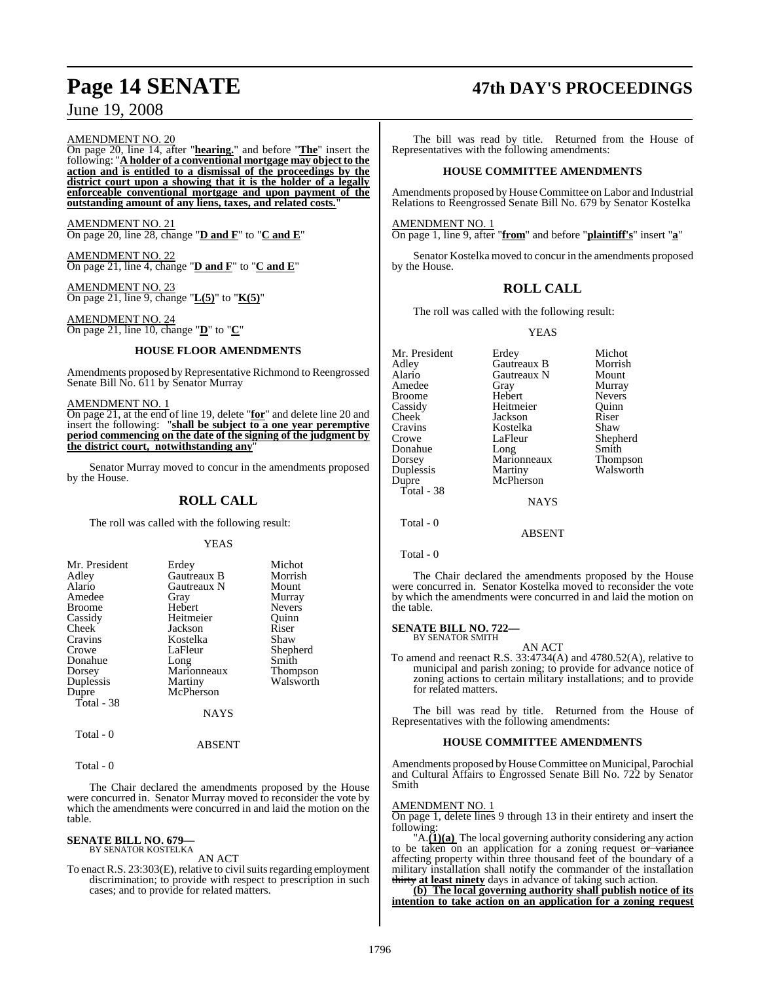#### AMENDMENT NO. 20

On page 20, line 14, after "**hearing.**" and before "**The**" insert the following: "**A holder of a conventional mortgage may object to the action and is entitled to a dismissal of the proceedings by the district court upon a showing that it is the holder of a legally enforceable conventional mortgage and upon payment of the outstanding amount of any liens, taxes, and related costs.**"

AMENDMENT NO. 21 On page 20, line 28, change "**D and F**" to "**C and E**"

AMENDMENT NO. 22 On page 21, line 4, change "**D and F**" to "**C and E**"

AMENDMENT NO. 23 On page 21, line 9, change "**L(5)**" to "**K(5)**"

AMENDMENT NO. 24 On page 21, line 10, change "**D**" to "**C**"

#### **HOUSE FLOOR AMENDMENTS**

Amendments proposed by Representative Richmond to Reengrossed Senate Bill No. 611 by Senator Murray

#### AMENDMENT NO. 1

On page 21, at the end of line 19, delete "**for**" and delete line 20 and insert the following: "**shall be subject to a one year peremptive period commencing on the date of the signing of the judgment by the district court, notwithstanding any**"

Senator Murray moved to concur in the amendments proposed by the House.

#### **ROLL CALL**

The roll was called with the following result:

#### **YEAS**

| Mr. President | Erdey       | Michot    |
|---------------|-------------|-----------|
| Adley         | Gautreaux B | Morrish   |
| Alario        | Gautreaux N | Mount     |
| Amedee        | Gray        | Murray    |
| <b>Broome</b> | Hebert      | Nevers    |
| Cassidy       | Heitmeier   | Ouinn     |
| Cheek         | Jackson     | Riser     |
| Cravins       | Kostelka    | Shaw      |
| Crowe         | LaFleur     | Shepherd  |
| Donahue       | Long        | Smith     |
| Dorsey        | Marionneaux | Thompson  |
| Duplessis     | Martiny     | Walsworth |
| Dupre         | McPherson   |           |
| Total - 38    |             |           |
|               | NAYS        |           |
| <b>m</b> 1 0  |             |           |

Total - 0

Total - 0

The Chair declared the amendments proposed by the House were concurred in. Senator Murray moved to reconsider the vote by which the amendments were concurred in and laid the motion on the table.

ABSENT

#### **SENATE BILL NO. 679—** BY SENATOR KOSTELKA

AN ACT

To enact R.S. 23:303(E), relative to civil suits regarding employment discrimination; to provide with respect to prescription in such cases; and to provide for related matters.

# **Page 14 SENATE 47th DAY'S PROCEEDINGS**

The bill was read by title. Returned from the House of Representatives with the following amendments:

#### **HOUSE COMMITTEE AMENDMENTS**

Amendments proposed by House Committee on Labor and Industrial Relations to Reengrossed Senate Bill No. 679 by Senator Kostelka

AMENDMENT NO. 1

On page 1, line 9, after "**from**" and before "**plaintiff's**" insert "**a**"

Senator Kostelka moved to concur in the amendments proposed by the House.

### **ROLL CALL**

The roll was called with the following result:

#### YEAS

| Erdey       | Michot          |
|-------------|-----------------|
| Gautreaux B | Morrish         |
| Gautreaux N | Mount           |
| Gray        | Murray          |
| Hebert      | <b>Nevers</b>   |
| Heitmeier   | Ouinn           |
| Jackson     | Riser           |
| Kostelka    | Shaw            |
| LaFleur     | Shepherd        |
| Long        | Smith           |
| Marionneaux | <b>Thompson</b> |
|             | Walsworth       |
| McPherson   |                 |
|             |                 |
| <b>NAYS</b> |                 |
|             |                 |
|             | Martiny         |

Total - 0

The Chair declared the amendments proposed by the House were concurred in. Senator Kostelka moved to reconsider the vote by which the amendments were concurred in and laid the motion on the table.

ABSENT

#### **SENATE BILL NO. 722—** BY SENATOR SMITH

AN ACT

To amend and reenact R.S. 33:4734(A) and 4780.52(A), relative to municipal and parish zoning; to provide for advance notice of zoning actions to certain military installations; and to provide for related matters.

The bill was read by title. Returned from the House of Representatives with the following amendments:

#### **HOUSE COMMITTEE AMENDMENTS**

Amendments proposed byHouseCommittee on Municipal, Parochial and Cultural Affairs to Engrossed Senate Bill No. 722 by Senator Smith

#### AMENDMENT NO. 1

On page 1, delete lines 9 through 13 in their entirety and insert the following:

"A.**(1)(a)** The local governing authority considering any action to be taken on an application for a zoning request  $\sigma r$  variance affecting property within three thousand feet of the boundary of a military installation shall notify the commander of the installation thirty **at least ninety** days in advance of taking such action.

**(b) The local governing authority shall publish notice of its intention to take action on an application for a zoning request**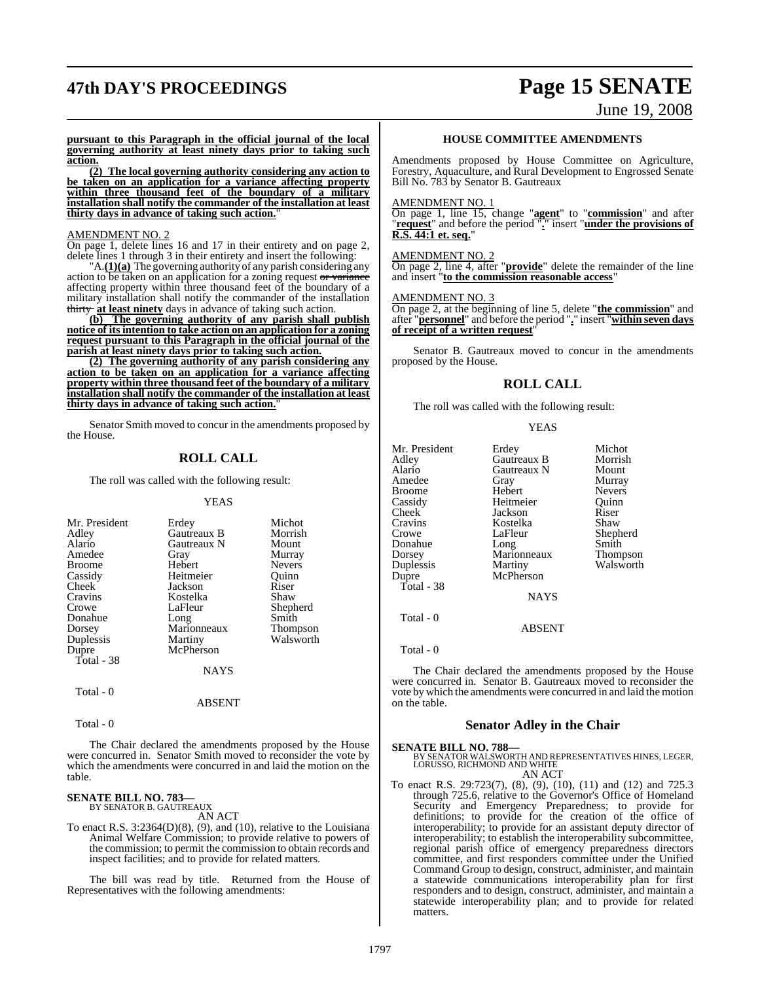# **47th DAY'S PROCEEDINGS Page 15 SENATE**

# June 19, 2008

**pursuant to this Paragraph in the official journal of the local governing authority at least ninety days prior to taking such action.**

**(2) The local governing authority considering any action to be taken on an application for a variance affecting property within three thousand feet of the boundary of a military installation shall notify the commander of the installation at least thirty days in advance of taking such action.**"

#### AMENDMENT NO. 2

On page 1, delete lines 16 and 17 in their entirety and on page 2, delete lines 1 through 3 in their entirety and insert the following:

"A.**(1)(a)** The governing authority of any parish considering any action to be taken on an application for a zoning request or variance affecting property within three thousand feet of the boundary of a military installation shall notify the commander of the installation thirty **at least ninety** days in advance of taking such action.

**(b) The governing authority of any parish shall publish notice of its intention to take action on an application for a zoning request pursuant to this Paragraph in the official journal of the parish at least ninety days prior to taking such action.**

**(2) The governing authority of any parish considering any action to be taken on an application for a variance affecting property within three thousand feet of the boundary of a military installation shall notify the commander of the installation at least thirty days in advance of taking such action.**"

Senator Smith moved to concur in the amendments proposed by the House.

### **ROLL CALL**

The roll was called with the following result:

#### YEAS

| Mr. President | Erdey       | Michot        |
|---------------|-------------|---------------|
| Adley         | Gautreaux B | Morrish       |
| Alario        | Gautreaux N | Mount         |
| Amedee        | Gray        | Murray        |
| <b>Broome</b> | Hebert      | <b>Nevers</b> |
| Cassidy       | Heitmeier   | Ouinn         |
| Cheek         | Jackson     | Riser         |
| Cravins       | Kostelka    | Shaw          |
| Crowe         | LaFleur     | Shepherd      |
| Donahue       | Long        | Smith         |
| Dorsey        | Marionneaux | Thompson      |
| Duplessis     | Martiny     | Walsworth     |
| Dupre         | McPherson   |               |
| Total - 38    |             |               |
|               | NAYS        |               |

Total - 0

ABSENT

Total - 0

The Chair declared the amendments proposed by the House were concurred in. Senator Smith moved to reconsider the vote by which the amendments were concurred in and laid the motion on the table.

#### **SENATE BILL NO. 783—** BY SENATOR B. GAUTREAUX

AN ACT

To enact R.S. 3:2364(D)(8), (9), and (10), relative to the Louisiana Animal Welfare Commission; to provide relative to powers of the commission; to permit the commission to obtain records and inspect facilities; and to provide for related matters.

The bill was read by title. Returned from the House of Representatives with the following amendments:

#### **HOUSE COMMITTEE AMENDMENTS**

Amendments proposed by House Committee on Agriculture, Forestry, Aquaculture, and Rural Development to Engrossed Senate Bill No. 783 by Senator B. Gautreaux

#### **AMENDMENT NO.**

On page 1, line 15, change "**agent**" to "**commission**" and after "**request**" and before the period "**.**" insert "**under the provisions of R.S. 44:1 et. seq.**"

#### AMENDMENT NO. 2

On page 2, line 4, after "**provide**" delete the remainder of the line and insert "**to the commission reasonable access**"

#### AMENDMENT NO. 3

On page 2, at the beginning of line 5, delete "**the commission**" and after "**personnel**" and before the period "**.**" insert "**within seven days of receipt of a written request**"

Senator B. Gautreaux moved to concur in the amendments proposed by the House.

#### **ROLL CALL**

The roll was called with the following result:

#### **YEAS**

| Mr. President<br>Adley<br>Alario<br>Amedee<br>Broome<br>Cassidy<br>Cheek<br>Cravins<br>Crowe<br>Donahue<br>Dorsey<br>Duplessis<br>Dupre | Erdey<br>Gautreaux B<br>Gautreaux N<br>Gray<br>Hebert<br>Heitmeier<br>Jackson<br>Kostelka<br>LaFleur<br>Long<br>Marionneaux<br>Martiny<br>McPherson | Michot<br>Morrish<br>Mount<br>Murray<br><b>Nevers</b><br>Ouinn<br>Riser<br>Shaw<br>Shepherd<br>Smith |
|-----------------------------------------------------------------------------------------------------------------------------------------|-----------------------------------------------------------------------------------------------------------------------------------------------------|------------------------------------------------------------------------------------------------------|
|                                                                                                                                         |                                                                                                                                                     | Thompson<br>Walsworth                                                                                |
| Total - 38                                                                                                                              | <b>NAYS</b>                                                                                                                                         |                                                                                                      |
| Total - 0                                                                                                                               |                                                                                                                                                     |                                                                                                      |

ABSENT

Total - 0

The Chair declared the amendments proposed by the House were concurred in. Senator B. Gautreaux moved to reconsider the vote by which the amendments were concurred in and laid the motion on the table.

#### **Senator Adley in the Chair**

**SENATE BILL NO. 788—** BY SENATOR WALSWORTH AND REPRESENTATIVES HINES, LEGER, LORUSSO, RICHMOND AND WHITE AN ACT

To enact R.S. 29:723(7), (8), (9), (10), (11) and (12) and 725.3 through 725.6, relative to the Governor's Office of Homeland Security and Emergency Preparedness; to provide for definitions; to provide for the creation of the office of interoperability; to provide for an assistant deputy director of interoperability; to establish the interoperability subcommittee, regional parish office of emergency preparedness directors committee, and first responders committee under the Unified Command Group to design, construct, administer, and maintain a statewide communications interoperability plan for first responders and to design, construct, administer, and maintain a statewide interoperability plan; and to provide for related matters.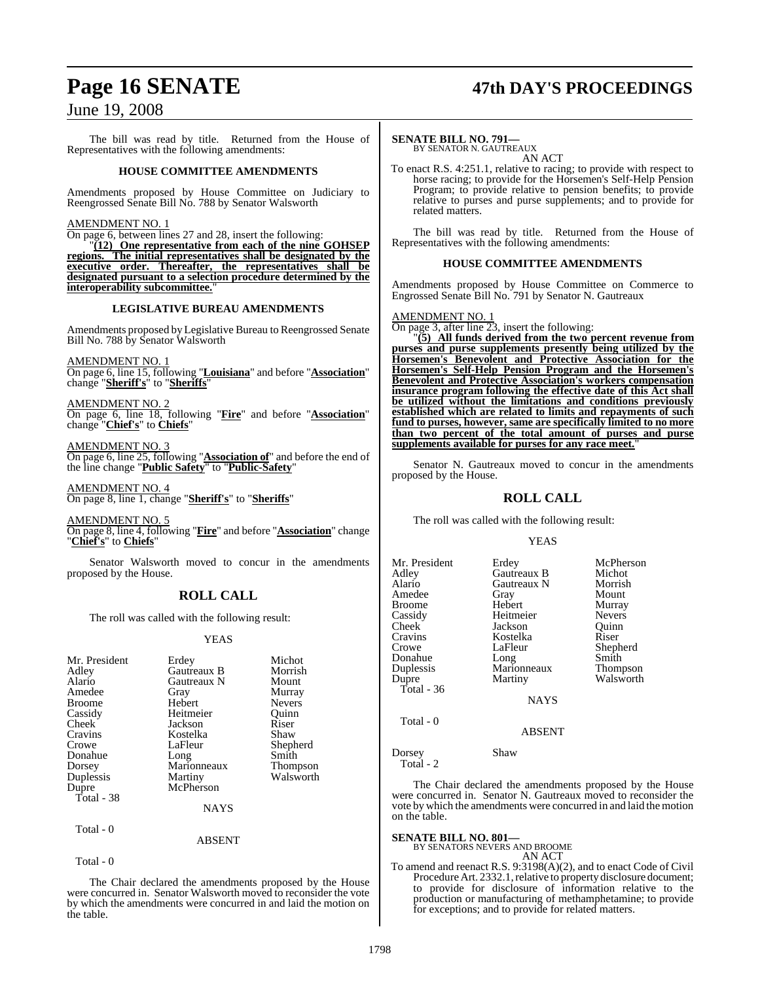# **Page 16 SENATE 47th DAY'S PROCEEDINGS**

## June 19, 2008

The bill was read by title. Returned from the House of Representatives with the following amendments:

#### **HOUSE COMMITTEE AMENDMENTS**

Amendments proposed by House Committee on Judiciary to Reengrossed Senate Bill No. 788 by Senator Walsworth

#### AMENDMENT NO. 1

On page 6, between lines 27 and 28, insert the following:

"**(12) One representative from each of the nine GOHSEP regions. The initial representatives shall be designated by the executive order. Thereafter, the representatives shall be designated pursuant to a selection procedure determined by the interoperability subcommittee.**"

#### **LEGISLATIVE BUREAU AMENDMENTS**

Amendments proposed by Legislative Bureau to Reengrossed Senate Bill No. 788 by Senator Walsworth

AMENDMENT NO. 1

On page 6, line 15, following "**Louisiana**" and before "**Association**" change "**Sheriff's**" to "**Sheriffs**"

AMENDMENT NO. 2 On page 6, line 18, following "**Fire**" and before "**Association**" change "**Chief's**" to **Chiefs**"

AMENDMENT NO. 3

On page 6, line 25, following "**Association of**" and before the end of the line change "**Public Safety**" to "**Public-Safety**"

AMENDMENT NO. 4 On page 8, line 1, change "**Sheriff's**" to "**Sheriffs**"

AMENDMENT NO. 5 On page 8, line 4, following "**Fire**" and before "**Association**" change "**Chief's**" to **Chiefs**"

Senator Walsworth moved to concur in the amendments proposed by the House.

## **ROLL CALL**

The roll was called with the following result:

#### YEAS

| Mr. President<br>Adley<br>Alario<br>Amedee<br><b>Broome</b><br>Cassidy<br>Cheek<br>Cravins<br>Crowe | Erdey<br>Gautreaux B<br>Gautreaux N<br>Gray<br>Hebert<br>Heitmeier<br>Jackson<br>Kostelka<br>LaFleur | Michot<br>Morrish<br>Mount<br>Murray<br><b>Nevers</b><br>Quinn<br>Riser<br>Shaw<br>Shepherd |
|-----------------------------------------------------------------------------------------------------|------------------------------------------------------------------------------------------------------|---------------------------------------------------------------------------------------------|
| Donahue                                                                                             | Long                                                                                                 | Smith                                                                                       |
| Dorsey                                                                                              | Marionneaux                                                                                          | <b>Thompson</b>                                                                             |
| Duplessis                                                                                           | Martiny                                                                                              | Walsworth                                                                                   |
| Dupre<br>Total - 38                                                                                 | McPherson                                                                                            |                                                                                             |
|                                                                                                     | NAYS                                                                                                 |                                                                                             |

Total - 0

ABSENT

Total - 0

The Chair declared the amendments proposed by the House were concurred in. Senator Walsworth moved to reconsider the vote by which the amendments were concurred in and laid the motion on the table.

#### **SENATE BILL NO. 791—**

BY SENATOR N. GAUTREAUX AN ACT

To enact R.S. 4:251.1, relative to racing; to provide with respect to horse racing; to provide for the Horsemen's Self-Help Pension Program; to provide relative to pension benefits; to provide relative to purses and purse supplements; and to provide for related matters.

The bill was read by title. Returned from the House of Representatives with the following amendments:

#### **HOUSE COMMITTEE AMENDMENTS**

Amendments proposed by House Committee on Commerce to Engrossed Senate Bill No. 791 by Senator N. Gautreaux

#### AMENDMENT NO. 1

On page 3, after line 23, insert the following:

"**(5) All funds derived from the two percent revenue from purses and purse supplements presently being utilized by the Horsemen's Benevolent and Protective Association for the Horsemen's Self-Help Pension Program and the Horsemen's Benevolent and Protective Association's workers compensation insurance program following the effective date of this Act shall be utilized without the limitations and conditions previously established which are related to limits and repayments of such fund to purses, however, same are specifically limited to no more than two percent of the total amount of purses and purse supplements available for purses for any race meet.**"

Senator N. Gautreaux moved to concur in the amendments proposed by the House.

#### **ROLL CALL**

The roll was called with the following result:

#### YEAS

| Mr. President<br>Adley<br>Alario<br>Amedee<br>Broome<br>Cassidy<br>Cheek<br>Cravins<br>Crowe<br>Donahue<br>Duplessis<br>Dupre<br>Total - 36 | Erdey<br>Gautreaux B<br>Gautreaux N<br>Gray<br>Hebert<br>Heitmeier<br>Jackson<br>Kostelka<br>LaFleur<br>Long<br>Marionneaux<br>Martiny<br><b>NAYS</b> | McPherson<br>Michot<br>Morrish<br>Mount<br>Murray<br><b>Nevers</b><br>Ouinn<br>Riser<br>Shepherd<br>Smith<br>Thompson<br>Walsworth |
|---------------------------------------------------------------------------------------------------------------------------------------------|-------------------------------------------------------------------------------------------------------------------------------------------------------|------------------------------------------------------------------------------------------------------------------------------------|
| Total - 0                                                                                                                                   | <b>ABSENT</b>                                                                                                                                         |                                                                                                                                    |
| Dorsey                                                                                                                                      | Shaw                                                                                                                                                  |                                                                                                                                    |

The Chair declared the amendments proposed by the House were concurred in. Senator N. Gautreaux moved to reconsider the vote by which the amendments were concurred in and laid the motion on the table.

#### **SENATE BILL NO. 801—**

Total - 2

BY SENATORS NEVERS AND BROOME AN ACT

To amend and reenact R.S. 9:3198(A)(2), and to enact Code of Civil Procedure Art. 2332.1, relative to property disclosure document; to provide for disclosure of information relative to the production or manufacturing of methamphetamine; to provide for exceptions; and to provide for related matters.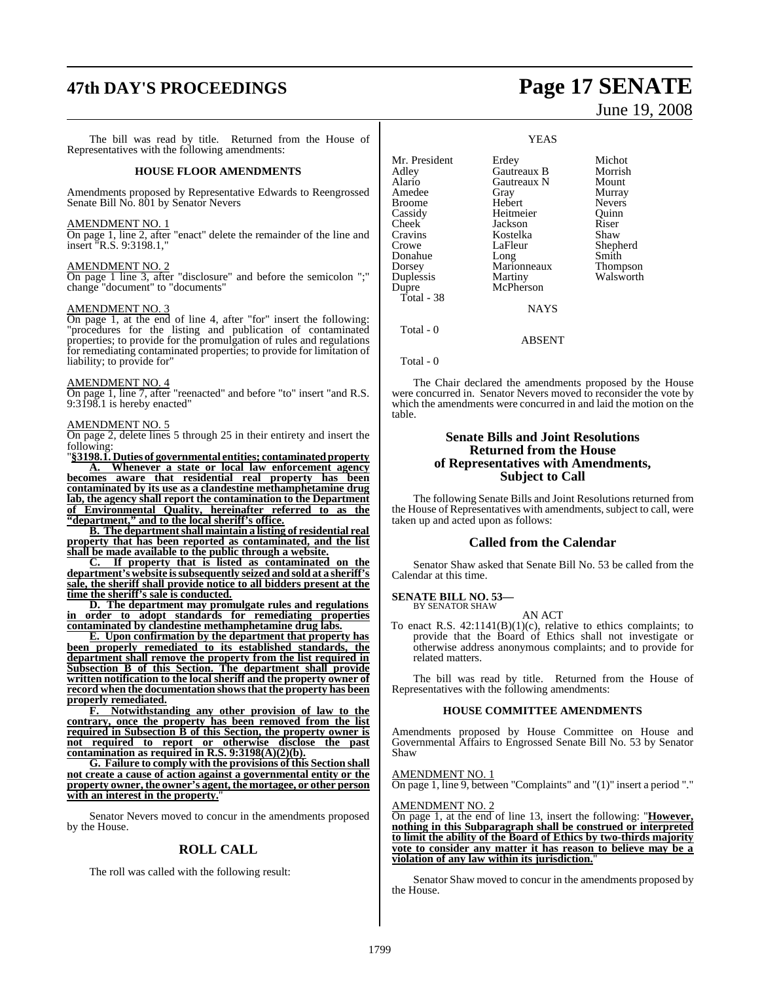# **47th DAY'S PROCEEDINGS Page 17 SENATE**

The bill was read by title. Returned from the House of Representatives with the following amendments:

#### **HOUSE FLOOR AMENDMENTS**

Amendments proposed by Representative Edwards to Reengrossed Senate Bill No. 801 by Senator Nevers

#### AMENDMENT NO. 1

On page 1, line 2, after "enact" delete the remainder of the line and insert "R.S. 9:3198.1,"

#### AMENDMENT NO. 2

On page 1 line 3, after "disclosure" and before the semicolon ";" change "document" to "documents"

#### AMENDMENT NO. 3

On page 1, at the end of line 4, after "for" insert the following: "procedures for the listing and publication of contaminated properties; to provide for the promulgation of rules and regulations for remediating contaminated properties; to provide for limitation of liability; to provide for"

#### AMENDMENT NO. 4

On page 1, line 7, after "reenacted" and before "to" insert "and R.S. 9:3198.1 is hereby enacted"

#### AMENDMENT NO. 5

On page 2, delete lines 5 through 25 in their entirety and insert the following:

"**§3198.1. Duties of governmental entities; contaminatedproperty A. Whenever a state or local law enforcement agency becomes aware that residential real property has been contaminated by its use as a clandestine methamphetamine drug lab, the agency shall report the contamination to the Department of Environmental Quality, hereinafter referred to as the "department," and to the local sheriff's office.**

**B. The department shall maintain a listing of residential real property that has been reported as contaminated, and the list shall be made available to the public through a website.**

**C. If property that is listed as contaminated on the department's website issubsequently seized and sold at a sheriff's sale, the sheriff shall provide notice to all bidders present at the time the sheriff's sale is conducted.**

**D. The department may promulgate rules and regulations in order to adopt standards for remediating properties contaminated by clandestine methamphetamine drug labs.**

**E. Upon confirmation by the department that property has been properly remediated to its established standards, the department shall remove the property from the list required in Subsection B of this Section. The department shall provide written notification to the local sheriff and the property owner of record when the documentation showsthat the property has been properly remediated.**

**F. Notwithstanding any other provision of law to the contrary, once the property has been removed from the list required in Subsection B of this Section, the property owner is not required to report or otherwise disclose the past contamination as required in R.S. 9:3198(A)(2)(b).**

**G. Failure to comply with the provisions of this Section shall not create a cause of action against a governmental entity or the property owner, the owner's agent, the mortagee, or other person with an interest in the property.**"

Senator Nevers moved to concur in the amendments proposed by the House.

## **ROLL CALL**

The roll was called with the following result:

# June 19, 2008

YEAS Mr. President Erdey Michot<br>Adley Gautreaux B Morrish Adley Gautreaux B Morris<br>
Alario Gautreaux N Mount **Gautreaux N** Amedee Gray Murray Broome Hebert Nevers Heitmeier Cheek Jackson Riser<br>Cravins Kostelka Shaw Cravins Kostelka<br>Crowe LaFleur LaFleur Shepherd<br>Long Smith Donahue Long Smith Dorsey Marionneaux Thompson<br>
Duplessis Martiny Walsworth Duplessis<br>Dupre McPherson Total - 38 NAYS Total - 0 ABSENT Total - 0

The Chair declared the amendments proposed by the House were concurred in. Senator Nevers moved to reconsider the vote by which the amendments were concurred in and laid the motion on the table.

#### **Senate Bills and Joint Resolutions Returned from the House of Representatives with Amendments, Subject to Call**

The following Senate Bills and Joint Resolutions returned from the House of Representatives with amendments, subject to call, were taken up and acted upon as follows:

#### **Called from the Calendar**

Senator Shaw asked that Senate Bill No. 53 be called from the Calendar at this time.

#### **SENATE BILL NO. 53—** BY SENATOR SHAW

AN ACT

To enact R.S. 42:1141(B)(1)(c), relative to ethics complaints; to provide that the Board of Ethics shall not investigate or otherwise address anonymous complaints; and to provide for related matters.

The bill was read by title. Returned from the House of Representatives with the following amendments:

#### **HOUSE COMMITTEE AMENDMENTS**

Amendments proposed by House Committee on House and Governmental Affairs to Engrossed Senate Bill No. 53 by Senator Shaw

AMENDMENT NO. 1

On page 1, line 9, between "Complaints" and "(1)" insert a period "."

AMENDMENT NO. 2

On page 1, at the end of line 13, insert the following: "**However, nothing in this Subparagraph shall be construed or interpreted to limit the ability of the Board of Ethics by two-thirds majority vote to consider any matter it has reason to believe may be a violation of any law within its jurisdiction.**"

Senator Shaw moved to concur in the amendments proposed by the House.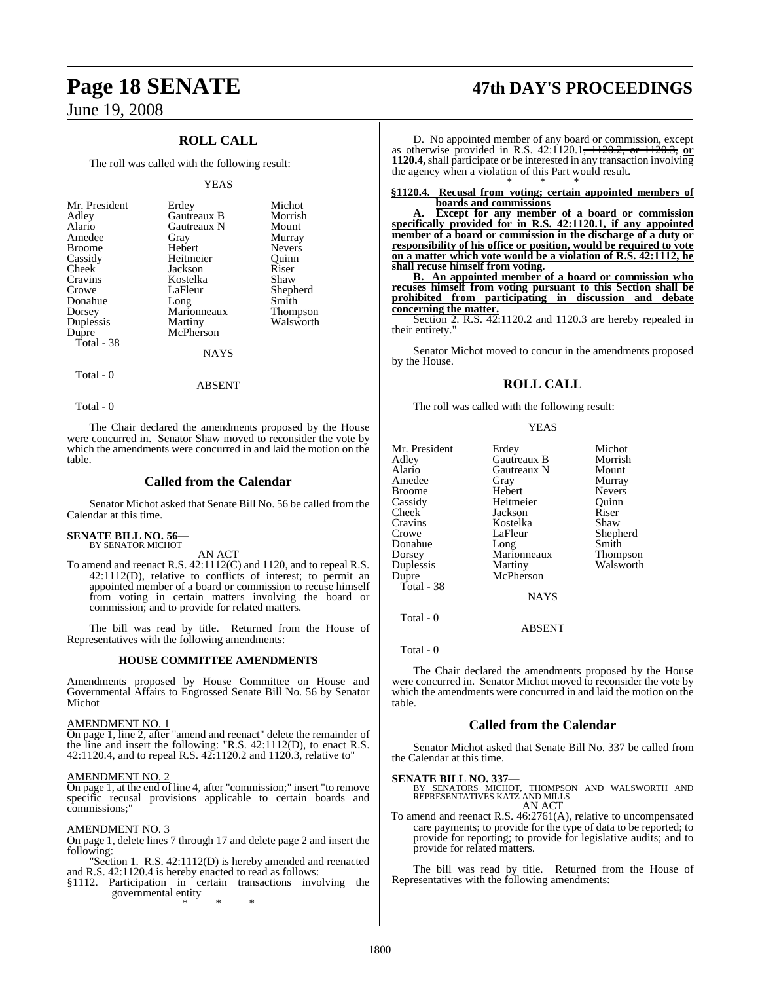## **ROLL CALL**

The roll was called with the following result:

#### YEAS

| Mr. President<br>Adley<br>Alario<br>Amedee<br><b>Broome</b><br>Cassidy<br>Cheek<br>Cravins<br>Crowe<br>Donahue<br>Dorsey<br>Duplessis<br>Dupre | Erdey<br>Gautreaux B<br>Gautreaux N<br>Gray<br>Hebert<br>Heitmeier<br>Jackson<br>Kostelka<br>LaFleur<br>Long<br>Marionneaux<br>Martiny<br>McPherson | Michot<br>Morrish<br>Mount<br>Murray<br><b>Nevers</b><br>Ouinn<br>Riser<br>Shaw<br>Shepherd<br>Smith<br>Thompson<br>Walsworth |
|------------------------------------------------------------------------------------------------------------------------------------------------|-----------------------------------------------------------------------------------------------------------------------------------------------------|-------------------------------------------------------------------------------------------------------------------------------|
| Total - 38                                                                                                                                     | <b>NAYS</b>                                                                                                                                         |                                                                                                                               |
|                                                                                                                                                |                                                                                                                                                     |                                                                                                                               |

Total - 0

Total - 0

The Chair declared the amendments proposed by the House were concurred in. Senator Shaw moved to reconsider the vote by which the amendments were concurred in and laid the motion on the table.

ABSENT

#### **Called from the Calendar**

Senator Michot asked that Senate Bill No. 56 be called from the Calendar at this time.

#### **SENATE BILL NO. 56—** BY SENATOR MICHOT

AN ACT

To amend and reenact R.S. 42:1112(C) and 1120, and to repeal R.S. 42:1112(D), relative to conflicts of interest; to permit an appointed member of a board or commission to recuse himself from voting in certain matters involving the board or commission; and to provide for related matters.

The bill was read by title. Returned from the House of Representatives with the following amendments:

#### **HOUSE COMMITTEE AMENDMENTS**

Amendments proposed by House Committee on House and Governmental Affairs to Engrossed Senate Bill No. 56 by Senator Michot

#### AMENDMENT NO. 1

On page 1, line 2, after "amend and reenact" delete the remainder of the line and insert the following: "R.S. 42:1112(D), to enact R.S. 42:1120.4, and to repeal R.S. 42:1120.2 and 1120.3, relative to"

#### AMENDMENT NO. 2

On page 1, at the end of line 4, after "commission;" insert "to remove specific recusal provisions applicable to certain boards and commissions;"

#### AMENDMENT NO. 3

On page 1, delete lines 7 through 17 and delete page 2 and insert the following:

"Section 1. R.S. 42:1112(D) is hereby amended and reenacted and R.S. 42:1120.4 is hereby enacted to read as follows:

§1112. Participation in certain transactions involving the governmental entity

\* \* \*

## **Page 18 SENATE 47th DAY'S PROCEEDINGS**

D. No appointed member of any board or commission, except as otherwise provided in R.S. 42:1120.1<del>, 1120.2, or 1120.3,</del> or **1120.4,**shall participate or be interested in any transaction involving the agency when a violation of this Part would result. \* \* \*

#### **§1120.4. Recusal from voting; certain appointed members of boards and commissions**

**A. Except for any member of a board or commission specifically provided for in R.S. 42:1120.1, if any appointed member of a board or commission in the discharge of a duty or responsibility of his office or position, would be required to vote on a matter which vote would be a violation of R.S. 42:1112, he shall recuse himself from voting.**

**B. An appointed member of a board or commission who recuses himself from voting pursuant to this Section shall be prohibited from participating in discussion and debate concerning the matter.**

Section 2. R.S.  $42:1120.2$  and 1120.3 are hereby repealed in their entirety."

Senator Michot moved to concur in the amendments proposed by the House.

### **ROLL CALL**

The roll was called with the following result:

#### **YEAS**

|             | Michot          |
|-------------|-----------------|
| Gautreaux B | Morrish         |
| Gautreaux N | Mount           |
| Gray        | Murray          |
| Hebert      | <b>Nevers</b>   |
| Heitmeier   | Ouinn           |
| Jackson     | Riser           |
| Kostelka    | Shaw            |
| LaFleur     | Shepherd        |
| Long        | Smith           |
| Marionneaux | <b>Thompson</b> |
| Martiny     | Walsworth       |
| McPherson   |                 |
|             |                 |
| NAYS        |                 |
|             | Erdey           |

Total - 0

Total - 0

The Chair declared the amendments proposed by the House were concurred in. Senator Michot moved to reconsider the vote by which the amendments were concurred in and laid the motion on the table.

ABSENT

#### **Called from the Calendar**

Senator Michot asked that Senate Bill No. 337 be called from the Calendar at this time.

**SENATE BILL NO. 337—**<br>BY SENATORS MICHOT, THOMPSON AND WALSWORTH AND REPRESENTATIVES KATZ AND MILLS AN ACT

To amend and reenact R.S. 46:2761(A), relative to uncompensated care payments; to provide for the type of data to be reported; to provide for reporting; to provide for legislative audits; and to provide for related matters.

The bill was read by title. Returned from the House of Representatives with the following amendments: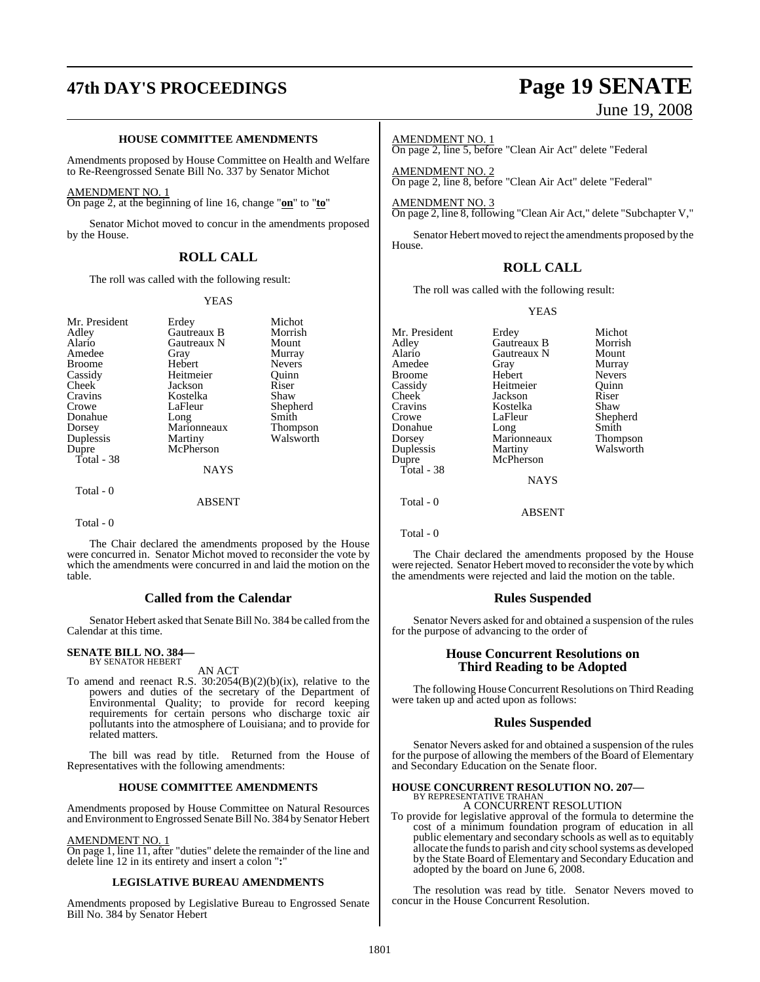# **47th DAY'S PROCEEDINGS Page 19 SENATE**

#### **HOUSE COMMITTEE AMENDMENTS**

Amendments proposed by House Committee on Health and Welfare to Re-Reengrossed Senate Bill No. 337 by Senator Michot

#### AMENDMENT NO. 1

On page 2, at the beginning of line 16, change "**on**" to "**to**"

Senator Michot moved to concur in the amendments proposed by the House.

#### **ROLL CALL**

The roll was called with the following result:

#### YEAS

| Mr. President | Erdey       | Michot          |
|---------------|-------------|-----------------|
| Adley         | Gautreaux B | Morrish         |
| Alario        | Gautreaux N | Mount           |
| Amedee        | Gray        | Murray          |
| <b>Broome</b> | Hebert      | <b>Nevers</b>   |
| Cassidy       | Heitmeier   | Ouinn           |
| Cheek         | Jackson     | Riser           |
| Cravins       | Kostelka    | Shaw            |
| Crowe         | LaFleur     | Shepherd        |
| Donahue       | Long        | Smith           |
| Dorsey        | Marionneaux | <b>Thompson</b> |
| Duplessis     | Martiny     | Walsworth       |
| Dupre         | McPherson   |                 |
| Total - 38    |             |                 |
|               | <b>NAYS</b> |                 |
| Total - 0     |             |                 |
|               | ABSENT      |                 |

Total - 0

The Chair declared the amendments proposed by the House were concurred in. Senator Michot moved to reconsider the vote by which the amendments were concurred in and laid the motion on the table.

#### **Called from the Calendar**

Senator Hebert asked that Senate Bill No. 384 be called from the Calendar at this time.

#### **SENATE BILL NO. 384—** BY SENATOR HEBERT

AN ACT

To amend and reenact R.S. 30:2054(B)(2)(b)(ix), relative to the powers and duties of the secretary of the Department of Environmental Quality; to provide for record keeping requirements for certain persons who discharge toxic air pollutants into the atmosphere of Louisiana; and to provide for related matters.

The bill was read by title. Returned from the House of Representatives with the following amendments:

#### **HOUSE COMMITTEE AMENDMENTS**

Amendments proposed by House Committee on Natural Resources and Environment to Engrossed Senate Bill No. 384 by Senator Hebert

#### AMENDMENT NO. 1

On page 1, line 11, after "duties" delete the remainder of the line and delete line 12 in its entirety and insert a colon "**:**"

#### **LEGISLATIVE BUREAU AMENDMENTS**

Amendments proposed by Legislative Bureau to Engrossed Senate Bill No. 384 by Senator Hebert

# June 19, 2008

#### AMENDMENT NO. 1

On page 2, line 5, before "Clean Air Act" delete "Federal

AMENDMENT NO. 2 On page 2, line 8, before "Clean Air Act" delete "Federal"

AMENDMENT NO. 3 On page 2, line 8, following "Clean Air Act," delete "Subchapter V,"

Senator Hebert moved to reject the amendments proposed by the House.

#### **ROLL CALL**

The roll was called with the following result:

#### YEAS

| Mr. President | Erdey         | Michot        |
|---------------|---------------|---------------|
| Adley         | Gautreaux B   | Morrish       |
| Alario        | Gautreaux N   | Mount         |
| Amedee        | Gray          | Murray        |
| Broome        | Hebert        | <b>Nevers</b> |
| Cassidy       | Heitmeier     | Ouinn         |
| Cheek         | Jackson       | Riser         |
| Cravins       | Kostelka      | Shaw          |
| Crowe         | LaFleur       | Shepherd      |
| Donahue       | Long          | Smith         |
| Dorsey        | Marionneaux   | Thompson      |
| Duplessis     | Martiny       | Walsworth     |
| Dupre         | McPherson     |               |
| Total - 38    |               |               |
|               | <b>NAYS</b>   |               |
| Total - 0     |               |               |
|               | <b>ABSENT</b> |               |
|               |               |               |

Total - 0

The Chair declared the amendments proposed by the House were rejected. Senator Hebert moved to reconsider the vote by which the amendments were rejected and laid the motion on the table.

#### **Rules Suspended**

Senator Nevers asked for and obtained a suspension of the rules for the purpose of advancing to the order of

#### **House Concurrent Resolutions on Third Reading to be Adopted**

The following House Concurrent Resolutions on Third Reading were taken up and acted upon as follows:

#### **Rules Suspended**

Senator Nevers asked for and obtained a suspension of the rules for the purpose of allowing the members of the Board of Elementary and Secondary Education on the Senate floor.

## **HOUSE CONCURRENT RESOLUTION NO. 207—** BY REPRESENTATIVE TRAHAN

A CONCURRENT RESOLUTION

To provide for legislative approval of the formula to determine the cost of a minimum foundation program of education in all public elementary and secondary schools as well as to equitably allocate the funds to parish and city school systems as developed by the State Board of Elementary and Secondary Education and adopted by the board on June 6, 2008.

The resolution was read by title. Senator Nevers moved to concur in the House Concurrent Resolution.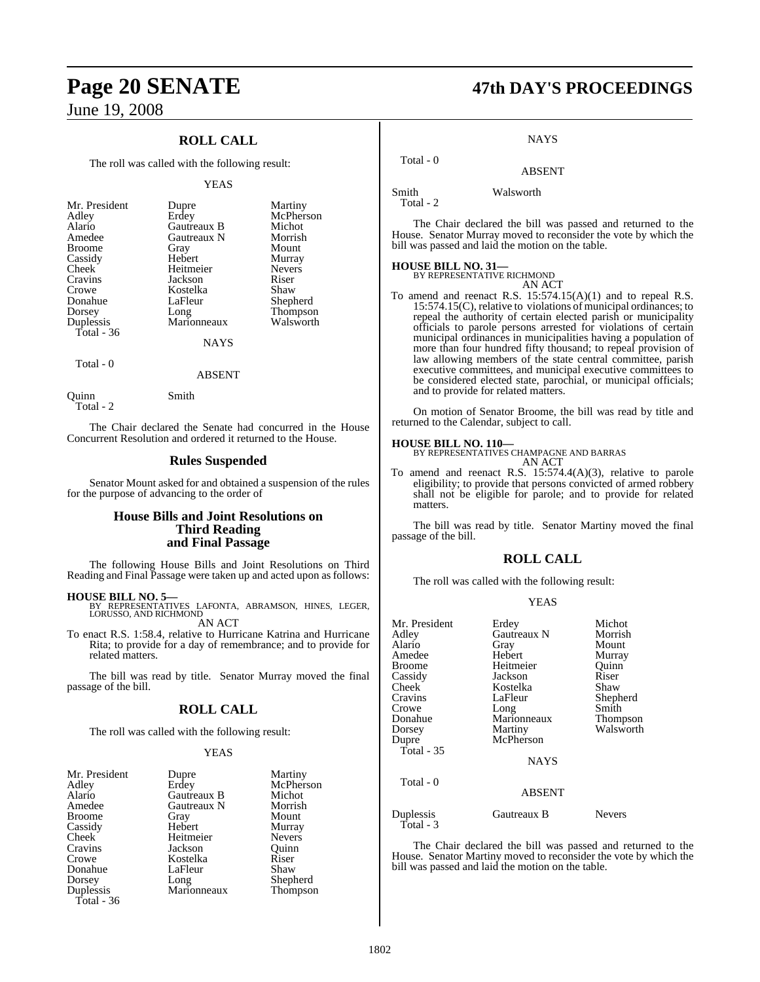# **Page 20 SENATE 47th DAY'S PROCEEDINGS**

## June 19, 2008

## **ROLL CALL**

The roll was called with the following result:

#### YEAS

| <b>NAYS</b> | Mr. President<br>Adley<br>Alario<br>Amedee<br><b>Broome</b><br>Cassidy<br>Cheek<br>Cravins<br>Crowe<br>Donahue<br>Dorsey<br>Duplessis | Dupre<br>Erdey<br>Gautreaux B<br>Gautreaux N<br>Gray<br>Hebert<br>Heitmeier<br>Jackson<br>Kostelka<br>LaFleur<br>Long<br>Marionneaux | Martiny<br>McPherson<br>Michot<br>Morrish<br>Mount<br>Murray<br><b>Nevers</b><br>Riser<br>Shaw<br>Shepherd<br>Thompson<br>Walsworth |  |
|-------------|---------------------------------------------------------------------------------------------------------------------------------------|--------------------------------------------------------------------------------------------------------------------------------------|-------------------------------------------------------------------------------------------------------------------------------------|--|
| $Total = 0$ | Total - $36$                                                                                                                          |                                                                                                                                      |                                                                                                                                     |  |

Total - 0

#### Quinn Smith

Total - 2

The Chair declared the Senate had concurred in the House Concurrent Resolution and ordered it returned to the House.

ABSENT

#### **Rules Suspended**

Senator Mount asked for and obtained a suspension of the rules for the purpose of advancing to the order of

#### **House Bills and Joint Resolutions on Third Reading and Final Passage**

The following House Bills and Joint Resolutions on Third Reading and Final Passage were taken up and acted upon as follows:

**HOUSE BILL NO. 5—** BY REPRESENTATIVES LAFONTA, ABRAMSON, HINES, LEGER, LORUSSO, AND RICHMOND

AN ACT

To enact R.S. 1:58.4, relative to Hurricane Katrina and Hurricane Rita; to provide for a day of remembrance; and to provide for related matters.

The bill was read by title. Senator Murray moved the final passage of the bill.

## **ROLL CALL**

The roll was called with the following result:

#### YEAS

| Mr. President | Dupre       | Martiny       |
|---------------|-------------|---------------|
| Adley         | Erdey       | McPherson     |
| Alario        | Gautreaux B | Michot        |
| Amedee        | Gautreaux N | Morrish       |
| <b>Broome</b> | Gray        | Mount         |
| Cassidy       | Hebert      | Murray        |
| Cheek         | Heitmeier   | <b>Nevers</b> |
| Cravins       | Jackson     | Ouinn         |
| Crowe         | Kostelka    | Riser         |
| Donahue       | LaFleur     | Shaw          |
| Dorsey        | Long        | Shepherd      |
| Duplessis     | Marionneaux | Thompson      |
| Total - 36    |             |               |

#### **NAYS**

## ABSENT

Smith Walsworth

Total - 2

Total - 0

The Chair declared the bill was passed and returned to the House. Senator Murray moved to reconsider the vote by which the bill was passed and laid the motion on the table.

## **HOUSE BILL NO. 31—** BY REPRESENTATIVE RICHMOND

AN ACT

To amend and reenact R.S. 15:574.15(A)(1) and to repeal R.S. 15:574.15(C), relative to violations of municipal ordinances; to repeal the authority of certain elected parish or municipality officials to parole persons arrested for violations of certain municipal ordinances in municipalities having a population of more than four hundred fifty thousand; to repeal provision of law allowing members of the state central committee, parish executive committees, and municipal executive committees to be considered elected state, parochial, or municipal officials; and to provide for related matters.

On motion of Senator Broome, the bill was read by title and returned to the Calendar, subject to call.

#### **HOUSE BILL NO. 110—**

BY REPRESENTATIVES CHAMPAGNE AND BARRAS AN ACT

To amend and reenact R.S. 15:574.4(A)(3), relative to parole eligibility; to provide that persons convicted of armed robbery shall not be eligible for parole; and to provide for related matters.

The bill was read by title. Senator Martiny moved the final passage of the bill.

#### **ROLL CALL**

The roll was called with the following result:

#### YEAS

| Mr. President<br>Adley<br>Alario | Erdey<br>Gautreaux N<br>Gray | Michot<br>Morrish<br>Mount |
|----------------------------------|------------------------------|----------------------------|
| Amedee                           | Hebert                       | Murray                     |
| Broome                           | Heitmeier                    | Ouinn                      |
| Cassidy                          | Jackson                      | Riser                      |
| Cheek                            | Kostelka                     | Shaw                       |
| Cravins                          | LaFleur                      | Shepherd                   |
| Crowe                            | Long                         | Smith                      |
| Donahue                          | Marionneaux                  | Thompson                   |
| Dorsey                           | Martiny                      | Walsworth                  |
| Dupre                            | McPherson                    |                            |
| Total - 35                       |                              |                            |
|                                  | <b>NAYS</b>                  |                            |
| Total - 0                        |                              |                            |
|                                  | <b>ABSENT</b>                |                            |
| Duplessis<br>Total - 3           | Gautreaux B                  | <b>Nevers</b>              |

The Chair declared the bill was passed and returned to the House. Senator Martiny moved to reconsider the vote by which the bill was passed and laid the motion on the table.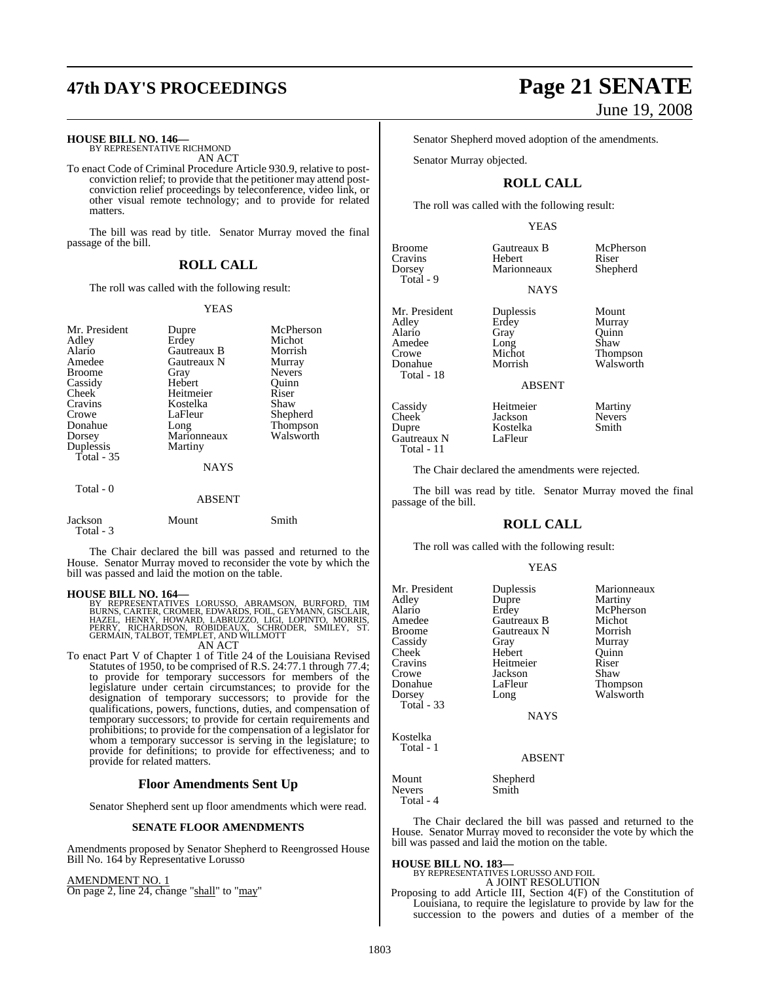# **47th DAY'S PROCEEDINGS Page 21 SENATE**

## **HOUSE BILL NO. 146—** BY REPRESENTATIVE RICHMOND

AN ACT

To enact Code of Criminal Procedure Article 930.9, relative to postconviction relief; to provide that the petitioner may attend postconviction relief proceedings by teleconference, video link, or other visual remote technology; and to provide for related matters.

The bill was read by title. Senator Murray moved the final passage of the bill.

#### **ROLL CALL**

The roll was called with the following result:

#### YEAS

| Mr. President<br>Adley<br>Alario<br>Amedee | Dupre<br>Erdey<br>Gautreaux B<br>Gautreaux N | McPherson<br>Michot<br>Morrish<br>Murray |
|--------------------------------------------|----------------------------------------------|------------------------------------------|
| Broome                                     | Gray                                         | <b>Nevers</b>                            |
| Cassidy                                    | Hebert                                       | Ouinn                                    |
| Cheek                                      | Heitmeier                                    | Riser                                    |
| Cravins                                    | Kostelka                                     | Shaw                                     |
| Crowe                                      | LaFleur                                      | Shepherd                                 |
| Donahue                                    | Long                                         | <b>Thompson</b>                          |
| Dorsey                                     | Marionneaux                                  | Walsworth                                |
| Duplessis                                  | Martiny                                      |                                          |
| Total $-35$                                |                                              |                                          |
|                                            | <b>NAYS</b>                                  |                                          |
| Total - 0                                  |                                              |                                          |
|                                            | <b>ABSENT</b>                                |                                          |
| Jackson<br>Total - 3                       | Mount                                        | Smith                                    |

The Chair declared the bill was passed and returned to the House. Senator Murray moved to reconsider the vote by which the bill was passed and laid the motion on the table.

**HOUSE BILL NO. 164—**<br>BY REPRESENTATIVES LORUSSO, ABRAMSON, BURFORD, TIM<br>BURNS, CARTER, CROMER, EDWARDS, FOIL, GEYMANN, GISCLAIR,<br>HAZEL, HENRY, HOWARD, LABRUZZO, LIGI, LOPINTO, MORRIS,<br>PERRY, RICHARDSON, ROBIDEAUX, SCHRODE

To enact Part V of Chapter 1 of Title 24 of the Louisiana Revised To enact Part V of Chapter 1 of Title 24 of the Louisiana Revised<br>Statutes of 1950, to be comprised of R.S. 24:77.1 through 77.4; to provide for temporary successors for members of the legislature under certain circumstances; to provide for the designation of temporary successors; to provide for the qualifications, powers, functions, duties, and compensation of temporary successors; to provide for certain requirements and prohibitions; to provide for the compensation of a legislator for whom a temporary successor is serving in the legislature; to provide for definitions; to provide for effectiveness; and to provide for related matters.

#### **Floor Amendments Sent Up**

Senator Shepherd sent up floor amendments which were read.

#### **SENATE FLOOR AMENDMENTS**

Amendments proposed by Senator Shepherd to Reengrossed House Bill No. 164 by Representative Lorusso

AMENDMENT NO. 1 On page 2, line 24, change "shall" to "may"

# June 19, 2008

Senator Shepherd moved adoption of the amendments.

Senator Murray objected.

#### **ROLL CALL**

The roll was called with the following result:

#### YEAS

NAYS

Broome Gautreaux B McPherson<br>Cravins Hebert Riser Cravins Hebert Riser<br>
Dorsey Marionneaux Shepherd Total - 9

Total - 18

Gautreaux N Total - 11

Mr. President Duplessis Mount<br>Adley Erdey Murray Adley Erdey Murray<br>Alario Gray Quinn Amedee Long<br>Crowe Michot Crowe Michot Thompson<br>
Morrish Walsworth<br>
Morrish Walsworth

ABSENT

Gray Quinn<br>Long Shaw

Marionneaux

Cassidy Heitmeier Martiny<br>Cheek Jackson Nevers Cheek Jackson Never<br>Dupre Kostelka Smith Kostelka<br>LaFleur

Walsworth

The Chair declared the amendments were rejected.

The bill was read by title. Senator Murray moved the final passage of the bill.

#### **ROLL CALL**

The roll was called with the following result:

#### YEAS

| Mr. President | Duplessis     | Marionneaux |
|---------------|---------------|-------------|
| Adley         | Dupre         | Martiny     |
| Alario        | Erdey         | McPherson   |
| Amedee        | Gautreaux B   | Michot      |
| <b>Broome</b> | Gautreaux N   | Morrish     |
| Cassidy       | Gray          | Murray      |
| Cheek         | Hebert        | Quinn       |
| Cravins       | Heitmeier     | Riser       |
| Crowe         | Jackson       | Shaw        |
| Donahue       | LaFleur       | Thompson    |
| Dorsey        | Long          | Walsworth   |
| Total - 33    |               |             |
|               | <b>NAYS</b>   |             |
| Kostelka      |               |             |
| Total - 1     |               |             |
|               | <b>ABSENT</b> |             |
| Mount         | Shepherd      |             |
| <b>Nevers</b> | Smith         |             |

Total - 4

The Chair declared the bill was passed and returned to the House. Senator Murray moved to reconsider the vote by which the bill was passed and laid the motion on the table.

**HOUSE BILL NO. 183—** BY REPRESENTATIVES LORUSSO AND FOIL

A JOINT RESOLUTION Proposing to add Article III, Section 4(F) of the Constitution of Louisiana, to require the legislature to provide by law for the succession to the powers and duties of a member of the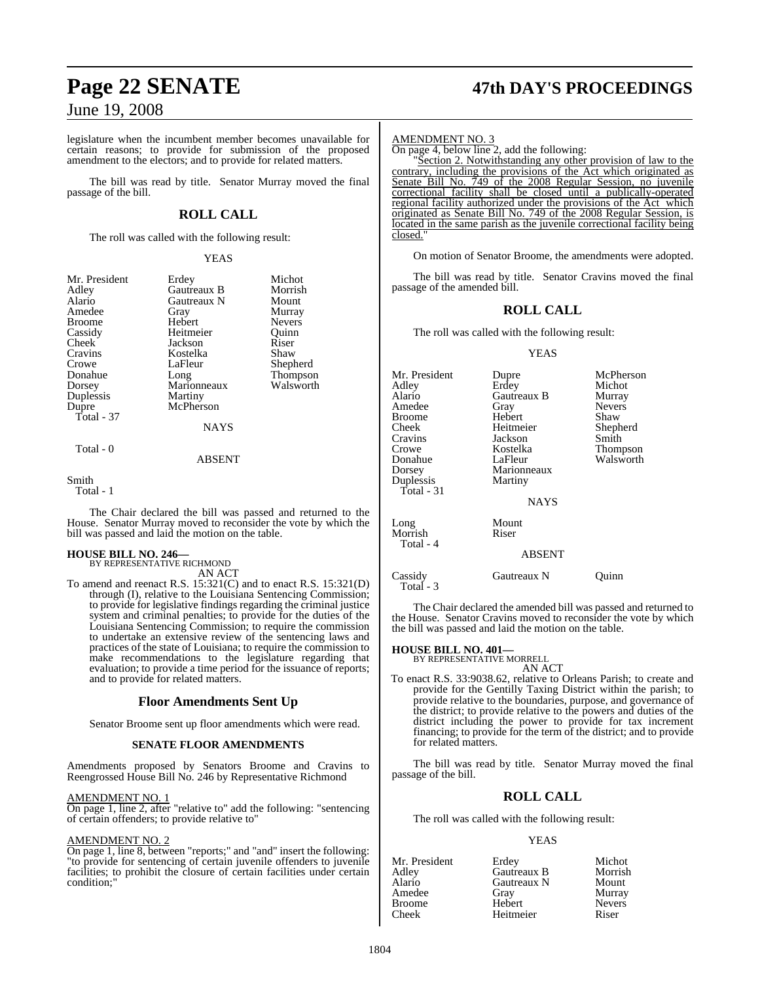## **Page 22 SENATE 47th DAY'S PROCEEDINGS**

## June 19, 2008

legislature when the incumbent member becomes unavailable for certain reasons; to provide for submission of the proposed amendment to the electors; and to provide for related matters.

The bill was read by title. Senator Murray moved the final passage of the bill.

#### **ROLL CALL**

The roll was called with the following result:

#### YEAS

| Mr. President<br>Adley<br>Alario<br>Amedee<br><b>Broome</b><br>Cassidy<br>Cheek<br>Cravins<br>Crowe<br>Donahue<br>Dorsey<br>Duplessis<br>Dupre<br>Total - 37 | Erdey<br>Gautreaux B<br>Gautreaux N<br>Gray<br>Hebert<br>Heitmeier<br>Jackson<br>Kostelka<br>LaFleur<br>Long<br>Marionneaux<br>Martiny<br>McPherson<br><b>NAYS</b> | Michot<br>Morrish<br>Mount<br>Murray<br><b>Nevers</b><br>Ouinn<br>Riser<br>Shaw<br>Shepherd<br>Thompson<br>Walsworth |
|--------------------------------------------------------------------------------------------------------------------------------------------------------------|--------------------------------------------------------------------------------------------------------------------------------------------------------------------|----------------------------------------------------------------------------------------------------------------------|
| Total - 0                                                                                                                                                    |                                                                                                                                                                    |                                                                                                                      |

#### ABSENT

Smith

Total - 1

The Chair declared the bill was passed and returned to the House. Senator Murray moved to reconsider the vote by which the bill was passed and laid the motion on the table.

**HOUSE BILL NO. 246—** BY REPRESENTATIVE RICHMOND

AN ACT

To amend and reenact R.S. 15:321(C) and to enact R.S. 15:321(D) through (I), relative to the Louisiana Sentencing Commission; to provide for legislative findings regarding the criminal justice system and criminal penalties; to provide for the duties of the Louisiana Sentencing Commission; to require the commission to undertake an extensive review of the sentencing laws and practices of the state of Louisiana; to require the commission to make recommendations to the legislature regarding that evaluation; to provide a time period for the issuance of reports; and to provide for related matters.

#### **Floor Amendments Sent Up**

Senator Broome sent up floor amendments which were read.

#### **SENATE FLOOR AMENDMENTS**

Amendments proposed by Senators Broome and Cravins to Reengrossed House Bill No. 246 by Representative Richmond

#### AMENDMENT NO. 1

On page 1, line 2, after "relative to" add the following: "sentencing of certain offenders; to provide relative to"

#### AMENDMENT NO. 2

On page 1, line 8, between "reports;" and "and" insert the following: "to provide for sentencing of certain juvenile offenders to juvenile facilities; to prohibit the closure of certain facilities under certain condition;"

#### AMENDMENT NO. 3

On page 4, below line 2, add the following:

"Section 2. Notwithstanding any other provision of law to the contrary, including the provisions of the Act which originated as Senate Bill No. 749 of the 2008 Regular Session, no juvenile correctional facility shall be closed until a publically-operated regional facility authorized under the provisions of the Act which originated as Senate Bill No. 749 of the 2008 Regular Session, is located in the same parish as the juvenile correctional facility being closed."

On motion of Senator Broome, the amendments were adopted.

The bill was read by title. Senator Cravins moved the final passage of the amended bill.

#### **ROLL CALL**

The roll was called with the following result:

#### YEAS

Mr. President Dupre McPherson<br>Adley Erdey Michot Adley Erdey Michot Alario Gautreaux B<br>Amedee Gray Gray Nevers<br>
Hebert Shaw Broome Hebert<br>Cheek Heitmeier Cheek Heitmeier Shepherd Cravins Jackson<br>Crowe Kostelka Crowe Kostelka Thompson Donahue LaFleur Walsworth<br>Dorsey Marionneaux Marionneaux<br>Martiny Duplessis Total - 31 **NAYS** Long Mount<br>Morrish Riser Morrish Total - 4 ABSENT Cassidy Gautreaux N Quinn

Total - 3

The Chair declared the amended bill was passed and returned to the House. Senator Cravins moved to reconsider the vote by which the bill was passed and laid the motion on the table.

## **HOUSE BILL NO. 401—** BY REPRESENTATIVE MORRELL

AN ACT

To enact R.S. 33:9038.62, relative to Orleans Parish; to create and provide for the Gentilly Taxing District within the parish; to provide relative to the boundaries, purpose, and governance of the district; to provide relative to the powers and duties of the district including the power to provide for tax increment financing; to provide for the term of the district; and to provide for related matters.

The bill was read by title. Senator Murray moved the final passage of the bill.

#### **ROLL CALL**

The roll was called with the following result:

#### YEAS

| Mr. President | Erdey       | Michot        |
|---------------|-------------|---------------|
| Adlev         | Gautreaux B | Morrish       |
| Alario        | Gautreaux N | Mount         |
| Amedee        | Gray        | Murray        |
| Broome        | Hebert      | <b>Nevers</b> |
| Cheek         | Heitmeier   | Riser         |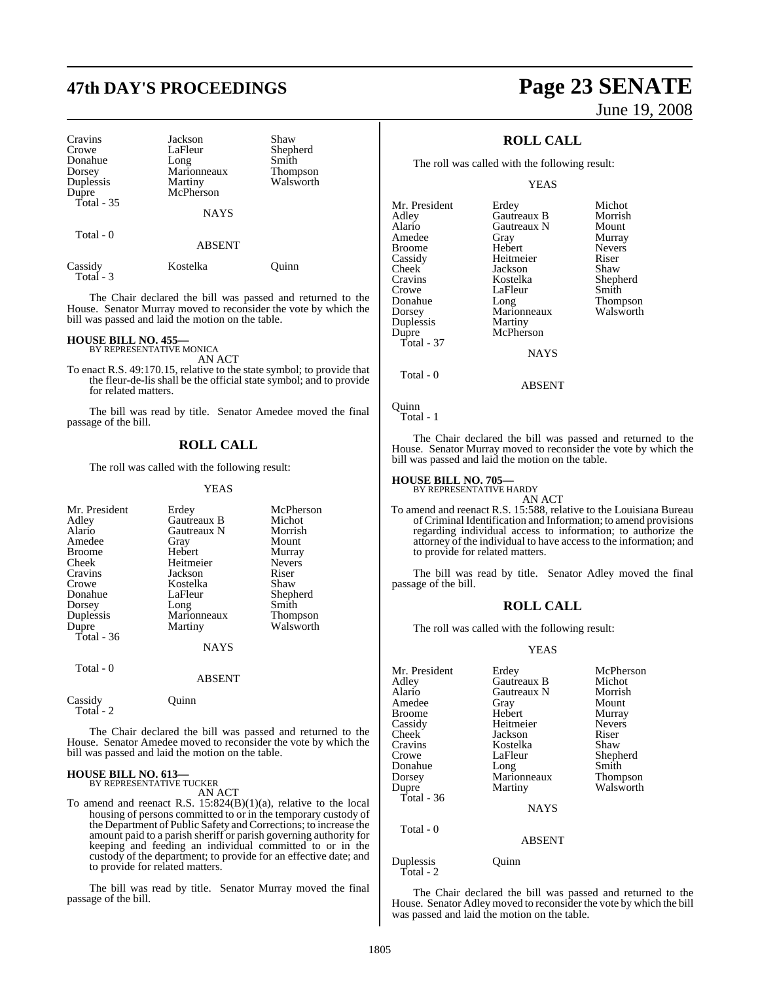# **47th DAY'S PROCEEDINGS Page 23 SENATE**

| Cravins<br>Crowe<br>Donahue<br>Dorsey<br>Duplessis<br>Dupre | Jackson<br>LaFleur<br>Long<br>Marionneaux<br>Martiny<br>McPherson | Shaw<br>Shepherd<br>Smith<br>Thompson<br>Walsworth |
|-------------------------------------------------------------|-------------------------------------------------------------------|----------------------------------------------------|
| Total $-35$<br>Total - 0                                    | <b>NAYS</b><br><b>ABSENT</b>                                      |                                                    |

Total - 3

Cassidy Kostelka Quinn

The Chair declared the bill was passed and returned to the House. Senator Murray moved to reconsider the vote by which the bill was passed and laid the motion on the table.

#### **HOUSE BILL NO. 455—**

BY REPRESENTATIVE MONICA AN ACT

To enact R.S. 49:170.15, relative to the state symbol; to provide that the fleur-de-lis shall be the official state symbol; and to provide for related matters.

The bill was read by title. Senator Amedee moved the final passage of the bill.

#### **ROLL CALL**

The roll was called with the following result:

YEAS

| Mr. President | Erdey         | McPherson       |
|---------------|---------------|-----------------|
| Adley         | Gautreaux B   | Michot          |
| Alario        | Gautreaux N   | Morrish         |
| Amedee        | Gray          | Mount           |
| <b>Broome</b> | Hebert        | Murray          |
| Cheek         | Heitmeier     | <b>Nevers</b>   |
| Cravins       | Jackson       | Riser           |
| Crowe         | Kostelka      | Shaw            |
| Donahue       | LaFleur       | Shepherd        |
| Dorsey        | Long          | Smith           |
| Duplessis     | Marionneaux   | <b>Thompson</b> |
| Dupre         | Martiny       | Walsworth       |
| Total - 36    |               |                 |
|               | NAYS          |                 |
| Total - 0     |               |                 |
|               | <b>ARSENT</b> |                 |

The Chair declared the bill was passed and returned to the House. Senator Amedee moved to reconsider the vote by which the bill was passed and laid the motion on the table.

# **HOUSE BILL NO. 613—** BY REPRESENTATIVE TUCKER

Cassidy Quinn

Total - 2

AN ACT

To amend and reenact R.S. 15:824(B)(1)(a), relative to the local housing of persons committed to or in the temporary custody of the Department of Public Safety and Corrections; to increase the amount paid to a parish sheriff or parish governing authority for keeping and feeding an individual committed to or in the custody of the department; to provide for an effective date; and to provide for related matters.

The bill was read by title. Senator Murray moved the final passage of the bill.

# June 19, 2008

## **ROLL CALL**

The roll was called with the following result:

YEAS

| Mr. President | Erdey       | Michot        |
|---------------|-------------|---------------|
| Adley         | Gautreaux B | Morrish       |
| Alario        | Gautreaux N | Mount         |
| Amedee        | Gray        | Murray        |
| <b>Broome</b> | Hebert      | <b>Nevers</b> |
| Cassidy       | Heitmeier   | Riser         |
| Cheek         | Jackson     | Shaw          |
| Cravins       | Kostelka    | Shepherd      |
| Crowe         | LaFleur     | Smith         |
| Donahue       | Long        | Thompson      |
| Dorsey        | Marionneaux | Walsworth     |
| Duplessis     | Martiny     |               |
| Dupre         | McPherson   |               |
| Total - 37    |             |               |
|               | <b>NAYS</b> |               |
|               |             |               |

Total - 0

Quinn Total - 1

The Chair declared the bill was passed and returned to the House. Senator Murray moved to reconsider the vote by which the bill was passed and laid the motion on the table.

ABSENT

## **HOUSE BILL NO. 705—** BY REPRESENTATIVE HARDY

AN ACT

To amend and reenact R.S. 15:588, relative to the Louisiana Bureau ofCriminal Identification and Information; to amend provisions regarding individual access to information; to authorize the attorney of the individual to have access to the information; and to provide for related matters.

The bill was read by title. Senator Adley moved the final passage of the bill.

#### **ROLL CALL**

The roll was called with the following result:

#### YEAS

| Mr. President<br>Adley | Erdey<br>Gautreaux B | McPherson<br>Michot |
|------------------------|----------------------|---------------------|
| Alario                 | Gautreaux N          | Morrish             |
| Amedee                 | Gray                 | Mount               |
| Broome                 | Hebert               | Murray              |
| Cassidy                | Heitmeier            | <b>Nevers</b>       |
| Cheek                  | Jackson              | Riser               |
| Cravins                | Kostelka             | Shaw                |
| Crowe                  | LaFleur              | Shepherd            |
| Donahue                | Long                 | Smith               |
| Dorsey                 | Marionneaux          | <b>Thompson</b>     |
| Dupre                  | Martiny              | Walsworth           |
| Total - 36             |                      |                     |
|                        | <b>NAYS</b>          |                     |
| Total - 0              |                      |                     |
|                        |                      |                     |

ABSENT

Duplessis Quinn Total - 2

The Chair declared the bill was passed and returned to the House. Senator Adley moved to reconsider the vote by which the bill was passed and laid the motion on the table.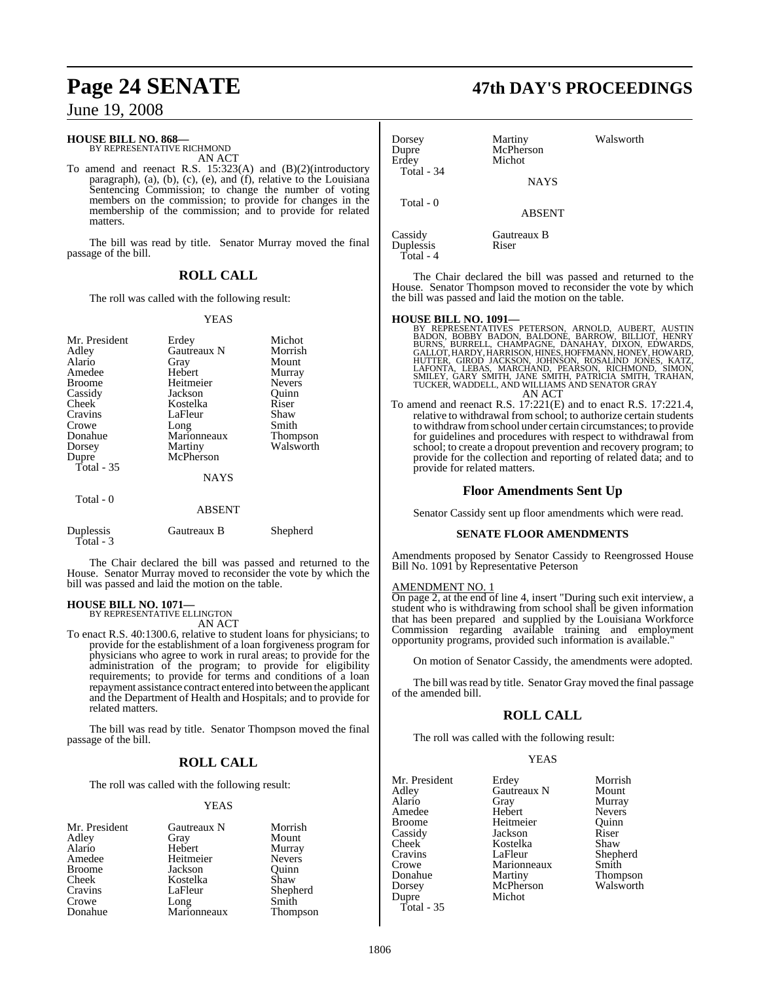#### **HOUSE BILL NO. 868—**

BY REPRESENTATIVE RICHMOND AN ACT

To amend and reenact R.S. 15:323(A) and (B)(2)(introductory paragraph), (a), (b), (c), (e), and (f), relative to the Louisiana Sentencing Commission; to change the number of voting members on the commission; to provide for changes in the membership of the commission; and to provide for related matters.

The bill was read by title. Senator Murray moved the final passage of the bill.

#### **ROLL CALL**

The roll was called with the following result:

#### YEAS

| Mr. President<br>Adley<br>Alario<br>Amedee<br><b>Broome</b><br>Cassidy<br>Cheek<br>Cravins<br>Crowe<br>Donahue<br>Dorsey<br>Dupre<br>Total $-35$ | Erdey<br>Gautreaux N<br>Gray<br>Hebert<br>Heitmeier<br>Jackson<br>Kostelka<br>LaFleur<br>Long<br>Marionneaux<br>Martiny<br>McPherson | Michot<br>Morrish<br>Mount<br>Murray<br><b>Nevers</b><br>Ouinn<br>Riser<br>Shaw<br>Smith<br><b>Thompson</b><br>Walsworth |
|--------------------------------------------------------------------------------------------------------------------------------------------------|--------------------------------------------------------------------------------------------------------------------------------------|--------------------------------------------------------------------------------------------------------------------------|
|                                                                                                                                                  | <b>NAYS</b>                                                                                                                          |                                                                                                                          |
| Total - 0                                                                                                                                        | <b>ABSENT</b>                                                                                                                        |                                                                                                                          |
| Duplessis<br>Total - 3                                                                                                                           | Gautreaux B                                                                                                                          | Shepherd                                                                                                                 |

The Chair declared the bill was passed and returned to the House. Senator Murray moved to reconsider the vote by which the bill was passed and laid the motion on the table.

#### **HOUSE BILL NO. 1071—**

BY REPRESENTATIVE ELLINGTON AN ACT

To enact R.S. 40:1300.6, relative to student loans for physicians; to provide for the establishment of a loan forgiveness program for physicians who agree to work in rural areas; to provide for the administration of the program; to provide for eligibility requirements; to provide for terms and conditions of a loan repayment assistance contract entered into between the applicant and the Department of Health and Hospitals; and to provide for related matters.

The bill was read by title. Senator Thompson moved the final passage of the bill.

#### **ROLL CALL**

The roll was called with the following result:

#### YEAS

| Mr. President | Gautreaux N | Morrish       |
|---------------|-------------|---------------|
| Adley         | Gray        | Mount         |
| Alario        | Hebert      | Murray        |
| Amedee        | Heitmeier   | <b>Nevers</b> |
| <b>Broome</b> | Jackson     | Ouinn         |
| Cheek         | Kostelka    | Shaw          |
| Cravins       | LaFleur     | Shepherd      |
| Crowe         | Long        | Smith         |
| Donahue       | Marionneaux | Thompson      |

## **Page 24 SENATE 47th DAY'S PROCEEDINGS**

| Dorsey<br>Dupre<br>Erdev<br>Total - 34 | Martiny<br>McPherson<br>Michot<br><b>NAYS</b> | Walsworth |
|----------------------------------------|-----------------------------------------------|-----------|
| Total - 0                              | <b>ABSENT</b>                                 |           |
| Cassidy<br>Duplessis                   | Gautreaux B<br>Riser                          |           |

The Chair declared the bill was passed and returned to the House. Senator Thompson moved to reconsider the vote by which the bill was passed and laid the motion on the table.

Total - 4

- **HOUSE BILL NO. 1091—**<br>BY REPRESENTATIVES PETERSON, ARNOLD, AUBERT, AUSTIN<br>BADON, BOBBY BADON, BALDONE, BARROW, BILLIOT, HENRY<br>BURNS, BURRELL, CHAMPAGNE, DANAHAY, DIXON, EDWARDS,<br>GALLOT, HARDY, HARRISON, HINES, HOFFMANN, H
- To amend and reenact R.S. 17:221(E) and to enact R.S. 17:221.4, relative to withdrawal from school; to authorize certain students to withdrawfromschool under certain circumstances; to provide for guidelines and procedures with respect to withdrawal from school; to create a dropout prevention and recovery program; to provide for the collection and reporting of related data; and to provide for related matters.

#### **Floor Amendments Sent Up**

Senator Cassidy sent up floor amendments which were read.

#### **SENATE FLOOR AMENDMENTS**

Amendments proposed by Senator Cassidy to Reengrossed House Bill No. 1091 by Representative Peterson

#### AMENDMENT NO. 1

On page 2, at the end of line 4, insert "During such exit interview, a student who is withdrawing from school shall be given information that has been prepared and supplied by the Louisiana Workforce Commission regarding available training and employment opportunity programs, provided such information is available."

On motion of Senator Cassidy, the amendments were adopted.

The bill was read by title. Senator Gray moved the final passage of the amended bill.

## **ROLL CALL**

The roll was called with the following result:

YEAS

| Mr. President | Erdey       | Morrish         |
|---------------|-------------|-----------------|
| Adley         | Gautreaux N | Mount           |
| Alario        | Gray        | Murray          |
| Amedee        | Hebert      | <b>Nevers</b>   |
| <b>Broome</b> | Heitmeier   | Ouinn           |
| Cassidy       | Jackson     | Riser           |
| Cheek         | Kostelka    | Shaw            |
| Cravins       | LaFleur     | Shepherd        |
| Crowe         | Marionneaux | Smith           |
| Donahue       | Martiny     | <b>Thompson</b> |
| Dorsey        | McPherson   | Walsworth       |
| Dupre         | Michot      |                 |
| Total - $35$  |             |                 |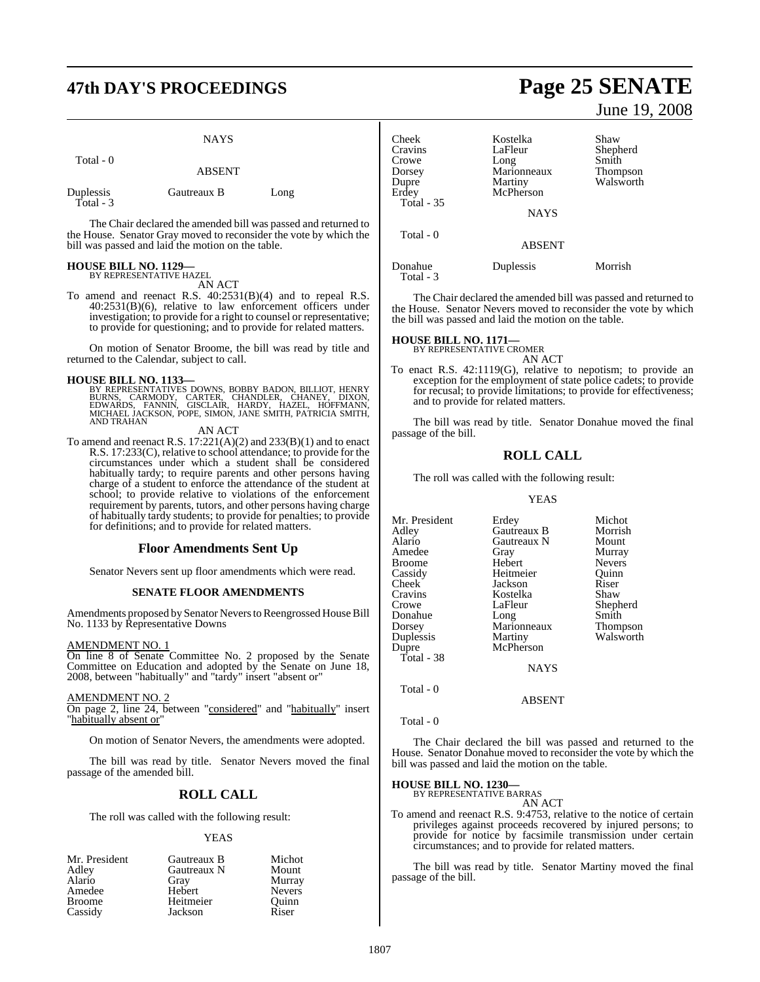## **47th DAY'S PROCEEDINGS Page 25 SENATE**

|                        | <b>NAYS</b>   |      |
|------------------------|---------------|------|
| Total - 0              | <b>ABSENT</b> |      |
| Duplessis<br>Total - 3 | Gautreaux B   | Long |

The Chair declared the amended bill was passed and returned to the House. Senator Gray moved to reconsider the vote by which the bill was passed and laid the motion on the table.

# **HOUSE BILL NO. 1129—** BY REPRESENTATIVE HAZEL

AN ACT

To amend and reenact R.S. 40:2531(B)(4) and to repeal R.S. 40:2531(B)(6), relative to law enforcement officers under investigation; to provide for a right to counsel or representative; to provide for questioning; and to provide for related matters.

On motion of Senator Broome, the bill was read by title and returned to the Calendar, subject to call.

#### **HOUSE BILL NO. 1133—**

BY REPRESENTATIVES DOWNS, BOBBY BADON, BILLIOT, HENRY<br>BURNS, CARMODY, CARTER, CHANDLER, CHANEY, DIXON,<br>EDWARDS, FANNIN, GISCLAIR, HARDY, HAZEL, HOFFMANN,<br>MICHAEL JACKSON, POPE, SIMON, JANE SMITH, PATRICIA SMITH, AND TRAHAN

AN ACT

To amend and reenact R.S.  $17:221(A)(2)$  and  $233(B)(1)$  and to enact R.S. 17:233(C), relative to school attendance; to provide for the circumstances under which a student shall be considered habitually tardy; to require parents and other persons having charge of a student to enforce the attendance of the student at school; to provide relative to violations of the enforcement requirement by parents, tutors, and other persons having charge of habitually tardy students; to provide for penalties; to provide for definitions; and to provide for related matters.

#### **Floor Amendments Sent Up**

Senator Nevers sent up floor amendments which were read.

#### **SENATE FLOOR AMENDMENTS**

Amendments proposed by Senator Nevers to Reengrossed House Bill No. 1133 by Representative Downs

#### AMENDMENT NO. 1

On line 8 of Senate Committee No. 2 proposed by the Senate Committee on Education and adopted by the Senate on June 18, 2008, between "habitually" and "tardy" insert "absent or"

#### AMENDMENT NO. 2

On page 2, line 24, between "considered" and "habitually" insert "habitually absent or"

On motion of Senator Nevers, the amendments were adopted.

The bill was read by title. Senator Nevers moved the final passage of the amended bill.

#### **ROLL CALL**

The roll was called with the following result:

YEAS

| Mr. President | Gautreaux B | Michot        |
|---------------|-------------|---------------|
| Adley         | Gautreaux N | Mount         |
| Alario        | Gray        | Murray        |
| Amedee        | Hebert      | <b>Nevers</b> |
| <b>Broome</b> | Heitmeier   | Ouinn         |
| Cassidy       | Jackson     | Riser         |

June 19, 2008

| Cheek<br>Cravins<br>Crowe<br>Dorsey<br>Dupre<br>Erdey | Kostelka<br>LaFleur<br>Long<br>Marionneaux<br>Martiny<br>McPherson | Shaw<br>Shepherd<br>Smith<br>Thompson<br>Walsworth |
|-------------------------------------------------------|--------------------------------------------------------------------|----------------------------------------------------|
| Total - 35                                            | <b>NAYS</b>                                                        |                                                    |
| Total - 0                                             | <b>ABSENT</b>                                                      |                                                    |
| Donahue<br>Total - 3                                  | Duplessis                                                          | Morrish                                            |

The Chair declared the amended bill was passed and returned to the House. Senator Nevers moved to reconsider the vote by which the bill was passed and laid the motion on the table.

**HOUSE BILL NO. 1171—**

BY REPRESENTATIVE CROMER AN ACT

To enact R.S. 42:1119(G), relative to nepotism; to provide an exception for the employment of state police cadets; to provide for recusal; to provide limitations; to provide for effectiveness; and to provide for related matters.

The bill was read by title. Senator Donahue moved the final passage of the bill.

#### **ROLL CALL**

The roll was called with the following result:

#### YEAS

| Mr. President | Erdey       | Michot        |
|---------------|-------------|---------------|
| Adley         | Gautreaux B | Morrish       |
| Alario        | Gautreaux N | Mount         |
| Amedee        | Gray        | Murray        |
| Broome        | Hebert      | <b>Nevers</b> |
| Cassidy       | Heitmeier   | Ouinn         |
| Cheek         | Jackson     | Riser         |
| Cravins       | Kostelka    | Shaw          |
| Crowe         | LaFleur     | Shepherd      |
| Donahue       | Long        | Smith         |
| Dorsey        | Marionneaux | Thompson      |
| Duplessis     | Martiny     | Walsworth     |
| Dupre         | McPherson   |               |
| Total - 38    |             |               |
|               | <b>NAYS</b> |               |
| Total - 0     |             |               |

Total - 0

The Chair declared the bill was passed and returned to the House. Senator Donahue moved to reconsider the vote by which the bill was passed and laid the motion on the table.

ABSENT

**HOUSE BILL NO. 1230—**

BY REPRESENTATIVE BARRAS AN ACT

To amend and reenact R.S. 9:4753, relative to the notice of certain privileges against proceeds recovered by injured persons; to provide for notice by facsimile transmission under certain circumstances; and to provide for related matters.

The bill was read by title. Senator Martiny moved the final passage of the bill.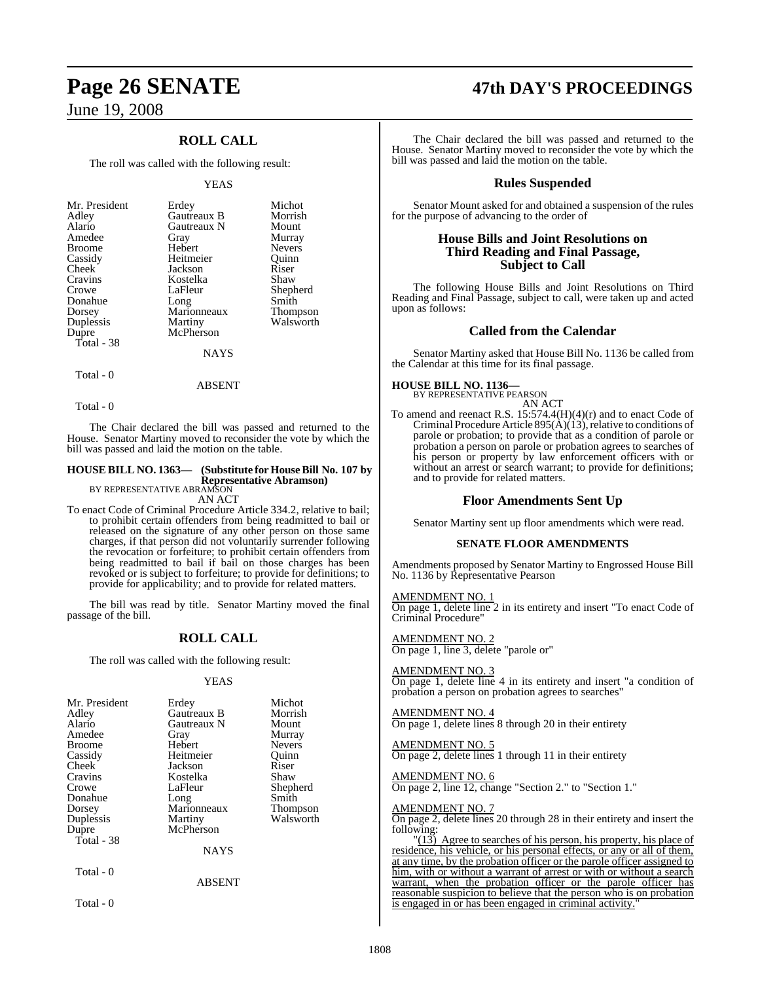## **ROLL CALL**

The roll was called with the following result:

#### YEAS

| Mr. President | Erdey       | Michot          |
|---------------|-------------|-----------------|
| Adley         | Gautreaux B | Morrish         |
| Alario        | Gautreaux N | Mount           |
| Amedee        | Gray        | Murray          |
| <b>Broome</b> | Hebert      | <b>Nevers</b>   |
| Cassidy       | Heitmeier   | Ouinn           |
| Cheek         | Jackson     | Riser           |
| Cravins       | Kostelka    | Shaw            |
| Crowe         | LaFleur     | Shepherd        |
| Donahue       | Long        | Smith           |
| Dorsey        | Marionneaux | <b>Thompson</b> |
| Duplessis     | Martiny     | Walsworth       |
| Dupre         | McPherson   |                 |
| Total - 38    |             |                 |
|               | NAYS        |                 |

Total - 0

Total - 0

The Chair declared the bill was passed and returned to the House. Senator Martiny moved to reconsider the vote by which the bill was passed and laid the motion on the table.

ABSENT

## **HOUSE BILL NO. 1363— (Substitute for HouseBill No. 107 by Representative Abramson)** BY REPRESENTATIVE ABRAMSON

AN ACT

To enact Code of Criminal Procedure Article 334.2, relative to bail; to prohibit certain offenders from being readmitted to bail or released on the signature of any other person on those same charges, if that person did not voluntarily surrender following the revocation or forfeiture; to prohibit certain offenders from being readmitted to bail if bail on those charges has been revoked or is subject to forfeiture; to provide for definitions; to provide for applicability; and to provide for related matters.

The bill was read by title. Senator Martiny moved the final passage of the bill.

#### **ROLL CALL**

The roll was called with the following result:

#### YEAS

| Mr. President<br>Adley<br>Alario<br>Amedee<br><b>Broome</b><br>Cassidy<br><b>Cheek</b><br>Cravins<br>Crowe<br>Donahue<br>Dorsey<br>Duplessis<br>Dupre<br>Total - 38 | Erdey<br>Gautreaux B<br>Gautreaux N<br>Gray<br>Hebert<br>Heitmeier<br>Jackson<br>Kostelka<br>LaFleur<br>Long<br>Marionneaux<br>Martiny<br>McPherson | Michot<br>Morrish<br>Mount<br>Murray<br><b>Nevers</b><br>Ouinn<br>Riser<br>Shaw<br>Shepherd<br>Smith<br><b>Thompson</b><br>Walsworth |
|---------------------------------------------------------------------------------------------------------------------------------------------------------------------|-----------------------------------------------------------------------------------------------------------------------------------------------------|--------------------------------------------------------------------------------------------------------------------------------------|
|                                                                                                                                                                     | <b>NAYS</b>                                                                                                                                         |                                                                                                                                      |
| Total - 0                                                                                                                                                           | ABSENT                                                                                                                                              |                                                                                                                                      |

Total - 0

# **Page 26 SENATE 47th DAY'S PROCEEDINGS**

The Chair declared the bill was passed and returned to the House. Senator Martiny moved to reconsider the vote by which the bill was passed and laid the motion on the table.

#### **Rules Suspended**

Senator Mount asked for and obtained a suspension of the rules for the purpose of advancing to the order of

#### **House Bills and Joint Resolutions on Third Reading and Final Passage, Subject to Call**

The following House Bills and Joint Resolutions on Third Reading and Final Passage, subject to call, were taken up and acted upon as follows:

#### **Called from the Calendar**

Senator Martiny asked that House Bill No. 1136 be called from the Calendar at this time for its final passage.

## **HOUSE BILL NO. 1136—** BY REPRESENTATIVE PEARSON

AN ACT

To amend and reenact R.S. 15:574.4(H)(4)(r) and to enact Code of Criminal Procedure Article 895( $\hat{A}$ )(13), relative to conditions of parole or probation; to provide that as a condition of parole or probation a person on parole or probation agrees to searches of his person or property by law enforcement officers with or without an arrest or search warrant; to provide for definitions; and to provide for related matters.

#### **Floor Amendments Sent Up**

Senator Martiny sent up floor amendments which were read.

#### **SENATE FLOOR AMENDMENTS**

Amendments proposed by Senator Martiny to Engrossed House Bill No. 1136 by Representative Pearson

AMENDMENT NO. 1 On page 1, delete line 2 in its entirety and insert "To enact Code of Criminal Procedure"

AMENDMENT NO. 2 On page 1, line 3, delete "parole or"

AMENDMENT NO. 3 On page 1, delete line 4 in its entirety and insert "a condition of probation a person on probation agrees to searches"

AMENDMENT NO. 4 On page 1, delete lines 8 through 20 in their entirety

AMENDMENT NO. 5 On page 2, delete lines 1 through 11 in their entirety

### AMENDMENT NO. 6

On page 2, line 12, change "Section 2." to "Section 1."

#### AMENDMENT NO. 7

On page 2, delete lines 20 through 28 in their entirety and insert the following:

 $\frac{13}{13}$  Agree to searches of his person, his property, his place of residence, his vehicle, or his personal effects, or any or all of them, at any time, by the probation officer or the parole officer assigned to him, with or without a warrant of arrest or with or without a search warrant, when the probation officer or the parole officer has reasonable suspicion to believe that the person who is on probation is engaged in or has been engaged in criminal activity.'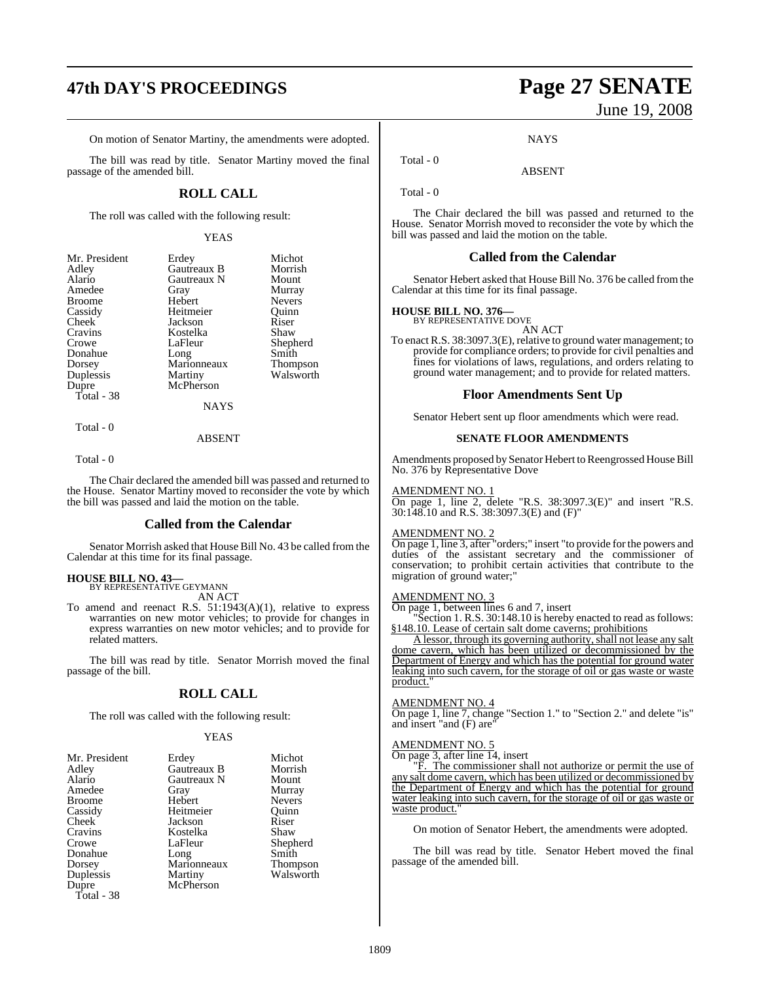# **47th DAY'S PROCEEDINGS Page 27 SENATE**

On motion of Senator Martiny, the amendments were adopted.

The bill was read by title. Senator Martiny moved the final passage of the amended bill.

#### **ROLL CALL**

The roll was called with the following result:

#### YEAS

| Erdey       | Michot          |
|-------------|-----------------|
| Gautreaux B | Morrish         |
| Gautreaux N | Mount           |
| Gray        | Murray          |
| Hebert      | <b>Nevers</b>   |
| Heitmeier   | Ouinn           |
| Jackson     | Riser           |
| Kostelka    | Shaw            |
| LaFleur     | Shepherd        |
|             | Smith           |
| Marionneaux | <b>Thompson</b> |
| Martiny     | Walsworth       |
| McPherson   |                 |
|             |                 |
| NAYS        |                 |
|             | Long            |

Total - 0

#### ABSENT

Total - 0

The Chair declared the amended bill was passed and returned to the House. Senator Martiny moved to reconsider the vote by which the bill was passed and laid the motion on the table.

#### **Called from the Calendar**

Senator Morrish asked that House Bill No. 43 be called from the Calendar at this time for its final passage.

#### **HOUSE BILL NO. 43—**

BY REPRESENTATIVE GEYMANN AN ACT

To amend and reenact R.S. 51:1943(A)(1), relative to express warranties on new motor vehicles; to provide for changes in express warranties on new motor vehicles; and to provide for related matters.

The bill was read by title. Senator Morrish moved the final passage of the bill.

#### **ROLL CALL**

The roll was called with the following result:

#### YEAS

| Mr. President | Erdey       | Michot        |
|---------------|-------------|---------------|
| Adley         | Gautreaux B | Morrish       |
| Alario        | Gautreaux N | Mount         |
| Amedee        | Gray        | Murray        |
| <b>Broome</b> | Hebert      | <b>Nevers</b> |
| Cassidy       | Heitmeier   | Ouinn         |
| Cheek         | Jackson     | Riser         |
| Cravins       | Kostelka    | Shaw          |
| Crowe         | LaFleur     | Shepherd      |
| Donahue       | Long        | Smith         |
| Dorsey        | Marionneaux | Thompson      |
| Duplessis     | Martiny     | Walsworth     |
| Dupre         | McPherson   |               |
|               |             |               |

Total - 38

June 19, 2008

**NAYS** 

ABSENT

Total - 0

Total - 0

The Chair declared the bill was passed and returned to the House. Senator Morrish moved to reconsider the vote by which the bill was passed and laid the motion on the table.

#### **Called from the Calendar**

Senator Hebert asked that House Bill No. 376 be called fromthe Calendar at this time for its final passage.

#### **HOUSE BILL NO. 376—**

BY REPRESENTATIVE DOVE AN ACT

To enact R.S. 38:3097.3(E), relative to ground water management; to provide for compliance orders; to provide for civil penalties and fines for violations of laws, regulations, and orders relating to ground water management; and to provide for related matters.

#### **Floor Amendments Sent Up**

Senator Hebert sent up floor amendments which were read.

#### **SENATE FLOOR AMENDMENTS**

Amendments proposed by Senator Hebert to Reengrossed House Bill No. 376 by Representative Dove

#### AMENDMENT NO. 1

On page 1, line 2, delete "R.S. 38:3097.3(E)" and insert "R.S. 30:148.10 and R.S. 38:3097.3(E) and (F)"

#### AMENDMENT NO. 2

On page 1, line 3, after "orders;" insert "to provide for the powers and duties of the assistant secretary and the commissioner of conservation; to prohibit certain activities that contribute to the migration of ground water;"

## AMENDMENT NO. 3

On page 1, between lines 6 and 7, insert

Section 1. R.S. 30:148.10 is hereby enacted to read as follows: §148.10. Lease of certain salt dome caverns; prohibitions

A lessor, through its governing authority, shall not lease any salt dome cavern, which has been utilized or decommissioned by the Department of Energy and which has the potential for ground water leaking into such cavern, for the storage of oil or gas waste or waste product."

#### AMENDMENT NO. 4

On page 1, line 7, change "Section 1." to "Section 2." and delete "is" and insert "and (F) are"

#### AMENDMENT NO. 5

On page 3, after line 14, insert

The commissioner shall not authorize or permit the use of any salt dome cavern, which has been utilized or decommissioned by the Department of Energy and which has the potential for ground water leaking into such cavern, for the storage of oil or gas waste or waste product.

On motion of Senator Hebert, the amendments were adopted.

The bill was read by title. Senator Hebert moved the final passage of the amended bill.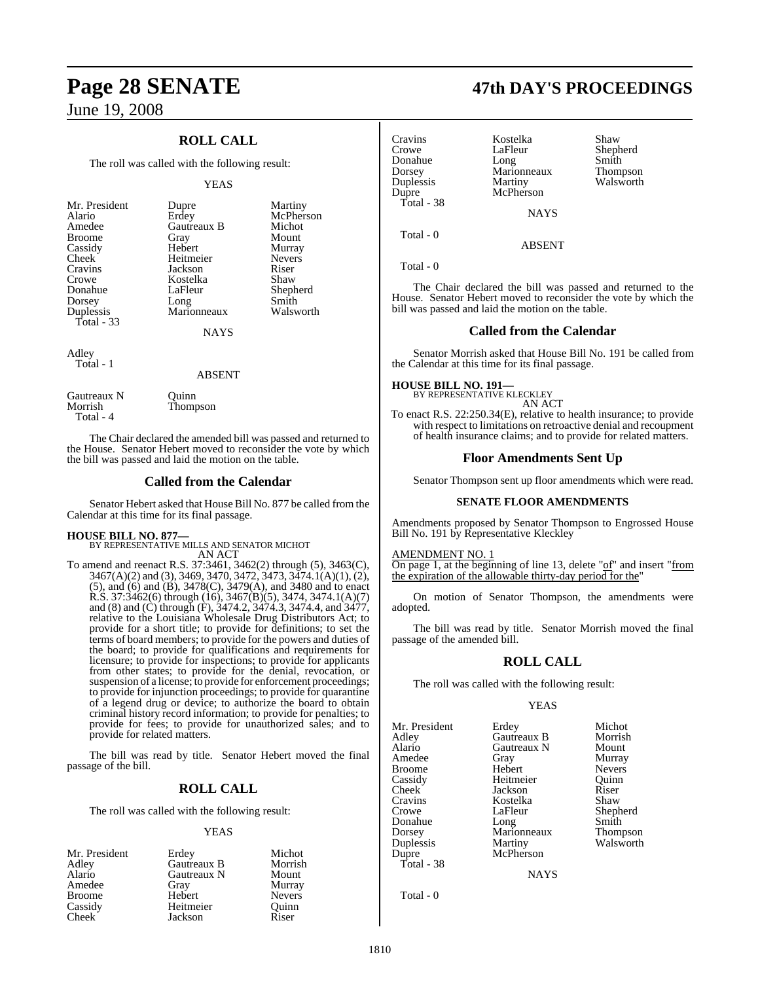## **ROLL CALL**

The roll was called with the following result:

#### YEAS

| Mr. President<br>Alario<br>Amedee<br><b>Broome</b><br>Cassidy<br>Cheek<br>Cravins<br>Crowe<br>Donahue<br>Dorsey<br>Duplessis<br>Total $-33$ | Dupre<br>Erdey<br>Gautreaux B<br>Gray<br>Hebert<br>Heitmeier<br>Jackson<br>Kostelka<br>LaFleur<br>Long<br>Marionneaux<br><b>NAYS</b> | Martiny<br>McPherson<br>Michot<br>Mount<br>Murray<br><b>Nevers</b><br>Riser<br>Shaw<br>Shepherd<br>Smith<br>Walsworth |
|---------------------------------------------------------------------------------------------------------------------------------------------|--------------------------------------------------------------------------------------------------------------------------------------|-----------------------------------------------------------------------------------------------------------------------|
|                                                                                                                                             |                                                                                                                                      |                                                                                                                       |
| Adley<br>Total - 1                                                                                                                          |                                                                                                                                      |                                                                                                                       |

#### ABSENT

Gautreaux N Quinn<br>Morrish Thomp Thompson Total - 4

The Chair declared the amended bill was passed and returned to the House. Senator Hebert moved to reconsider the vote by which the bill was passed and laid the motion on the table.

#### **Called from the Calendar**

Senator Hebert asked that House Bill No. 877 be called from the Calendar at this time for its final passage.

**HOUSE BILL NO. 877—** BY REPRESENTATIVE MILLS AND SENATOR MICHOT AN ACT

To amend and reenact R.S. 37:3461, 3462(2) through (5), 3463(C), 3467(A)(2) and (3), 3469, 3470, 3472, 3473, 3474.1(A)(1), (2), (5), and (6) and (B), 3478(C), 3479(A), and 3480 and to enact R.S. 37:3462(6) through (16), 3467(B)(5), 3474, 3474.1(A)(7) and (8) and (C) through (F), 3474.2, 3474.3, 3474.4, and 3477, relative to the Louisiana Wholesale Drug Distributors Act; to provide for a short title; to provide for definitions; to set the terms of board members; to provide for the powers and duties of the board; to provide for qualifications and requirements for licensure; to provide for inspections; to provide for applicants from other states; to provide for the denial, revocation, or suspension of a license; to provide for enforcement proceedings; to provide for injunction proceedings; to provide for quarantine of a legend drug or device; to authorize the board to obtain criminal history record information; to provide for penalties; to provide for fees; to provide for unauthorized sales; and to provide for related matters.

The bill was read by title. Senator Hebert moved the final passage of the bill.

#### **ROLL CALL**

The roll was called with the following result:

#### YEAS

| Mr. President | Erdey       | Michot        |
|---------------|-------------|---------------|
| Adley         | Gautreaux B | Morrish       |
| Alario        | Gautreaux N | Mount         |
| Amedee        | Gray        | Murray        |
| <b>Broome</b> | Hebert      | <b>Nevers</b> |
| Cassidy       | Heitmeier   | Ouinn         |
| Cheek         | Jackson     | Riser         |

# **Page 28 SENATE 47th DAY'S PROCEEDINGS**

| Cravins<br>Crowe<br>Donahue<br>Dorsey<br>Duplessis<br>Dupre<br>Total - 38 | Kostelka<br>LaFleur<br>Long<br>Marionneaux<br>Martiny<br>McPherson | Shaw<br>Shepherd<br>Smith<br>Thompson<br>Walsworth |
|---------------------------------------------------------------------------|--------------------------------------------------------------------|----------------------------------------------------|
|                                                                           | <b>NAYS</b>                                                        |                                                    |
| Total - 0                                                                 |                                                                    |                                                    |

Total - 0

The Chair declared the bill was passed and returned to the House. Senator Hebert moved to reconsider the vote by which the bill was passed and laid the motion on the table.

ABSENT

#### **Called from the Calendar**

Senator Morrish asked that House Bill No. 191 be called from the Calendar at this time for its final passage.

**HOUSE BILL NO. 191—** BY REPRESENTATIVE KLECKLEY AN ACT

To enact R.S. 22:250.34(E), relative to health insurance; to provide with respect to limitations on retroactive denial and recoupment of health insurance claims; and to provide for related matters.

#### **Floor Amendments Sent Up**

Senator Thompson sent up floor amendments which were read.

#### **SENATE FLOOR AMENDMENTS**

Amendments proposed by Senator Thompson to Engrossed House Bill No. 191 by Representative Kleckley

### **MENDMENT NO. 1**

On page 1, at the beginning of line 13, delete "of" and insert "from the expiration of the allowable thirty-day period for the

On motion of Senator Thompson, the amendments were adopted.

The bill was read by title. Senator Morrish moved the final passage of the amended bill.

#### **ROLL CALL**

The roll was called with the following result:

#### YEAS

Mr. President Erdey Michot<br>Adlev Gautreaux B Morrish Adley Gautreaux B Morrish Amedee Gray Murray<br>Broome Hebert Nevers Broome Hebert Nevers<br>
Cassidy Heitmeier Ouinn Cassidy Heitmeier Quinn Cheek Jackson Riser<br>Cravins Kostelka Shaw Cravins Kostelka<br>Crowe LaFleur Crowe LaFleur Shepherd<br>
Donahue Long Smith Donahue Long Smith Dorsey Marionneaux Thompson Duplessis Martiny Walsworth Total - 38

Gautreaux N Mount<br>Gray Murray McPherson

NAYS

Total - 0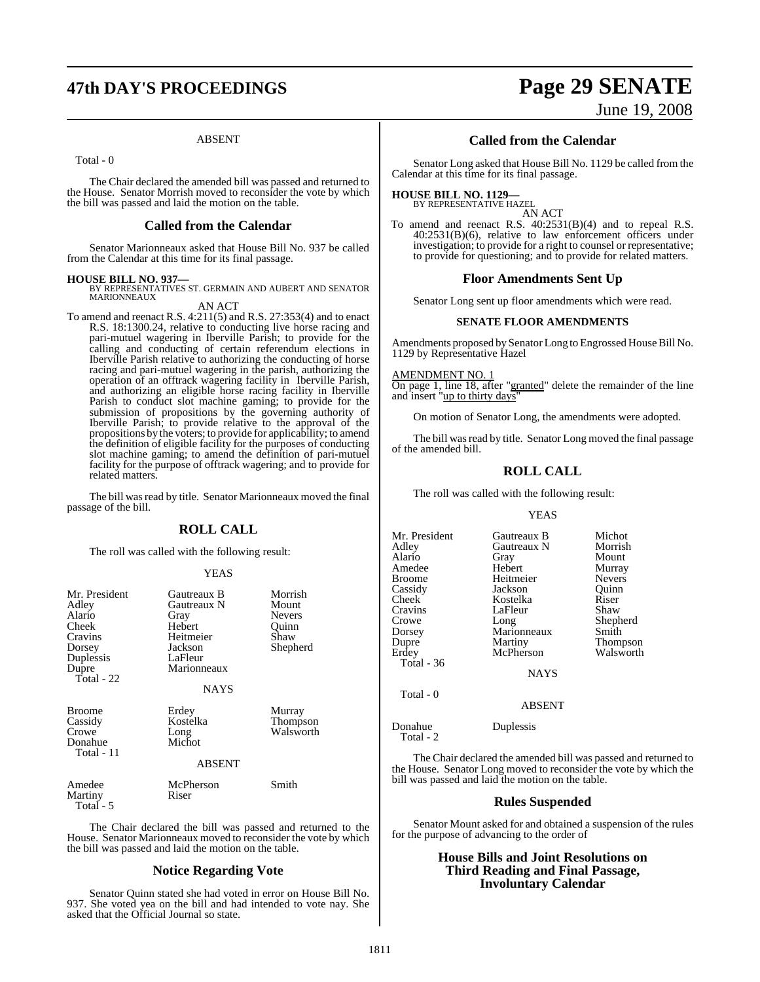#### ABSENT

Total - 0

The Chair declared the amended bill was passed and returned to the House. Senator Morrish moved to reconsider the vote by which the bill was passed and laid the motion on the table.

#### **Called from the Calendar**

Senator Marionneaux asked that House Bill No. 937 be called from the Calendar at this time for its final passage.

**HOUSE BILL NO. 937—** BY REPRESENTATIVES ST. GERMAIN AND AUBERT AND SENATOR **MARIONNEAUX** 

AN ACT To amend and reenact R.S. 4:211(5) and R.S. 27:353(4) and to enact R.S. 18:1300.24, relative to conducting live horse racing and pari-mutuel wagering in Iberville Parish; to provide for the calling and conducting of certain referendum elections in Iberville Parish relative to authorizing the conducting of horse racing and pari-mutuel wagering in the parish, authorizing the operation of an offtrack wagering facility in Iberville Parish, and authorizing an eligible horse racing facility in Iberville Parish to conduct slot machine gaming; to provide for the submission of propositions by the governing authority of Iberville Parish; to provide relative to the approval of the propositions by the voters; to provide for applicability; to amend the definition of eligible facility for the purposes of conducting slot machine gaming; to amend the definition of pari-mutuel facility for the purpose of offtrack wagering; and to provide for related matters.

The bill was read by title. Senator Marionneaux moved the final passage of the bill.

#### **ROLL CALL**

The roll was called with the following result:

#### YEAS

| Mr. President<br>Adley<br>Alario<br>Cheek<br>Cravins<br>Dorsey<br>Duplessis<br>Dupre<br>Total - $22$ | Gautreaux B<br>Gautreaux N<br>Gray<br>Hebert<br>Heitmeier<br>Jackson<br>LaFleur<br>Marionneaux<br>NAYS | Morrish<br>Mount<br><b>Nevers</b><br>Quinn<br>Shaw<br>Shepherd |
|------------------------------------------------------------------------------------------------------|--------------------------------------------------------------------------------------------------------|----------------------------------------------------------------|
| <b>Broome</b><br>Cassidy<br>Crowe<br>Donahue<br>Total - 11                                           | Erdey<br>Kostelka<br>Long<br>Michot<br><b>ABSENT</b>                                                   | Murray<br>Thompson<br>Walsworth                                |
| Amedee<br>Martiny<br>Total - 5                                                                       | McPherson<br>Riser                                                                                     | Smith                                                          |

The Chair declared the bill was passed and returned to the House. Senator Marionneaux moved to reconsider the vote by which the bill was passed and laid the motion on the table.

#### **Notice Regarding Vote**

Senator Quinn stated she had voted in error on House Bill No. 937. She voted yea on the bill and had intended to vote nay. She asked that the Official Journal so state.

# **47th DAY'S PROCEEDINGS Page 29 SENATE**

June 19, 2008

#### **Called from the Calendar**

Senator Long asked that House Bill No. 1129 be called from the Calendar at this time for its final passage.

#### **HOUSE BILL NO. 1129—** BY REPRESENTATIVE HAZEL

AN ACT

To amend and reenact R.S. 40:2531(B)(4) and to repeal R.S. 40:2531(B)(6), relative to law enforcement officers under investigation; to provide for a right to counsel or representative; to provide for questioning; and to provide for related matters.

#### **Floor Amendments Sent Up**

Senator Long sent up floor amendments which were read.

#### **SENATE FLOOR AMENDMENTS**

Amendments proposed by Senator Long to Engrossed House Bill No. 1129 by Representative Hazel

AMENDMENT NO. 1

On page 1, line 18, after "granted" delete the remainder of the line and insert "up to thirty days"

On motion of Senator Long, the amendments were adopted.

The bill was read by title. Senator Long moved the final passage of the amended bill.

#### **ROLL CALL**

The roll was called with the following result:

#### YEAS

Mr. President Gautreaux B Michot<br>Adley Gautreaux N Morrish Gautreaux N Morris<br>
Gray Mount Alario Gray Mount Amedee Hebert Murray Broome Heitmeier Nevers<br>
Cassidy Jackson Quinn Cassidy Jackson Quinn Kostelka Cravins LaFleur Shaw<br>Crowe Long Shepl Crowe Long Shepherd<br>
Dorsey Marionneaux Smith Dorsey Marionneaux<br>
Dupre Martiny Dupre Martiny Thompson<br>
Erdey McPherson Walsworth **McPherson**  Total - 36 NAYS Total - 0 ABSENT

Donahue Duplessis

 $Total - 2$ 

The Chair declared the amended bill was passed and returned to the House. Senator Long moved to reconsider the vote by which the bill was passed and laid the motion on the table.

#### **Rules Suspended**

Senator Mount asked for and obtained a suspension of the rules for the purpose of advancing to the order of

#### **House Bills and Joint Resolutions on Third Reading and Final Passage, Involuntary Calendar**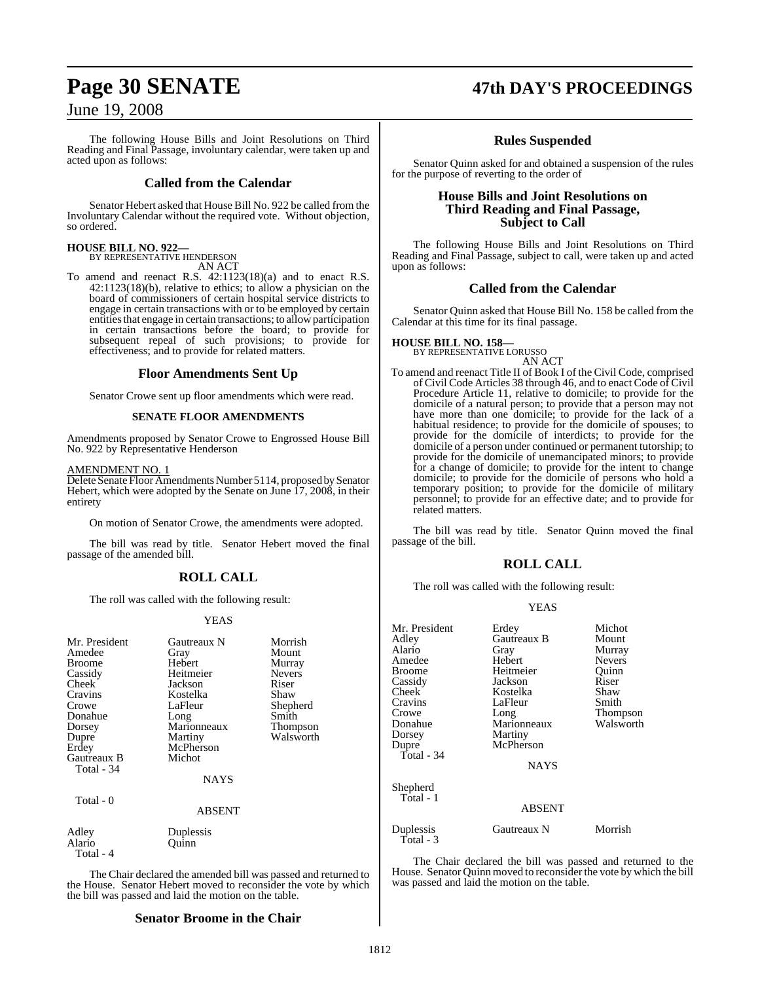The following House Bills and Joint Resolutions on Third Reading and Final Passage, involuntary calendar, were taken up and acted upon as follows:

#### **Called from the Calendar**

Senator Hebert asked that House Bill No. 922 be called from the Involuntary Calendar without the required vote. Without objection, so ordered.

# **HOUSE BILL NO. 922—** BY REPRESENTATIVE HENDERSON

AN ACT

To amend and reenact R.S. 42:1123(18)(a) and to enact R.S. 42:1123(18)(b), relative to ethics; to allow a physician on the board of commissioners of certain hospital service districts to engage in certain transactions with or to be employed by certain entities that engage in certain transactions; to allow participation in certain transactions before the board; to provide for subsequent repeal of such provisions; to provide for effectiveness; and to provide for related matters.

#### **Floor Amendments Sent Up**

Senator Crowe sent up floor amendments which were read.

#### **SENATE FLOOR AMENDMENTS**

Amendments proposed by Senator Crowe to Engrossed House Bill No. 922 by Representative Henderson

#### AMENDMENT NO. 1

Delete Senate Floor Amendments Number 5114, proposed by Senator Hebert, which were adopted by the Senate on June 17, 2008, in their entirety

On motion of Senator Crowe, the amendments were adopted.

The bill was read by title. Senator Hebert moved the final passage of the amended bill.

## **ROLL CALL**

The roll was called with the following result:

#### YEAS

| Mr. President<br>Amedee<br><b>Broome</b><br>Cassidy<br>Cheek<br>Cravins<br>Crowe<br>Donahue<br>Dorsey<br>Dupre<br>Erdey<br>Gautreaux B<br>Total - 34 | Gautreaux N<br>Gray<br>Hebert<br>Heitmeier<br>Jackson<br>Kostelka<br>LaFleur<br>Long<br>Marionneaux<br>Martiny<br>McPherson<br>Michot<br><b>NAYS</b> | Morrish<br>Mount<br>Murray<br><b>Nevers</b><br>Riser<br>Shaw<br>Shepherd<br>Smith<br>Thompson<br>Walsworth |
|------------------------------------------------------------------------------------------------------------------------------------------------------|------------------------------------------------------------------------------------------------------------------------------------------------------|------------------------------------------------------------------------------------------------------------|
| Total - 0                                                                                                                                            | <b>ABSENT</b>                                                                                                                                        |                                                                                                            |
| Adley<br>Alario<br>Total - 4                                                                                                                         | Duplessis<br>Ouınn                                                                                                                                   |                                                                                                            |

The Chair declared the amended bill was passed and returned to the House. Senator Hebert moved to reconsider the vote by which the bill was passed and laid the motion on the table.

#### **Senator Broome in the Chair**

## **Page 30 SENATE 47th DAY'S PROCEEDINGS**

#### **Rules Suspended**

Senator Quinn asked for and obtained a suspension of the rules for the purpose of reverting to the order of

#### **House Bills and Joint Resolutions on Third Reading and Final Passage, Subject to Call**

The following House Bills and Joint Resolutions on Third Reading and Final Passage, subject to call, were taken up and acted upon as follows:

#### **Called from the Calendar**

Senator Quinn asked that House Bill No. 158 be called from the Calendar at this time for its final passage.

#### **HOUSE BILL NO. 158—**

BY REPRESENTATIVE LORUSSO AN ACT

To amend and reenact Title II of Book I of the Civil Code, comprised of Civil Code Articles 38 through 46, and to enact Code of Civil Procedure Article 11, relative to domicile; to provide for the domicile of a natural person; to provide that a person may not have more than one domicile; to provide for the lack of a habitual residence; to provide for the domicile of spouses; to provide for the domicile of interdicts; to provide for the domicile of a person under continued or permanent tutorship; to provide for the domicile of unemancipated minors; to provide for a change of domicile; to provide for the intent to change domicile; to provide for the domicile of persons who hold a temporary position; to provide for the domicile of military personnel; to provide for an effective date; and to provide for related matters.

The bill was read by title. Senator Quinn moved the final passage of the bill.

#### **ROLL CALL**

The roll was called with the following result:

#### YEAS

| Mr. President          | Erdey       | Michot        |
|------------------------|-------------|---------------|
| Adley                  | Gautreaux B | Mount         |
| Alario                 | Gray        | Murray        |
| Amedee                 | Hebert      | <b>Nevers</b> |
| <b>Broome</b>          | Heitmeier   | Ouinn         |
| Cassidy                | Jackson     | Riser         |
| <b>Cheek</b>           | Kostelka    | Shaw          |
| Cravins                | LaFleur     | Smith         |
| Crowe                  | Long        | Thompson      |
| Donahue                | Marionneaux | Walsworth     |
| Dorsey                 | Martiny     |               |
| Dupre                  | McPherson   |               |
| Total - 34             |             |               |
|                        | <b>NAYS</b> |               |
| Shepherd               |             |               |
| Total - 1              | ABSENT      |               |
|                        |             |               |
| Duplessis<br>Total - 3 | Gautreaux N | Morrish       |

The Chair declared the bill was passed and returned to the House. Senator Quinn moved to reconsider the vote by which the bill was passed and laid the motion on the table.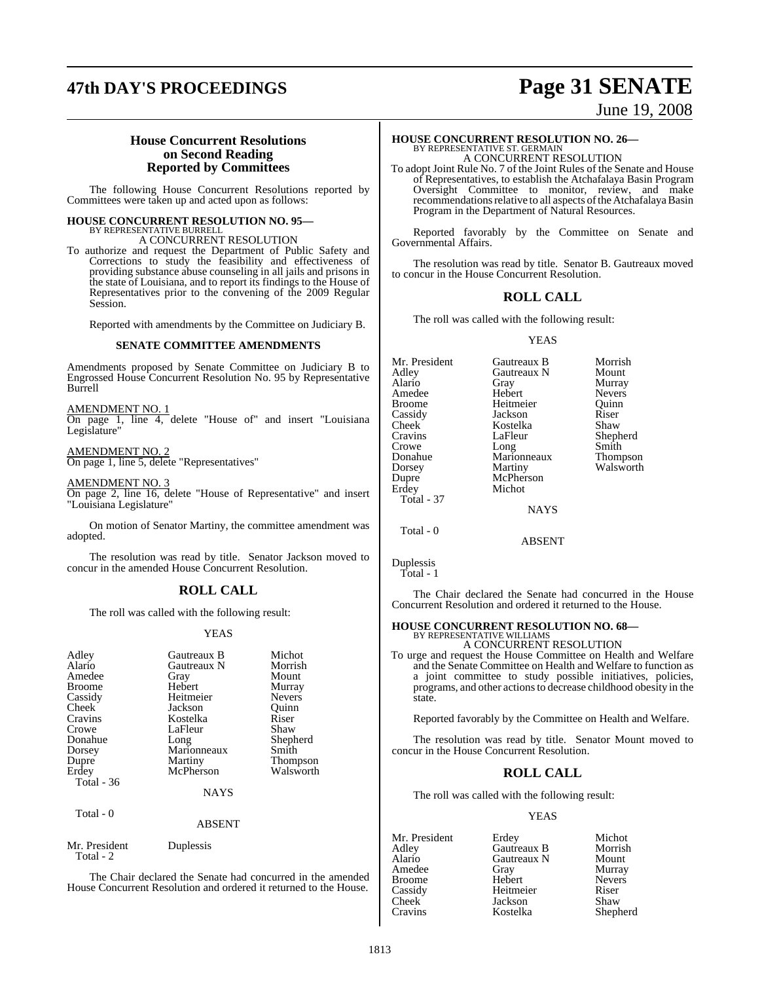# **47th DAY'S PROCEEDINGS Page 31 SENATE**

## June 19, 2008

#### **House Concurrent Resolutions on Second Reading Reported by Committees**

The following House Concurrent Resolutions reported by Committees were taken up and acted upon as follows:

## **HOUSE CONCURRENT RESOLUTION NO. 95—**

BY REPRESENTATIVE BURRELL A CONCURRENT RESOLUTION

To authorize and request the Department of Public Safety and Corrections to study the feasibility and effectiveness of providing substance abuse counseling in all jails and prisons in the state of Louisiana, and to report its findings to the House of Representatives prior to the convening of the 2009 Regular Session.

Reported with amendments by the Committee on Judiciary B.

#### **SENATE COMMITTEE AMENDMENTS**

Amendments proposed by Senate Committee on Judiciary B to Engrossed House Concurrent Resolution No. 95 by Representative Burrell

AMENDMENT NO. 1 On page 1, line 4, delete "House of" and insert "Louisiana Legislature"

AMENDMENT NO. 2 On page 1, line 5, delete "Representatives"

AMENDMENT NO. 3

On page 2, line 16, delete "House of Representative" and insert "Louisiana Legislature"

On motion of Senator Martiny, the committee amendment was adopted.

The resolution was read by title. Senator Jackson moved to concur in the amended House Concurrent Resolution.

#### **ROLL CALL**

The roll was called with the following result:

#### YEAS

| Adley<br>Alario<br>Amedee<br><b>Broome</b><br>Cassidy<br>Cheek<br>Cravins<br>Crowe<br>Donahue<br>Dorsey<br>Dupre<br>Erdey<br>Total $-36$ | Gautreaux B<br>Gautreaux N<br>Gray<br>Hebert<br>Heitmeier<br>Jackson<br>Kostelka<br>LaFleur<br>Long<br>Marionneaux<br>Martiny<br>McPherson<br><b>NAYS</b> | Michot<br>Morrish<br>Mount<br>Murray<br><b>Nevers</b><br>Ouinn<br>Riser<br>Shaw<br>Shepherd<br>Smith<br>Thompson<br>Walsworth |
|------------------------------------------------------------------------------------------------------------------------------------------|-----------------------------------------------------------------------------------------------------------------------------------------------------------|-------------------------------------------------------------------------------------------------------------------------------|
| Total - 0                                                                                                                                | <b>ABSENT</b>                                                                                                                                             |                                                                                                                               |
| Mr. President<br>Total - 2                                                                                                               | Duplessis                                                                                                                                                 |                                                                                                                               |

The Chair declared the Senate had concurred in the amended House Concurrent Resolution and ordered it returned to the House.

#### **HOUSE CONCURRENT RESOLUTION NO. 26—** BY REPRESENTATIVE ST. GERMAIN A CONCURRENT RESOLUTION

To adopt Joint Rule No. 7 of the Joint Rules of the Senate and House of Representatives, to establish the Atchafalaya Basin Program Oversight Committee to monitor, review, and make recommendations relative to all aspects of the Atchafalaya Basin Program in the Department of Natural Resources.

Reported favorably by the Committee on Senate and Governmental Affairs.

The resolution was read by title. Senator B. Gautreaux moved to concur in the House Concurrent Resolution.

### **ROLL CALL**

The roll was called with the following result:

#### YEAS

Mr. President Gautreaux B Morrish<br>Adley Gautreaux N Mount Adley Gautreaux N<br>Alario Gray Gray Murray<br>Hebert Nevers Amedee Hebert Nevers<br>Broome Heitmeier Quinn Broome Heitmeier Quinn<br>
Cassidy Jackson Riser Cassidy Jackson Riser Cheek Kostelka<br>Cravins LaFleur Cravins LaFleur Shepherd Long Donahue Marionneaux Thompson<br>Dorsey Martiny Walsworth Dorsey Martiny Walsworth<br>
Dupre McPherson Dupre McPherson<br>Erdev Michot Michot Total - 37 NAYS Total - 0

The Chair declared the Senate had concurred in the House Concurrent Resolution and ordered it returned to the House.

ABSENT

## **HOUSE CONCURRENT RESOLUTION NO. 68—** BY REPRESENTATIVE WILLIAMS

A CONCURRENT RESOLUTION

To urge and request the House Committee on Health and Welfare and the Senate Committee on Health and Welfare to function as a joint committee to study possible initiatives, policies, programs, and other actionsto decrease childhood obesity in the state.

Reported favorably by the Committee on Health and Welfare.

The resolution was read by title. Senator Mount moved to concur in the House Concurrent Resolution.

## **ROLL CALL**

The roll was called with the following result:

#### YEAS

Mr. President Erdey Michot<br>Adley Gautreaux B Morrish Adley Gautreaux B<br>
Alario Gautreaux N Gautreaux N Mount<br>Gray Murray Amedee Gray Murray Broome Hebert Never<br>
Cassidy Heitmeier Riser Cassidy Heitmeier Riser Cheek Jackson<br>Cravins Kostelka Shepherd

Duplessis Total - 1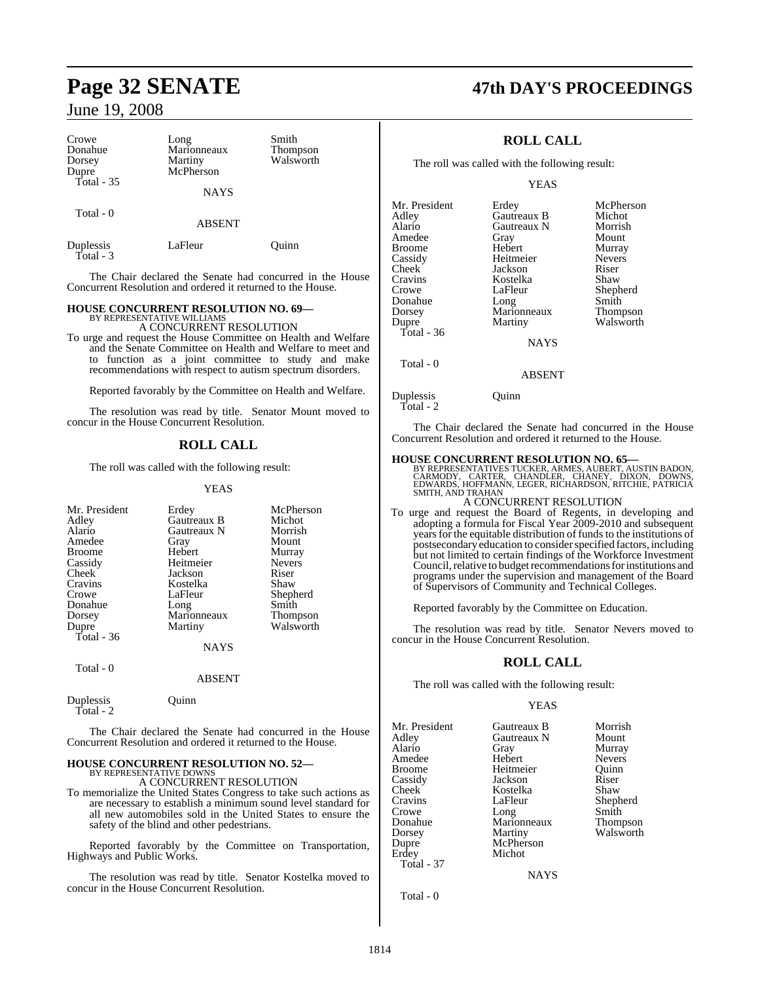| Crowe<br>Donahue<br>Dorsey<br>Dupre<br>Total - 35 | Long<br>Marionneaux<br>Martiny<br>McPherson | Smith<br><b>Thompson</b><br>Walsworth | Tŀ                              |
|---------------------------------------------------|---------------------------------------------|---------------------------------------|---------------------------------|
|                                                   | <b>NAYS</b>                                 |                                       |                                 |
| Total - 0                                         | <b>ABSENT</b>                               |                                       | Mr. Pre<br>Adley<br>Alario      |
| Duplessis<br>Total - 3                            | LaFleur                                     | Ouinn                                 | Amede<br><b>Broom</b><br>Cassid |

The Chair declared the Senate had concurred in the House Concurrent Resolution and ordered it returned to the House.

## **HOUSE CONCURRENT RESOLUTION NO. 69—** BY REPRESENTATIVE WILLIAMS

A CONCURRENT RESOLUTION

To urge and request the House Committee on Health and Welfare and the Senate Committee on Health and Welfare to meet and to function as a joint committee to study and make recommendations with respect to autism spectrum disorders.

Reported favorably by the Committee on Health and Welfare.

The resolution was read by title. Senator Mount moved to concur in the House Concurrent Resolution.

#### **ROLL CALL**

The roll was called with the following result:

YEAS

| Mr. President | Erdey       | McPherson     |
|---------------|-------------|---------------|
| Adley         | Gautreaux B | Michot        |
| Alario        | Gautreaux N | Morrish       |
| Amedee        | Gray        | Mount         |
| <b>Broome</b> | Hebert      | Murray        |
| Cassidy       | Heitmeier   | <b>Nevers</b> |
| Cheek         | Jackson     | Riser         |
| Cravins       | Kostelka    | Shaw          |
| Crowe         | LaFleur     | Shepherd      |
| Donahue       | Long        | Smith         |
| Dorsey        | Marionneaux | Thompson      |
| Dupre         | Martiny     | Walsworth     |
| Total - 36    |             |               |
|               | NAYS        |               |
| Total - 0     |             |               |

#### ABSENT

Duplessis Quinn Total - 2

The Chair declared the Senate had concurred in the House Concurrent Resolution and ordered it returned to the House.

#### **HOUSE CONCURRENT RESOLUTION NO. 52—** BY REPRESENTATIVE DOWNS

A CONCURRENT RESOLUTION

To memorialize the United States Congress to take such actions as are necessary to establish a minimum sound level standard for all new automobiles sold in the United States to ensure the safety of the blind and other pedestrians.

Reported favorably by the Committee on Transportation, Highways and Public Works.

The resolution was read by title. Senator Kostelka moved to concur in the House Concurrent Resolution.

## **Page 32 SENATE 47th DAY'S PROCEEDINGS**

### **ROLL CALL**

ne roll was called with the following result:

YEAS

| Mr. President | Erdey       | McPherson       |
|---------------|-------------|-----------------|
| Adlev         | Gautreaux B | Michot          |
| Alario        | Gautreaux N | Morrish         |
| Amedee        | Gray        | Mount           |
| Broome        | Hebert      | Murray          |
| Cassidy       | Heitmeier   | <b>Nevers</b>   |
| Cheek         | Jackson     | Riser           |
| Cravins       | Kostelka    | Shaw            |
| Crowe         | LaFleur     | Shepherd        |
| Donahue       | Long        | Smith           |
| Dorsey        | Marionneaux | <b>Thompson</b> |
| Dupre         | Martiny     | Walsworth       |
| Total - 36    |             |                 |
|               | <b>NAYS</b> |                 |
| Total - 0     |             |                 |

ABSENT

Duplessis Ouinn

 $\mathbf{I}$ 

Total - 2

The Chair declared the Senate had concurred in the House Concurrent Resolution and ordered it returned to the House.

- **HOUSE CONCURRENT RESOLUTION NO. 65—**<br>BY REPRESENTATIVES TUCKER, ARMES, AUBERT, AUSTIN BADON,<br>CARMODY, CARTER, CHANDLER, CHANEY, DIXON, DOWNS,<br>EDWARDS, HOFFMANN, LEGER, RICHARDSON, RITCHIE, PATRICIA SMITH, AND TRAHAN A CONCURRENT RESOLUTION
- To urge and request the Board of Regents, in developing and adopting a formula for Fiscal Year 2009-2010 and subsequent years for the equitable distribution of funds to the institutions of postsecondary education to consider specified factors, including but not limited to certain findings of the Workforce Investment Council, relative to budget recommendations for institutions and programs under the supervision and management of the Board of Supervisors of Community and Technical Colleges.

Reported favorably by the Committee on Education.

The resolution was read by title. Senator Nevers moved to concur in the House Concurrent Resolution.

#### **ROLL CALL**

The roll was called with the following result:

#### YEAS

| Mr. President<br>Adley<br>Alario<br>Amedee<br><b>Broome</b><br>Cassidy<br>Cheek<br>Cravins<br>Crowe | Gautreaux B<br>Gautreaux N<br>Gray<br>Hebert<br>Heitmeier<br>Jackson<br>Kostelka<br>LaFleur<br>Long | Morrish<br>Mount<br>Murray<br><b>Nevers</b><br>Ouinn<br>Riser<br>Shaw<br>Shepherd<br>Smith |
|-----------------------------------------------------------------------------------------------------|-----------------------------------------------------------------------------------------------------|--------------------------------------------------------------------------------------------|
|                                                                                                     |                                                                                                     |                                                                                            |
|                                                                                                     |                                                                                                     |                                                                                            |
| Donahue                                                                                             | Marionneaux                                                                                         | Thompson                                                                                   |
| Dorsey                                                                                              | Martiny                                                                                             | Walsworth                                                                                  |
| Dupre                                                                                               | McPherson                                                                                           |                                                                                            |
| Erdey                                                                                               | Michot                                                                                              |                                                                                            |
| <b>Total - 37</b>                                                                                   |                                                                                                     |                                                                                            |
|                                                                                                     | <b>NAYS</b>                                                                                         |                                                                                            |

Total - 0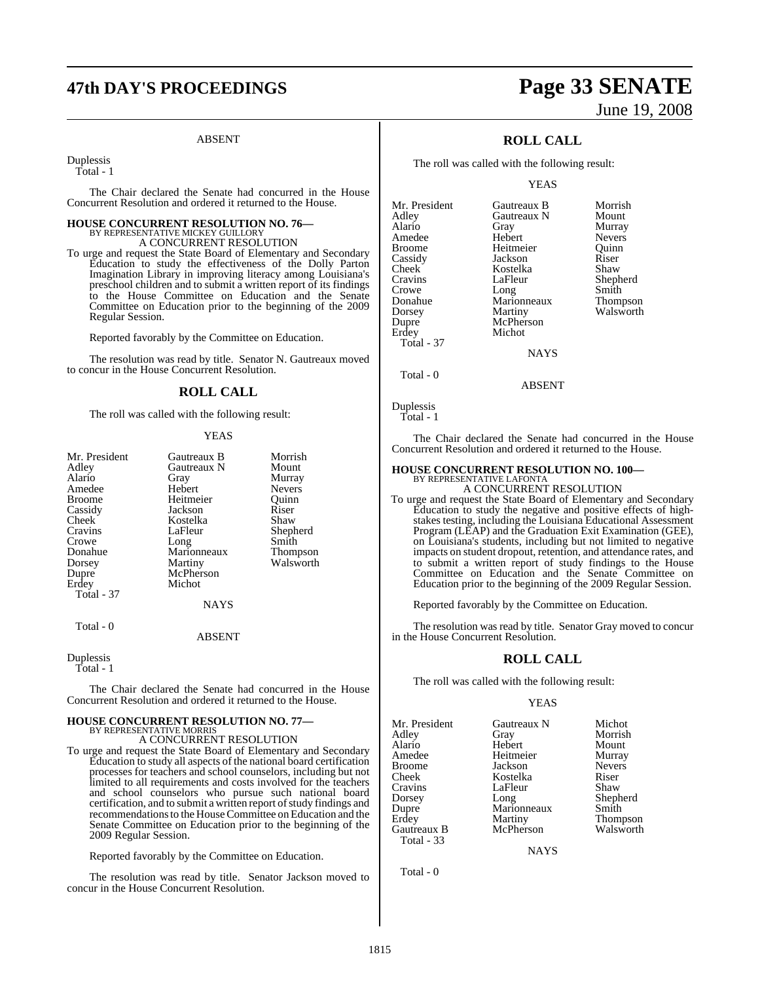# **47th DAY'S PROCEEDINGS Page 33 SENATE**

#### ABSENT

Duplessis

Total - 1

The Chair declared the Senate had concurred in the House Concurrent Resolution and ordered it returned to the House.

## **HOUSE CONCURRENT RESOLUTION NO. 76—** BY REPRESENTATIVE MICKEY GUILLORY A CONCURRENT RESOLUTION

To urge and request the State Board of Elementary and Secondary Education to study the effectiveness of the Dolly Parton Imagination Library in improving literacy among Louisiana's preschool children and to submit a written report of its findings to the House Committee on Education and the Senate Committee on Education prior to the beginning of the 2009 Regular Session.

Reported favorably by the Committee on Education.

The resolution was read by title. Senator N. Gautreaux moved to concur in the House Concurrent Resolution.

#### **ROLL CALL**

The roll was called with the following result:

#### YEAS

| Mr. President<br>Adley<br>Alario<br>Amedee<br><b>Broome</b><br>Cassidy<br>Cheek<br>Cravins<br>Crowe<br>Donahue<br>Dorsey | Gautreaux B<br>Gautreaux N<br>Gray<br>Hebert<br>Heitmeier<br>Jackson<br>Kostelka<br>LaFleur<br>Long<br>Marionneaux<br>Martiny | Morrish<br>Mount<br>Murray<br><b>Nevers</b><br>Ouinn<br>Riser<br>Shaw<br>Shepherd<br>Smith<br><b>Thompson</b><br>Walsworth |
|--------------------------------------------------------------------------------------------------------------------------|-------------------------------------------------------------------------------------------------------------------------------|----------------------------------------------------------------------------------------------------------------------------|
| Dupre                                                                                                                    | McPherson                                                                                                                     |                                                                                                                            |
| Erdey<br><b>Total - 37</b>                                                                                               | Michot                                                                                                                        |                                                                                                                            |
|                                                                                                                          | <b>NAYS</b>                                                                                                                   |                                                                                                                            |
| Total - 0                                                                                                                | <b>ABSENT</b>                                                                                                                 |                                                                                                                            |

Duplessis Total - 1

The Chair declared the Senate had concurred in the House Concurrent Resolution and ordered it returned to the House.

### **HOUSE CONCURRENT RESOLUTION NO. 77—** BY REPRESENTATIVE MORRIS A CONCURRENT RESOLUTION

To urge and request the State Board of Elementary and Secondary Education to study all aspects of the national board certification processes for teachers and school counselors, including but not limited to all requirements and costs involved for the teachers and school counselors who pursue such national board certification, and to submit a written report of study findings and recommendations to the House Committee on Education and the Senate Committee on Education prior to the beginning of the 2009 Regular Session.

Reported favorably by the Committee on Education.

The resolution was read by title. Senator Jackson moved to concur in the House Concurrent Resolution.

# June 19, 2008

## **ROLL CALL**

The roll was called with the following result:

YEAS

| Mr. President | Gautreaux B | Morrish         |
|---------------|-------------|-----------------|
| Adley         | Gautreaux N | Mount           |
| Alario        | Gray        | Murray          |
| Amedee        | Hebert      | <b>Nevers</b>   |
| <b>Broome</b> | Heitmeier   | Ouinn           |
| Cassidy       | Jackson     | Riser           |
| Cheek         | Kostelka    | Shaw            |
| Cravins       | LaFleur     | Shepherd        |
| Crowe         | Long        | Smith           |
| Donahue       | Marionneaux | <b>Thompson</b> |
| Dorsey        | Martiny     | Walsworth       |
| Dupre         | McPherson   |                 |
| Erdey         | Michot      |                 |
| Total - 37    |             |                 |
|               | NAYS        |                 |

Total - 0

ABSENT

Duplessis Total - 1

The Chair declared the Senate had concurred in the House Concurrent Resolution and ordered it returned to the House.

## **HOUSE CONCURRENT RESOLUTION NO. 100—**

BY REPRESENTATIVE LAFONTA A CONCURRENT RESOLUTION

To urge and request the State Board of Elementary and Secondary Education to study the negative and positive effects of highstakes testing, including the Louisiana Educational Assessment Program (LEAP) and the Graduation Exit Examination (GEE), on Louisiana's students, including but not limited to negative impacts on student dropout, retention, and attendance rates, and to submit a written report of study findings to the House Committee on Education and the Senate Committee on Education prior to the beginning of the 2009 Regular Session.

Reported favorably by the Committee on Education.

The resolution was read by title. Senator Gray moved to concur in the House Concurrent Resolution.

#### **ROLL CALL**

The roll was called with the following result:

#### YEAS

Mr. President Gautreaux N Michot<br>Adley Gray Morrish Adley Gray Morrish Alario Hebert Mount Amedee Heitmeier Murray<br>Broome Jackson Nevers Broome Jackson Never<br>Cheek Kostelka Riser Cravins LaFleur Shaw<br>Dorsey Long Sheph Dupre Marionneaux<br>Erdev Martiny Gautreaux B Total - 33

Kostelka Martiny Thompson<br>
McPherson Walsworth

**NAYS** 

Shepherd<br>Smith

Total - 0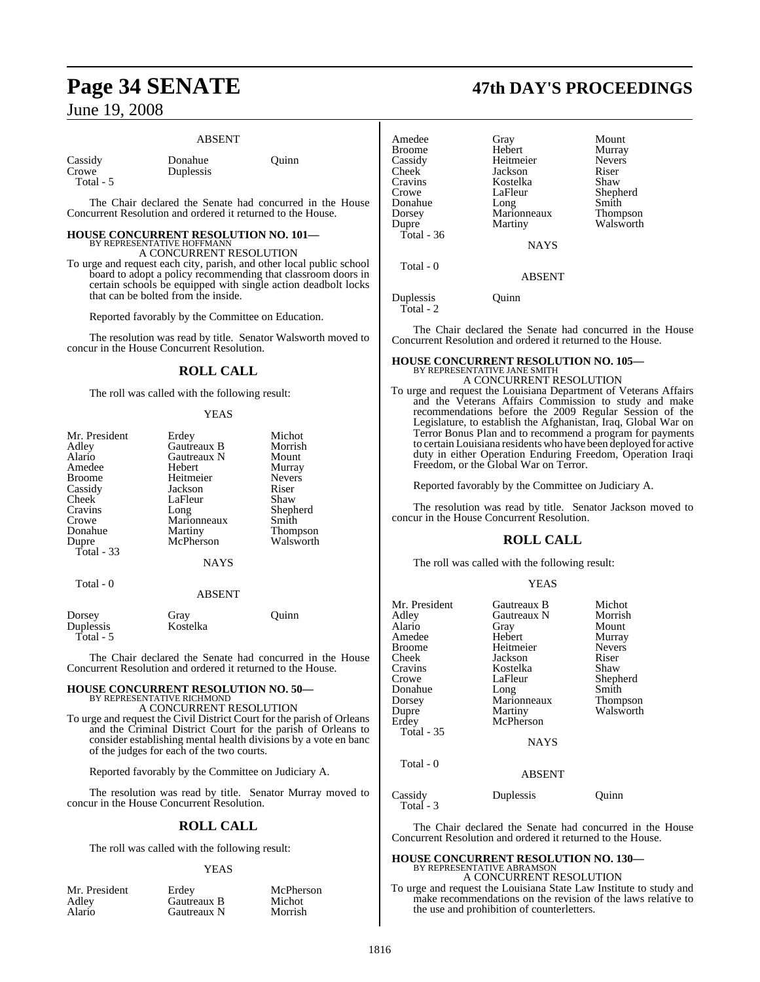#### ABSENT

| Cassidy |  |
|---------|--|
| Crowe   |  |
| Total - |  |

Donahue Ouinn Duplessis

The Chair declared the Senate had concurred in the House Concurrent Resolution and ordered it returned to the House.

## **HOUSE CONCURRENT RESOLUTION NO. 101—** BY REPRESENTATIVE HOFFMANN A CONCURRENT RESOLUTION

To urge and request each city, parish, and other local public school board to adopt a policy recommending that classroom doors in certain schools be equipped with single action deadbolt locks that can be bolted from the inside.

Reported favorably by the Committee on Education.

The resolution was read by title. Senator Walsworth moved to concur in the House Concurrent Resolution.

## **ROLL CALL**

The roll was called with the following result:

#### YEAS

| Mr. President | Erdey         | Michot        |
|---------------|---------------|---------------|
|               |               |               |
| Adley         | Gautreaux B   | Morrish       |
| Alario        | Gautreaux N   | Mount         |
| Amedee        | Hebert        | Murray        |
| <b>Broome</b> | Heitmeier     | <b>Nevers</b> |
| Cassidy       | Jackson       | Riser         |
| Cheek         | LaFleur       | Shaw          |
| Cravins       | Long          | Shepherd      |
| Crowe         | Marionneaux   | Smith         |
| Donahue       | Martiny       | Thompson      |
| Dupre         | McPherson     | Walsworth     |
| Total - 33    |               |               |
|               | NAYS          |               |
| Total - 0     |               |               |
|               | <b>ABSENT</b> |               |
|               |               |               |

| Dorsey    | Gray     | Ouinn |
|-----------|----------|-------|
| Duplessis | Kostelka |       |
| Total - 5 |          |       |

The Chair declared the Senate had concurred in the House Concurrent Resolution and ordered it returned to the House.

# **HOUSE CONCURRENT RESOLUTION NO. 50—** BY REPRESENTATIVE RICHMOND A CONCURRENT RESOLUTION

To urge and request the Civil District Court for the parish of Orleans and the Criminal District Court for the parish of Orleans to consider establishing mental health divisions by a vote en banc of the judges for each of the two courts.

Reported favorably by the Committee on Judiciary A.

The resolution was read by title. Senator Murray moved to concur in the House Concurrent Resolution.

#### **ROLL CALL**

The roll was called with the following result:

#### YEAS

| Mr. President | Erdey       | McPherson |
|---------------|-------------|-----------|
| Adlev         | Gautreaux B | Michot    |
| Alario        | Gautreaux N | Morrish   |

## **Page 34 SENATE 47th DAY'S PROCEEDINGS**

| Amedee<br><b>Broome</b><br>Cassidy<br>Cheek<br>Cravins<br>Crowe<br>Donahue | Gray<br>Hebert<br>Heitmeier<br>Jackson<br>Kostelka<br>LaFleur<br>Long | Mount<br>Murray<br><b>Nevers</b><br>Riser<br>Shaw<br>Shepherd<br>Smith |
|----------------------------------------------------------------------------|-----------------------------------------------------------------------|------------------------------------------------------------------------|
| Dorsey<br>Dupre<br>Total - $36$                                            | Marionneaux<br>Martiny<br><b>NAYS</b>                                 | Thompson<br>Walsworth                                                  |
| Total - 0                                                                  | <b>ABSENT</b>                                                         |                                                                        |
| Duplessis                                                                  | )uınn                                                                 |                                                                        |

Total - 2

The Chair declared the Senate had concurred in the House Concurrent Resolution and ordered it returned to the House.

#### **HOUSE CONCURRENT RESOLUTION NO. 105—** BY REPRESENTATIVE JANE SMITH A CONCURRENT RESOLUTION

To urge and request the Louisiana Department of Veterans Affairs and the Veterans Affairs Commission to study and make recommendations before the 2009 Regular Session of the Legislature, to establish the Afghanistan, Iraq, Global War on Terror Bonus Plan and to recommend a program for payments to certain Louisiana residents who have been deployed for active duty in either Operation Enduring Freedom, Operation Iraqi Freedom, or the Global War on Terror.

Reported favorably by the Committee on Judiciary A.

The resolution was read by title. Senator Jackson moved to concur in the House Concurrent Resolution.

## **ROLL CALL**

The roll was called with the following result:

#### YEAS

| Mr. President<br>Adley<br>Alario<br>Amedee<br><b>Broome</b><br>Cheek<br>Cravins<br>Crowe<br>Donahue<br>Dorsey<br>Dupre<br>Erdey<br><b>Total - 35</b><br>Total - 0 | Gautreaux B<br>Gautreaux N<br>Gray<br>Hebert<br>Heitmeier<br>Jackson<br>Kostelka<br>LaFleur<br>Long<br>Marionneaux<br>Martiny<br>McPherson<br><b>NAYS</b> | Michot<br>Morrish<br>Mount<br>Murray<br><b>Nevers</b><br>Riser<br>Shaw<br>Shepherd<br>Smith<br>Thompson<br>Walsworth |
|-------------------------------------------------------------------------------------------------------------------------------------------------------------------|-----------------------------------------------------------------------------------------------------------------------------------------------------------|----------------------------------------------------------------------------------------------------------------------|
|                                                                                                                                                                   | <b>ABSENT</b>                                                                                                                                             |                                                                                                                      |
| Cassidy<br>Total - 3                                                                                                                                              | Duplessis                                                                                                                                                 | Juınn                                                                                                                |

The Chair declared the Senate had concurred in the House Concurrent Resolution and ordered it returned to the House.

## **HOUSE CONCURRENT RESOLUTION NO. 130—** BY REPRESENTATIVE ABRAMSON

A CONCURRENT RESOLUTION

To urge and request the Louisiana State Law Institute to study and make recommendations on the revision of the laws relative to the use and prohibition of counterletters.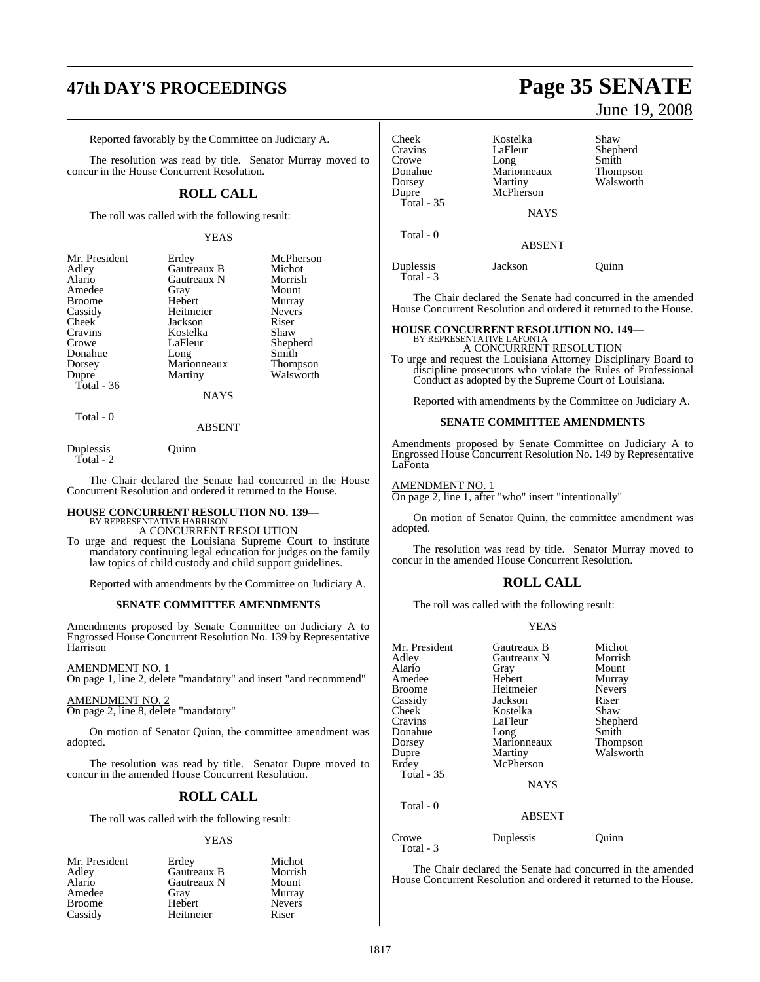# **47th DAY'S PROCEEDINGS Page 35 SENATE**

Reported favorably by the Committee on Judiciary A.

The resolution was read by title. Senator Murray moved to concur in the House Concurrent Resolution.

#### **ROLL CALL**

The roll was called with the following result:

#### YEAS

| Mr. President | Erdey       | McPherson       |
|---------------|-------------|-----------------|
| Adley         | Gautreaux B | Michot          |
| Alario        | Gautreaux N | Morrish         |
| Amedee        | Gray        | Mount           |
| <b>Broome</b> | Hebert      | Murray          |
| Cassidy       | Heitmeier   | <b>Nevers</b>   |
| Cheek         | Jackson     | Riser           |
| Cravins       | Kostelka    | Shaw            |
| Crowe         | LaFleur     | Shepherd        |
| Donahue       | Long        | Smith           |
| Dorsey        | Marionneaux | <b>Thompson</b> |
| Dupre         | Martiny     | Walsworth       |
| Total - 36    |             |                 |
|               | NAYS        |                 |

Total - 0

#### ABSENT

Duplessis Quinn Total - 2

The Chair declared the Senate had concurred in the House Concurrent Resolution and ordered it returned to the House.

# **HOUSE CONCURRENT RESOLUTION NO. 139—** BY REPRESENTATIVE HARRISON

A CONCURRENT RESOLUTION

To urge and request the Louisiana Supreme Court to institute mandatory continuing legal education for judges on the family law topics of child custody and child support guidelines.

Reported with amendments by the Committee on Judiciary A.

#### **SENATE COMMITTEE AMENDMENTS**

Amendments proposed by Senate Committee on Judiciary A to Engrossed House Concurrent Resolution No. 139 by Representative Harrison

AMENDMENT NO. 1

On page 1, line 2, delete "mandatory" and insert "and recommend"

AMENDMENT NO. 2

On page 2, line 8, delete "mandatory"

On motion of Senator Quinn, the committee amendment was adopted.

The resolution was read by title. Senator Dupre moved to concur in the amended House Concurrent Resolution.

#### **ROLL CALL**

The roll was called with the following result:

#### YEAS

| Mr. President | Erdey       | Michot        |
|---------------|-------------|---------------|
| Adley         | Gautreaux B | Morrish       |
| Alario        | Gautreaux N | Mount         |
| Amedee        | Gray        | Murray        |
| <b>Broome</b> | Hebert      | <b>Nevers</b> |
| Cassidy       | Heitmeier   | Riser         |

# June 19, 2008

| Cheek<br>Cravins<br>Crowe<br>Donahue<br>Dorsey<br>Dupre | Kostelka<br>LaFleur<br>Long<br>Marionneaux<br>Martiny<br>McPherson | Shaw<br>Shepherd<br>Smith<br><b>Thompson</b><br>Walsworth |
|---------------------------------------------------------|--------------------------------------------------------------------|-----------------------------------------------------------|
| <b>Total - 35</b>                                       | <b>NAYS</b>                                                        |                                                           |
| Total - 0                                               | <b>ABSENT</b>                                                      |                                                           |
| Duplessis                                               | Jackson                                                            | uinn                                                      |

The Chair declared the Senate had concurred in the amended House Concurrent Resolution and ordered it returned to the House.

# **HOUSE CONCURRENT RESOLUTION NO. 149—** BY REPRESENTATIVE LAFONTA

A CONCURRENT RESOLUTION

To urge and request the Louisiana Attorney Disciplinary Board to discipline prosecutors who violate the Rules of Professional Conduct as adopted by the Supreme Court of Louisiana.

Reported with amendments by the Committee on Judiciary A.

#### **SENATE COMMITTEE AMENDMENTS**

Amendments proposed by Senate Committee on Judiciary A to Engrossed House Concurrent Resolution No. 149 by Representative LaFonta

AMENDMENT NO. 1

Total - 3

On page 2, line 1, after "who" insert "intentionally"

On motion of Senator Quinn, the committee amendment was adopted.

The resolution was read by title. Senator Murray moved to concur in the amended House Concurrent Resolution.

#### **ROLL CALL**

The roll was called with the following result:

#### YEAS

| Mr. President<br>Adlev<br>Alario<br>Amedee<br>Broome<br>Cassidy<br>Cheek<br>Cravins<br>Donahue<br>Dorsey<br>Dupre<br>Erdey<br>Total - 35<br>Total $-0$ | Gautreaux B<br>Gautreaux N<br>Gray<br>Hebert<br>Heitmeier<br>Jackson<br>Kostelka<br>LaFleur<br>Long<br>Marionneaux<br>Martiny<br>McPherson<br><b>NAYS</b><br><b>ABSENT</b> | Michot<br>Morrish<br>Mount<br>Murray<br><b>Nevers</b><br>Riser<br>Shaw<br>Shepherd<br>Smith<br>Thompson<br>Walsworth |
|--------------------------------------------------------------------------------------------------------------------------------------------------------|----------------------------------------------------------------------------------------------------------------------------------------------------------------------------|----------------------------------------------------------------------------------------------------------------------|
|                                                                                                                                                        |                                                                                                                                                                            |                                                                                                                      |
| Crowe<br>Total - 3                                                                                                                                     | Duplessis                                                                                                                                                                  | Ouinn                                                                                                                |

The Chair declared the Senate had concurred in the amended House Concurrent Resolution and ordered it returned to the House.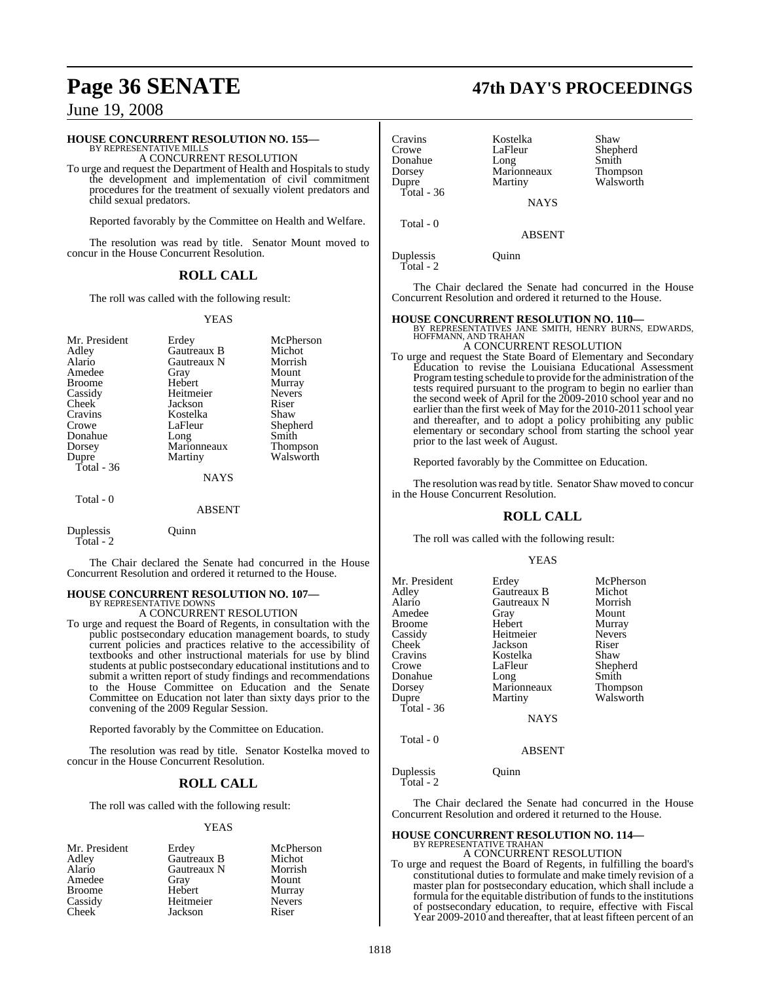#### **HOUSE CONCURRENT RESOLUTION NO. 155—**

BY REPRESENTATIVE MILLS A CONCURRENT RESOLUTION

To urge and request the Department of Health and Hospitals to study the development and implementation of civil commitment procedures for the treatment of sexually violent predators and child sexual predators.

Reported favorably by the Committee on Health and Welfare.

The resolution was read by title. Senator Mount moved to concur in the House Concurrent Resolution.

#### **ROLL CALL**

The roll was called with the following result:

#### YEAS

| Mr. President | Erdey       | McPherson       |
|---------------|-------------|-----------------|
| Adley         | Gautreaux B | Michot          |
| Alario        | Gautreaux N | Morrish         |
| Amedee        | Gray        | Mount           |
| <b>Broome</b> | Hebert      | Murray          |
| Cassidy       | Heitmeier   | <b>Nevers</b>   |
| Cheek         | Jackson     | Riser           |
| Cravins       | Kostelka    | Shaw            |
| Crowe         | LaFleur     | Shepherd        |
| Donahue       | Long        | Smith           |
| Dorsey        | Marionneaux | <b>Thompson</b> |
| Dupre         | Martiny     | Walsworth       |
| Total - 36    |             |                 |
|               | <b>NAYS</b> |                 |
| Total - 0     |             |                 |

#### ABSENT

| Duplessis<br>Total - 2 | Ouinn |
|------------------------|-------|
|                        |       |

The Chair declared the Senate had concurred in the House Concurrent Resolution and ordered it returned to the House.

#### **HOUSE CONCURRENT RESOLUTION NO. 107—** BY REPRESENTATIVE DOWNS

A CONCURRENT RESOLUTION

To urge and request the Board of Regents, in consultation with the public postsecondary education management boards, to study current policies and practices relative to the accessibility of textbooks and other instructional materials for use by blind students at public postsecondary educational institutions and to submit a written report of study findings and recommendations to the House Committee on Education and the Senate Committee on Education not later than sixty days prior to the convening of the 2009 Regular Session.

Reported favorably by the Committee on Education.

The resolution was read by title. Senator Kostelka moved to concur in the House Concurrent Resolution.

#### **ROLL CALL**

The roll was called with the following result:

#### YEAS

| Mr. President | Erdey       | McPherson     |
|---------------|-------------|---------------|
| Adley         | Gautreaux B | Michot        |
| Alario        | Gautreaux N | Morrish       |
| Amedee        | Gray        | Mount         |
| <b>Broome</b> | Hebert      | Murray        |
| Cassidy       | Heitmeier   | <b>Nevers</b> |
| Cheek         | Jackson     | Riser         |

Total - 36

Total - 0

Cravins Kostelka Shaw LaFleur Shepherd<br>Long Smith Donahue Long Smith<br>Dorsev Marionneaux Thompson Dorsey Marionneaux<br>
Dupre Martiny **NAYS** 

Walsworth

ABSENT

Duplessis Quinn Total - 2

The Chair declared the Senate had concurred in the House Concurrent Resolution and ordered it returned to the House.

**HOUSE CONCURRENT RESOLUTION NO. 110—** BY REPRESENTATIVES JANE SMITH, HENRY BURNS, EDWARDS, HOFFMANN, AND TRAHAN A CONCURRENT RESOLUTION

To urge and request the State Board of Elementary and Secondary Education to revise the Louisiana Educational Assessment Program testing schedule to provide for the administration of the tests required pursuant to the program to begin no earlier than the second week of April for the 2009-2010 school year and no earlier than the first week of May for the 2010-2011 school year and thereafter, and to adopt a policy prohibiting any public elementary or secondary school from starting the school year prior to the last week of August.

Reported favorably by the Committee on Education.

The resolution was read by title. Senator Shaw moved to concur in the House Concurrent Resolution.

#### **ROLL CALL**

The roll was called with the following result:

#### YEAS

| Mr. President<br>Adley<br>Alario<br>Amedee<br>Broome<br>Cassidy<br>Cheek<br>Cravins<br>Crowe<br>Donahue<br>Dorsey<br>Dupre<br>Total - 36 | Erdey<br>Gautreaux B<br>Gautreaux N<br>Gray<br>Hebert<br>Heitmeier<br>Jackson<br>Kostelka<br>LaFleur<br>Long<br>Marionneaux<br>Martiny<br><b>NAYS</b> | McPherson<br>Michot<br>Morrish<br>Mount<br>Murray<br><b>Nevers</b><br>Riser<br>Shaw<br>Shepherd<br>Smith<br>Thompson<br>Walsworth |
|------------------------------------------------------------------------------------------------------------------------------------------|-------------------------------------------------------------------------------------------------------------------------------------------------------|-----------------------------------------------------------------------------------------------------------------------------------|
| Total - 0                                                                                                                                | <b>ABSENT</b>                                                                                                                                         |                                                                                                                                   |
| $\mathbf{r}$ 1                                                                                                                           | $\sim$ .                                                                                                                                              |                                                                                                                                   |

Duplessis Quinn Total - 2

The Chair declared the Senate had concurred in the House Concurrent Resolution and ordered it returned to the House.

#### **HOUSE CONCURRENT RESOLUTION NO. 114—** BY REPRESENTATIVE TRAHAN A CONCURRENT RESOLUTION

To urge and request the Board of Regents, in fulfilling the board's constitutional duties to formulate and make timely revision of a master plan for postsecondary education, which shall include a formula for the equitable distribution of funds to the institutions of postsecondary education, to require, effective with Fiscal Year 2009-2010 and thereafter, that at least fifteen percent of an

## **Page 36 SENATE 47th DAY'S PROCEEDINGS**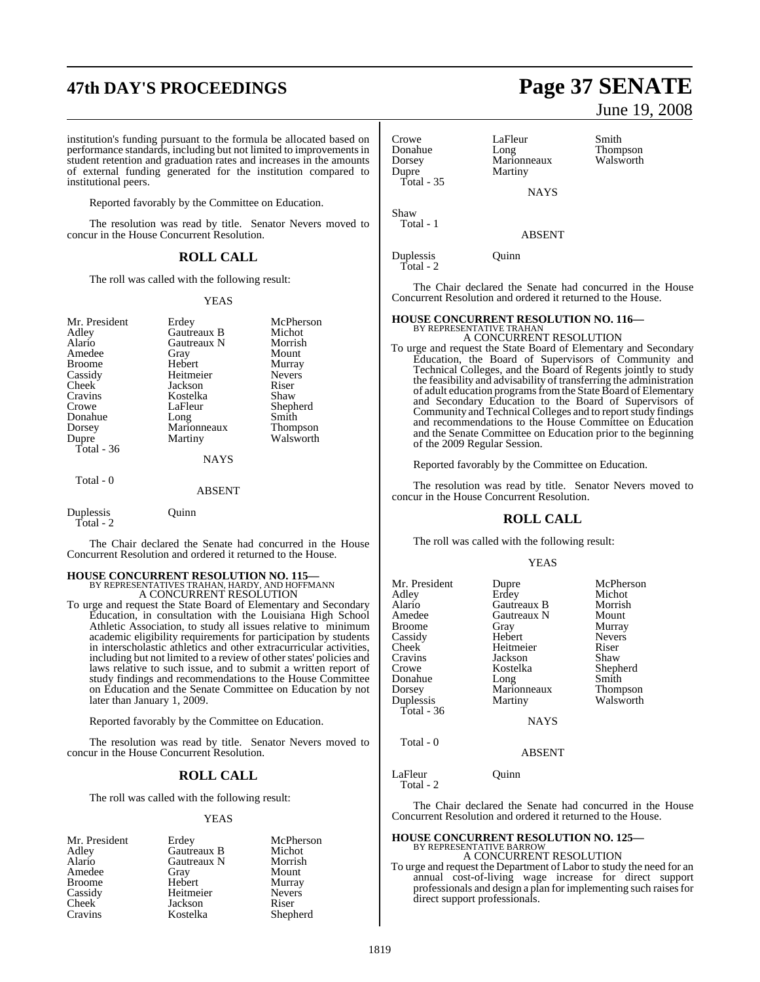# **47th DAY'S PROCEEDINGS Page 37 SENATE**

institution's funding pursuant to the formula be allocated based on performance standards, including but not limited to improvements in student retention and graduation rates and increases in the amounts of external funding generated for the institution compared to institutional peers.

Reported favorably by the Committee on Education.

The resolution was read by title. Senator Nevers moved to concur in the House Concurrent Resolution.

#### **ROLL CALL**

The roll was called with the following result:

#### YEAS

| Mr. President | Erdey         | McPherson     |
|---------------|---------------|---------------|
| Adley         | Gautreaux B   | Michot        |
| Alario        | Gautreaux N   | Morrish       |
| Amedee        | Gray          | Mount         |
| <b>Broome</b> | Hebert        | Murray        |
| Cassidy       | Heitmeier     | <b>Nevers</b> |
| Cheek         | Jackson       | Riser         |
| Cravins       | Kostelka      | Shaw          |
| Crowe         | LaFleur       | Shepherd      |
| Donahue       | Long          | Smith         |
| Dorsey        | Marionneaux   | Thompson      |
| Dupre         | Martiny       | Walsworth     |
| Total $-36$   |               |               |
|               | <b>NAYS</b>   |               |
| Total - 0     |               |               |
|               | <b>ABSENT</b> |               |
| Duplessis     | <b>Juinn</b>  |               |

Total - 2

The Chair declared the Senate had concurred in the House Concurrent Resolution and ordered it returned to the House.

### **HOUSE CONCURRENT RESOLUTION NO. 115—** BY REPRESENTATIVES TRAHAN, HARDY, AND HOFFMANN

A CONCURRENT RESOLUTION

To urge and request the State Board of Elementary and Secondary Education, in consultation with the Louisiana High School Athletic Association, to study all issues relative to minimum academic eligibility requirements for participation by students in interscholastic athletics and other extracurricular activities, including but not limited to a review of other states' policies and laws relative to such issue, and to submit a written report of study findings and recommendations to the House Committee on Education and the Senate Committee on Education by not later than January 1, 2009.

Reported favorably by the Committee on Education.

The resolution was read by title. Senator Nevers moved to concur in the House Concurrent Resolution.

#### **ROLL CALL**

The roll was called with the following result:

#### YEAS

| Mr. President | Erdey       | McPl        |
|---------------|-------------|-------------|
| Adley         | Gautreaux B | Mich        |
| Alario        | Gautreaux N | Morr        |
| Amedee        | Gray        | Mour        |
| <b>Broome</b> | Hebert      | Murr        |
| Cassidy       | Heitmeier   | Neve        |
| Cheek         | Jackson     | Riser       |
| Cravins       | Kostelka    | <b>Shep</b> |

eaux B Michot<br>Teaux N Morrish treaux N ert Mount<br>American Mount ert Murray<br>meier Nevers elka Shepherd

McPherson<br>Michot

Nevers<br>Riser

June 19, 2008

| Crowe<br>Donahue    | LaFleur<br>Long | Smith<br>Thompson |
|---------------------|-----------------|-------------------|
| Dorsey              | Marionneaux     | Walsworth         |
| Dupre<br>Total - 35 | Martiny         |                   |
|                     | <b>NAYS</b>     |                   |

Shaw Total - 1

ABSENT

Duplessis Quinn Total - 2

The Chair declared the Senate had concurred in the House Concurrent Resolution and ordered it returned to the House.

#### **HOUSE CONCURRENT RESOLUTION NO. 116—** BY REPRESENTATIVE TRAHAN

A CONCURRENT RESOLUTION

To urge and request the State Board of Elementary and Secondary Education, the Board of Supervisors of Community and Technical Colleges, and the Board of Regents jointly to study the feasibility and advisability of transferring the administration of adult education programs from the State Board of Elementary and Secondary Education to the Board of Supervisors of Community and Technical Colleges and to reportstudy findings and recommendations to the House Committee on Education and the Senate Committee on Education prior to the beginning of the 2009 Regular Session.

Reported favorably by the Committee on Education.

The resolution was read by title. Senator Nevers moved to concur in the House Concurrent Resolution.

#### **ROLL CALL**

The roll was called with the following result:

#### YEAS

| Mr. President | Dupre       | McPherson     |
|---------------|-------------|---------------|
| Adley         | Erdey       | Michot        |
| Alario        | Gautreaux B | Morrish       |
| Amedee        | Gautreaux N | Mount         |
| Broome        | Gray        | Murray        |
| Cassidy       | Hebert      | <b>Nevers</b> |
| Cheek         | Heitmeier   | Riser         |
| Cravins       | Jackson     | Shaw          |
| Crowe         | Kostelka    | Shepherd      |
| Donahue       | Long        | Smith         |
| Dorsey        | Marionneaux | Thompson      |
| Duplessis     | Martiny     | Walsworth     |
| Total - 36    |             |               |
|               | <b>NAYS</b> |               |
| Total - 0     |             |               |
|               | ABSENT      |               |

LaFleur Quinn Total - 2

The Chair declared the Senate had concurred in the House Concurrent Resolution and ordered it returned to the House.

#### **HOUSE CONCURRENT RESOLUTION NO. 125—** BY REPRESENTATIVE BARROW A CONCURRENT RESOLUTION

To urge and request the Department of Labor to study the need for an annual cost-of-living wage increase for direct support professionals and design a plan for implementing such raises for direct support professionals.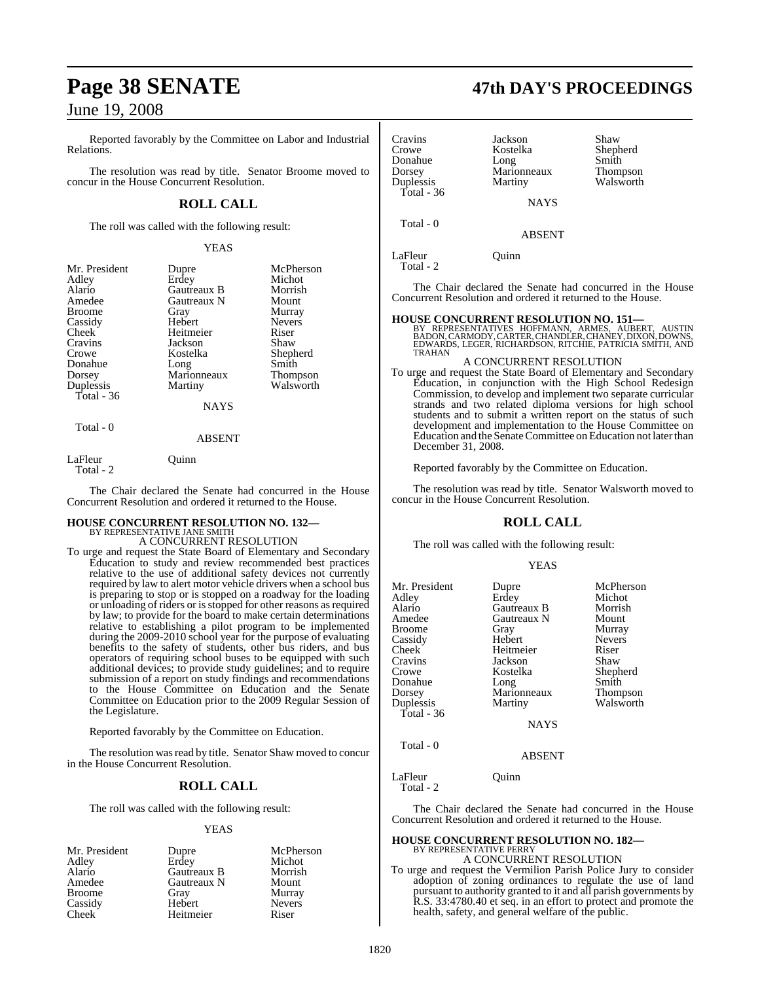Reported favorably by the Committee on Labor and Industrial Relations.

The resolution was read by title. Senator Broome moved to concur in the House Concurrent Resolution.

### **ROLL CALL**

The roll was called with the following result:

YEAS

| Mr. President<br>Adley<br>Alario<br>Amedee<br>Broome<br>Cassidy<br>Cheek<br>Cravins<br>Crowe<br>Donahue<br>Dorsey | Dupre<br>Erdey<br>Gautreaux B<br>Gautreaux N<br>Gray<br>Hebert<br>Heitmeier<br>Jackson<br>Kostelka<br>Long<br>Marionneaux | McPherson<br>Michot<br>Morrish<br>Mount<br>Murray<br><b>Nevers</b><br>Riser<br>Shaw<br>Shepherd<br>Smith<br>Thompson |
|-------------------------------------------------------------------------------------------------------------------|---------------------------------------------------------------------------------------------------------------------------|----------------------------------------------------------------------------------------------------------------------|
|                                                                                                                   |                                                                                                                           |                                                                                                                      |
| Duplessis                                                                                                         | Martiny                                                                                                                   | Walsworth                                                                                                            |
| Total - 36                                                                                                        | <b>NAYS</b>                                                                                                               |                                                                                                                      |
|                                                                                                                   |                                                                                                                           |                                                                                                                      |

### ABSENT

LaFleur Quinn Total - 2

Total - 0

The Chair declared the Senate had concurred in the House Concurrent Resolution and ordered it returned to the House.

#### **HOUSE CONCURRENT RESOLUTION NO. 132—** BY REPRESENTATIVE JANE SMITH

A CONCURRENT RESOLUTION

To urge and request the State Board of Elementary and Secondary Education to study and review recommended best practices relative to the use of additional safety devices not currently required by law to alert motor vehicle drivers when a school bus is preparing to stop or is stopped on a roadway for the loading or unloading of riders or is stopped for other reasons as required by law; to provide for the board to make certain determinations relative to establishing a pilot program to be implemented during the 2009-2010 school year for the purpose of evaluating benefits to the safety of students, other bus riders, and bus operators of requiring school buses to be equipped with such additional devices; to provide study guidelines; and to require submission of a report on study findings and recommendations to the House Committee on Education and the Senate Committee on Education prior to the 2009 Regular Session of the Legislature.

Reported favorably by the Committee on Education.

The resolution was read by title. Senator Shaw moved to concur in the House Concurrent Resolution.

### **ROLL CALL**

The roll was called with the following result:

#### YEAS

| Mr. President      | Dupre       | McPherson     |
|--------------------|-------------|---------------|
| Adley              | Erdey       | Michot        |
| Alario             | Gautreaux B | Morrish       |
| Amedee             | Gautreaux N | Mount         |
| <b>Broome</b>      | Gray        | Murray        |
| Cassidy            | Hebert      | <b>Nevers</b> |
| Cheek <sup>-</sup> | Heitmeier   | Riser         |

## **Page 38 SENATE 47th DAY'S PROCEEDINGS**

| Cravins      | Jackson     | Shaw      |
|--------------|-------------|-----------|
| Crowe        | Kostelka    | Shepherd  |
| Donahue      | Long        | Smith     |
| Dorsey       | Marionneaux | Thompson  |
| Duplessis    | Martiny     | Walsworth |
| Total - $36$ |             |           |
|              | <b>NAVS</b> |           |

Total - 0

**NAYS** 

ABSENT

LaFleur Ouinn Total - 2

The Chair declared the Senate had concurred in the House Concurrent Resolution and ordered it returned to the House.

**HOUSE CONCURRENT RESOLUTION NO. 151—**<br>BY REPRESENTATIVES HOFFMANN, ARMES, AUBERT, AUSTIN<br>BADON, CARMODY, CARTER, CHANDLER, CHANDLER, DIXON, DOWNS,<br>EDWARDS, LEGER, RICHARDSON, RITCHIE, PATRICIA SMITH, AND TRAHAN

#### A CONCURRENT RESOLUTION

To urge and request the State Board of Elementary and Secondary Education, in conjunction with the High School Redesign Commission, to develop and implement two separate curricular strands and two related diploma versions for high school students and to submit a written report on the status of such development and implementation to the House Committee on Education and the Senate Committee on Education not later than December 31, 2008.

Reported favorably by the Committee on Education.

The resolution was read by title. Senator Walsworth moved to concur in the House Concurrent Resolution.

### **ROLL CALL**

The roll was called with the following result:

#### YEAS

| Mr. President<br>Adley<br>Alario<br>Amedee<br>Broome<br>Cassidy<br>Cheek<br>Cravins<br>Crowe<br>Donahue<br>Dorsey<br>Duplessis | Dupre<br>Erdey<br>Gautreaux B<br>Gautreaux N<br>Gray<br>Hebert<br>Heitmeier<br>Jackson<br>Kostelka<br>Long<br>Marionneaux<br>Martiny | McPherson<br>Michot<br>Morrish<br>Mount<br>Murray<br><b>Nevers</b><br>Riser<br>Shaw<br>Shepherd<br>Smith<br>Thompson<br>Walsworth |
|--------------------------------------------------------------------------------------------------------------------------------|--------------------------------------------------------------------------------------------------------------------------------------|-----------------------------------------------------------------------------------------------------------------------------------|
|                                                                                                                                |                                                                                                                                      |                                                                                                                                   |
|                                                                                                                                |                                                                                                                                      |                                                                                                                                   |
| Total - 36                                                                                                                     | <b>NAYS</b>                                                                                                                          |                                                                                                                                   |
| Total - 0                                                                                                                      | <b>ABSENT</b>                                                                                                                        |                                                                                                                                   |

LaFleur Quinn Total - 2

The Chair declared the Senate had concurred in the House Concurrent Resolution and ordered it returned to the House.

#### **HOUSE CONCURRENT RESOLUTION NO. 182—** BY REPRESENTATIVE PERRY

A CONCURRENT RESOLUTION To urge and request the Vermilion Parish Police Jury to consider adoption of zoning ordinances to regulate the use of land pursuant to authority granted to it and all parish governments by R.S. 33:4780.40 et seq. in an effort to protect and promote the health, safety, and general welfare of the public.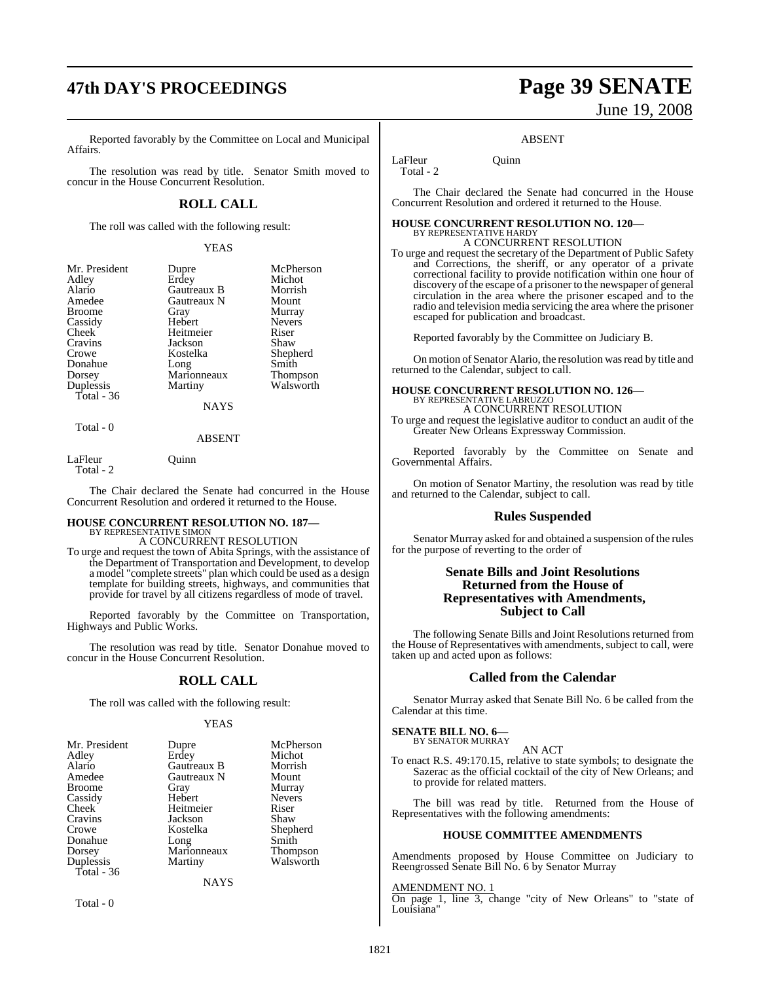Reported favorably by the Committee on Local and Municipal Affairs.

The resolution was read by title. Senator Smith moved to concur in the House Concurrent Resolution.

### **ROLL CALL**

The roll was called with the following result:

Gautreaux N<br>Gray

Jackson<br>Kostelka

Long

YEAS

Dupre McPherson<br>Frdev Michot Erdey Michot<br>Gautreaux B Morrish Gautreaux B Morrish<br>Gautreaux N Mount

Nevers<br>Riser

Shepherd<br>Smith

Walsworth

Gray Murray<br>Hebert Nevers

Heitmeier Riser<br>
Jackson Shaw

### Marionneaux Thompson<br>
Martiny Walsworth NAYS

#### ABSENT

LaFleur Quinn Total - 2

Total - 0

The Chair declared the Senate had concurred in the House Concurrent Resolution and ordered it returned to the House.

#### **HOUSE CONCURRENT RESOLUTION NO. 187—** BY REPRESENTATIVE SIMON

A CONCURRENT RESOLUTION

To urge and request the town of Abita Springs, with the assistance of the Department of Transportation and Development, to develop a model "complete streets" plan which could be used as a design template for building streets, highways, and communities that provide for travel by all citizens regardless of mode of travel.

Reported favorably by the Committee on Transportation, Highways and Public Works.

The resolution was read by title. Senator Donahue moved to concur in the House Concurrent Resolution.

### **ROLL CALL**

The roll was called with the following result:

#### YEAS

| Mr. President | Dupre       | McPherson     |
|---------------|-------------|---------------|
| Adley         | Erdey       | Michot        |
| Alario        | Gautreaux B | Morrish       |
| Amedee        | Gautreaux N | Mount         |
| <b>Broome</b> | Gray        | Murray        |
| Cassidy       | Hebert      | <b>Nevers</b> |
|               |             |               |
| Cheek         | Heitmeier   | Riser         |
| Cravins       | Jackson     | Shaw          |
| Crowe         | Kostelka    | Shepherd      |
| Donahue       | Long        | Smith         |
| Dorsey        | Marionneaux | Thompson      |
| Duplessis     | Martiny     | Walsworth     |
| Total - 36    |             |               |
|               | NAYS        |               |

Total - 0

# **47th DAY'S PROCEEDINGS Page 39 SENATE** June 19, 2008

#### ABSENT

LaFleur Ouinn Total - 2

The Chair declared the Senate had concurred in the House Concurrent Resolution and ordered it returned to the House.

### **HOUSE CONCURRENT RESOLUTION NO. 120—** BY REPRESENTATIVE HARDY A CONCURRENT RESOLUTION

To urge and request the secretary of the Department of Public Safety and Corrections, the sheriff, or any operator of a private correctional facility to provide notification within one hour of discovery of the escape of a prisoner to the newspaper of general circulation in the area where the prisoner escaped and to the radio and television media servicing the area where the prisoner escaped for publication and broadcast.

Reported favorably by the Committee on Judiciary B.

On motion of Senator Alario, the resolution was read by title and returned to the Calendar, subject to call.

### **HOUSE CONCURRENT RESOLUTION NO. 126—** BY REPRESENTATIVE LABRUZZO

A CONCURRENT RESOLUTION

To urge and request the legislative auditor to conduct an audit of the Greater New Orleans Expressway Commission.

Reported favorably by the Committee on Senate and Governmental Affairs.

On motion of Senator Martiny, the resolution was read by title and returned to the Calendar, subject to call.

### **Rules Suspended**

Senator Murray asked for and obtained a suspension of the rules for the purpose of reverting to the order of

### **Senate Bills and Joint Resolutions Returned from the House of Representatives with Amendments, Subject to Call**

The following Senate Bills and Joint Resolutions returned from the House of Representatives with amendments, subject to call, were taken up and acted upon as follows:

#### **Called from the Calendar**

Senator Murray asked that Senate Bill No. 6 be called from the Calendar at this time.

#### **SENATE BILL NO. 6—** BY SENATOR MURRAY

AN ACT

To enact R.S. 49:170.15, relative to state symbols; to designate the Sazerac as the official cocktail of the city of New Orleans; and to provide for related matters.

The bill was read by title. Returned from the House of Representatives with the following amendments:

#### **HOUSE COMMITTEE AMENDMENTS**

Amendments proposed by House Committee on Judiciary to Reengrossed Senate Bill No. 6 by Senator Murray

#### AMENDMENT NO. 1

On page 1, line 3, change "city of New Orleans" to "state of Louisiana'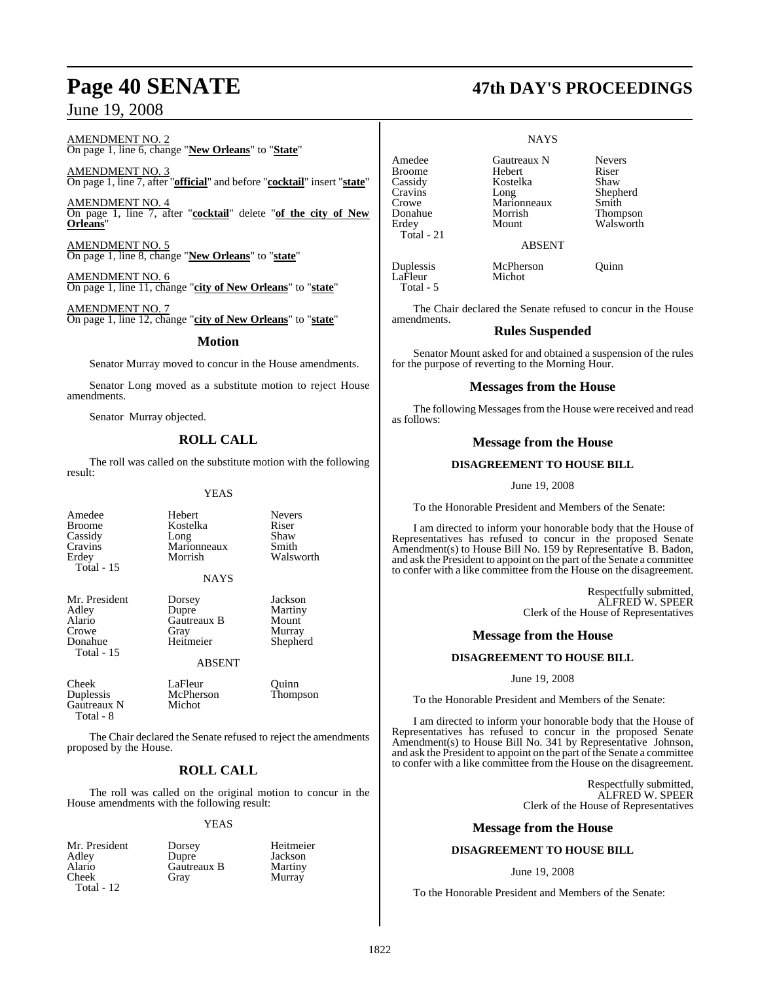AMENDMENT NO. 2 On page 1, line 6, change "**New Orleans**" to "**State**"

AMENDMENT NO. 3 On page 1, line 7, after "**official**" and before "**cocktail**" insert "**state**"

AMENDMENT NO. 4 On page 1, line 7, after "**cocktail**" delete "**of the city of New Orleans**"

AMENDMENT NO. 5 On page 1, line 8, change "**New Orleans**" to "**state**"

AMENDMENT NO. 6 On page 1, line 11, change "**city of New Orleans**" to "**state**"

AMENDMENT NO. 7 On page 1, line 12, change "**city of New Orleans**" to "**state**"

**Motion**

Senator Murray moved to concur in the House amendments.

Senator Long moved as a substitute motion to reject House amendments.

Senator Murray objected.

### **ROLL CALL**

The roll was called on the substitute motion with the following result:

YEAS

| Amedee                | Hebert                 | <b>Nevers</b> |
|-----------------------|------------------------|---------------|
| <b>Broome</b>         | Kostelka               | Riser         |
| Cassidy               | Long                   | Shaw          |
| Cravins               | Marionneaux            | Smith         |
| Erdey<br>Total - $15$ | Morrish<br><b>NAYS</b> | Walswo        |
| Mr. President         | Dorsey                 | Jackson       |
| Adley                 | Dupre                  | Martiny       |

Alario Gautreaux B<br>Crowe Gray Total - 15

Adley Dupre Martiny Crowe Gray Murray<br>
Donahue Heitmeier Shephe

Walsworth

Shepherd

Murray

ABSENT

McPherson

Cheek LaFleur Quinn<br>
Duplessis McPherson Thompson Gautreaux N Michot Total - 8

The Chair declared the Senate refused to reject the amendments proposed by the House.

### **ROLL CALL**

The roll was called on the original motion to concur in the House amendments with the following result:

#### YEAS

Mr. President Dorsey Heitmeier Dupre Jackson<br>Gautreaux B Martiny Gautreaux B<br>Gray

 Total - 21 Duplessis McPherson Quinn LaFleur Total - 5

#### **NAYS**

Amedee Gautreaux N Nevers<br>Broome Hebert Riser Broome Hebert Riser<br>
Riser Kostelka Shaw Cassidy Kostelka Shaw Cravins Long Shepherd Crowe Marionneaux Smith Donahue Morrish Thompson Erdey Mount Walsworth

ABSENT

The Chair declared the Senate refused to concur in the House amendments.

#### **Rules Suspended**

Senator Mount asked for and obtained a suspension of the rules for the purpose of reverting to the Morning Hour.

#### **Messages from the House**

The following Messages from the House were received and read as follows:

#### **Message from the House**

#### **DISAGREEMENT TO HOUSE BILL**

June 19, 2008

To the Honorable President and Members of the Senate:

I am directed to inform your honorable body that the House of Representatives has refused to concur in the proposed Senate Amendment(s) to House Bill No. 159 by Representative B. Badon, and ask the President to appoint on the part of the Senate a committee to confer with a like committee from the House on the disagreement.

> Respectfully submitted, ALFRED W. SPEER Clerk of the House of Representatives

#### **Message from the House**

#### **DISAGREEMENT TO HOUSE BILL**

June 19, 2008

To the Honorable President and Members of the Senate:

I am directed to inform your honorable body that the House of Representatives has refused to concur in the proposed Senate Amendment(s) to House Bill No. 341 by Representative Johnson, and ask the President to appoint on the part of the Senate a committee to confer with a like committee from the House on the disagreement.

> Respectfully submitted, ALFRED W. SPEER Clerk of the House of Representatives

#### **Message from the House**

#### **DISAGREEMENT TO HOUSE BILL**

#### June 19, 2008

To the Honorable President and Members of the Senate:

### **Page 40 SENATE 47th DAY'S PROCEEDINGS**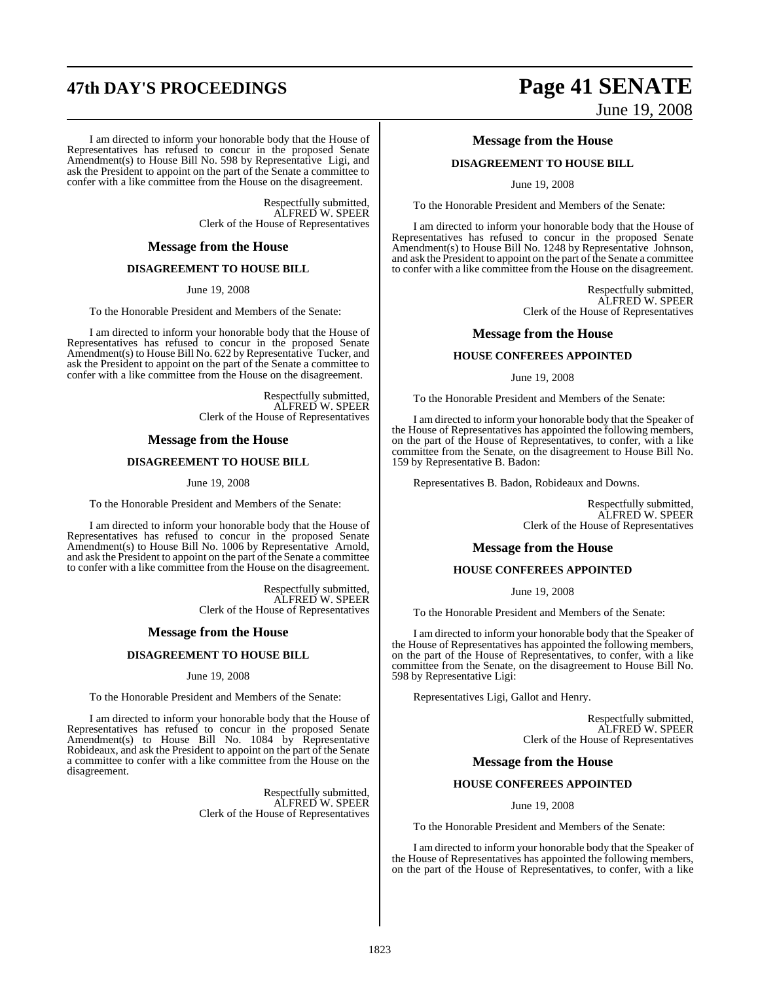# **47th DAY'S PROCEEDINGS Page 41 SENATE**

I am directed to inform your honorable body that the House of Representatives has refused to concur in the proposed Senate Amendment(s) to House Bill No. 598 by Representative Ligi, and ask the President to appoint on the part of the Senate a committee to confer with a like committee from the House on the disagreement.

> Respectfully submitted, ALFRED W. SPEER Clerk of the House of Representatives

#### **Message from the House**

#### **DISAGREEMENT TO HOUSE BILL**

June 19, 2008

To the Honorable President and Members of the Senate:

I am directed to inform your honorable body that the House of Representatives has refused to concur in the proposed Senate Amendment(s) to House Bill No. 622 by Representative Tucker, and ask the President to appoint on the part of the Senate a committee to confer with a like committee from the House on the disagreement.

> Respectfully submitted, ALFRED W. SPEER Clerk of the House of Representatives

#### **Message from the House**

#### **DISAGREEMENT TO HOUSE BILL**

#### June 19, 2008

To the Honorable President and Members of the Senate:

I am directed to inform your honorable body that the House of Representatives has refused to concur in the proposed Senate Amendment(s) to House Bill No. 1006 by Representative Arnold, and ask the President to appoint on the part of the Senate a committee to confer with a like committee from the House on the disagreement.

> Respectfully submitted, ALFRED W. SPEER Clerk of the House of Representatives

#### **Message from the House**

#### **DISAGREEMENT TO HOUSE BILL**

June 19, 2008

To the Honorable President and Members of the Senate:

I am directed to inform your honorable body that the House of Representatives has refused to concur in the proposed Senate Amendment(s) to House Bill No. 1084 by Representative Robideaux, and ask the President to appoint on the part of the Senate a committee to confer with a like committee from the House on the disagreement.

> Respectfully submitted, ALFRED W. SPEER Clerk of the House of Representatives

# June 19, 2008

#### **Message from the House**

#### **DISAGREEMENT TO HOUSE BILL**

June 19, 2008

To the Honorable President and Members of the Senate:

I am directed to inform your honorable body that the House of Representatives has refused to concur in the proposed Senate Amendment(s) to House Bill No. 1248 by Representative Johnson, and ask the President to appoint on the part of the Senate a committee to confer with a like committee from the House on the disagreement.

> Respectfully submitted, ALFRED W. SPEER Clerk of the House of Representatives

#### **Message from the House**

#### **HOUSE CONFEREES APPOINTED**

June 19, 2008

To the Honorable President and Members of the Senate:

I am directed to inform your honorable body that the Speaker of the House of Representatives has appointed the following members, on the part of the House of Representatives, to confer, with a like committee from the Senate, on the disagreement to House Bill No. 159 by Representative B. Badon:

Representatives B. Badon, Robideaux and Downs.

Respectfully submitted, ALFRED W. SPEER Clerk of the House of Representatives

#### **Message from the House**

#### **HOUSE CONFEREES APPOINTED**

June 19, 2008

To the Honorable President and Members of the Senate:

I am directed to inform your honorable body that the Speaker of the House of Representatives has appointed the following members, on the part of the House of Representatives, to confer, with a like committee from the Senate, on the disagreement to House Bill No. 598 by Representative Ligi:

Representatives Ligi, Gallot and Henry.

Respectfully submitted, ALFRED W. SPEER Clerk of the House of Representatives

#### **Message from the House**

#### **HOUSE CONFEREES APPOINTED**

June 19, 2008

To the Honorable President and Members of the Senate:

I am directed to inform your honorable body that the Speaker of the House of Representatives has appointed the following members, on the part of the House of Representatives, to confer, with a like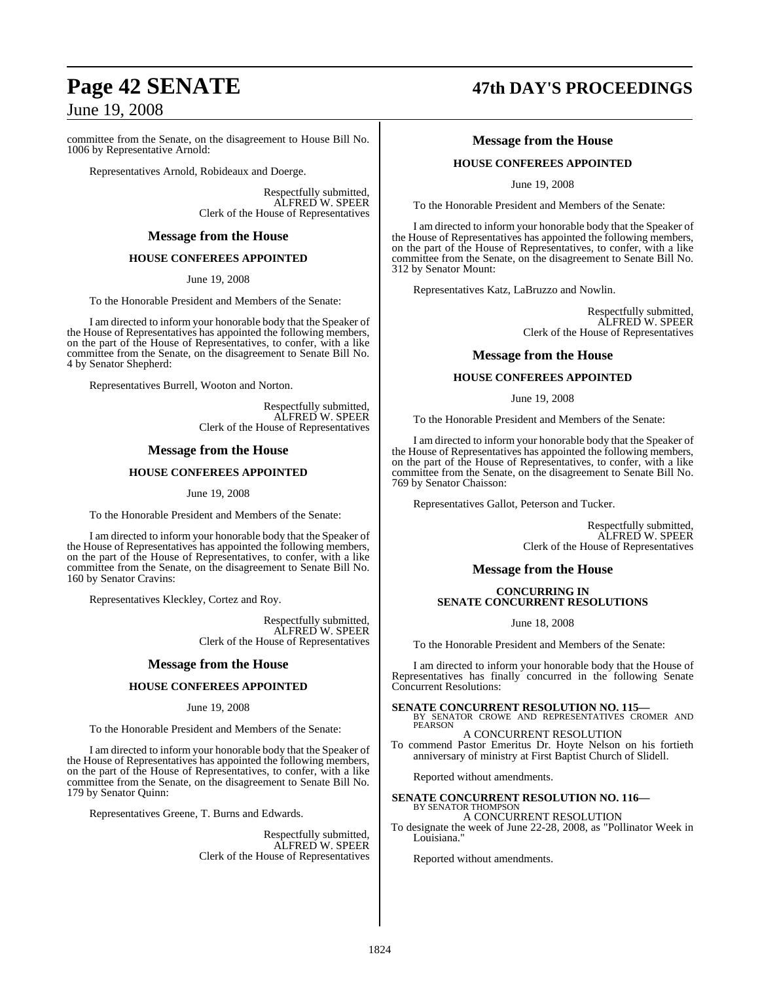committee from the Senate, on the disagreement to House Bill No. 1006 by Representative Arnold:

Representatives Arnold, Robideaux and Doerge.

Respectfully submitted, ALFRED W. SPEER Clerk of the House of Representatives

### **Message from the House**

#### **HOUSE CONFEREES APPOINTED**

June 19, 2008

To the Honorable President and Members of the Senate:

I am directed to inform your honorable body that the Speaker of the House of Representatives has appointed the following members, on the part of the House of Representatives, to confer, with a like committee from the Senate, on the disagreement to Senate Bill No. 4 by Senator Shepherd:

Representatives Burrell, Wooton and Norton.

Respectfully submitted, ALFRED W. SPEER Clerk of the House of Representatives

#### **Message from the House**

#### **HOUSE CONFEREES APPOINTED**

June 19, 2008

To the Honorable President and Members of the Senate:

I am directed to inform your honorable body that the Speaker of the House of Representatives has appointed the following members, on the part of the House of Representatives, to confer, with a like committee from the Senate, on the disagreement to Senate Bill No. 160 by Senator Cravins:

Representatives Kleckley, Cortez and Roy.

Respectfully submitted, ALFRED W. SPEER Clerk of the House of Representatives

#### **Message from the House**

#### **HOUSE CONFEREES APPOINTED**

#### June 19, 2008

To the Honorable President and Members of the Senate:

I am directed to inform your honorable body that the Speaker of the House of Representatives has appointed the following members, on the part of the House of Representatives, to confer, with a like committee from the Senate, on the disagreement to Senate Bill No. 179 by Senator Quinn:

Representatives Greene, T. Burns and Edwards.

Respectfully submitted, ALFRED W. SPEER Clerk of the House of Representatives

## **Page 42 SENATE 47th DAY'S PROCEEDINGS**

### **Message from the House**

#### **HOUSE CONFEREES APPOINTED**

June 19, 2008

To the Honorable President and Members of the Senate:

I am directed to inform your honorable body that the Speaker of the House of Representatives has appointed the following members, on the part of the House of Representatives, to confer, with a like committee from the Senate, on the disagreement to Senate Bill No. 312 by Senator Mount:

Representatives Katz, LaBruzzo and Nowlin.

Respectfully submitted, ALFRED W. SPEER Clerk of the House of Representatives

#### **Message from the House**

#### **HOUSE CONFEREES APPOINTED**

June 19, 2008

To the Honorable President and Members of the Senate:

I am directed to inform your honorable body that the Speaker of the House of Representatives has appointed the following members, on the part of the House of Representatives, to confer, with a like committee from the Senate, on the disagreement to Senate Bill No. 769 by Senator Chaisson:

Representatives Gallot, Peterson and Tucker.

Respectfully submitted, ALFRED W. SPEER Clerk of the House of Representatives

#### **Message from the House**

#### **CONCURRING IN SENATE CONCURRENT RESOLUTIONS**

June 18, 2008

To the Honorable President and Members of the Senate:

I am directed to inform your honorable body that the House of Representatives has finally concurred in the following Senate Concurrent Resolutions:

**SENATE CONCURRENT RESOLUTION NO. 115—**<br>BY SENATOR CROWE AND REPRESENTATIVES CROMER AND<br>PEARSON A CONCURRENT RESOLUTION

To commend Pastor Emeritus Dr. Hoyte Nelson on his fortieth anniversary of ministry at First Baptist Church of Slidell.

Reported without amendments.

#### **SENATE CONCURRENT RESOLUTION NO. 116—** BY SENATOR THOMPSON

A CONCURRENT RESOLUTION

To designate the week of June 22-28, 2008, as "Pollinator Week in Louisiana.

Reported without amendments.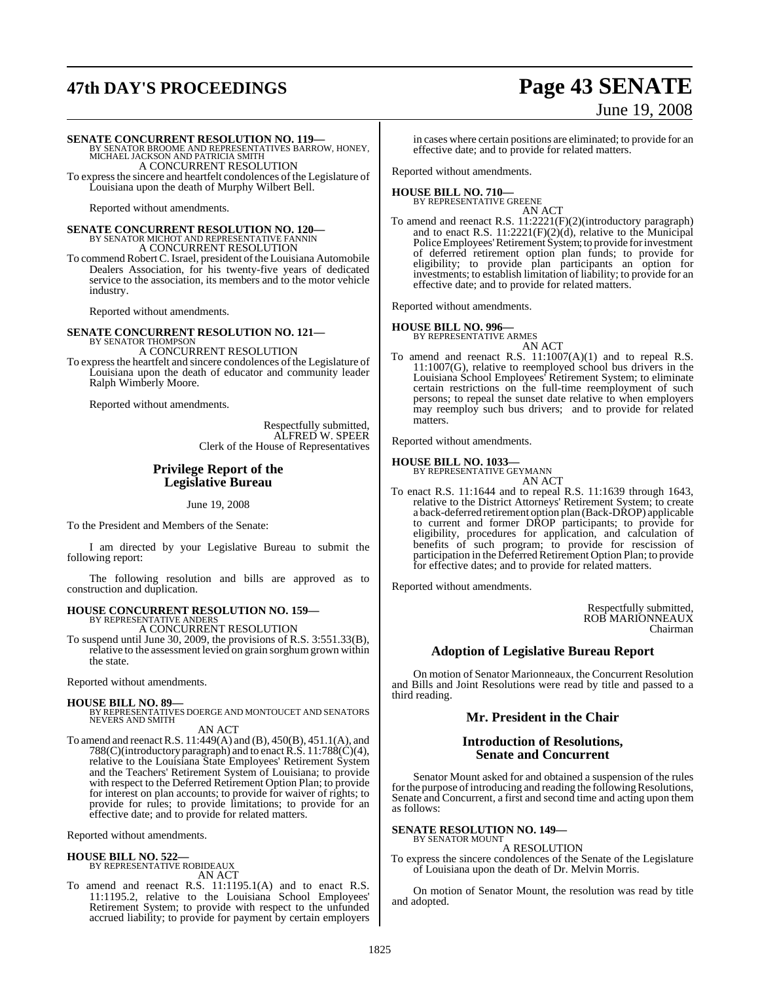# **47th DAY'S PROCEEDINGS Page 43 SENATE**

# June 19, 2008

**SENATE CONCURRENT RESOLUTION NO. 119—**<br>BY SENATOR BROOME AND REPRESENTATIVES BARROW, HONEY,<br>MICHAEL JACKSON AND PATRICIA SMITH A CONCURRENT RESOLUTION

To expressthe sincere and heartfelt condolences of the Legislature of Louisiana upon the death of Murphy Wilbert Bell.

Reported without amendments.

**SENATE CONCURRENT RESOLUTION NO. 120—** BY SENATOR MICHOT AND REPRESENTATIVE FANNIN A CONCURRENT RESOLUTION

To commend RobertC.Israel, president ofthe Louisiana Automobile Dealers Association, for his twenty-five years of dedicated service to the association, its members and to the motor vehicle industry.

Reported without amendments.

#### **SENATE CONCURRENT RESOLUTION NO. 121—** BY SENATOR THOMPSON A CONCURRENT RESOLUTION

To expressthe heartfelt and sincere condolences of the Legislature of Louisiana upon the death of educator and community leader Ralph Wimberly Moore.

Reported without amendments.

Respectfully submitted, ALFRED W. SPEER Clerk of the House of Representatives

### **Privilege Report of the Legislative Bureau**

June 19, 2008

To the President and Members of the Senate:

I am directed by your Legislative Bureau to submit the following report:

The following resolution and bills are approved as to construction and duplication.

#### **HOUSE CONCURRENT RESOLUTION NO. 159—** BY REPRESENTATIVE ANDERS

A CONCURRENT RESOLUTION To suspend until June 30, 2009, the provisions of R.S. 3:551.33(B), relative to the assessment levied on grain sorghum grown within

Reported without amendments.

#### **HOUSE BILL NO. 89—**

the state.

BY REPRESENTATIVES DOERGE AND MONTOUCET AND SENATORS NEVERS AND SMITH AN ACT

To amend and reenact R.S.  $11:449(A)$  and (B), 450(B), 451.1(A), and 788(C)(introductory paragraph) and to enact  $\hat{R}$ .S. 11:788(C)(4), relative to the Louisiana State Employees' Retirement System and the Teachers' Retirement System of Louisiana; to provide with respect to the Deferred Retirement Option Plan; to provide for interest on plan accounts; to provide for waiver of rights; to provide for rules; to provide limitations; to provide for an effective date; and to provide for related matters.

Reported without amendments.

**HOUSE BILL NO. 522—** BY REPRESENTATIVE ROBIDEAUX AN ACT

To amend and reenact R.S. 11:1195.1(A) and to enact R.S. 11:1195.2, relative to the Louisiana School Employees' Retirement System; to provide with respect to the unfunded accrued liability; to provide for payment by certain employers in cases where certain positions are eliminated; to provide for an effective date; and to provide for related matters.

Reported without amendments.

**HOUSE BILL NO. 710—**

BY REPRESENTATIVE GREENE

AN ACT To amend and reenact R.S. 11:2221(F)(2)(introductory paragraph) and to enact R.S.  $11:2221(F)(2)(d)$ , relative to the Municipal Police Employees' Retirement System; to provide for investment of deferred retirement option plan funds; to provide for eligibility; to provide plan participants an option for investments; to establish limitation of liability; to provide for an effective date; and to provide for related matters.

Reported without amendments.

#### **HOUSE BILL NO. 996—** BY REPRESENTATIVE ARMES

AN ACT

To amend and reenact R.S. 11:1007(A)(1) and to repeal R.S. 11:1007(G), relative to reemployed school bus drivers in the Louisiana School Employees' Retirement System; to eliminate certain restrictions on the full-time reemployment of such persons; to repeal the sunset date relative to when employers may reemploy such bus drivers; and to provide for related matters.

Reported without amendments.

### **HOUSE BILL NO. 1033—** BY REPRESENTATIVE GEYMANN

AN ACT To enact R.S. 11:1644 and to repeal R.S. 11:1639 through 1643, relative to the District Attorneys' Retirement System; to create a back-deferred retirement option plan (Back-DROP) applicable to current and former DROP participants; to provide for eligibility, procedures for application, and calculation of benefits of such program; to provide for rescission of participation in the Deferred Retirement Option Plan; to provide for effective dates; and to provide for related matters.

Reported without amendments.

Respectfully submitted, ROB MARIONNEAUX Chairman

### **Adoption of Legislative Bureau Report**

On motion of Senator Marionneaux, the Concurrent Resolution and Bills and Joint Resolutions were read by title and passed to a third reading.

**Mr. President in the Chair**

#### **Introduction of Resolutions, Senate and Concurrent**

Senator Mount asked for and obtained a suspension of the rules for the purpose of introducing and reading the following Resolutions, Senate and Concurrent, a first and second time and acting upon them as follows:

#### **SENATE RESOLUTION NO. 149—** BY SENATOR MOUNT

A RESOLUTION

To express the sincere condolences of the Senate of the Legislature of Louisiana upon the death of Dr. Melvin Morris.

On motion of Senator Mount, the resolution was read by title and adopted.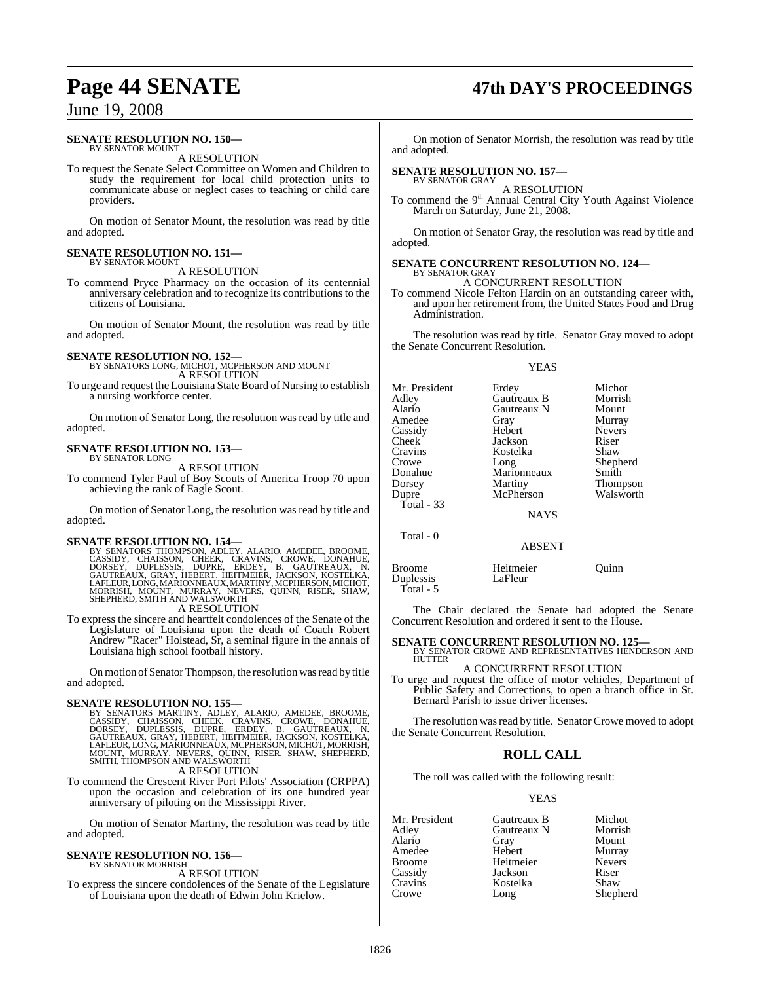#### **SENATE RESOLUTION NO. 150—** BY SENATOR MOUNT

A RESOLUTION

To request the Senate Select Committee on Women and Children to study the requirement for local child protection units to communicate abuse or neglect cases to teaching or child care providers.

On motion of Senator Mount, the resolution was read by title and adopted.

### **SENATE RESOLUTION NO. 151—** BY SENATOR MOUNT

A RESOLUTION

To commend Pryce Pharmacy on the occasion of its centennial anniversary celebration and to recognize its contributions to the citizens of Louisiana.

On motion of Senator Mount, the resolution was read by title and adopted.

### **SENATE RESOLUTION NO. 152—** BY SENATORS LONG, MICHOT, MCPHERSON AND MOUNT

A RESOLUTION

To urge and request the Louisiana State Board of Nursing to establish a nursing workforce center.

On motion of Senator Long, the resolution was read by title and adopted.

## **SENATE RESOLUTION NO. 153—** BY SENATOR LONG

A RESOLUTION

To commend Tyler Paul of Boy Scouts of America Troop 70 upon achieving the rank of Eagle Scout.

On motion of Senator Long, the resolution was read by title and adopted.

SENATE RESOLUTION NO. 154—<br>BY SENATORS THOMPSON, ADLEY, ALARIO, AMEDEE, BROOME, CASSIDY, CHAISSON, CHEEK, CRAVINS, CROWE, DONAHUE,<br>DORSEY, DUPLESSIS, DUPRE, ERDEY, B. GAUTREAUX, N.<br>GAUTREAUX, GRAY, HEBERT, HEITMEIER, JACKS

A RESOLUTION

To express the sincere and heartfelt condolences of the Senate of the Legislature of Louisiana upon the death of Coach Robert Andrew "Racer" Holstead, Sr, a seminal figure in the annals of Louisiana high school football history.

On motion of Senator Thompson, the resolution was read by title and adopted.

SENATE RESOLUTION NO. 155—<br>BY SENATORS MARTINY, ADLEY, ALARIO, AMEDEE, BROOME, CASSIDY, CHAISSON, CHEEK, CRAVINS, CROWE, DONAHUE,<br>DORSEY, DUPLESSIS, DUPRE, ERDEY, B. GAUTREAUX, N.<br>GAUTREAUX, GRAY, HEBERT, HEITMEIER, JACKSO A RESOLUTION

To commend the Crescent River Port Pilots' Association (CRPPA) upon the occasion and celebration of its one hundred year anniversary of piloting on the Mississippi River.

On motion of Senator Martiny, the resolution was read by title and adopted.

## **SENATE RESOLUTION NO. 156—** BY SENATOR MORRISH

A RESOLUTION

To express the sincere condolences of the Senate of the Legislature of Louisiana upon the death of Edwin John Krielow.

# **Page 44 SENATE 47th DAY'S PROCEEDINGS**

On motion of Senator Morrish, the resolution was read by title and adopted.

#### **SENATE RESOLUTION NO. 157—** BY SENATOR GRAY

A RESOLUTION

To commend the 9<sup>th</sup> Annual Central City Youth Against Violence March on Saturday, June 21, 2008.

On motion of Senator Gray, the resolution was read by title and adopted.

#### **SENATE CONCURRENT RESOLUTION NO. 124—** BY SENATOR GRAY

A CONCURRENT RESOLUTION

To commend Nicole Felton Hardin on an outstanding career with, and upon her retirement from, the United States Food and Drug Administration.

The resolution was read by title. Senator Gray moved to adopt the Senate Concurrent Resolution.

|                                                                                                                                | <b>YEAS</b>                                                                                                                                |                                                                                                                      |
|--------------------------------------------------------------------------------------------------------------------------------|--------------------------------------------------------------------------------------------------------------------------------------------|----------------------------------------------------------------------------------------------------------------------|
| Mr. President<br>Adley<br>Alario<br>Amedee<br>Cassidy<br>Cheek<br>Cravins<br>Crowe<br>Donahue<br>Dorsey<br>Dupre<br>Total - 33 | Erdey<br>Gautreaux B<br>Gautreaux N<br>Gray<br>Hebert<br>Jackson<br>Kostelka<br>Long<br>Marionneaux<br>Martiny<br>McPherson<br><b>NAYS</b> | Michot<br>Morrish<br>Mount<br>Murray<br><b>Nevers</b><br>Riser<br>Shaw<br>Shepherd<br>Smith<br>Thompson<br>Walsworth |
| Total - 0                                                                                                                      |                                                                                                                                            |                                                                                                                      |
|                                                                                                                                | ABSENT                                                                                                                                     |                                                                                                                      |

Broome Heitmeier Quinn Duplessis LaFleur Total - 5

The Chair declared the Senate had adopted the Senate Concurrent Resolution and ordered it sent to the House.

### **SENATE CONCURRENT RESOLUTION NO. 125—** BY SENATOR CROWE AND REPRESENTATIVES HENDERSON AND HUTTER

A CONCURRENT RESOLUTION

To urge and request the office of motor vehicles, Department of Public Safety and Corrections, to open a branch office in St. Bernard Parish to issue driver licenses.

The resolution was read by title. Senator Crowe moved to adopt the Senate Concurrent Resolution.

### **ROLL CALL**

The roll was called with the following result:

#### YEAS

| Mr. President | Gautreaux B | Michot        |
|---------------|-------------|---------------|
| Adley         | Gautreaux N | Morrish       |
| Alario        | Gray        | Mount         |
| Amedee        | Hebert      | Murray        |
| Broome        | Heitmeier   | <b>Nevers</b> |
| Cassidy       | Jackson     | Riser         |
| Cravins       | Kostelka    | Shaw          |
| Crowe         | Long        | Shepherd      |
|               |             |               |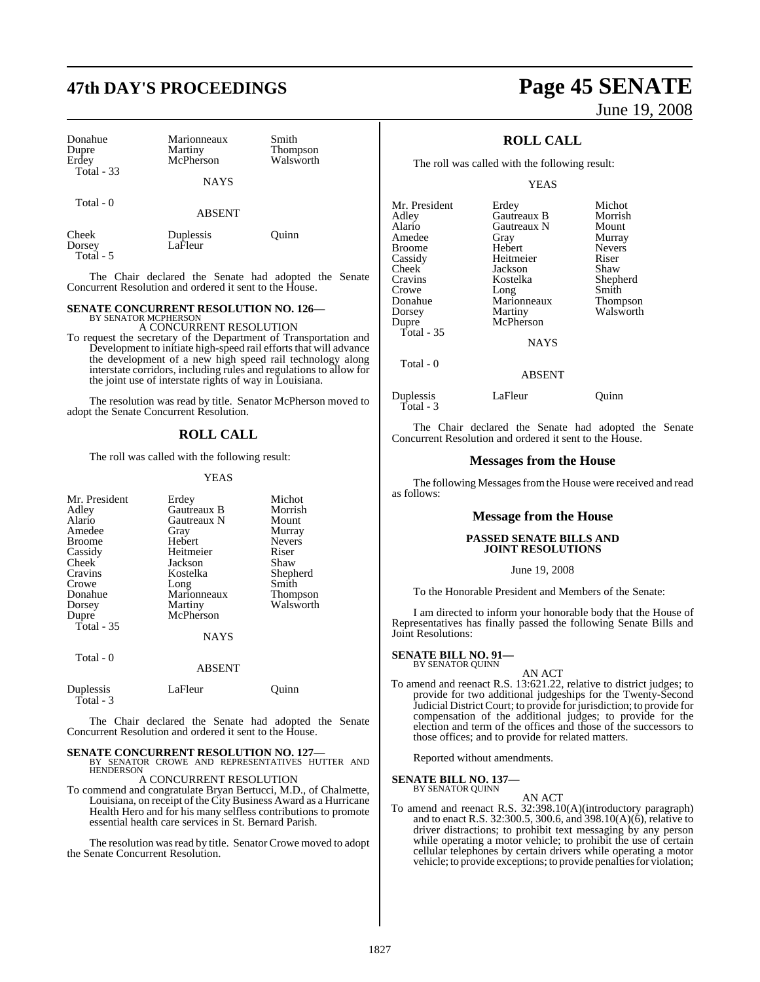# **47th DAY'S PROCEEDINGS Page 45 SENATE**

| Donahue<br>Dupre<br>Erdey<br>Total $-33$ | Marionneaux<br>Martiny<br>McPherson<br><b>NAYS</b> | Smith<br>Thompson<br>Walsworth |
|------------------------------------------|----------------------------------------------------|--------------------------------|
| Total - 0                                | <b>ABSENT</b>                                      |                                |
| Cheek<br>Dorsey                          | Duplessis<br>LaFleur                               | Ouinn                          |

The Chair declared the Senate had adopted the Senate Concurrent Resolution and ordered it sent to the House.

### **SENATE CONCURRENT RESOLUTION NO. 126—** BY SENATOR MCPHERSON

Total - 5

A CONCURRENT RESOLUTION

To request the secretary of the Department of Transportation and Development to initiate high-speed rail efforts that will advance the development of a new high speed rail technology along interstate corridors, including rules and regulations to allow for the joint use of interstate rights of way in Louisiana.

The resolution was read by title. Senator McPherson moved to adopt the Senate Concurrent Resolution.

#### **ROLL CALL**

The roll was called with the following result:

#### YEAS

| Mr. President<br>Adley<br>Alario<br>Amedee<br><b>Broome</b><br>Cassidy<br>Cheek<br>Cravins<br>Crowe<br>Donahue | Erdey<br>Gautreaux B<br>Gautreaux N<br>Gray<br>Hebert<br>Heitmeier<br>Jackson<br>Kostelka<br>Long<br>Marionneaux | Michot<br>Morrish<br>Mount<br>Murray<br><b>Nevers</b><br>Riser<br>Shaw<br>Shepherd<br>Smith<br>Thompson |
|----------------------------------------------------------------------------------------------------------------|------------------------------------------------------------------------------------------------------------------|---------------------------------------------------------------------------------------------------------|
| Dorsey<br>Dupre<br>Total - 35                                                                                  | Martiny<br>McPherson<br><b>NAYS</b>                                                                              | Walsworth                                                                                               |
| Total - 0                                                                                                      | <b>ABSENT</b>                                                                                                    |                                                                                                         |
| Duplessis<br>Total - 3                                                                                         | LaFleur                                                                                                          | uınn                                                                                                    |

The Chair declared the Senate had adopted the Senate Concurrent Resolution and ordered it sent to the House.

**SENATE CONCURRENT RESOLUTION NO. 127—**<br>BY SENATOR CROWE AND REPRESENTATIVES HUTTER AND<br>HENDERSON A CONCURRENT RESOLUTION

To commend and congratulate Bryan Bertucci, M.D., of Chalmette, Louisiana, on receipt of the City Business Award as a Hurricane Health Hero and for his many selfless contributions to promote essential health care services in St. Bernard Parish.

The resolution was read by title. Senator Crowe moved to adopt the Senate Concurrent Resolution.

# June 19, 2008

### **ROLL CALL**

The roll was called with the following result:

YEAS

| Mr. President | Erdey       | Michot          |
|---------------|-------------|-----------------|
| Adlev         | Gautreaux B | Morrish         |
| Alario        | Gautreaux N | Mount           |
| Amedee        | Gray        | Murray          |
| Broome        | Hebert      | <b>Nevers</b>   |
| Cassidy       | Heitmeier   | Riser           |
| Cheek         | Jackson     | Shaw            |
| Cravins       | Kostelka    | Shepherd        |
| Crowe         | Long        | Smith           |
| Donahue       | Marionneaux | <b>Thompson</b> |
| Dorsey        | Martiny     | Walsworth       |
| Dupre         | McPherson   |                 |
| Total - 35    |             |                 |
|               | <b>NAYS</b> |                 |
| Total - 0     |             |                 |

ABSENT

#### Duplessis LaFleur Quinn Total - 3

The Chair declared the Senate had adopted the Senate Concurrent Resolution and ordered it sent to the House.

#### **Messages from the House**

The following Messages from the House were received and read as follows:

#### **Message from the House**

#### **PASSED SENATE BILLS AND JOINT RESOLUTIONS**

June 19, 2008

To the Honorable President and Members of the Senate:

I am directed to inform your honorable body that the House of Representatives has finally passed the following Senate Bills and Joint Resolutions:

### **SENATE BILL NO. 91—**<br>BY SENATOR QUINN

AN ACT

To amend and reenact R.S. 13:621.22, relative to district judges; to provide for two additional judgeships for the Twenty-Second Judicial DistrictCourt; to provide for jurisdiction; to provide for compensation of the additional judges; to provide for the election and term of the offices and those of the successors to those offices; and to provide for related matters.

Reported without amendments.

### **SENATE BILL NO. 137—**

BY SENATOR QUINN

### AN ACT

To amend and reenact R.S. 32:398.10(A)(introductory paragraph) and to enact R.S. 32:300.5, 300.6, and 398.10(A)(6), relative to driver distractions; to prohibit text messaging by any person while operating a motor vehicle; to prohibit the use of certain cellular telephones by certain drivers while operating a motor vehicle; to provide exceptions; to provide penalties for violation;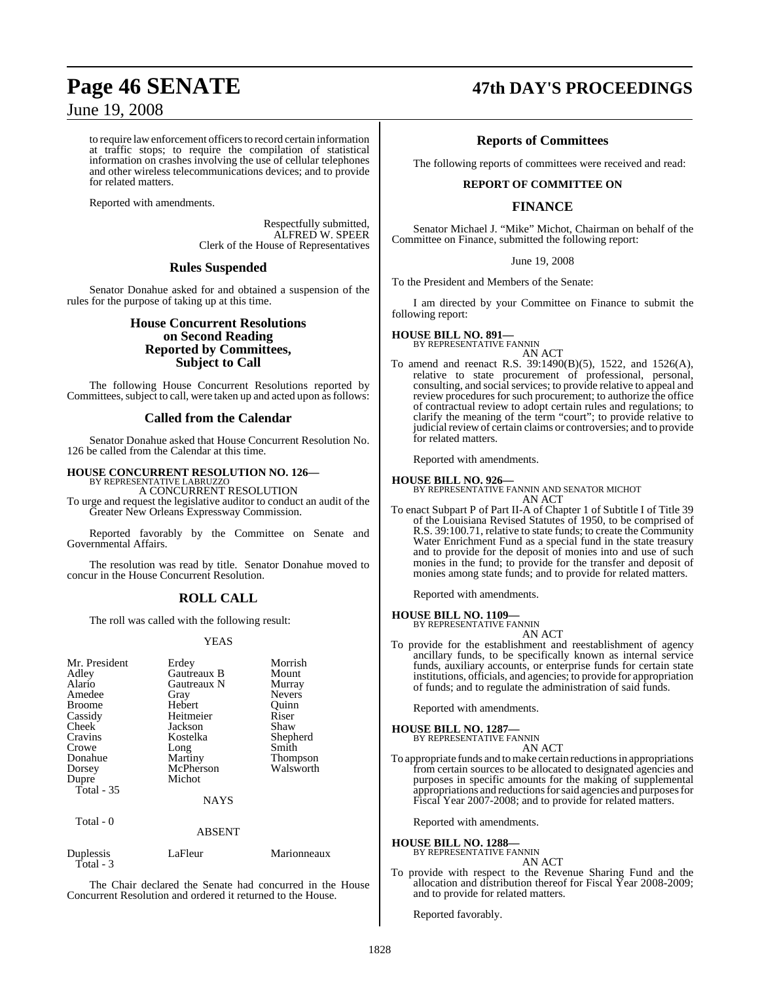to require law enforcement officers to record certain information at traffic stops; to require the compilation of statistical information on crashes involving the use of cellular telephones and other wireless telecommunications devices; and to provide for related matters.

Reported with amendments.

Respectfully submitted, ALFRED W. SPEER Clerk of the House of Representatives

### **Rules Suspended**

Senator Donahue asked for and obtained a suspension of the rules for the purpose of taking up at this time.

### **House Concurrent Resolutions on Second Reading Reported by Committees, Subject to Call**

The following House Concurrent Resolutions reported by Committees, subject to call, were taken up and acted upon as follows:

### **Called from the Calendar**

Senator Donahue asked that House Concurrent Resolution No. 126 be called from the Calendar at this time.

#### **HOUSE CONCURRENT RESOLUTION NO. 126—**

BY REPRESENTATIVE LABRUZZO A CONCURRENT RESOLUTION

To urge and request the legislative auditor to conduct an audit of the Greater New Orleans Expressway Commission.

Reported favorably by the Committee on Senate and Governmental Affairs.

The resolution was read by title. Senator Donahue moved to concur in the House Concurrent Resolution.

### **ROLL CALL**

The roll was called with the following result:

#### **YEAS**

| Mr. President<br>Adley<br>Alario<br>Amedee<br><b>Broome</b><br>Cassidy<br>Cheek<br>Cravins<br>Crowe<br>Donahue<br>Dorsey<br>Dupre<br>Total $-35$<br>Total - 0 | Erdey<br>Gautreaux B<br>Gautreaux N<br>Gray<br>Hebert<br>Heitmeier<br>Jackson<br>Kostelka<br>Long<br>Martiny<br>McPherson<br>Michot<br><b>NAYS</b><br><b>ABSENT</b> | Morrish<br>Mount<br>Murray<br><b>Nevers</b><br>Quinn<br>Riser<br>Shaw<br>Shepherd<br>Smith<br>Thompson<br>Walsworth |
|---------------------------------------------------------------------------------------------------------------------------------------------------------------|---------------------------------------------------------------------------------------------------------------------------------------------------------------------|---------------------------------------------------------------------------------------------------------------------|
|                                                                                                                                                               |                                                                                                                                                                     |                                                                                                                     |
| Duplessis<br>Total - 3                                                                                                                                        | LaFleur                                                                                                                                                             | Marionneaux                                                                                                         |

The Chair declared the Senate had concurred in the House Concurrent Resolution and ordered it returned to the House.

## **Page 46 SENATE 47th DAY'S PROCEEDINGS**

### **Reports of Committees**

The following reports of committees were received and read:

#### **REPORT OF COMMITTEE ON**

### **FINANCE**

Senator Michael J. "Mike" Michot, Chairman on behalf of the Committee on Finance, submitted the following report:

#### June 19, 2008

To the President and Members of the Senate:

I am directed by your Committee on Finance to submit the following report:

## **HOUSE BILL NO. 891—** BY REPRESENTATIVE FANNIN

AN ACT

To amend and reenact R.S. 39:1490(B)(5), 1522, and 1526(A), relative to state procurement of professional, personal, consulting, and social services; to provide relative to appeal and review procedures for such procurement; to authorize the office of contractual review to adopt certain rules and regulations; to clarify the meaning of the term "court"; to provide relative to judicial review of certain claims or controversies; and to provide for related matters.

Reported with amendments.

**HOUSE BILL NO. 926—** BY REPRESENTATIVE FANNIN AND SENATOR MICHOT AN ACT

To enact Subpart P of Part II-A of Chapter 1 of Subtitle I of Title 39 of the Louisiana Revised Statutes of 1950, to be comprised of R.S. 39:100.71, relative to state funds; to create the Community Water Enrichment Fund as a special fund in the state treasury and to provide for the deposit of monies into and use of such monies in the fund; to provide for the transfer and deposit of monies among state funds; and to provide for related matters.

Reported with amendments.

#### **HOUSE BILL NO. 1109—**

BY REPRESENTATIVE FANNIN AN ACT

To provide for the establishment and reestablishment of agency ancillary funds, to be specifically known as internal service funds, auxiliary accounts, or enterprise funds for certain state institutions, officials, and agencies; to provide for appropriation of funds; and to regulate the administration of said funds.

Reported with amendments.

#### **HOUSE BILL NO. 1287—**

BY REPRESENTATIVE FANNIN AN ACT

To appropriate funds and to make certain reductions in appropriations from certain sources to be allocated to designated agencies and purposes in specific amounts for the making of supplemental appropriations and reductions for said agencies and purposes for Fiscal Year 2007-2008; and to provide for related matters.

Reported with amendments.

### **HOUSE BILL NO. 1288—** BY REPRESENTATIVE FANNIN

AN ACT

To provide with respect to the Revenue Sharing Fund and the allocation and distribution thereof for Fiscal Year 2008-2009; and to provide for related matters.

Reported favorably.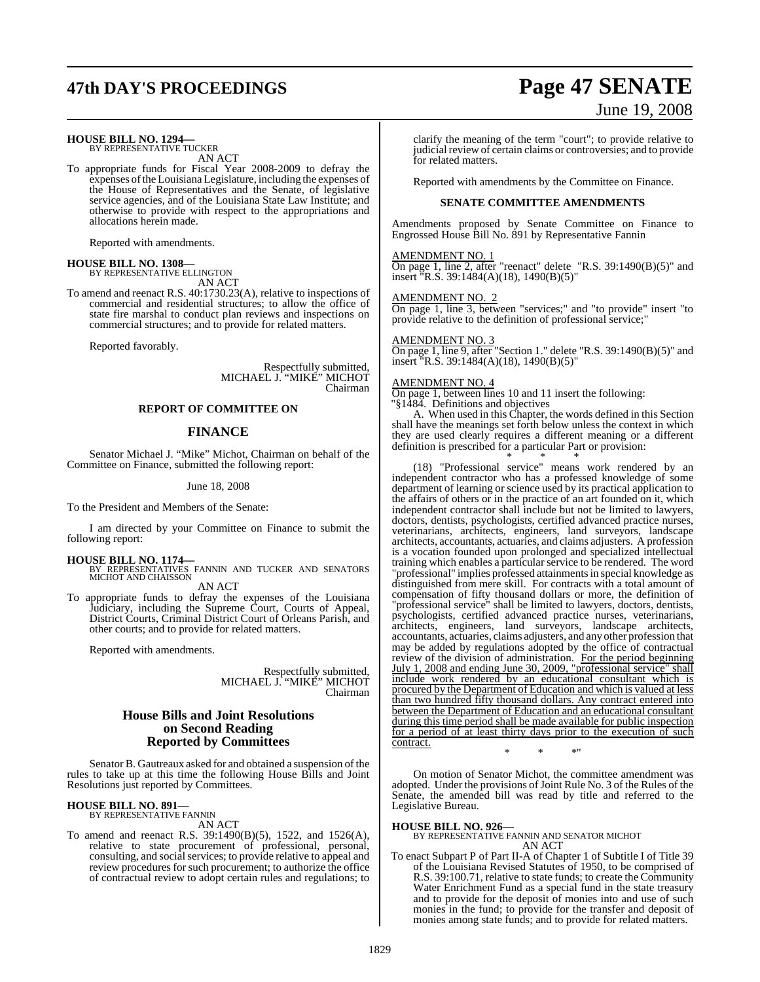## **47th DAY'S PROCEEDINGS Page 47 SENATE**

### **HOUSE BILL NO. 1294—** BY REPRESENTATIVE TUCKER

AN ACT

To appropriate funds for Fiscal Year 2008-2009 to defray the expenses ofthe Louisiana Legislature, including the expenses of the House of Representatives and the Senate, of legislative service agencies, and of the Louisiana State Law Institute; and otherwise to provide with respect to the appropriations and allocations herein made.

Reported with amendments.

**HOUSE BILL NO. 1308—** BY REPRESENTATIVE ELLINGTON AN ACT

To amend and reenact R.S. 40:1730.23(A), relative to inspections of commercial and residential structures; to allow the office of state fire marshal to conduct plan reviews and inspections on commercial structures; and to provide for related matters.

Reported favorably.

Respectfully submitted, MICHAEL J. "MIKE" MICHOT Chairman

#### **REPORT OF COMMITTEE ON**

#### **FINANCE**

Senator Michael J. "Mike" Michot, Chairman on behalf of the Committee on Finance, submitted the following report:

#### June 18, 2008

To the President and Members of the Senate:

I am directed by your Committee on Finance to submit the following report:

**HOUSE BILL NO. 1174—** BY REPRESENTATIVES FANNIN AND TUCKER AND SENATORS MICHOT AND CHAISSON

AN ACT

To appropriate funds to defray the expenses of the Louisiana Judiciary, including the Supreme Court, Courts of Appeal, District Courts, Criminal District Court of Orleans Parish, and other courts; and to provide for related matters.

Reported with amendments.

Respectfully submitted, MICHAEL J. "MIKE" MICHOT Chairman

#### **House Bills and Joint Resolutions on Second Reading Reported by Committees**

Senator B. Gautreaux asked for and obtained a suspension of the rules to take up at this time the following House Bills and Joint Resolutions just reported by Committees.

### **HOUSE BILL NO. 891—** BY REPRESENTATIVE FANNIN

AN ACT

To amend and reenact R.S. 39:1490(B)(5), 1522, and 1526(A), relative to state procurement of professional, personal, consulting, and social services; to provide relative to appeal and review procedures for such procurement; to authorize the office of contractual review to adopt certain rules and regulations; to

# June 19, 2008

clarify the meaning of the term "court"; to provide relative to judicial review of certain claims or controversies; and to provide for related matters.

Reported with amendments by the Committee on Finance.

#### **SENATE COMMITTEE AMENDMENTS**

Amendments proposed by Senate Committee on Finance to Engrossed House Bill No. 891 by Representative Fannin

#### AMENDMENT NO. 1

On page 1, line 2, after "reenact" delete "R.S. 39:1490(B)(5)" and insert "R.S. 39:1484(A)(18), 1490(B)(5)"

#### AMENDMENT NO. 2

On page 1, line 3, between "services;" and "to provide" insert "to provide relative to the definition of professional service;

#### AMENDMENT NO. 3

On page 1, line 9, after "Section 1." delete "R.S. 39:1490(B)(5)" and insert "R.S. 39:1484(A)(18), 1490(B)(5)"

#### AMENDMENT NO. 4

On page 1, between lines 10 and 11 insert the following: "§1484. Definitions and objectives

A. When used in this Chapter, the words defined in this Section shall have the meanings set forth below unless the context in which they are used clearly requires a different meaning or a different definition is prescribed for a particular Part or provision:

\* \* \* (18) "Professional service" means work rendered by an independent contractor who has a professed knowledge of some department of learning or science used by its practical application to the affairs of others or in the practice of an art founded on it, which independent contractor shall include but not be limited to lawyers, doctors, dentists, psychologists, certified advanced practice nurses, veterinarians, architects, engineers, land surveyors, landscape architects, accountants, actuaries, and claims adjusters. A profession is a vocation founded upon prolonged and specialized intellectual training which enables a particular service to be rendered. The word "professional" implies professed attainmentsin special knowledge as distinguished from mere skill. For contracts with a total amount of compensation of fifty thousand dollars or more, the definition of "professional service" shall be limited to lawyers, doctors, dentists, psychologists, certified advanced practice nurses, veterinarians, architects, engineers, land surveyors, landscape architects, accountants, actuaries, claims adjusters, and any other profession that may be added by regulations adopted by the office of contractual review of the division of administration. For the period beginning July 1, 2008 and ending June 30, 2009, "professional service" shall include work rendered by an educational consultant which is procured by the Department of Education and which is valued at less than two hundred fifty thousand dollars. Any contract entered into between the Department of Education and an educational consultant during this time period shall be made available for public inspection for a period of at least thirty days prior to the execution of such contract.

\* \* \*"

On motion of Senator Michot, the committee amendment was adopted. Under the provisions of Joint Rule No. 3 of the Rules of the Senate, the amended bill was read by title and referred to the Legislative Bureau.

#### **HOUSE BILL NO. 926—**

BY REPRESENTATIVE FANNIN AND SENATOR MICHOT AN ACT

To enact Subpart P of Part II-A of Chapter 1 of Subtitle I of Title 39 of the Louisiana Revised Statutes of 1950, to be comprised of R.S. 39:100.71, relative to state funds; to create the Community Water Enrichment Fund as a special fund in the state treasury and to provide for the deposit of monies into and use of such monies in the fund; to provide for the transfer and deposit of monies among state funds; and to provide for related matters.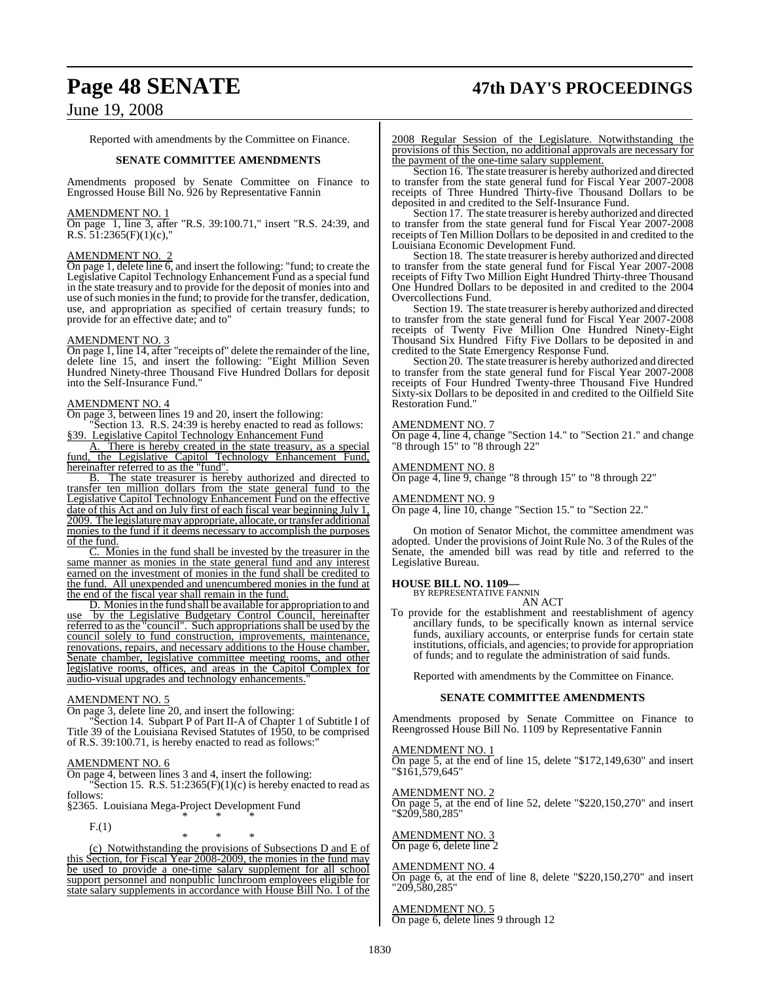# **Page 48 SENATE 47th DAY'S PROCEEDINGS**

### June 19, 2008

Reported with amendments by the Committee on Finance.

#### **SENATE COMMITTEE AMENDMENTS**

Amendments proposed by Senate Committee on Finance to Engrossed House Bill No. 926 by Representative Fannin

#### AMENDMENT NO. 1

On page 1, line 3, after "R.S. 39:100.71," insert "R.S. 24:39, and R.S.  $5\overline{1:}2365(F)(1)(c)$ ,"

#### AMENDMENT NO. 2

On page 1, delete line 6, and insert the following: "fund; to create the Legislative Capitol Technology Enhancement Fund as a special fund in the state treasury and to provide for the deposit of monies into and use of such monies in the fund; to provide for the transfer, dedication, use, and appropriation as specified of certain treasury funds; to provide for an effective date; and to"

#### AMENDMENT NO. 3

On page 1, line 14, after "receipts of" delete the remainder of the line, delete line 15, and insert the following: "Eight Million Seven Hundred Ninety-three Thousand Five Hundred Dollars for deposit into the Self-Insurance Fund."

#### AMENDMENT NO. 4

On page 3, between lines 19 and 20, insert the following:

Section 13. R.S. 24:39 is hereby enacted to read as follows: §39. Legislative Capitol Technology Enhancement Fund

A. There is hereby created in the state treasury, as a special fund, the Legislative Capitol Technology Enhancement Fund, hereinafter referred to as the "fund".<br>B. The state treasurer is here

The state treasurer is hereby authorized and directed to transfer ten million dollars from the state general fund to the Legislative Capitol Technology Enhancement Fund on the effective date of this Act and on July first of each fiscal year beginning July 1, 2009. The legislature may appropriate, allocate, or transfer additional monies to the fund if it deems necessary to accomplish the purposes of the fund.

C. Monies in the fund shall be invested by the treasurer in the same manner as monies in the state general fund and any interest earned on the investment of monies in the fund shall be credited to the fund. All unexpended and unencumbered monies in the fund at the end of the fiscal year shall remain in the fund.

D. Monies in the fund shall be available for appropriation to and use by the Legislative Budgetary Control Council, hereinafter referred to asthe "council". Such appropriations shall be used by the council solely to fund construction, improvements, maintenance, renovations, repairs, and necessary additions to the House chamber, Senate chamber, legislative committee meeting rooms, and other legislative rooms, offices, and areas in the Capitol Complex for audio-visual upgrades and technology enhancements."

#### AMENDMENT NO. 5

On page 3, delete line 20, and insert the following:

"Section 14. Subpart P of Part II-A of Chapter 1 of Subtitle I of Title 39 of the Louisiana Revised Statutes of 1950, to be comprised of R.S. 39:100.71, is hereby enacted to read as follows:"

#### AMENDMENT NO. 6

On page 4, between lines 3 and 4, insert the following:

Section 15. R.S.  $51:2365(F)(1)(c)$  is hereby enacted to read as follows:

§2365. Louisiana Mega-Project Development Fund \* \* \*

F.(1)

\* \* \* (c) Notwithstanding the provisions of Subsections D and E of this Section, for Fiscal Year 2008-2009, the monies in the fund may be used to provide a one-time salary supplement for all school support personnel and nonpublic lunchroom employees eligible for state salary supplements in accordance with House Bill No. 1 of the 2008 Regular Session of the Legislature. Notwithstanding the provisions of this Section, no additional approvals are necessary for the payment of the one-time salary supplement.

Section 16. The state treasurer is hereby authorized and directed to transfer from the state general fund for Fiscal Year 2007-2008 receipts of Three Hundred Thirty-five Thousand Dollars to be deposited in and credited to the Self-Insurance Fund.

Section 17. The state treasurer is hereby authorized and directed to transfer from the state general fund for Fiscal Year 2007-2008 receipts of Ten Million Dollars to be deposited in and credited to the Louisiana Economic Development Fund.

Section 18. The state treasurer is hereby authorized and directed to transfer from the state general fund for Fiscal Year 2007-2008 receipts of Fifty Two Million Eight Hundred Thirty-three Thousand One Hundred Dollars to be deposited in and credited to the 2004 Overcollections Fund.

Section 19. The state treasurer is hereby authorized and directed to transfer from the state general fund for Fiscal Year 2007-2008 receipts of Twenty Five Million One Hundred Ninety-Eight Thousand Six Hundred Fifty Five Dollars to be deposited in and credited to the State Emergency Response Fund.

Section 20. The state treasurer is hereby authorized and directed to transfer from the state general fund for Fiscal Year 2007-2008 receipts of Four Hundred Twenty-three Thousand Five Hundred Sixty-six Dollars to be deposited in and credited to the Oilfield Site Restoration Fund."

#### AMENDMENT NO. 7

On page 4, line 4, change "Section 14." to "Section 21." and change "8 through 15" to "8 through 22"

#### AMENDMENT NO. 8

On page 4, line 9, change "8 through 15" to "8 through 22"

#### AMENDMENT NO. 9

On page 4, line 10, change "Section 15." to "Section 22."

On motion of Senator Michot, the committee amendment was adopted. Under the provisions of Joint Rule No. 3 of the Rules of the Senate, the amended bill was read by title and referred to the Legislative Bureau.

### **HOUSE BILL NO. 1109—** BY REPRESENTATIVE FANNIN

AN ACT

To provide for the establishment and reestablishment of agency ancillary funds, to be specifically known as internal service funds, auxiliary accounts, or enterprise funds for certain state institutions, officials, and agencies; to provide for appropriation of funds; and to regulate the administration of said funds.

Reported with amendments by the Committee on Finance.

#### **SENATE COMMITTEE AMENDMENTS**

Amendments proposed by Senate Committee on Finance to Reengrossed House Bill No. 1109 by Representative Fannin

#### AMENDMENT NO. 1

On page 5, at the end of line 15, delete "\$172,149,630" and insert "\$161,579,645"

#### AMENDMENT NO. 2

On page 5, at the end of line 52, delete "\$220,150,270" and insert "\$209,580,285"

#### AMENDMENT NO. 3 On page 6, delete line 2

### AMENDMENT NO. 4

On page 6, at the end of line 8, delete "\$220,150,270" and insert "209,580,285"

AMENDMENT NO. 5 On page 6, delete lines 9 through 12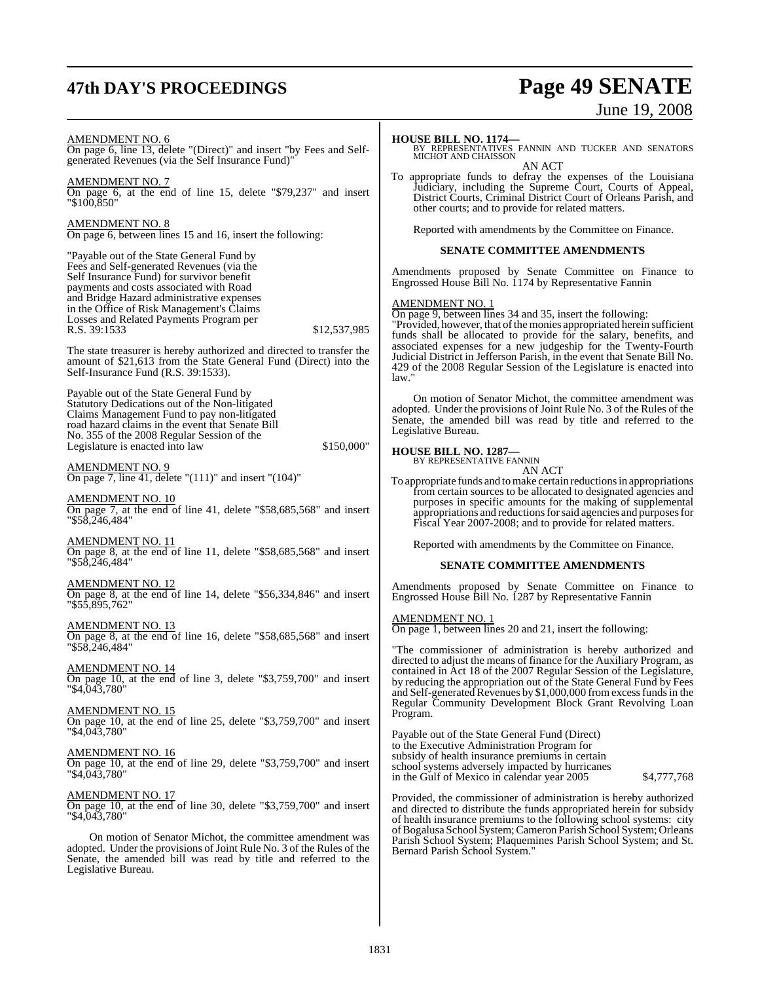# **47th DAY'S PROCEEDINGS Page 49 SENATE**

# June 19, 2008

AMENDMENT NO. 6 On page 6, line 13, delete "(Direct)" and insert "by Fees and Selfgenerated Revenues (via the Self Insurance Fund)"

AMENDMENT NO. 7 On page 6, at the end of line 15, delete "\$79,237" and insert "\$100,850"

AMENDMENT NO. 8 On page 6, between lines 15 and 16, insert the following:

"Payable out of the State General Fund by Fees and Self-generated Revenues (via the Self Insurance Fund) for survivor benefit payments and costs associated with Road and Bridge Hazard administrative expenses in the Office of Risk Management's Claims Losses and Related Payments Program per R.S. 39:1533 \$12,537,985

The state treasurer is hereby authorized and directed to transfer the amount of \$21,613 from the State General Fund (Direct) into the Self-Insurance Fund (R.S. 39:1533).

Payable out of the State General Fund by Statutory Dedications out of the Non-litigated Claims Management Fund to pay non-litigated road hazard claims in the event that Senate Bill No. 355 of the 2008 Regular Session of the Legislature is enacted into law \$150,000"

AMENDMENT NO. 9 On page 7, line 41, delete "(111)" and insert "(104)"

AMENDMENT NO. 10 On page 7, at the end of line 41, delete "\$58,685,568" and insert "\$58,246,484"

AMENDMENT NO. 11 On page 8, at the end of line 11, delete "\$58,685,568" and insert "\$58,246,484"

AMENDMENT NO. 12 On page 8, at the end of line 14, delete "\$56,334,846" and insert "\$55,895,762"

AMENDMENT NO. 13 On page 8, at the end of line 16, delete "\$58,685,568" and insert "\$58,246,484"

AMENDMENT NO. 14 On page 10, at the end of line 3, delete "\$3,759,700" and insert "\$4,043,780"

AMENDMENT NO. 15 On page 10, at the end of line 25, delete "\$3,759,700" and insert "\$4,043,780"

AMENDMENT NO. 16 On page 10, at the end of line 29, delete "\$3,759,700" and insert "\$4,043,780"

AMENDMENT NO. 17 On page 10, at the end of line 30, delete "\$3,759,700" and insert "\$4,043,780"

On motion of Senator Michot, the committee amendment was adopted. Under the provisions of Joint Rule No. 3 of the Rules of the Senate, the amended bill was read by title and referred to the Legislative Bureau.

To appropriate funds to defray the expenses of the Louisiana Judiciary, including the Supreme Court, Courts of Appeal, District Courts, Criminal District Court of Orleans Parish, and other courts; and to provide for related matters.

Reported with amendments by the Committee on Finance.

#### **SENATE COMMITTEE AMENDMENTS**

Amendments proposed by Senate Committee on Finance to Engrossed House Bill No. 1174 by Representative Fannin

#### AMENDMENT NO. 1

On page 9, between lines 34 and 35, insert the following:

"Provided, however, that of the monies appropriated herein sufficient funds shall be allocated to provide for the salary, benefits, and associated expenses for a new judgeship for the Twenty-Fourth Judicial District in Jefferson Parish, in the event that Senate Bill No. 429 of the 2008 Regular Session of the Legislature is enacted into law."

On motion of Senator Michot, the committee amendment was adopted. Under the provisions of Joint Rule No. 3 of the Rules of the Senate, the amended bill was read by title and referred to the Legislative Bureau.

**HOUSE BILL NO. 1287—** BY REPRESENTATIVE FANNIN AN ACT

To appropriate funds and to make certain reductions in appropriations from certain sources to be allocated to designated agencies and purposes in specific amounts for the making of supplemental appropriations and reductions for said agencies and purposes for Fiscal Year 2007-2008; and to provide for related matters.

Reported with amendments by the Committee on Finance.

#### **SENATE COMMITTEE AMENDMENTS**

Amendments proposed by Senate Committee on Finance to Engrossed House Bill No. 1287 by Representative Fannin

AMENDMENT NO. 1

On page 1, between lines 20 and 21, insert the following:

"The commissioner of administration is hereby authorized and directed to adjust the means of finance for the Auxiliary Program, as contained in Act 18 of the 2007 Regular Session of the Legislature, by reducing the appropriation out of the State General Fund by Fees and Self-generated Revenues by \$1,000,000 fromexcessfundsin the Regular Community Development Block Grant Revolving Loan Program.

Payable out of the State General Fund (Direct) to the Executive Administration Program for subsidy of health insurance premiums in certain school systems adversely impacted by hurricanes in the Gulf of Mexico in calendar year 2005 \$4,777,768

Provided, the commissioner of administration is hereby authorized and directed to distribute the funds appropriated herein for subsidy of health insurance premiums to the following school systems: city ofBogalusa School System;Cameron Parish School System; Orleans Parish School System; Plaquemines Parish School System; and St. Bernard Parish School System."

**HOUSE BILL NO. 1174—** BY REPRESENTATIVES FANNIN AND TUCKER AND SENATORS MICHOT AND CHAISSON AN ACT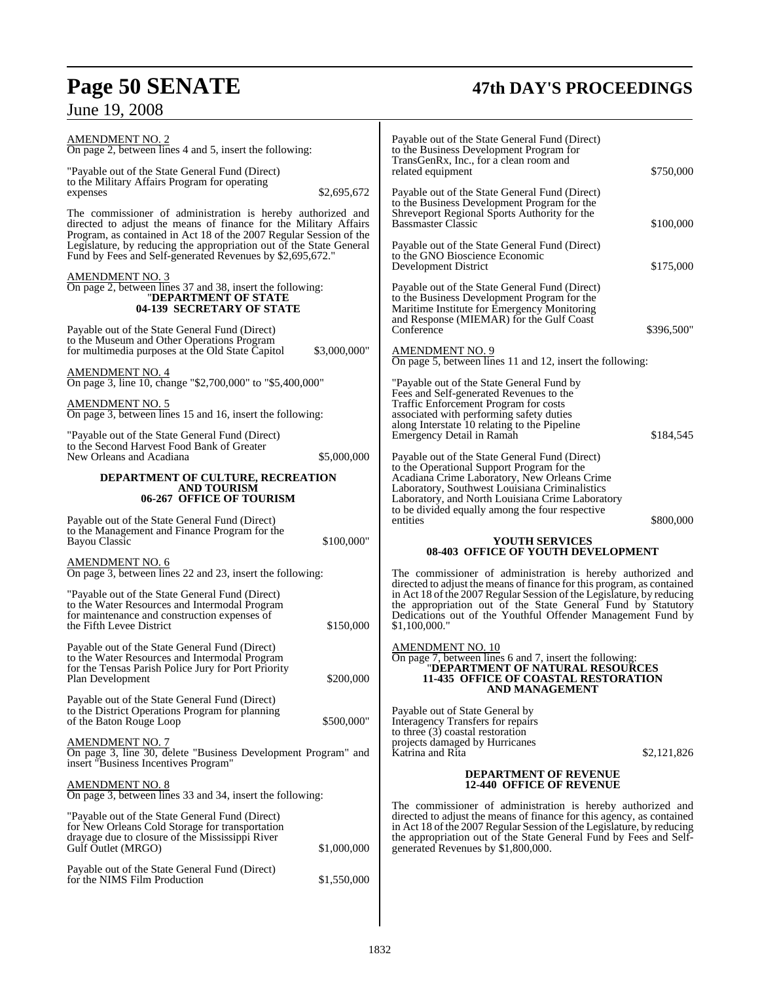# **Page 50 SENATE**<br>June 19, 2008

# **47th DAY'S PROCEEDINGS**

| <b>AMENDMENT NO. 2</b><br>On page 2, between lines 4 and 5, insert the following:                                                                                                                                                                                                                                                                     |              | Payable out of the State General Fund (Direct)<br>to the Business Development Program for<br>TransGenRx, Inc., for a clean room and                                                                                                                                                                                                                                                         |                         |
|-------------------------------------------------------------------------------------------------------------------------------------------------------------------------------------------------------------------------------------------------------------------------------------------------------------------------------------------------------|--------------|---------------------------------------------------------------------------------------------------------------------------------------------------------------------------------------------------------------------------------------------------------------------------------------------------------------------------------------------------------------------------------------------|-------------------------|
| "Payable out of the State General Fund (Direct)<br>to the Military Affairs Program for operating                                                                                                                                                                                                                                                      |              | related equipment                                                                                                                                                                                                                                                                                                                                                                           | \$750,000               |
| expenses<br>The commissioner of administration is hereby authorized and<br>directed to adjust the means of finance for the Military Affairs<br>Program, as contained in Act 18 of the 2007 Regular Session of the<br>Legislature, by reducing the appropriation out of the State General<br>Fund by Fees and Self-generated Revenues by \$2,695,672." | \$2,695,672  | Payable out of the State General Fund (Direct)<br>to the Business Development Program for the<br>Shreveport Regional Sports Authority for the<br><b>Bassmaster Classic</b><br>Payable out of the State General Fund (Direct)<br>to the GNO Bioscience Economic                                                                                                                              | \$100,000               |
| <u>AMENDMENT NO. 3</u><br>On page 2, between lines 37 and 38, insert the following:<br>"DEPARTMENT OF STATE<br>04-139 SECRETARY OF STATE<br>Payable out of the State General Fund (Direct)<br>to the Museum and Other Operations Program                                                                                                              |              | Development District<br>Payable out of the State General Fund (Direct)<br>to the Business Development Program for the<br>Maritime Institute for Emergency Monitoring<br>and Response (MIEMAR) for the Gulf Coast<br>Conference                                                                                                                                                              | \$175,000<br>\$396,500" |
| for multimedia purposes at the Old State Capitol<br><b>AMENDMENT NO. 4</b>                                                                                                                                                                                                                                                                            | \$3,000,000" | <b>AMENDMENT NO. 9</b><br>On page 5, between lines 11 and 12, insert the following:                                                                                                                                                                                                                                                                                                         |                         |
| On page 3, line 10, change "\$2,700,000" to "\$5,400,000"<br><b>AMENDMENT NO. 5</b><br>On page 3, between lines 15 and 16, insert the following:<br>"Payable out of the State General Fund (Direct)<br>to the Second Harvest Food Bank of Greater<br>New Orleans and Acadiana                                                                         | \$5,000,000  | "Payable out of the State General Fund by<br>Fees and Self-generated Revenues to the<br>Traffic Enforcement Program for costs<br>associated with performing safety duties<br>along Interstate 10 relating to the Pipeline<br>Emergency Detail in Ramah<br>Payable out of the State General Fund (Direct)                                                                                    | \$184,545               |
| DEPARTMENT OF CULTURE, RECREATION<br><b>AND TOURISM</b><br>06-267 OFFICE OF TOURISM<br>Payable out of the State General Fund (Direct)                                                                                                                                                                                                                 |              | to the Operational Support Program for the<br>Acadiana Crime Laboratory, New Orleans Crime<br>Laboratory, Southwest Louisiana Criminalistics<br>Laboratory, and North Louisiana Crime Laboratory<br>to be divided equally among the four respective<br>entities                                                                                                                             | \$800,000               |
| to the Management and Finance Program for the<br><b>Bayou Classic</b>                                                                                                                                                                                                                                                                                 | \$100,000"   | <b>YOUTH SERVICES</b><br>08-403 OFFICE OF YOUTH DEVELOPMENT                                                                                                                                                                                                                                                                                                                                 |                         |
| <b>AMENDMENT NO. 6</b><br>On page 3, between lines 22 and 23, insert the following:<br>"Payable out of the State General Fund (Direct)<br>to the Water Resources and Intermodal Program<br>for maintenance and construction expenses of<br>the Fifth Levee District                                                                                   | \$150,000    | The commissioner of administration is hereby authorized and<br>directed to adjust the means of finance for this program, as contained<br>in Act 18 of the 2007 Regular Session of the Legislature, by reducing<br>the appropriation out of the State General Fund by Statutory<br>Dedications out of the Youthful Offender Management Fund by<br>\$1,100,000."                              |                         |
| Payable out of the State General Fund (Direct)<br>to the Water Resources and Intermodal Program<br>for the Tensas Parish Police Jury for Port Priority<br>Plan Development                                                                                                                                                                            | \$200,000    | <b>AMENDMENT NO. 10</b><br>On page 7, between lines 6 and 7, insert the following:<br>"DEPARTMENT OF NATURAL RESOURCES<br>11-435 OFFICE OF COASTAL RESTORATION<br>AND MANAGEMENT                                                                                                                                                                                                            |                         |
| Payable out of the State General Fund (Direct)<br>to the District Operations Program for planning<br>of the Baton Rouge Loop<br><b>AMENDMENT NO. 7</b><br>On page 3, line 30, delete "Business Development Program" and<br>insert "Business Incentives Program"                                                                                       | \$500,000"   | Payable out of State General by<br>Interagency Transfers for repairs<br>to three (3) coastal restoration<br>projects damaged by Hurricanes<br>Katrina and Rita                                                                                                                                                                                                                              | \$2,121,826             |
| <b>AMENDMENT NO. 8</b><br>On page 3, between lines 33 and 34, insert the following:<br>"Payable out of the State General Fund (Direct)<br>for New Orleans Cold Storage for transportation<br>drayage due to closure of the Mississippi River<br>Gulf Outlet (MRGO)<br>Payable out of the State General Fund (Direct)                                  | \$1,000,000  | <b>DEPARTMENT OF REVENUE</b><br><b>12-440 OFFICE OF REVENUE</b><br>The commissioner of administration is hereby authorized and<br>directed to adjust the means of finance for this agency, as contained<br>in Act 18 of the 2007 Regular Session of the Legislature, by reducing<br>the appropriation out of the State General Fund by Fees and Self-<br>generated Revenues by \$1,800,000. |                         |
| for the NIMS Film Production                                                                                                                                                                                                                                                                                                                          | \$1,550,000  |                                                                                                                                                                                                                                                                                                                                                                                             |                         |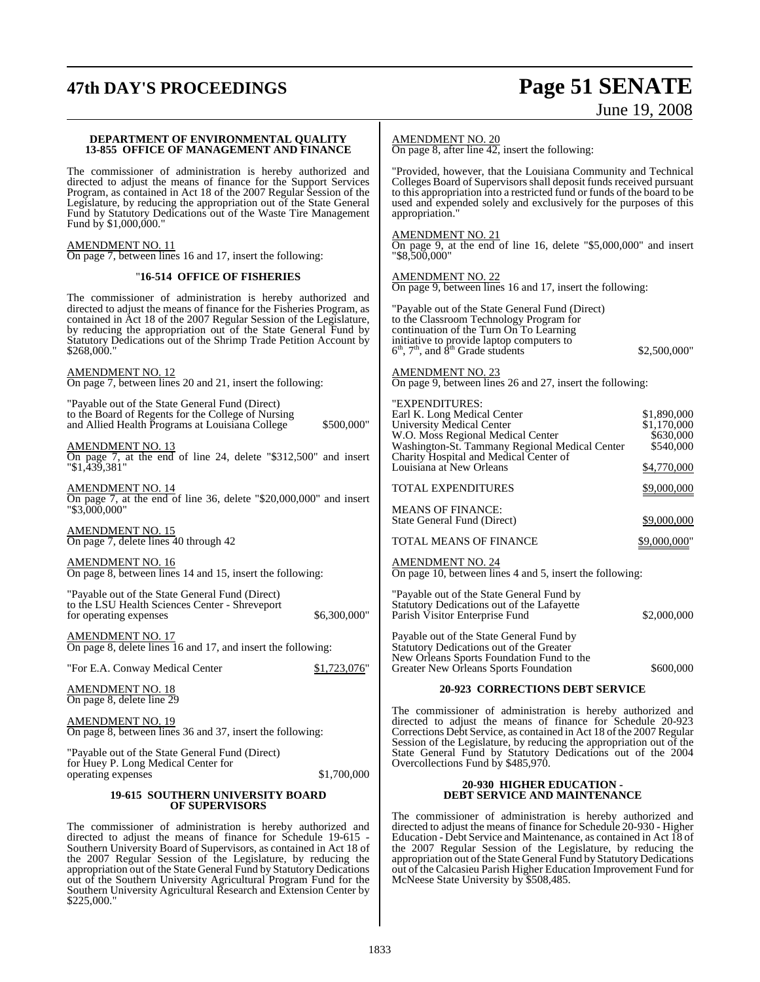# **47th DAY'S PROCEEDINGS Page 51 SENATE**

# June 19, 2008

#### **DEPARTMENT OF ENVIRONMENTAL QUALITY 13-855 OFFICE OF MANAGEMENT AND FINANCE**

The commissioner of administration is hereby authorized and directed to adjust the means of finance for the Support Services Program, as contained in Act 18 of the 2007 Regular Session of the Legislature, by reducing the appropriation out of the State General Fund by Statutory Dedications out of the Waste Tire Management Fund by \$1,000,000."

AMENDMENT NO. 11 On page 7, between lines 16 and 17, insert the following:

#### "**16-514 OFFICE OF FISHERIES**

The commissioner of administration is hereby authorized and directed to adjust the means of finance for the Fisheries Program, as contained in Act 18 of the 2007 Regular Session of the Legislature, by reducing the appropriation out of the State General Fund by Statutory Dedications out of the Shrimp Trade Petition Account by \$268,000."

AMENDMENT NO. 12 On page 7, between lines 20 and 21, insert the following:

"Payable out of the State General Fund (Direct) to the Board of Regents for the College of Nursing and Allied Health Programs at Louisiana College \$500,000"

AMENDMENT NO. 13 On page 7, at the end of line 24, delete "\$312,500" and insert "\$1,439,381"

AMENDMENT NO. 14 On page 7, at the end of line 36, delete "\$20,000,000" and insert "\$3,000,000"

AMENDMENT NO. 15 On page 7, delete lines 40 through 42

AMENDMENT NO. 16 On page 8, between lines 14 and 15, insert the following:

"Payable out of the State General Fund (Direct) to the LSU Health Sciences Center - Shreveport for operating expenses \$6,300,000"

AMENDMENT NO. 17 On page 8, delete lines 16 and 17, and insert the following:

"For E.A. Conway Medical Center \$1,723,076"

AMENDMENT NO. 18 On page 8, delete line 29

AMENDMENT NO. 19 On page 8, between lines 36 and 37, insert the following:

"Payable out of the State General Fund (Direct) for Huey P. Long Medical Center for operating expenses \$1,700,000

#### **19-615 SOUTHERN UNIVERSITY BOARD OF SUPERVISORS**

The commissioner of administration is hereby authorized and directed to adjust the means of finance for Schedule 19-615 - Southern University Board of Supervisors, as contained in Act 18 of the 2007 Regular Session of the Legislature, by reducing the appropriation out of the State General Fund by Statutory Dedications out of the Southern University Agricultural Program Fund for the Southern University Agricultural Research and Extension Center by \$225,000."

AMENDMENT NO. 20

On page 8, after line  $\overline{42}$ , insert the following:

"Provided, however, that the Louisiana Community and Technical Colleges Board of Supervisors shall deposit funds received pursuant to this appropriation into a restricted fund or funds of the board to be used and expended solely and exclusively for the purposes of this appropriation."

#### AMENDMENT NO. 21

On page 9, at the end of line 16, delete "\$5,000,000" and insert "\$8,500,000"

AMENDMENT NO. 22

On page 9, between lines 16 and 17, insert the following:

"Payable out of the State General Fund (Direct) to the Classroom Technology Program for continuation of the Turn On To Learning initiative to provide laptop computers to  $6<sup>th</sup>$ ,  $7<sup>th</sup>$ , and  $8<sup>th</sup>$  Grade students \$2,500,000"

AMENDMENT NO. 23 On page 9, between lines 26 and 27, insert the following:

| "EXPENDITURES:                                                                           |                      |
|------------------------------------------------------------------------------------------|----------------------|
| Earl K. Long Medical Center                                                              | \$1,890,000          |
| <b>University Medical Center</b>                                                         | \$1,170,000          |
| W.O. Moss Regional Medical Center                                                        | \$630,000            |
| Washington-St. Tammany Regional Medical Center<br>Charity Hospital and Medical Center of | \$540,000            |
| Louisiana at New Orleans                                                                 | \$4,770,000          |
| <b>TOTAL EXPENDITURES</b>                                                                | \$9,000,000          |
| <b>MEANS OF FINANCE:</b>                                                                 |                      |
| State General Fund (Direct)                                                              | \$9,000,000          |
| <b>TOTAL MEANS OF FINANCE</b>                                                            | <u>\$9,000,000</u> " |
| <b>AMENDMENT NO. 24</b>                                                                  |                      |

On page 10, between lines 4 and 5, insert the following:

"Payable out of the State General Fund by Statutory Dedications out of the Lafayette Parish Visitor Enterprise Fund \$2,000,000

Payable out of the State General Fund by Statutory Dedications out of the Greater New Orleans Sports Foundation Fund to the Greater New Orleans Sports Foundation \$600,000

#### **20-923 CORRECTIONS DEBT SERVICE**

The commissioner of administration is hereby authorized and directed to adjust the means of finance for Schedule 20-923 Corrections Debt Service, as contained in Act 18 of the 2007 Regular Session of the Legislature, by reducing the appropriation out of the State General Fund by Statutory Dedications out of the 2004 Overcollections Fund by \$485,970.

#### **20-930 HIGHER EDUCATION - DEBT SERVICE AND MAINTENANCE**

The commissioner of administration is hereby authorized and directed to adjust the means of finance for Schedule 20-930 - Higher Education - Debt Service and Maintenance, as contained in Act 18 of the 2007 Regular Session of the Legislature, by reducing the appropriation out of the State General Fund by Statutory Dedications out of the Calcasieu Parish Higher Education Improvement Fund for McNeese State University by \$508,485.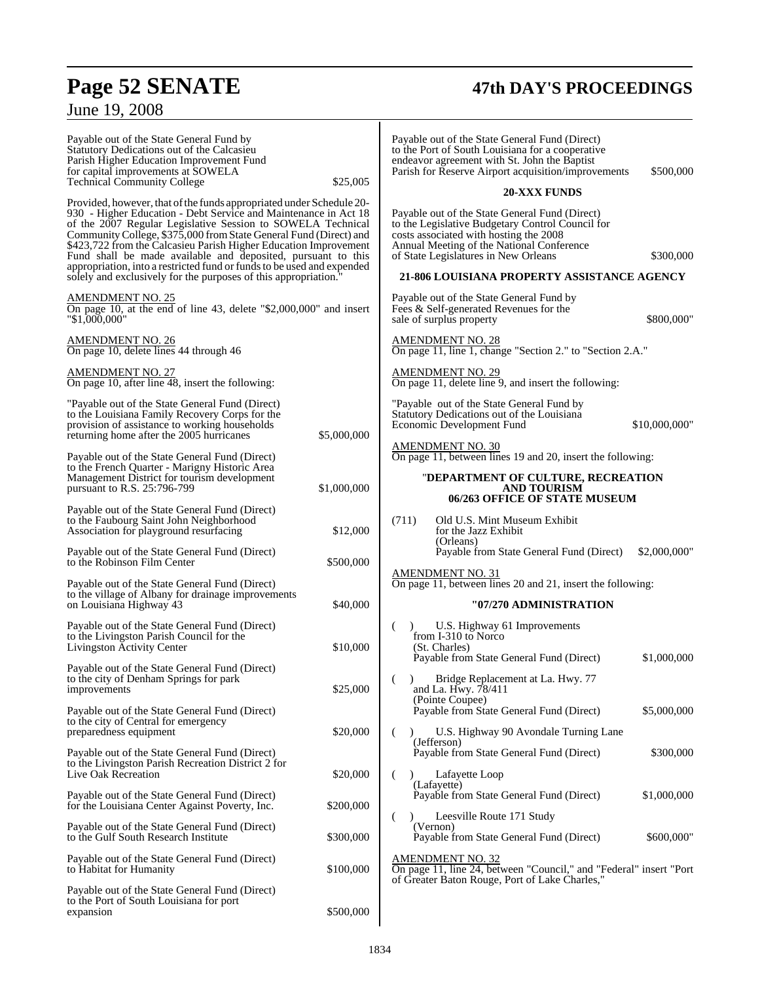# **Page 52 SENATE 47th DAY'S PROCEEDINGS**

# June 19, 2008

| Payable out of the State General Fund by<br>Statutory Dedications out of the Calcasieu<br>Parish Higher Education Improvement Fund<br>for capital improvements at SOWELA<br><b>Technical Community College</b><br>Provided, however, that of the funds appropriated under Schedule 20-                                                                                                                                                                                               | \$25,005              | Payable out of the State General Fund (Direct)<br>to the Port of South Louisiana for a cooperative<br>endeavor agreement with St. John the Baptist<br>\$500,000<br>Parish for Reserve Airport acquisition/improvements<br><b>20-XXX FUNDS</b>                                                 |
|--------------------------------------------------------------------------------------------------------------------------------------------------------------------------------------------------------------------------------------------------------------------------------------------------------------------------------------------------------------------------------------------------------------------------------------------------------------------------------------|-----------------------|-----------------------------------------------------------------------------------------------------------------------------------------------------------------------------------------------------------------------------------------------------------------------------------------------|
| 930 - Higher Education - Debt Service and Maintenance in Act 18<br>of the 2007 Regular Legislative Session to SOWELA Technical<br>Community College, \$375,000 from State General Fund (Direct) and<br>\$423,722 from the Calcasieu Parish Higher Education Improvement<br>Fund shall be made available and deposited, pursuant to this<br>appropriation, into a restricted fund or funds to be used and expended<br>solely and exclusively for the purposes of this appropriation." |                       | Payable out of the State General Fund (Direct)<br>to the Legislative Budgetary Control Council for<br>costs associated with hosting the 2008<br>Annual Meeting of the National Conference<br>of State Legislatures in New Orleans<br>\$300,000<br>21-806 LOUISIANA PROPERTY ASSISTANCE AGENCY |
| <b>AMENDMENT NO. 25</b><br>On page 10, at the end of line 43, delete $\degree$ \$2,000,000 $\degree$ and insert<br>"\$1,000,000"                                                                                                                                                                                                                                                                                                                                                     |                       | Payable out of the State General Fund by<br>Fees & Self-generated Revenues for the<br>sale of surplus property<br>\$800,000"                                                                                                                                                                  |
| <b>AMENDMENT NO. 26</b><br>On page 10, delete lines 44 through 46                                                                                                                                                                                                                                                                                                                                                                                                                    |                       | <b>AMENDMENT NO. 28</b><br>On page 11, line 1, change "Section 2." to "Section 2.A."                                                                                                                                                                                                          |
| <b>AMENDMENT NO. 27</b><br>On page 10, after line 48, insert the following:                                                                                                                                                                                                                                                                                                                                                                                                          |                       | <b>AMENDMENT NO. 29</b><br>On page 11, delete line 9, and insert the following:                                                                                                                                                                                                               |
| "Payable out of the State General Fund (Direct)<br>to the Louisiana Family Recovery Corps for the<br>provision of assistance to working households<br>returning home after the 2005 hurricanes                                                                                                                                                                                                                                                                                       | \$5,000,000           | "Payable out of the State General Fund by<br>Statutory Dedications out of the Louisiana<br>Economic Development Fund<br>\$10,000,000"                                                                                                                                                         |
| Payable out of the State General Fund (Direct)<br>to the French Quarter - Marigny Historic Area<br>Management District for tourism development<br>pursuant to R.S. 25:796-799                                                                                                                                                                                                                                                                                                        | \$1,000,000           | <b>AMENDMENT NO. 30</b><br>On page 11, between lines 19 and 20, insert the following:<br>"DEPARTMENT OF CULTURE, RECREATION<br><b>AND TOURISM</b>                                                                                                                                             |
| Payable out of the State General Fund (Direct)<br>to the Faubourg Saint John Neighborhood<br>Association for playground resurfacing<br>Payable out of the State General Fund (Direct)                                                                                                                                                                                                                                                                                                | \$12,000              | 06/263 OFFICE OF STATE MUSEUM<br>Old U.S. Mint Museum Exhibit<br>(711)<br>for the Jazz Exhibit<br>(Orleans)<br>Payable from State General Fund (Direct)<br>\$2,000,000"                                                                                                                       |
| to the Robinson Film Center<br>Payable out of the State General Fund (Direct)<br>to the village of Albany for drainage improvements<br>on Louisiana Highway 43                                                                                                                                                                                                                                                                                                                       | \$500,000<br>\$40,000 | <b>AMENDMENT NO. 31</b><br>On page 11, between lines 20 and 21, insert the following:<br>"07/270 ADMINISTRATION                                                                                                                                                                               |
| Payable out of the State General Fund (Direct)<br>to the Livingston Parish Council for the<br>Livingston Activity Center                                                                                                                                                                                                                                                                                                                                                             | \$10,000              | U.S. Highway 61 Improvements<br>from I-310 to Norco<br>(St. Charles)<br>Payable from State General Fund (Direct)<br>\$1,000,000                                                                                                                                                               |
| Payable out of the State General Fund (Direct)<br>to the city of Denham Springs for park<br>improvements                                                                                                                                                                                                                                                                                                                                                                             | \$25,000              | Bridge Replacement at La. Hwy. 77<br>(<br>and La. Hwy. 78/411<br>(Pointe Coupee)                                                                                                                                                                                                              |
| Payable out of the State General Fund (Direct)<br>to the city of Central for emergency<br>preparedness equipment                                                                                                                                                                                                                                                                                                                                                                     | \$20,000              | Payable from State General Fund (Direct)<br>\$5,000,000<br>U.S. Highway 90 Avondale Turning Lane<br>(Jefferson)                                                                                                                                                                               |
| Payable out of the State General Fund (Direct)<br>to the Livingston Parish Recreation District 2 for<br>Live Oak Recreation                                                                                                                                                                                                                                                                                                                                                          | \$20,000              | Payable from State General Fund (Direct)<br>\$300,000<br>Lafayette Loop<br>$\lambda$                                                                                                                                                                                                          |
| Payable out of the State General Fund (Direct)<br>for the Louisiana Center Against Poverty, Inc.                                                                                                                                                                                                                                                                                                                                                                                     | \$200,000             | (Lafayette)<br>Payable from State General Fund (Direct)<br>\$1,000,000                                                                                                                                                                                                                        |
| Payable out of the State General Fund (Direct)<br>to the Gulf South Research Institute                                                                                                                                                                                                                                                                                                                                                                                               | \$300,000             | Leesville Route 171 Study<br>$\lambda$<br>(<br>(Vernon)<br>\$600,000"<br>Payable from State General Fund (Direct)                                                                                                                                                                             |
| Payable out of the State General Fund (Direct)<br>to Habitat for Humanity                                                                                                                                                                                                                                                                                                                                                                                                            | \$100,000             | <b>AMENDMENT NO. 32</b><br>On page 11, line 24, between "Council," and "Federal" insert "Port"<br>of Greater Baton Rouge, Port of Lake Charles,"                                                                                                                                              |
| Payable out of the State General Fund (Direct)<br>to the Port of South Louisiana for port<br>expansion                                                                                                                                                                                                                                                                                                                                                                               | \$500,000             |                                                                                                                                                                                                                                                                                               |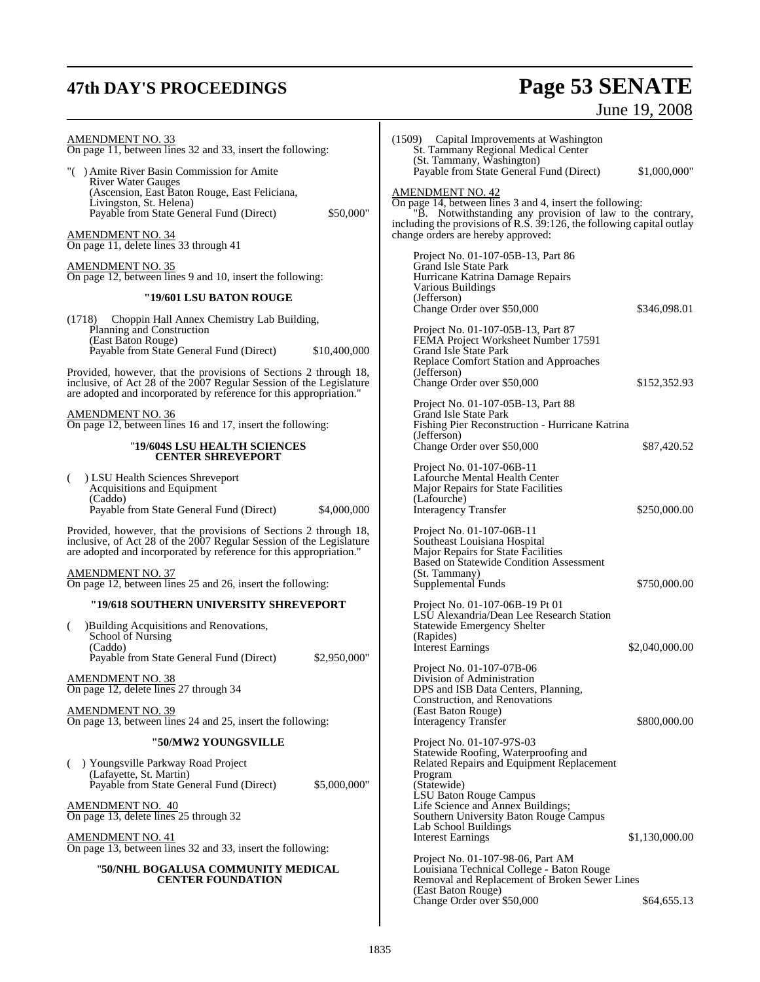# **47th DAY'S PROCEEDINGS Page 53 SENATE**

June 19, 2008

| <b>AMENDMENT NO. 33</b><br>On page 11, between lines 32 and 33, insert the following:<br>"() Amite River Basin Commission for Amite<br><b>River Water Gauges</b><br>(Ascension, East Baton Rouge, East Feliciana,<br>Livingston, St. Helena)<br>Payable from State General Fund (Direct)<br>\$50,000"<br><b>AMENDMENT NO. 34</b><br>On page 11, delete lines 33 through 41<br><b>AMENDMENT NO. 35</b><br>On page 12, between lines 9 and 10, insert the following:<br>"19/601 LSU BATON ROUGE<br>(1718) Choppin Hall Annex Chemistry Lab Building,<br>Planning and Construction<br>(East Baton Rouge)<br>Payable from State General Fund (Direct)<br>\$10,400,000<br>Provided, however, that the provisions of Sections 2 through 18,<br>inclusive, of Act 28 of the 2007 Regular Session of the Legislature | (1509) Capital Improvements at Washington<br>St. Tammany Regional Medical Center<br>(St. Tammany, Washington)<br>Payable from State General Fund (Direct)<br>\$1,000,000"<br><b>AMENDMENT NO. 42</b><br>On page 14, between lines 3 and 4, insert the following:<br><sup>1</sup> "B. Notwithstanding any provision of law to the contrary, including the provisions of R.S. 39:126, the following capital outlay<br>change orders are hereby approved:<br>Project No. 01-107-05B-13, Part 86<br>Grand Isle State Park<br>Hurricane Katrina Damage Repairs<br>Various Buildings<br>(Jefferson)<br>Change Order over \$50,000<br>\$346,098.01<br>Project No. 01-107-05B-13, Part 87<br>FEMA Project Worksheet Number 17591<br>Grand Isle State Park<br>Replace Comfort Station and Approaches<br>(Jefferson)<br>Change Order over \$50,000<br>\$152,352.93 |
|--------------------------------------------------------------------------------------------------------------------------------------------------------------------------------------------------------------------------------------------------------------------------------------------------------------------------------------------------------------------------------------------------------------------------------------------------------------------------------------------------------------------------------------------------------------------------------------------------------------------------------------------------------------------------------------------------------------------------------------------------------------------------------------------------------------|----------------------------------------------------------------------------------------------------------------------------------------------------------------------------------------------------------------------------------------------------------------------------------------------------------------------------------------------------------------------------------------------------------------------------------------------------------------------------------------------------------------------------------------------------------------------------------------------------------------------------------------------------------------------------------------------------------------------------------------------------------------------------------------------------------------------------------------------------------|
| are adopted and incorporated by reference for this appropriation."<br><b>AMENDMENT NO. 36</b><br>On page 12, between lines 16 and 17, insert the following:<br>"19/604S LSU HEALTH SCIENCES                                                                                                                                                                                                                                                                                                                                                                                                                                                                                                                                                                                                                  | Project No. 01-107-05B-13, Part 88<br>Grand Isle State Park<br>Fishing Pier Reconstruction - Hurricane Katrina<br>(Jefferson)<br>Change Order over \$50,000<br>\$87,420.52                                                                                                                                                                                                                                                                                                                                                                                                                                                                                                                                                                                                                                                                               |
| <b>CENTER SHREVEPORT</b><br>) LSU Health Sciences Shreveport<br>€<br>Acquisitions and Equipment<br>(Caddo)<br>Payable from State General Fund (Direct)<br>\$4,000,000                                                                                                                                                                                                                                                                                                                                                                                                                                                                                                                                                                                                                                        | Project No. 01-107-06B-11<br>Lafourche Mental Health Center<br>Major Repairs for State Facilities<br>(Lafourche)<br><b>Interagency Transfer</b><br>\$250,000.00                                                                                                                                                                                                                                                                                                                                                                                                                                                                                                                                                                                                                                                                                          |
| Provided, however, that the provisions of Sections 2 through 18,<br>inclusive, of Act 28 of the 2007 Regular Session of the Legislature<br>are adopted and incorporated by reference for this appropriation."<br><b>AMENDMENT NO. 37</b><br>On page 12, between lines 25 and 26, insert the following:<br>''19/618 SOUTHERN UNIVERSITY SHREVEPORT<br>)Building Acquisitions and Renovations,<br>$\left($<br>School of Nursing<br>(Caddo)                                                                                                                                                                                                                                                                                                                                                                     | Project No. 01-107-06B-11<br>Southeast Louisiana Hospital<br>Major Repairs for State Facilities<br><b>Based on Statewide Condition Assessment</b><br>(St. Tammany)<br>Supplemental Funds<br>\$750,000.00<br>Project No. 01-107-06B-19 Pt 01<br>LSŬ Alexandria/Dean Lee Research Station<br><b>Statewide Emergency Shelter</b><br>(Rapides)<br>Interest Earnings<br>\$2,040,000.00                                                                                                                                                                                                                                                                                                                                                                                                                                                                        |
| Payable from State General Fund (Direct)<br>\$2,950,000"<br><b>AMENDMENT NO. 38</b><br>On page 12, delete lines 27 through 34<br><b>AMENDMENT NO. 39</b><br>On page 13, between lines 24 and 25, insert the following:<br>''50/MW2 YOUNGSVILLE<br>) Youngsville Parkway Road Project<br>€                                                                                                                                                                                                                                                                                                                                                                                                                                                                                                                    | Project No. 01-107-07B-06<br>Division of Administration<br>DPS and ISB Data Centers, Planning,<br>Construction, and Renovations<br>(East Baton Rouge)<br><b>Interagency Transfer</b><br>\$800,000.00<br>Project No. 01-107-97S-03<br>Statewide Roofing, Waterproofing and<br>Related Repairs and Equipment Replacement                                                                                                                                                                                                                                                                                                                                                                                                                                                                                                                                   |
| (Lafayette, St. Martin)<br>\$5,000,000"<br>Payable from State General Fund (Direct)<br><b>AMENDMENT NO. 40</b><br>On page 13, delete lines 25 through 32<br><u>AMENDMENT NO. 41</u><br>On page 13, between lines 32 and 33, insert the following:<br>"50/NHL BOGALUSA COMMUNITY MEDICAL<br><b>CENTER FOUNDATION</b>                                                                                                                                                                                                                                                                                                                                                                                                                                                                                          | Program<br>(Statewide)<br>LSU Baton Rouge Campus<br>Life Science and Annex Buildings;<br>Southern University Baton Rouge Campus<br>Lab School Buildings<br><b>Interest Earnings</b><br>\$1,130,000.00<br>Project No. 01-107-98-06, Part AM<br>Louisiana Technical College - Baton Rouge<br>Removal and Replacement of Broken Sewer Lines<br>(East Baton Rouge)<br>Change Order over \$50,000<br>\$64,655.13                                                                                                                                                                                                                                                                                                                                                                                                                                              |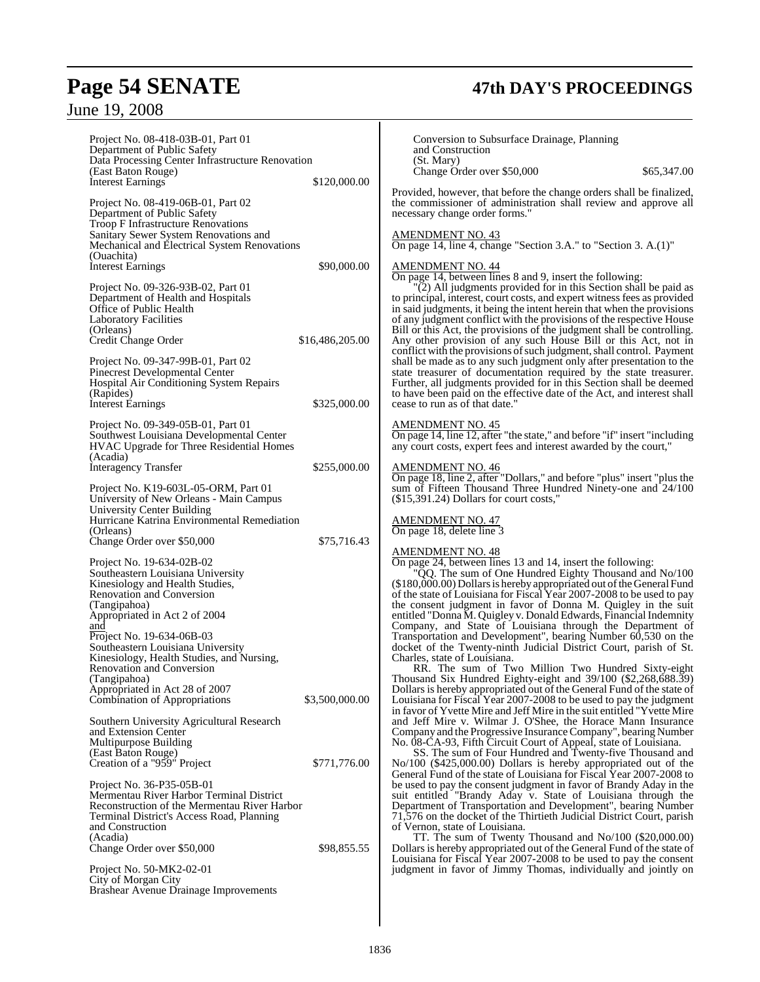# **Page 54 SENATE 47th DAY'S PROCEEDINGS**

# June 19, 2008

| Project No. 08-418-03B-01, Part 01<br>Department of Public Safety<br>Data Processing Center Infrastructure Renovation<br>(East Baton Rouge)<br><b>Interest Earnings</b>                                                                                                                                                                                          | \$120,000.00                    | Conversion to Subsurface Drainage, Planning<br>and Construction<br>(St. Mary)<br>Change Order over \$50,000<br>\$65,347.00<br>Provided, however, that before the change orders shall be finalized,                                                                                                                                                                                                                                                                                                                                                                                                                                                                                                                                                                     |
|------------------------------------------------------------------------------------------------------------------------------------------------------------------------------------------------------------------------------------------------------------------------------------------------------------------------------------------------------------------|---------------------------------|------------------------------------------------------------------------------------------------------------------------------------------------------------------------------------------------------------------------------------------------------------------------------------------------------------------------------------------------------------------------------------------------------------------------------------------------------------------------------------------------------------------------------------------------------------------------------------------------------------------------------------------------------------------------------------------------------------------------------------------------------------------------|
| Project No. 08-419-06B-01, Part 02<br>Department of Public Safety<br><b>Troop F Infrastructure Renovations</b>                                                                                                                                                                                                                                                   |                                 | the commissioner of administration shall review and approve all<br>necessary change order forms."                                                                                                                                                                                                                                                                                                                                                                                                                                                                                                                                                                                                                                                                      |
| Sanitary Sewer System Renovations and<br>Mechanical and Electrical System Renovations<br>(Ouachita)<br><b>Interest Earnings</b>                                                                                                                                                                                                                                  | \$90,000.00                     | <b>AMENDMENT NO. 43</b><br>On page 14, line 4, change "Section 3.A." to "Section 3. A.(1)"<br><u>AMENDMENT NO. 44</u>                                                                                                                                                                                                                                                                                                                                                                                                                                                                                                                                                                                                                                                  |
| Project No. 09-326-93B-02, Part 01<br>Department of Health and Hospitals<br>Office of Public Health<br><b>Laboratory Facilities</b><br>(Orleans)                                                                                                                                                                                                                 |                                 | On page 14, between lines 8 and 9, insert the following:<br>"(2) All judgments provided for in this Section shall be paid as<br>to principal, interest, court costs, and expert witness fees as provided<br>in said judgments, it being the intent herein that when the provisions<br>of any judgment conflict with the provisions of the respective House<br>Bill or this Act, the provisions of the judgment shall be controlling.                                                                                                                                                                                                                                                                                                                                   |
| Credit Change Order<br>Project No. 09-347-99B-01, Part 02<br>Pinecrest Developmental Center<br>Hospital Air Conditioning System Repairs<br>(Rapides)<br><b>Interest Earnings</b>                                                                                                                                                                                 | \$16,486,205.00<br>\$325,000.00 | Any other provision of any such House Bill or this Act, not in<br>conflict with the provisions of such judgment, shall control. Payment<br>shall be made as to any such judgment only after presentation to the<br>state treasurer of documentation required by the state treasurer.<br>Further, all judgments provided for in this Section shall be deemed<br>to have been paid on the effective date of the Act, and interest shall<br>cease to run as of that date."                                                                                                                                                                                                                                                                                                |
| Project No. 09-349-05B-01, Part 01<br>Southwest Louisiana Developmental Center<br><b>HVAC Upgrade for Three Residential Homes</b><br>(Acadia)                                                                                                                                                                                                                    |                                 | <b>AMENDMENT NO. 45</b><br>On page 14, line 12, after "the state," and before "if" insert "including<br>any court costs, expert fees and interest awarded by the court,"                                                                                                                                                                                                                                                                                                                                                                                                                                                                                                                                                                                               |
| <b>Interagency Transfer</b>                                                                                                                                                                                                                                                                                                                                      | \$255,000.00                    | <b>AMENDMENT NO. 46</b><br>On page 18, line 2, after "Dollars," and before "plus" insert "plus the                                                                                                                                                                                                                                                                                                                                                                                                                                                                                                                                                                                                                                                                     |
| Project No. K19-603L-05-ORM, Part 01<br>University of New Orleans - Main Campus<br>University Center Building                                                                                                                                                                                                                                                    |                                 | sum of Fifteen Thousand Three Hundred Ninety-one and 24/100<br>(\$15,391.24) Dollars for court costs,"                                                                                                                                                                                                                                                                                                                                                                                                                                                                                                                                                                                                                                                                 |
| Hurricane Katrina Environmental Remediation<br>(Orleans)                                                                                                                                                                                                                                                                                                         |                                 | <b>AMENDMENT NO. 47</b><br>On page 18, delete line 3                                                                                                                                                                                                                                                                                                                                                                                                                                                                                                                                                                                                                                                                                                                   |
| Change Order over \$50,000                                                                                                                                                                                                                                                                                                                                       | \$75,716.43                     | <b>AMENDMENT NO. 48</b>                                                                                                                                                                                                                                                                                                                                                                                                                                                                                                                                                                                                                                                                                                                                                |
| Project No. 19-634-02B-02<br>Southeastern Louisiana University<br>Kinesiology and Health Studies,<br><b>Renovation and Conversion</b><br>(Tangipahoa)<br>Appropriated in Act 2 of 2004<br>and<br>Project No. 19-634-06B-03<br>Southeastern Louisiana University<br>Kinesiology, Health Studies, and Nursing,<br><b>Renovation and Conversion</b><br>(Tangipahoa) |                                 | On page 24, between lines 13 and 14, insert the following:<br>"QQ. The sum of One Hundred Eighty Thousand and No/100<br>(\$180,000.00) Dollars is hereby appropriated out of the General Fund<br>of the state of Louisiana for Fiscal Year 2007-2008 to be used to pay<br>the consent judgment in favor of Donna M. Quigley in the suit<br>entitled "Donna M. Quigley v. Donald Edwards, Financial Indemnity<br>Company, and State of Louisiana through the Department of<br>Transportation and Development", bearing Number 60,530 on the<br>docket of the Twenty-ninth Judicial District Court, parish of St.<br>Charles, state of Louisiana.<br>RR. The sum of Two Million Two Hundred Sixty-eight<br>Thousand Six Hundred Eighty-eight and 39/100 (\$2,268,688.39) |
| Appropriated in Act 28 of 2007<br>Combination of Appropriations                                                                                                                                                                                                                                                                                                  | \$3,500,000.00                  | Dollars is hereby appropriated out of the General Fund of the state of<br>Louisiana for Fiscal Year 2007-2008 to be used to pay the judgment<br>in favor of Yvette Mire and Jeff Mire in the suit entitled "Yvette Mire"                                                                                                                                                                                                                                                                                                                                                                                                                                                                                                                                               |
| Southern University Agricultural Research<br>and Extension Center<br>Multipurpose Building<br>(East Baton Rouge)                                                                                                                                                                                                                                                 |                                 | and Jeff Mire v. Wilmar J. O'Shee, the Horace Mann Insurance<br>Company and the Progressive Insurance Company", bearing Number<br>No. 08-CA-93, Fifth Circuit Court of Appeal, state of Louisiana.<br>SS. The sum of Four Hundred and Twenty-five Thousand and                                                                                                                                                                                                                                                                                                                                                                                                                                                                                                         |
| Creation of a "959" Project                                                                                                                                                                                                                                                                                                                                      | \$771,776.00                    | $\text{No}/100$ (\$425,000.00) Dollars is hereby appropriated out of the                                                                                                                                                                                                                                                                                                                                                                                                                                                                                                                                                                                                                                                                                               |
| Project No. 36-P35-05B-01<br>Mermentau River Harbor Terminal District<br>Reconstruction of the Mermentau River Harbor<br>Terminal District's Access Road, Planning<br>and Construction<br>(Acadia)                                                                                                                                                               |                                 | General Fund of the state of Louisiana for Fiscal Year 2007-2008 to<br>be used to pay the consent judgment in favor of Brandy Aday in the<br>suit entitled "Brandy Aday v. State of Louisiana through the<br>Department of Transportation and Development", bearing Number<br>71,576 on the docket of the Thirtieth Judicial District Court, parish<br>of Vernon, state of Louisiana.<br>TT. The sum of Twenty Thousand and No/100 (\$20,000.00)                                                                                                                                                                                                                                                                                                                       |
| Change Order over \$50,000                                                                                                                                                                                                                                                                                                                                       | \$98,855.55                     | Dollars is hereby appropriated out of the General Fund of the state of                                                                                                                                                                                                                                                                                                                                                                                                                                                                                                                                                                                                                                                                                                 |
| Project No. 50-MK2-02-01<br>City of Morgan City<br><b>Brashear Avenue Drainage Improvements</b>                                                                                                                                                                                                                                                                  |                                 | Louisiana for Fiscal Year 2007-2008 to be used to pay the consent<br>judgment in favor of Jimmy Thomas, individually and jointly on                                                                                                                                                                                                                                                                                                                                                                                                                                                                                                                                                                                                                                    |
|                                                                                                                                                                                                                                                                                                                                                                  |                                 |                                                                                                                                                                                                                                                                                                                                                                                                                                                                                                                                                                                                                                                                                                                                                                        |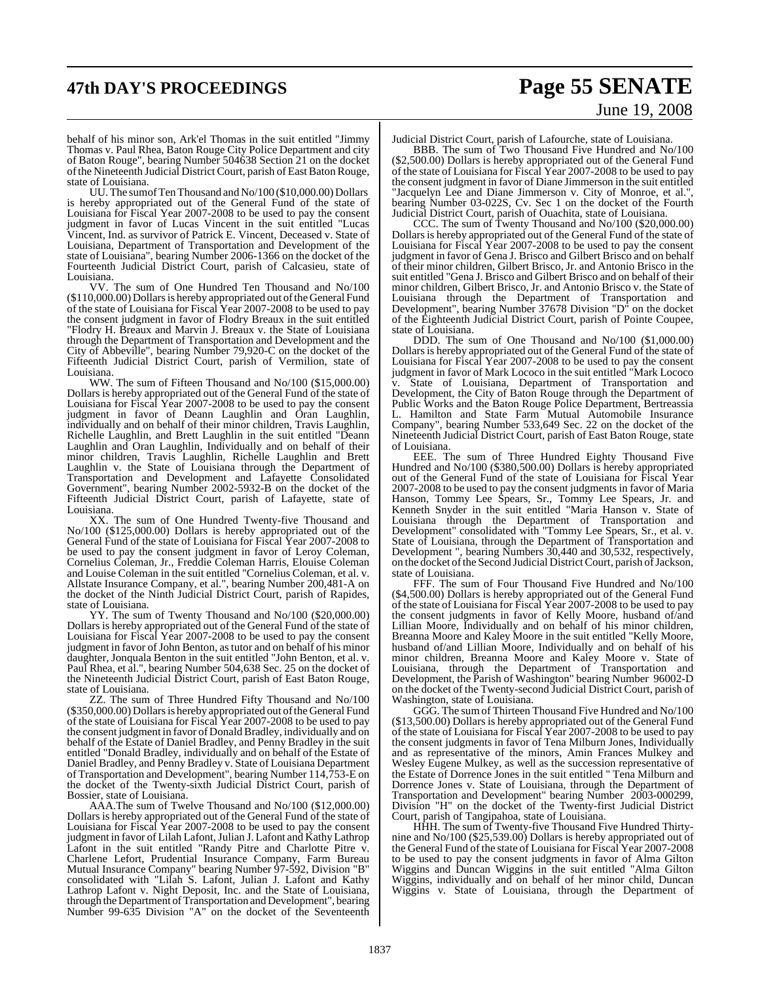# **47th DAY'S PROCEEDINGS Page 55 SENATE**

# June 19, 2008

behalf of his minor son, Ark'el Thomas in the suit entitled "Jimmy Thomas v. Paul Rhea, Baton Rouge City Police Department and city of Baton Rouge", bearing Number 504638 Section 21 on the docket of the Nineteenth Judicial District Court, parish of East Baton Rouge, state of Louisiana.

UU. The sum of Ten Thousand and No/100 (\$10,000.00) Dollars is hereby appropriated out of the General Fund of the state of Louisiana for Fiscal Year 2007-2008 to be used to pay the consent judgment in favor of Lucas Vincent in the suit entitled "Lucas Vincent, Ind. as survivor of Patrick E. Vincent, Deceased v. State of Louisiana, Department of Transportation and Development of the state of Louisiana", bearing Number 2006-1366 on the docket of the Fourteenth Judicial District Court, parish of Calcasieu, state of Louisiana.

VV. The sum of One Hundred Ten Thousand and No/100 (\$110,000.00) Dollars is hereby appropriated out of the General Fund of the state of Louisiana for Fiscal Year 2007-2008 to be used to pay the consent judgment in favor of Flodry Breaux in the suit entitled "Flodry H. Breaux and Marvin J. Breaux v. the State of Louisiana through the Department of Transportation and Development and the City of Abbeville", bearing Number 79,920-C on the docket of the Fifteenth Judicial District Court, parish of Vermilion, state of Louisiana.

WW. The sum of Fifteen Thousand and No/100 (\$15,000.00) Dollars is hereby appropriated out of the General Fund of the state of Louisiana for Fiscal Year 2007-2008 to be used to pay the consent judgment in favor of Deann Laughlin and Oran Laughlin, individually and on behalf of their minor children, Travis Laughlin, Richelle Laughlin, and Brett Laughlin in the suit entitled "Deann Laughlin and Oran Laughlin, Individually and on behalf of their minor children, Travis Laughlin, Richelle Laughlin and Brett Laughlin v. the State of Louisiana through the Department of Transportation and Development and Lafayette Consolidated Government", bearing Number 2002-5932-B on the docket of the Fifteenth Judicial District Court, parish of Lafayette, state of Louisiana.

XX. The sum of One Hundred Twenty-five Thousand and No/100 (\$125,000.00) Dollars is hereby appropriated out of the General Fund of the state of Louisiana for Fiscal Year 2007-2008 to be used to pay the consent judgment in favor of Leroy Coleman, Cornelius Coleman, Jr., Freddie Coleman Harris, Elouise Coleman and Louise Coleman in the suit entitled "Cornelius Coleman, et al. v. Allstate Insurance Company, et al.", bearing Number 200,481-A on the docket of the Ninth Judicial District Court, parish of Rapides, state of Louisiana.

YY. The sum of Twenty Thousand and No/100 (\$20,000.00) Dollars is hereby appropriated out of the General Fund of the state of Louisiana for Fiscal Year 2007-2008 to be used to pay the consent judgment in favor of John Benton, as tutor and on behalf of his minor daughter, Jonquala Benton in the suit entitled "John Benton, et al. v. Paul Rhea, et al.", bearing Number 504,638 Sec. 25 on the docket of the Nineteenth Judicial District Court, parish of East Baton Rouge, state of Louisiana.

ZZ. The sum of Three Hundred Fifty Thousand and No/100 (\$350,000.00) Dollarsis hereby appropriated out ofthe General Fund of the state of Louisiana for Fiscal Year 2007-2008 to be used to pay the consent judgment in favor of Donald Bradley, individually and on behalf of the Estate of Daniel Bradley, and Penny Bradley in the suit entitled "Donald Bradley, individually and on behalf of the Estate of Daniel Bradley, and Penny Bradley v. State of Louisiana Department of Transportation and Development", bearing Number 114,753-E on the docket of the Twenty-sixth Judicial District Court, parish of Bossier, state of Louisiana.

AAA.The sum of Twelve Thousand and No/100 (\$12,000.00) Dollars is hereby appropriated out of the General Fund of the state of Louisiana for Fiscal Year 2007-2008 to be used to pay the consent judgment in favor of Lilah Lafont, Julian J. Lafont and Kathy Lathrop Lafont in the suit entitled "Randy Pitre and Charlotte Pitre v. Charlene Lefort, Prudential Insurance Company, Farm Bureau Mutual Insurance Company" bearing Number 97-592, Division "B" consolidated with "Lilah S. Lafont, Julian J. Lafont and Kathy Lathrop Lafont v. Night Deposit, Inc. and the State of Louisiana, through the Department of Transportation and Development", bearing Number 99-635 Division "A" on the docket of the Seventeenth

Judicial District Court, parish of Lafourche, state of Louisiana.

BBB. The sum of Two Thousand Five Hundred and No/100 (\$2,500.00) Dollars is hereby appropriated out of the General Fund of the state of Louisiana for Fiscal Year 2007-2008 to be used to pay the consent judgment in favor of Diane Jimmerson in the suit entitled "Jacquelyn Lee and Diane Jimmerson v. City of Monroe, et al.", bearing Number 03-022S, Cv. Sec 1 on the docket of the Fourth Judicial District Court, parish of Ouachita, state of Louisiana.

CCC. The sum of Twenty Thousand and No/100 (\$20,000.00) Dollars is hereby appropriated out of the General Fund of the state of Louisiana for Fiscal Year 2007-2008 to be used to pay the consent judgment in favor of Gena J. Brisco and Gilbert Brisco and on behalf of their minor children, Gilbert Brisco, Jr. and Antonio Brisco in the suit entitled "Gena J. Brisco and Gilbert Brisco and on behalf of their minor children, Gilbert Brisco, Jr. and Antonio Brisco v. the State of Louisiana through the Department of Transportation and Development", bearing Number 37678 Division "D" on the docket of the Eighteenth Judicial District Court, parish of Pointe Coupee, state of Louisiana.

DDD. The sum of One Thousand and No/100 (\$1,000.00) Dollars is hereby appropriated out of the General Fund of the state of Louisiana for Fiscal Year 2007-2008 to be used to pay the consent judgment in favor of Mark Lococo in the suit entitled "Mark Lococo State of Louisiana, Department of Transportation and Development, the City of Baton Rouge through the Department of Public Works and the Baton Rouge Police Department, Bertreassia L. Hamilton and State Farm Mutual Automobile Insurance Company", bearing Number 533,649 Sec. 22 on the docket of the Nineteenth Judicial District Court, parish of East Baton Rouge, state of Louisiana.

EEE. The sum of Three Hundred Eighty Thousand Five Hundred and No/100 (\$380,500.00) Dollars is hereby appropriated out of the General Fund of the state of Louisiana for Fiscal Year 2007-2008 to be used to pay the consent judgments in favor of Maria Hanson, Tommy Lee Spears, Sr., Tommy Lee Spears, Jr. and Kenneth Snyder in the suit entitled "Maria Hanson v. State of Louisiana through the Department of Transportation and Development" consolidated with "Tommy Lee Spears, Sr., et al. v. State of Louisiana, through the Department of Transportation and Development ", bearing Numbers 30,440 and 30,532, respectively, on the docket of the Second Judicial District Court, parish of Jackson, state of Louisiana.

FFF. The sum of Four Thousand Five Hundred and No/100 (\$4,500.00) Dollars is hereby appropriated out of the General Fund of the state of Louisiana for Fiscal Year 2007-2008 to be used to pay the consent judgments in favor of Kelly Moore, husband of/and Lillian Moore, Individually and on behalf of his minor children, Breanna Moore and Kaley Moore in the suit entitled "Kelly Moore, husband of/and Lillian Moore, Individually and on behalf of his minor children, Breanna Moore and Kaley Moore v. State of Louisiana, through the Department of Transportation and Development, the Parish of Washington" bearing Number 96002-D on the docket of the Twenty-second Judicial District Court, parish of Washington, state of Louisiana.

GGG. The sum of Thirteen Thousand Five Hundred and No/100 (\$13,500.00) Dollars is hereby appropriated out of the General Fund of the state of Louisiana for Fiscal Year 2007-2008 to be used to pay the consent judgments in favor of Tena Milburn Jones, Individually and as representative of the minors, Amin Frances Mulkey and Wesley Eugene Mulkey, as well as the succession representative of the Estate of Dorrence Jones in the suit entitled " Tena Milburn and Dorrence Jones v. State of Louisiana, through the Department of Transportation and Development" bearing Number 2003-000299, Division "H" on the docket of the Twenty-first Judicial District Court, parish of Tangipahoa, state of Louisiana.

HHH. The sum of Twenty-five Thousand Five Hundred Thirtynine and No/100 (\$25,539.00) Dollars is hereby appropriated out of the General Fund of the state of Louisiana for Fiscal Year 2007-2008 to be used to pay the consent judgments in favor of Alma Gilton Wiggins and Duncan Wiggins in the suit entitled "Alma Gilton Wiggins, individually and on behalf of her minor child, Duncan Wiggins v. State of Louisiana, through the Department of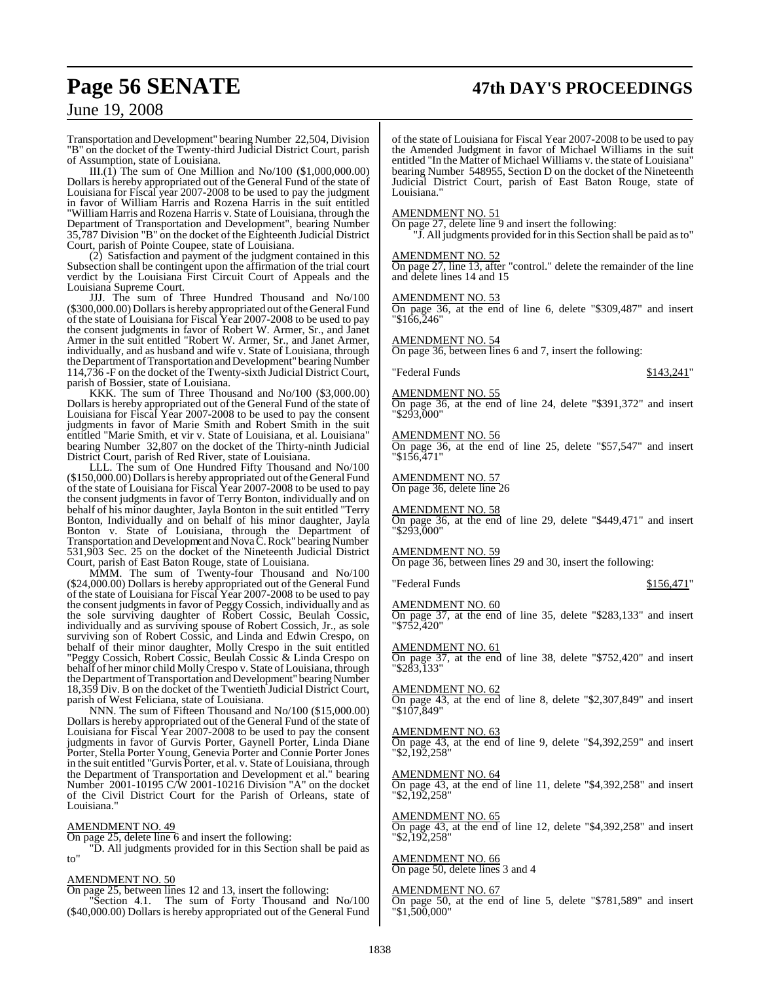# **Page 56 SENATE 47th DAY'S PROCEEDINGS**

### June 19, 2008

Transportation and Development" bearing Number 22,504, Division "B" on the docket of the Twenty-third Judicial District Court, parish of Assumption, state of Louisiana.

 $III.(\hat{1})$  The sum of One Million and No/100 (\$1,000,000.00) Dollars is hereby appropriated out of the General Fund of the state of Louisiana for Fiscal year 2007-2008 to be used to pay the judgment in favor of William Harris and Rozena Harris in the suit entitled "William Harris and Rozena Harris v. State of Louisiana, through the Department of Transportation and Development", bearing Number 35,787 Division "B" on the docket of the Eighteenth Judicial District Court, parish of Pointe Coupee, state of Louisiana.

(2) Satisfaction and payment of the judgment contained in this Subsection shall be contingent upon the affirmation of the trial court verdict by the Louisiana First Circuit Court of Appeals and the Louisiana Supreme Court.

JJJ. The sum of Three Hundred Thousand and No/100 (\$300,000.00) Dollars is hereby appropriated out of the General Fund of the state of Louisiana for Fiscal Year 2007-2008 to be used to pay the consent judgments in favor of Robert W. Armer, Sr., and Janet Armer in the suit entitled "Robert W. Armer, Sr., and Janet Armer, individually, and as husband and wife v. State of Louisiana, through the Department of Transportation and Development" bearing Number 114,736 -F on the docket of the Twenty-sixth Judicial District Court, parish of Bossier, state of Louisiana.

KKK. The sum of Three Thousand and No/100 (\$3,000.00) Dollars is hereby appropriated out of the General Fund of the state of Louisiana for Fiscal Year 2007-2008 to be used to pay the consent judgments in favor of Marie Smith and Robert Smith in the suit entitled "Marie Smith, et vir v. State of Louisiana, et al. Louisiana" bearing Number 32,807 on the docket of the Thirty-ninth Judicial District Court, parish of Red River, state of Louisiana.

LLL. The sum of One Hundred Fifty Thousand and No/100 (\$150,000.00) Dollarsis hereby appropriated out oftheGeneral Fund of the state of Louisiana for Fiscal Year 2007-2008 to be used to pay the consent judgments in favor of Terry Bonton, individually and on behalf of his minor daughter, Jayla Bonton in the suit entitled "Terry Bonton, Individually and on behalf of his minor daughter, Jayla Bonton v. State of Louisiana, through the Department of Transportation and Development and Nova C. Rock" bearing Number 531,903 Sec. 25 on the docket of the Nineteenth Judicial District Court, parish of East Baton Rouge, state of Louisiana.

MMM. The sum of Twenty-four Thousand and No/100 (\$24,000.00) Dollars is hereby appropriated out of the General Fund of the state of Louisiana for Fiscal Year 2007-2008 to be used to pay the consent judgments in favor of Peggy Cossich, individually and as the sole surviving daughter of Robert Cossic, Beulah Cossic, individually and as surviving spouse of Robert Cossich, Jr., as sole surviving son of Robert Cossic, and Linda and Edwin Crespo, on behalf of their minor daughter, Molly Crespo in the suit entitled "Peggy Cossich, Robert Cossic, Beulah Cossic & Linda Crespo on behalf of her minor child MollyCrespo v. State of Louisiana, through the Department of Transportation and Development" bearing Number 18,359 Div. B on the docket of the Twentieth Judicial District Court, parish of West Feliciana, state of Louisiana.

NNN. The sum of Fifteen Thousand and No/100 (\$15,000.00) Dollars is hereby appropriated out of the General Fund of the state of Louisiana for Fiscal Year 2007-2008 to be used to pay the consent judgments in favor of Gurvis Porter, Gaynell Porter, Linda Diane Porter, Stella Porter Young, Genevia Porter and Connie Porter Jones in the suit entitled "Gurvis Porter, et al. v. State of Louisiana, through the Department of Transportation and Development et al." bearing Number 2001-10195 C/W 2001-10216 Division "A" on the docket of the Civil District Court for the Parish of Orleans, state of Louisiana."

#### AMENDMENT NO. 49

On page 25, delete line 6 and insert the following:

"D. All judgments provided for in this Section shall be paid as to"

#### AMENDMENT NO. 50

On page 25, between lines 12 and 13, insert the following:

Section 4.1. The sum of Forty Thousand and No/100 (\$40,000.00) Dollars is hereby appropriated out of the General Fund

of the state of Louisiana for Fiscal Year 2007-2008 to be used to pay the Amended Judgment in favor of Michael Williams in the suit entitled "In the Matter of Michael Williams v. the state of Louisiana" bearing Number 548955, Section D on the docket of the Nineteenth Judicial District Court, parish of East Baton Rouge, state of Louisiana."

#### AMENDMENT NO. 51

On page 27, delete line 9 and insert the following:

"J. All judgments provided for in this Section shall be paid asto"

#### AMENDMENT NO. 52

On page 27, line 13, after "control." delete the remainder of the line and delete lines 14 and 15

#### AMENDMENT NO. 53

On page 36, at the end of line 6, delete "\$309,487" and insert "\$166,246"

AMENDMENT NO. 54

On page 36, between lines 6 and 7, insert the following:

#### "Federal Funds \$143,241"

#### AMENDMENT NO. 55

On page 36, at the end of line 24, delete "\$391,372" and insert "\$293,000"

#### AMENDMENT NO. 56

On page 36, at the end of line 25, delete "\$57,547" and insert "\$156,471"

AMENDMENT NO. 57 On page 36, delete line 26

#### AMENDMENT NO. 58

On page 36, at the end of line 29, delete "\$449,471" and insert "\$293,000"

#### AMENDMENT NO. 59

On page 36, between lines 29 and 30, insert the following:

#### "Federal Funds \$156,471"

#### AMENDMENT NO. 60

On page 37, at the end of line 35, delete "\$283,133" and insert "\$752,420"

#### AMENDMENT NO. 61

On page 37, at the end of line 38, delete "\$752,420" and insert "\$283,133"

#### AMENDMENT NO. 62

On page 43, at the end of line 8, delete "\$2,307,849" and insert "\$107,849"

#### AMENDMENT NO. 63

On page 43, at the end of line 9, delete "\$4,392,259" and insert "\$2,192,258"

#### AMENDMENT NO. 64

On page 43, at the end of line 11, delete "\$4,392,258" and insert "\$2,192,258"

#### AMENDMENT NO. 65

On page 43, at the end of line 12, delete "\$4,392,258" and insert "\$2,192,258"

#### AMENDMENT NO. 66

On page 50, delete lines 3 and 4

#### AMENDMENT NO. 67

On page 50, at the end of line 5, delete "\$781,589" and insert "\$1,500,000"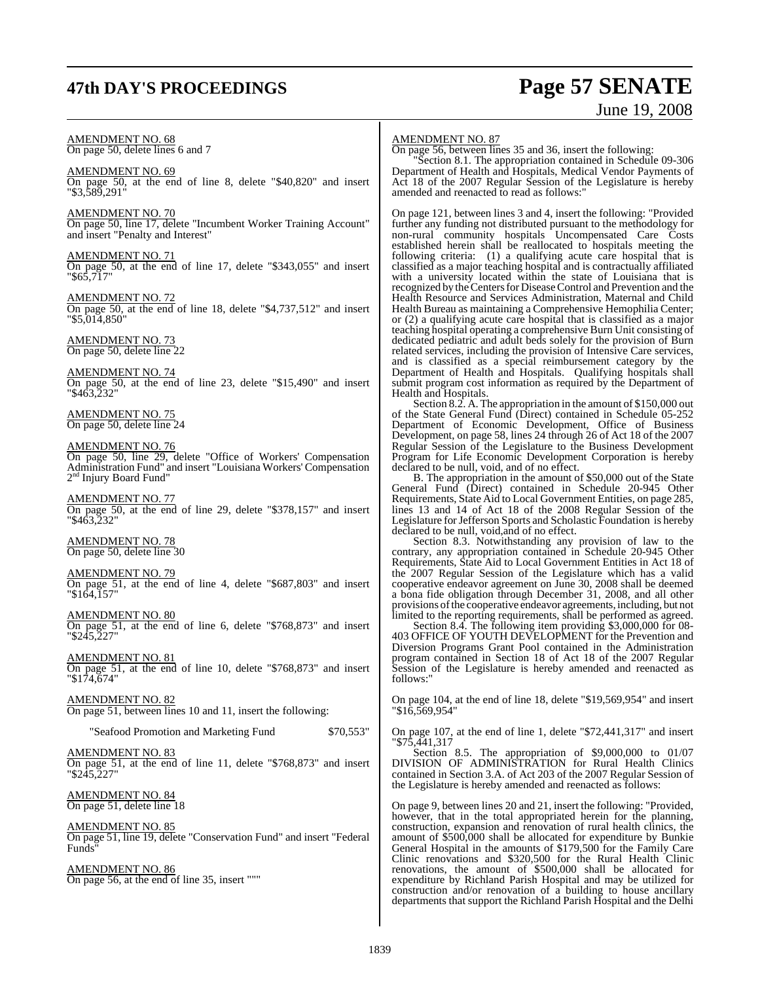# **47th DAY'S PROCEEDINGS Page 57 SENATE**

# June 19, 2008

AMENDMENT NO. 68 On page 50, delete lines 6 and 7

AMENDMENT NO. 69 On page 50, at the end of line 8, delete "\$40,820" and insert "\$3,589,291"

AMENDMENT NO. 70 On page 50, line 17, delete "Incumbent Worker Training Account" and insert "Penalty and Interest"

AMENDMENT NO. 71 On page 50, at the end of line 17, delete "\$343,055" and insert "\$65,717"

AMENDMENT NO. 72 On page 50, at the end of line 18, delete "\$4,737,512" and insert "\$5,014,850"

AMENDMENT NO. 73 On page 50, delete line 22

AMENDMENT NO. 74 On page 50, at the end of line 23, delete "\$15,490" and insert "\$463,232"

AMENDMENT NO. 75 On page 50, delete line 24

### AMENDMENT NO. 76

On page 50, line 29, delete "Office of Workers' Compensation Administration Fund" and insert "Louisiana Workers' Compensation 2<sup>nd</sup> Injury Board Fund"

AMENDMENT NO. 77 On page 50, at the end of line 29, delete "\$378,157" and insert "\$463,232"

AMENDMENT NO. 78 On page 50, delete line 30

#### AMENDMENT NO. 79

On page 51, at the end of line 4, delete "\$687,803" and insert "\$164,157"

AMENDMENT NO. 80 On page 51, at the end of line 6, delete "\$768,873" and insert "\$245,227"

AMENDMENT NO. 81 On page 51, at the end of line 10, delete "\$768,873" and insert "\$174,674"

AMENDMENT NO. 82 On page 51, between lines 10 and 11, insert the following:

"Seafood Promotion and Marketing Fund \$70,553"

AMENDMENT NO. 83 On page 51, at the end of line 11, delete "\$768,873" and insert "\$245,227"

AMENDMENT NO. 84 On page 51, delete line 18

AMENDMENT NO. 85 On page 51, line 19, delete "Conservation Fund" and insert "Federal Funds"

AMENDMENT NO. 86 On page 56, at the end of line 35, insert """

#### AMENDMENT NO. 87

On page 56, between lines 35 and 36, insert the following:

"Section 8.1. The appropriation contained in Schedule 09-306 Department of Health and Hospitals, Medical Vendor Payments of Act 18 of the 2007 Regular Session of the Legislature is hereby amended and reenacted to read as follows:"

On page 121, between lines 3 and 4, insert the following: "Provided further any funding not distributed pursuant to the methodology for non-rural community hospitals Uncompensated Care Costs established herein shall be reallocated to hospitals meeting the following criteria: (1) a qualifying acute care hospital that is classified as a major teaching hospital and is contractually affiliated with a university located within the state of Louisiana that is recognized by the Centers for Disease Control and Prevention and the Health Resource and Services Administration, Maternal and Child Health Bureau as maintaining a Comprehensive Hemophilia Center; or (2) a qualifying acute care hospital that is classified as a major teaching hospital operating a comprehensive Burn Unit consisting of dedicated pediatric and adult beds solely for the provision of Burn related services, including the provision of Intensive Care services, and is classified as a special reimbursement category by the Department of Health and Hospitals. Qualifying hospitals shall submit program cost information as required by the Department of Health and Hospitals.

Section 8.2. A. The appropriation in the amount of \$150,000 out of the State General Fund (Direct) contained in Schedule 05-252 Department of Economic Development, Office of Business Development, on page 58, lines 24 through 26 of Act 18 of the 2007 Regular Session of the Legislature to the Business Development Program for Life Economic Development Corporation is hereby declared to be null, void, and of no effect.

B. The appropriation in the amount of \$50,000 out of the State General Fund (Direct) contained in Schedule 20-945 Other Requirements, State Aid to Local Government Entities, on page 285, lines 13 and 14 of Act 18 of the 2008 Regular Session of the Legislature for Jefferson Sports and Scholastic Foundation is hereby declared to be null, void,and of no effect.

Section 8.3. Notwithstanding any provision of law to the contrary, any appropriation contained in Schedule 20-945 Other Requirements, State Aid to Local Government Entities in Act 18 of the 2007 Regular Session of the Legislature which has a valid cooperative endeavor agreement on June 30, 2008 shall be deemed a bona fide obligation through December 31, 2008, and all other provisions ofthe cooperative endeavor agreements, including, but not limited to the reporting requirements, shall be performed as agreed.

Section 8.4. The following item providing \$3,000,000 for 08- 403 OFFICE OF YOUTH DEVELOPMENT for the Prevention and Diversion Programs Grant Pool contained in the Administration program contained in Section 18 of Act 18 of the 2007 Regular program contained in Section 18 of Act 18 of the 2007 Regular Session of the Legislature is hereby amended and reenacted as follows:"

On page 104, at the end of line 18, delete "\$19,569,954" and insert "\$16,569,954"

On page 107, at the end of line 1, delete "\$72,441,317" and insert "\$75,441,317

Section 8.5. The appropriation of \$9,000,000 to 01/07 DIVISION OF ADMINISTRATION for Rural Health Clinics contained in Section 3.A. of Act 203 of the 2007 Regular Session of the Legislature is hereby amended and reenacted as follows:

On page 9, between lines 20 and 21, insert the following: "Provided, however, that in the total appropriated herein for the planning, construction, expansion and renovation of rural health clinics, the amount of \$500,000 shall be allocated for expenditure by Bunkie General Hospital in the amounts of \$179,500 for the Family Care Clinic renovations and \$320,500 for the Rural Health Clinic renovations, the amount of \$500,000 shall be allocated for expenditure by Richland Parish Hospital and may be utilized for construction and/or renovation of a building to house ancillary departments that support the Richland Parish Hospital and the Delhi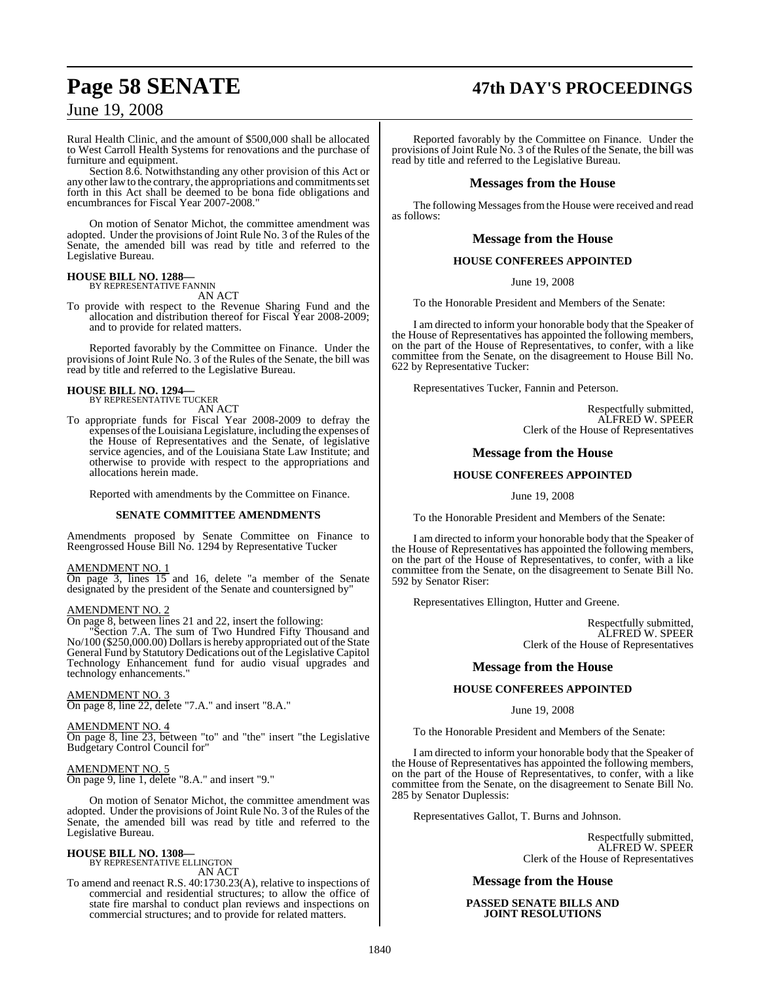# **Page 58 SENATE 47th DAY'S PROCEEDINGS**

### June 19, 2008

Rural Health Clinic, and the amount of \$500,000 shall be allocated to West Carroll Health Systems for renovations and the purchase of furniture and equipment.

Section 8.6. Notwithstanding any other provision of this Act or any other law to the contrary, the appropriations and commitments set forth in this Act shall be deemed to be bona fide obligations and encumbrances for Fiscal Year 2007-2008."

On motion of Senator Michot, the committee amendment was adopted. Under the provisions of Joint Rule No. 3 of the Rules of the Senate, the amended bill was read by title and referred to the Legislative Bureau.

#### **HOUSE BILL NO. 1288—**

BY REPRESENTATIVE FANNIN AN ACT

To provide with respect to the Revenue Sharing Fund and the allocation and distribution thereof for Fiscal Year 2008-2009; and to provide for related matters.

Reported favorably by the Committee on Finance. Under the provisions of Joint Rule No. 3 of the Rules of the Senate, the bill was read by title and referred to the Legislative Bureau.

# **HOUSE BILL NO. 1294—** BY REPRESENTATIVE TUCKER

AN ACT

To appropriate funds for Fiscal Year 2008-2009 to defray the expenses of the Louisiana Legislature, including the expenses of the House of Representatives and the Senate, of legislative service agencies, and of the Louisiana State Law Institute; and otherwise to provide with respect to the appropriations and allocations herein made.

Reported with amendments by the Committee on Finance.

#### **SENATE COMMITTEE AMENDMENTS**

Amendments proposed by Senate Committee on Finance to Reengrossed House Bill No. 1294 by Representative Tucker

#### AMENDMENT NO. 1

On page 3, lines 15 and 16, delete "a member of the Senate designated by the president of the Senate and countersigned by"

#### AMENDMENT NO. 2

On page 8, between lines 21 and 22, insert the following:

Section 7.A. The sum of Two Hundred Fifty Thousand and No/100 (\$250,000.00) Dollars is hereby appropriated out of the State General Fund by Statutory Dedications out of the Legislative Capitol Technology Enhancement fund for audio visual upgrades and technology enhancements."

AMENDMENT NO. 3 On page 8, line 22, delete "7.A." and insert "8.A."

#### AMENDMENT NO. 4

On page 8, line 23, between "to" and "the" insert "the Legislative Budgetary Control Council for"

AMENDMENT NO. 5 On page 9, line 1, delete "8.A." and insert "9."

On motion of Senator Michot, the committee amendment was adopted. Under the provisions of Joint Rule No. 3 of the Rules of the Senate, the amended bill was read by title and referred to the Legislative Bureau.

#### **HOUSE BILL NO. 1308—** BY REPRESENTATIVE ELLINGTON

AN ACT

To amend and reenact R.S. 40:1730.23(A), relative to inspections of commercial and residential structures; to allow the office of state fire marshal to conduct plan reviews and inspections on commercial structures; and to provide for related matters.

Reported favorably by the Committee on Finance. Under the provisions of Joint Rule No. 3 of the Rules of the Senate, the bill was read by title and referred to the Legislative Bureau.

#### **Messages from the House**

The following Messages from the House were received and read as follows:

#### **Message from the House**

### **HOUSE CONFEREES APPOINTED**

June 19, 2008

To the Honorable President and Members of the Senate:

I am directed to inform your honorable body that the Speaker of the House of Representatives has appointed the following members, on the part of the House of Representatives, to confer, with a like committee from the Senate, on the disagreement to House Bill No. 622 by Representative Tucker:

Representatives Tucker, Fannin and Peterson.

Respectfully submitted, ALFRED W. SPEER Clerk of the House of Representatives

#### **Message from the House**

#### **HOUSE CONFEREES APPOINTED**

June 19, 2008

To the Honorable President and Members of the Senate:

I am directed to inform your honorable body that the Speaker of the House of Representatives has appointed the following members, on the part of the House of Representatives, to confer, with a like committee from the Senate, on the disagreement to Senate Bill No. 592 by Senator Riser:

Representatives Ellington, Hutter and Greene.

Respectfully submitted, ALFRED W. SPEER Clerk of the House of Representatives

#### **Message from the House**

#### **HOUSE CONFEREES APPOINTED**

June 19, 2008

To the Honorable President and Members of the Senate:

I am directed to inform your honorable body that the Speaker of the House of Representatives has appointed the following members, on the part of the House of Representatives, to confer, with a like committee from the Senate, on the disagreement to Senate Bill No. 285 by Senator Duplessis:

Representatives Gallot, T. Burns and Johnson.

Respectfully submitted, ALFRED W. SPEER Clerk of the House of Representatives

#### **Message from the House**

**PASSED SENATE BILLS AND JOINT RESOLUTIONS**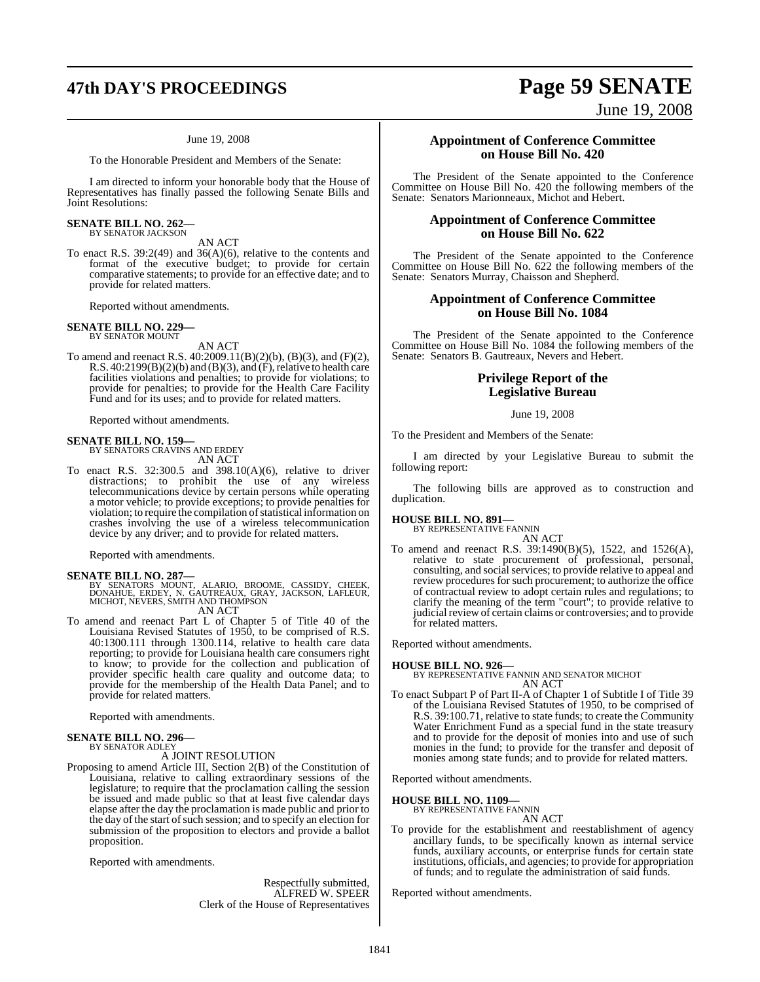# **47th DAY'S PROCEEDINGS Page 59 SENATE**

#### June 19, 2008

To the Honorable President and Members of the Senate:

I am directed to inform your honorable body that the House of Representatives has finally passed the following Senate Bills and Joint Resolutions:

# **SENATE BILL NO. 262—** BY SENATOR JACKSON

AN ACT

To enact R.S. 39:2(49) and  $36(A)(6)$ , relative to the contents and format of the executive budget; to provide for certain comparative statements; to provide for an effective date; and to provide for related matters.

Reported without amendments.

#### **SENATE BILL NO. 229—** BY SENATOR MOUNT

AN ACT

To amend and reenact R.S. 40:2009.11(B)(2)(b), (B)(3), and (F)(2), R.S.  $40:2199(B)(2)(b)$  and  $(B)(3)$ , and  $(F)$ , relative to health care facilities violations and penalties; to provide for violations; to provide for penalties; to provide for the Health Care Facility Fund and for its uses; and to provide for related matters.

Reported without amendments.

#### **SENATE BILL NO. 159—**

BY SENATORS CRAVINS AND ERDEY AN ACT

To enact R.S. 32:300.5 and 398.10(A)(6), relative to driver distractions; to prohibit the use of any wireless telecommunications device by certain persons while operating a motor vehicle; to provide exceptions; to provide penalties for violation; to require the compilation of statistical information on crashes involving the use of a wireless telecommunication device by any driver; and to provide for related matters.

Reported with amendments.

#### **SENATE BILL NO. 287—**

BY SENATORS MOUNT, ALARIO, BROOME, CASSIDY, CHEEK,<br>DONAHUE, ERDEY, N. GAUTREAUX, GRAY, JACKSON, LAFLEUR,<br>MICHOT,NEVERS,SMITHAND THOMPSON AN ACT

To amend and reenact Part L of Chapter 5 of Title 40 of the Louisiana Revised Statutes of 1950, to be comprised of R.S. 40:1300.111 through 1300.114, relative to health care data reporting; to provide for Louisiana health care consumers right to know; to provide for the collection and publication of provider specific health care quality and outcome data; to provide for the membership of the Health Data Panel; and to

provide for related matters. Reported with amendments.

# **SENATE BILL NO. 296—** BY SENATOR ADLEY

#### A JOINT RESOLUTION

Proposing to amend Article III, Section 2(B) of the Constitution of Louisiana, relative to calling extraordinary sessions of the legislature; to require that the proclamation calling the session be issued and made public so that at least five calendar days elapse after the day the proclamation is made public and prior to the day of the start of such session; and to specify an election for submission of the proposition to electors and provide a ballot proposition.

Reported with amendments.

Respectfully submitted, ALFRED W. SPEER Clerk of the House of Representatives

June 19, 2008

#### **Appointment of Conference Committee on House Bill No. 420**

The President of the Senate appointed to the Conference Committee on House Bill No. 420 the following members of the Senate: Senators Marionneaux, Michot and Hebert.

#### **Appointment of Conference Committee on House Bill No. 622**

The President of the Senate appointed to the Conference Committee on House Bill No. 622 the following members of the Senate: Senators Murray, Chaisson and Shepherd.

### **Appointment of Conference Committee on House Bill No. 1084**

The President of the Senate appointed to the Conference Committee on House Bill No. 1084 the following members of the Senate: Senators B. Gautreaux, Nevers and Hebert.

### **Privilege Report of the Legislative Bureau**

#### June 19, 2008

To the President and Members of the Senate:

I am directed by your Legislative Bureau to submit the following report:

The following bills are approved as to construction and duplication.

#### **HOUSE BILL NO. 891—**

BY REPRESENTATIVE FANNIN AN ACT

To amend and reenact R.S. 39:1490(B)(5), 1522, and 1526(A), relative to state procurement of professional, personal, consulting, and social services; to provide relative to appeal and review procedures for such procurement; to authorize the office of contractual review to adopt certain rules and regulations; to clarify the meaning of the term "court"; to provide relative to judicial review of certain claims or controversies; and to provide for related matters.

Reported without amendments.

**HOUSE BILL NO. 926—** BY REPRESENTATIVE FANNIN AND SENATOR MICHOT AN ACT

To enact Subpart P of Part II-A of Chapter 1 of Subtitle I of Title 39 of the Louisiana Revised Statutes of 1950, to be comprised of R.S. 39:100.71, relative to state funds; to create the Community Water Enrichment Fund as a special fund in the state treasury and to provide for the deposit of monies into and use of such monies in the fund; to provide for the transfer and deposit of monies among state funds; and to provide for related matters.

Reported without amendments.

### **HOUSE BILL NO. 1109—** BY REPRESENTATIVE FANNIN

AN ACT

To provide for the establishment and reestablishment of agency ancillary funds, to be specifically known as internal service funds, auxiliary accounts, or enterprise funds for certain state institutions, officials, and agencies; to provide for appropriation of funds; and to regulate the administration of said funds.

Reported without amendments.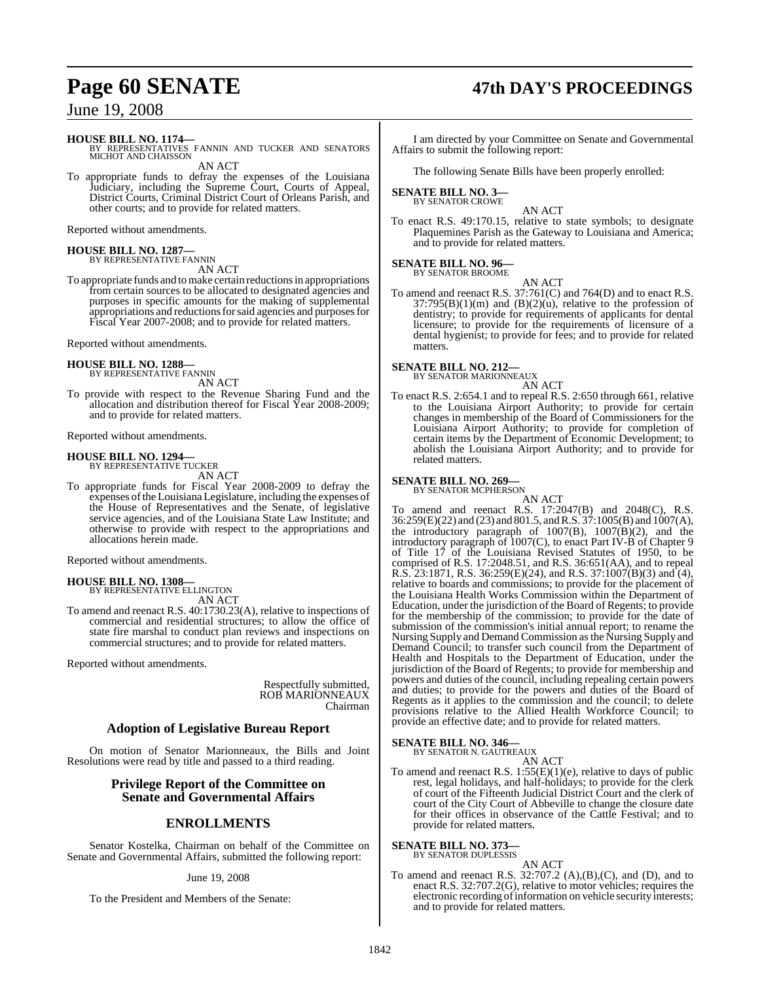#### **HOUSE BILL NO. 1174—**

BY REPRESENTATIVES FANNIN AND TUCKER AND SENATORS MICHOT AND CHAISSON

AN ACT

To appropriate funds to defray the expenses of the Louisiana Judiciary, including the Supreme Court, Courts of Appeal, District Courts, Criminal District Court of Orleans Parish, and other courts; and to provide for related matters.

Reported without amendments.

### **HOUSE BILL NO. 1287—** BY REPRESENTATIVE FANNIN

AN ACT

To appropriate funds and to make certain reductions in appropriations from certain sources to be allocated to designated agencies and purposes in specific amounts for the making of supplemental appropriations and reductions for said agencies and purposes for Fiscal Year 2007-2008; and to provide for related matters.

Reported without amendments.

**HOUSE BILL NO. 1288—** BY REPRESENTATIVE FANNIN

AN ACT To provide with respect to the Revenue Sharing Fund and the

allocation and distribution thereof for Fiscal Year 2008-2009; and to provide for related matters.

Reported without amendments.

#### **HOUSE BILL NO. 1294—** BY REPRESENTATIVE TUCKER

AN ACT

To appropriate funds for Fiscal Year 2008-2009 to defray the expenses ofthe Louisiana Legislature, including the expenses of the House of Representatives and the Senate, of legislative service agencies, and of the Louisiana State Law Institute; and otherwise to provide with respect to the appropriations and allocations herein made.

Reported without amendments.

### **HOUSE BILL NO. 1308—** BY REPRESENTATIVE ELLINGTON

AN ACT

To amend and reenact R.S. 40:1730.23(A), relative to inspections of commercial and residential structures; to allow the office of state fire marshal to conduct plan reviews and inspections on commercial structures; and to provide for related matters.

Reported without amendments.

Respectfully submitted, ROB MARIONNEAUX Chairman

#### **Adoption of Legislative Bureau Report**

On motion of Senator Marionneaux, the Bills and Joint Resolutions were read by title and passed to a third reading.

### **Privilege Report of the Committee on Senate and Governmental Affairs**

### **ENROLLMENTS**

Senator Kostelka, Chairman on behalf of the Committee on Senate and Governmental Affairs, submitted the following report:

#### June 19, 2008

To the President and Members of the Senate:

# **Page 60 SENATE 47th DAY'S PROCEEDINGS**

I am directed by your Committee on Senate and Governmental Affairs to submit the following report:

The following Senate Bills have been properly enrolled:

#### **SENATE BILL NO. 3—** BY SENATOR CROWE

AN ACT

To enact R.S. 49:170.15, relative to state symbols; to designate Plaquemines Parish as the Gateway to Louisiana and America; and to provide for related matters.

#### **SENATE BILL NO. 96—**

BY SENATOR BROOME AN ACT

To amend and reenact R.S. 37:761(C) and 764(D) and to enact R.S.  $37:795(B)(1)(m)$  and  $(B)(2)(u)$ , relative to the profession of dentistry; to provide for requirements of applicants for dental licensure; to provide for the requirements of licensure of a dental hygienist; to provide for fees; and to provide for related matters.

#### **SENATE BILL NO. 212—**

BY SENATOR MARIONNEAUX AN ACT

To enact R.S. 2:654.1 and to repeal R.S. 2:650 through 661, relative to the Louisiana Airport Authority; to provide for certain changes in membership of the Board of Commissioners for the Louisiana Airport Authority; to provide for completion of certain items by the Department of Economic Development; to abolish the Louisiana Airport Authority; and to provide for related matters.

**SENATE BILL NO. 269—** BY SENATOR MCPHERSON AN ACT To amend and reenact R.S. 17:2047(B) and 2048(C), R.S. 36:259(E)(22) and (23) and 801.5, and R.S. 37:1005(B) and 1007(A), the introductory paragraph of 1007(B), 1007(B)(2), and the introductory paragraph of 1007(C), to enact Part IV-B of Chapter 9 of Title 17 of the Louisiana Revised Statutes of 1950, to be comprised of R.S. 17:2048.51, and R.S. 36:651(AA), and to repeal R.S.  $23:1871$ , R.S.  $36:259(E)(24)$ , and R.S.  $37:1007(B)(3)$  and  $(4)$ , relative to boards and commissions; to provide for the placement of the Louisiana Health Works Commission within the Department of Education, under the jurisdiction of the Board of Regents; to provide for the membership of the commission; to provide for the date of submission of the commission's initial annual report; to rename the Nursing Supply and Demand Commission asthe Nursing Supply and Demand Council; to transfer such council from the Department of Health and Hospitals to the Department of Education, under the jurisdiction of the Board of Regents; to provide for membership and powers and duties of the council, including repealing certain powers and duties; to provide for the powers and duties of the Board of Regents as it applies to the commission and the council; to delete provisions relative to the Allied Health Workforce Council; to provide an effective date; and to provide for related matters. **SENATE BILL NO. 346—**

BY SENATOR N. GAUTREAUX

AN ACT To amend and reenact R.S. 1:55(E)(1)(e), relative to days of public rest, legal holidays, and half-holidays; to provide for the clerk of court of the Fifteenth Judicial District Court and the clerk of court of the City Court of Abbeville to change the closure date for their offices in observance of the Cattle Festival; and to provide for related matters.

**SENATE BILL NO. 373**<br>BY SENATOR DUPLESSIS

#### AN ACT

To amend and reenact R.S. 32:707.2 (A),(B),(C), and (D), and to enact R.S. 32:707.2(G), relative to motor vehicles; requires the electronic recording of information on vehicle security interests; and to provide for related matters.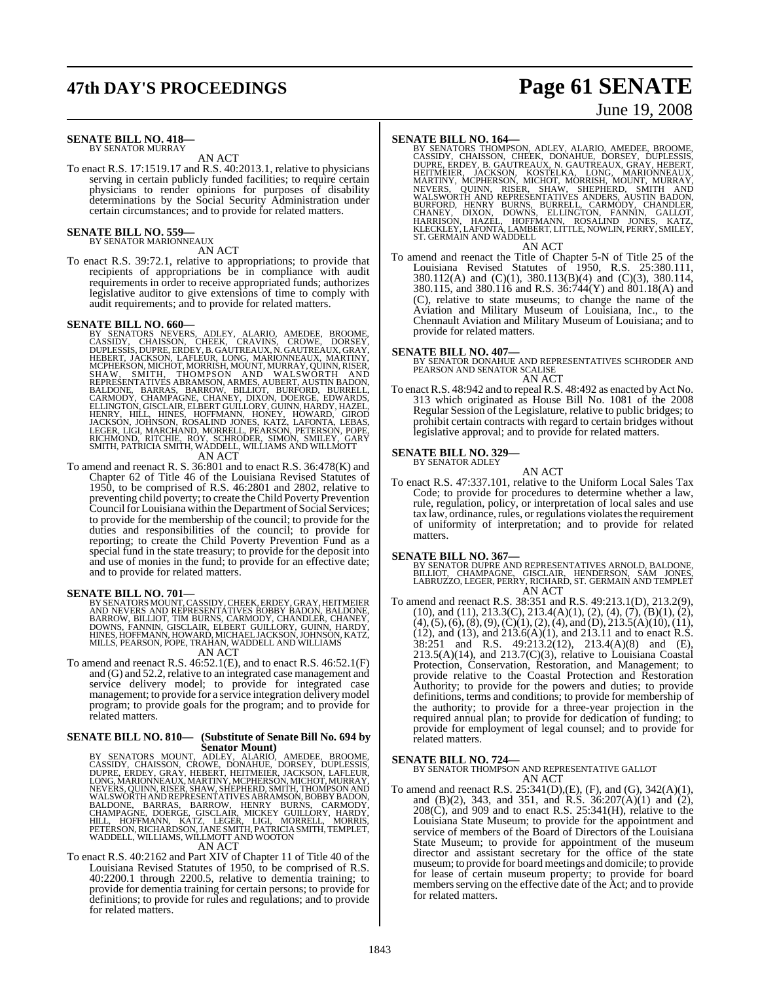# **47th DAY'S PROCEEDINGS Page 61 SENATE**

#### **SENATE BILL NO. 418—** BY SENATOR MURRAY

AN ACT

To enact R.S. 17:1519.17 and R.S. 40:2013.1, relative to physicians serving in certain publicly funded facilities; to require certain physicians to render opinions for purposes of disability determinations by the Social Security Administration under certain circumstances; and to provide for related matters.

#### **SENATE BILL NO. 559—** BY SENATOR MARIONNEAUX

### AN ACT

To enact R.S. 39:72.1, relative to appropriations; to provide that recipients of appropriations be in compliance with audit requirements in order to receive appropriated funds; authorizes legislative auditor to give extensions of time to comply with audit requirements; and to provide for related matters.

SENATE BILL NO. 660—<br>
BY SENATORS NEVERS, ADLEY, ALARIO, AMEDEE, BROOME, CASSIDY, CHAISSON, CHEEK, CRAVINS, CROWE, DORSEY,<br>
DUPLESSIS, DUPRE, ERDEY, B. GAUTREAUX, NGAUTREAUX, GRAY,<br>
HEBERT, JACKSON, LAFLEUR, LONG, MARIONNE

To amend and reenact R. S. 36:801 and to enact R.S. 36:478(K) and Chapter 62 of Title 46 of the Louisiana Revised Statutes of 1950, to be comprised of R.S. 46:2801 and 2802, relative to preventing child poverty; to create the Child Poverty Prevention Council for Louisiana within the Department of Social Services; to provide for the membership of the council; to provide for the duties and responsibilities of the council; to provide for reporting; to create the Child Poverty Prevention Fund as a special fund in the state treasury; to provide for the deposit into and use of monies in the fund; to provide for an effective date; and to provide for related matters.

**SENATE BILL NO. 701—**<br>BY SENATORS MOUNT, CASSIDY, CHEEK, ERDEY, GRAY, HEITMEIER<br>AND NEVERS AND REPRESENTATIVES BOBBY BADON, BALDONE,<br>BARROW, BILLIOT, TIM BURNS, CARMODY, CHANDLER, CHANEY,<br>DOWNS, FANNIN, GISCLAIR, ELBERT G

### AN ACT

To amend and reenact R.S. 46:52.1(E), and to enact R.S. 46:52.1(F) and (G) and 52.2, relative to an integrated case management and service delivery model; to provide for integrated case management; to provide for a service integration delivery model program; to provide goals for the program; and to provide for related matters.

# **SENATE BILL NO. 810— (Substitute of Senate Bill No. 694 by**

Senator Mount)<br>BY SENATORS MOUNT, ADLEY, ALARIO, AMEDEE, BROOME,<br>CASSIDY, CHAISSON, CROWE, DONAHUE, DORSEY, DUPLESSIS,<br>DUPRE, ERDEY, GRAY, HEBERT, HEITMEIER, JACKSON, LAFLEUR,<br>LONG, MARIONNEAUX, MARTINY, MCPHERSON, MICHOT,

#### AN ACT

To enact R.S. 40:2162 and Part XIV of Chapter 11 of Title 40 of the Louisiana Revised Statutes of 1950, to be comprised of R.S. 40:2200.1 through 2200.5, relative to dementia training; to provide for dementia training for certain persons; to provide for definitions; to provide for rules and regulations; and to provide for related matters.

# June 19, 2008

SENATE BILL NO. 164—<br>
BY SENATORS THOMPSON, ADLEY, ALARIO, AMEDEE, BROOME, CASSIDY, CHAISSON, CHEEK, DONAHUE, DORSEY, DUPLESSIS,<br>
CUPRE, ERDEY, B. GAUTREAUX, N. GAUTREAUX, GRAY, HEBERT,<br>
HEITMEIER, JACKSON, KOSTELKA, LONG,

#### AN ACT

To amend and reenact the Title of Chapter 5-N of Title 25 of the Louisiana Revised Statutes of 1950, R.S. 25:380.111, 380.112(A) and (C)(1), 380.113(B)(4) and (C)(3), 380.114, 380.115, and 380.116 and R.S. 36:744(Y) and 801.18(A) and (C), relative to state museums; to change the name of the Aviation and Military Museum of Louisiana, Inc., to the Chennault Aviation and Military Museum of Louisiana; and to provide for related matters.

#### **SENATE BILL NO. 407—**

BY SENATOR DONAHUE AND REPRESENTATIVES SCHRODER AND PEARSON AND SENATOR SCALISE AN ACT

To enact R.S. 48:942 and to repeal R.S. 48:492 as enacted by Act No. 313 which originated as House Bill No. 1081 of the 2008 Regular Session of the Legislature, relative to public bridges; to prohibit certain contracts with regard to certain bridges without legislative approval; and to provide for related matters.

### **SENATE BILL NO. 329—** BY SENATOR ADLEY

AN ACT

To enact R.S. 47:337.101, relative to the Uniform Local Sales Tax Code; to provide for procedures to determine whether a law, rule, regulation, policy, or interpretation of local sales and use tax law, ordinance, rules, or regulations violates the requirement of uniformity of interpretation; and to provide for related matters.

#### **SENATE BILL NO. 367—**

BY SENATOR DUPRE AND REPRESENTATIVES ARNOLD, BALDONE,<br>BILLIOT, CHAMPAGNE, GISCLAIR, HENDERSON, SAM JONES,<br>LABRUZZO, LEGER, PERRY, RICHARD, ST. GERMAIN AND TEMPLET AN ACT

To amend and reenact R.S. 38:351 and R.S. 49:213.1(D), 213.2(9), (10), and (11), 213.3(C), 213.4(A)(1), (2), (4), (7), (B)(1), (2),  $(4)$ ,  $(5)$ ,  $(6)$ ,  $(8)$ ,  $(9)$ ,  $(C)(1)$ ,  $(2)$ ,  $(4)$ , and  $(D)$ ,  $213.5(A)(10)$ ,  $(11)$ ,  $(12)$ , and  $(13)$ , and  $213.6(A)(1)$ , and  $213.11$  and to enact R.S. 38:251 and R.S. 49:213.2(12), 213.4(A)(8) and (E),  $213.5(A)(14)$ , and  $213.7(C)(3)$ , relative to Louisiana Coastal Protection, Conservation, Restoration, and Management; to provide relative to the Coastal Protection and Restoration Authority; to provide for the powers and duties; to provide definitions, terms and conditions; to provide for membership of the authority; to provide for a three-year projection in the required annual plan; to provide for dedication of funding; to provide for employment of legal counsel; and to provide for related matters.

**SENATE BILL NO. 724—** BY SENATOR THOMPSON AND REPRESENTATIVE GALLOT AN ACT

To amend and reenact R.S. 25:341(D),(E), (F), and (G), 342(A)(1), and (B)(2), 343, and 351, and R.S. 36:207(A)(1) and (2),  $208(\tilde{C})$ , and 909 and to enact R.S.  $25:341(H)$ , relative to the Louisiana State Museum; to provide for the appointment and service of members of the Board of Directors of the Louisiana State Museum; to provide for appointment of the museum director and assistant secretary for the office of the state museum; to provide for board meetings and domicile; to provide for lease of certain museum property; to provide for board members serving on the effective date of the Act; and to provide for related matters.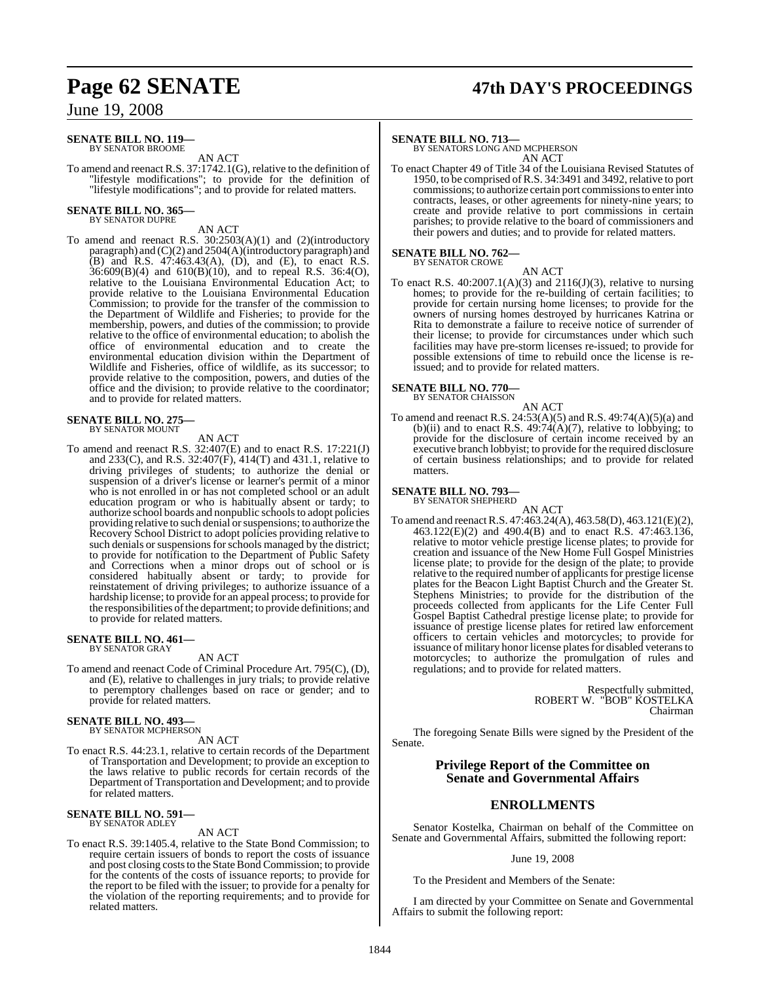# **Page 62 SENATE 47th DAY'S PROCEEDINGS**

June 19, 2008

#### **SENATE BILL NO. 119—** BY SENATOR BROOME

AN ACT

To amend and reenact R.S. 37:1742.1(G), relative to the definition of "lifestyle modifications"; to provide for the definition of "lifestyle modifications"; and to provide for related matters.

### **SENATE BILL NO. 365—** BY SENATOR DUPRE

AN ACT

To amend and reenact R.S. 30:2503(A)(1) and (2)(introductory paragraph) and (C)(2) and 2504(A)(introductory paragraph) and (B) and R.S. 47:463.43(A), (D), and (E), to enact R.S. 36:609(B)(4) and 610(B)(10), and to repeal R.S. 36:4(O), relative to the Louisiana Environmental Education Act; to provide relative to the Louisiana Environmental Education Commission; to provide for the transfer of the commission to the Department of Wildlife and Fisheries; to provide for the membership, powers, and duties of the commission; to provide relative to the office of environmental education; to abolish the office of environmental education and to create the environmental education division within the Department of Wildlife and Fisheries, office of wildlife, as its successor; to provide relative to the composition, powers, and duties of the office and the division; to provide relative to the coordinator; and to provide for related matters.

# **SENATE BILL NO. 275—** BY SENATOR MOUNT

#### AN ACT

To amend and reenact R.S. 32:407(E) and to enact R.S. 17:221(J) and 233(C), and R.S. 32:407(F), 414(T) and 431.1, relative to driving privileges of students; to authorize the denial or suspension of a driver's license or learner's permit of a minor who is not enrolled in or has not completed school or an adult education program or who is habitually absent or tardy; to authorize school boards and nonpublic schoolsto adopt policies providing relative to such denial or suspensions; to authorize the Recovery School District to adopt policies providing relative to such denials or suspensions for schools managed by the district; to provide for notification to the Department of Public Safety and Corrections when a minor drops out of school or is considered habitually absent or tardy; to provide for reinstatement of driving privileges; to authorize issuance of a hardship license; to provide for an appeal process; to provide for the responsibilities of the department; to provide definitions; and to provide for related matters.

# **SENATE BILL NO. 461—** BY SENATOR GRAY

#### AN ACT

To amend and reenact Code of Criminal Procedure Art. 795(C), (D), and (E), relative to challenges in jury trials; to provide relative to peremptory challenges based on race or gender; and to provide for related matters.

### **SENATE BILL NO. 493—**<br>BY SENATOR MCPHERSON

#### AN ACT

To enact R.S. 44:23.1, relative to certain records of the Department of Transportation and Development; to provide an exception to the laws relative to public records for certain records of the Department of Transportation and Development; and to provide for related matters.

#### **SENATE BILL NO. 591—** BY SENATOR ADLEY

#### AN ACT

To enact R.S. 39:1405.4, relative to the State Bond Commission; to require certain issuers of bonds to report the costs of issuance and post closing costs to the State Bond Commission; to provide for the contents of the costs of issuance reports; to provide for the report to be filed with the issuer; to provide for a penalty for the violation of the reporting requirements; and to provide for related matters.

#### **SENATE BILL NO. 713—**

BY SENATORS LONG AND MCPHERSON AN ACT

To enact Chapter 49 of Title 34 of the Louisiana Revised Statutes of 1950, to be comprised ofR.S. 34:3491 and 3492, relative to port commissions; to authorize certain port commissionsto enterinto contracts, leases, or other agreements for ninety-nine years; to create and provide relative to port commissions in certain parishes; to provide relative to the board of commissioners and their powers and duties; and to provide for related matters.

### **SENATE BILL NO. 762—** BY SENATOR CROWE

AN ACT To enact R.S. 40:2007.1(A)(3) and 2116(J)(3), relative to nursing homes; to provide for the re-building of certain facilities; to provide for certain nursing home licenses; to provide for the owners of nursing homes destroyed by hurricanes Katrina or Rita to demonstrate a failure to receive notice of surrender of their license; to provide for circumstances under which such facilities may have pre-storm licenses re-issued; to provide for possible extensions of time to rebuild once the license is reissued; and to provide for related matters.

#### **SENATE BILL NO. 770—** BY SENATOR CHAISSON

AN ACT

To amend and reenact R.S. 24:53(A)(5) and R.S. 49:74(A)(5)(a) and (b)(ii) and to enact R.S.  $49:74(A)(7)$ , relative to lobbying; to provide for the disclosure of certain income received by an executive branch lobbyist; to provide for the required disclosure of certain business relationships; and to provide for related matters.

# **SENATE BILL NO. 793—** BY SENATOR SHEPHERD

AN ACT To amend and reenactR.S. 47:463.24(A), 463.58(D), 463.121(E)(2), 463.122(E)(2) and 490.4(B) and to enact R.S. 47:463.136, relative to motor vehicle prestige license plates; to provide for creation and issuance of the New Home Full Gospel Ministries license plate; to provide for the design of the plate; to provide relative to the required number of applicants for prestige license plates for the Beacon Light Baptist Church and the Greater St. Stephens Ministries; to provide for the distribution of the proceeds collected from applicants for the Life Center Full Gospel Baptist Cathedral prestige license plate; to provide for issuance of prestige license plates for retired law enforcement officers to certain vehicles and motorcycles; to provide for issuance of military honor license plates for disabled veterans to motorcycles; to authorize the promulgation of rules and regulations; and to provide for related matters.

> Respectfully submitted, ROBERT W. "BOB" KOSTELKA Chairman

The foregoing Senate Bills were signed by the President of the Senate.

#### **Privilege Report of the Committee on Senate and Governmental Affairs**

#### **ENROLLMENTS**

Senator Kostelka, Chairman on behalf of the Committee on Senate and Governmental Affairs, submitted the following report:

#### June 19, 2008

To the President and Members of the Senate:

I am directed by your Committee on Senate and Governmental Affairs to submit the following report: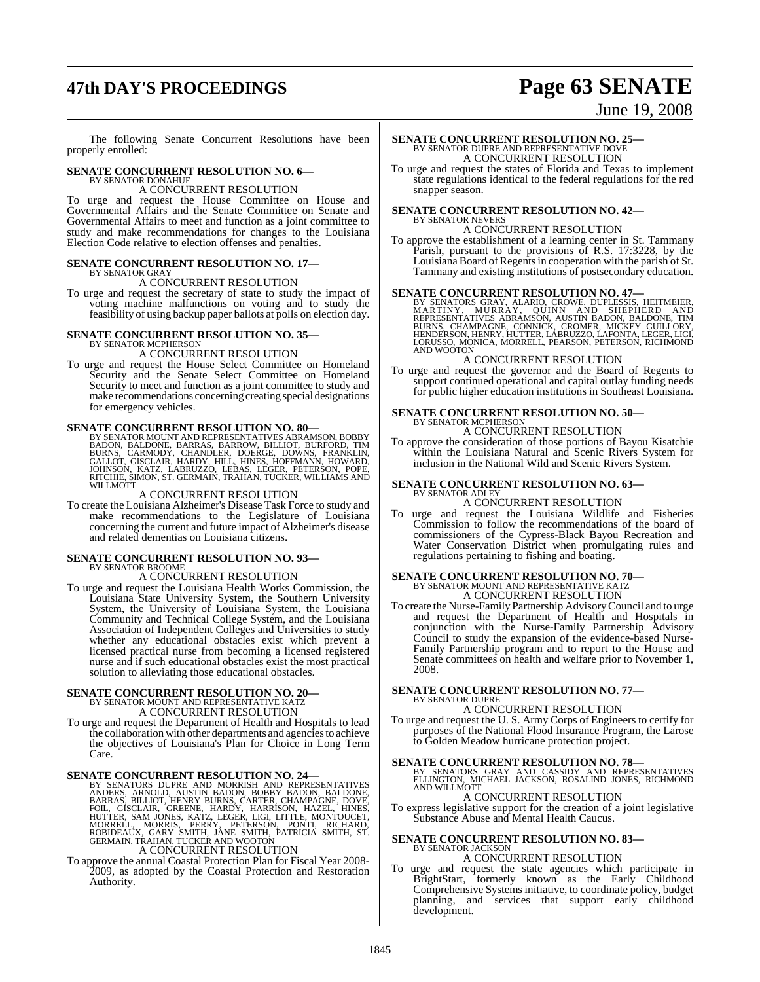# **47th DAY'S PROCEEDINGS Page 63 SENATE**

June 19, 2008

The following Senate Concurrent Resolutions have been properly enrolled:

### **SENATE CONCURRENT RESOLUTION NO. 6—** BY SENATOR DONAHUE

### A CONCURRENT RESOLUTION

To urge and request the House Committee on House and Governmental Affairs and the Senate Committee on Senate and Governmental Affairs to meet and function as a joint committee to study and make recommendations for changes to the Louisiana Election Code relative to election offenses and penalties.

#### **SENATE CONCURRENT RESOLUTION NO. 17—** BY SENATOR GRAY

A CONCURRENT RESOLUTION

To urge and request the secretary of state to study the impact of voting machine malfunctions on voting and to study the feasibility of using backup paper ballots at polls on election day.

## **SENATE CONCURRENT RESOLUTION NO. 35—** BY SENATOR MCPHERSON

#### A CONCURRENT RESOLUTION

To urge and request the House Select Committee on Homeland Security and the Senate Select Committee on Homeland Security to meet and function as a joint committee to study and make recommendations concerning creating special designations for emergency vehicles.

#### **SENATE CONCURRENT RESOLUTION NO. 80—**

BY SENATOR MOUNT AND REPRESENTATIVES ABRAMSON, BOBBY<br>BADON, BALDONE, BARRAS, BARROW, BILLIOT, BURFORD, TIM<br>BURNS, CARMODY, CHANDLER, DOERGE, DOWNS, FRANKLIN,<br>GALLOT, GISCLAIR, HARDY, HILL, HINES, HOFFMANN, HOWARD,<br>JOHNSON, WILLMOTT

#### A CONCURRENT RESOLUTION

To create the Louisiana Alzheimer's Disease Task Force to study and make recommendations to the Legislature of Louisiana concerning the current and future impact of Alzheimer's disease and related dementias on Louisiana citizens.

#### **SENATE CONCURRENT RESOLUTION NO. 93—** BY SENATOR BROOME

A CONCURRENT RESOLUTION

To urge and request the Louisiana Health Works Commission, the Louisiana State University System, the Southern University System, the University of Louisiana System, the Louisiana Community and Technical College System, and the Louisiana Association of Independent Colleges and Universities to study whether any educational obstacles exist which prevent a licensed practical nurse from becoming a licensed registered nurse and if such educational obstacles exist the most practical solution to alleviating those educational obstacles.

### **SENATE CONCURRENT RESOLUTION NO. 20—** BY SENATOR MOUNT AND REPRESENTATIVE KATZ

A CONCURRENT RESOLUTION

To urge and request the Department of Health and Hospitals to lead the collaboration with other departments and agencies to achieve the objectives of Louisiana's Plan for Choice in Long Term Care.

**SENATE CONCURRENT RESOLUTION NO. 24**<br>BY SENATORS DUPRE AND MORRISH AND REPRESENTATIVES<br>ANDERS, ARNOLD, AUSTIN BADON, BOBBY BADON, BALDONE,<br>BARRAS, BILLIOT, HENRY BURNS, CARTER, CHAMPAGNE, DOVE,<br>FOIL, GISCLAIR, GREENE, HAR

A CONCURRENT RESOLUTION

To approve the annual Coastal Protection Plan for Fiscal Year 2008- 2009, as adopted by the Coastal Protection and Restoration Authority.

# **SENATE CONCURRENT RESOLUTION NO. 25—**<br>BY SENATOR DUPRE AND REPRESENTATIVE DOVE<br>A CONCURRENT RESOLUTION

To urge and request the states of Florida and Texas to implement state regulations identical to the federal regulations for the red snapper season.

### **SENATE CONCURRENT RESOLUTION NO. 42—** BY SENATOR NEVERS A CONCURRENT RESOLUTION

To approve the establishment of a learning center in St. Tammany Parish, pursuant to the provisions of R.S. 17:3228, by the Louisiana Board of Regents in cooperation with the parish of St. Tammany and existing institutions of postsecondary education.

SENATE CONCURRENT RESOLUTION NO. 47—<br>BY SENATORS GRAY, ALARIO, CROWE, DUPLESSIS, HEITMEIER, MURRITINY, MURRAY, QUINN AND SHEPHERD AND<br>REPRESENTATIVES ABRAMSON, AUSTIN BADON, BALDONE, TIM<br>BURNS, CHAMPAGNE, CONNICK, CROMER,

#### A CONCURRENT RESOLUTION

To urge and request the governor and the Board of Regents to support continued operational and capital outlay funding needs for public higher education institutions in Southeast Louisiana.

#### **SENATE CONCURRENT RESOLUTION NO. 50—** BY SENATOR MCPHERSON

#### A CONCURRENT RESOLUTION

To approve the consideration of those portions of Bayou Kisatchie within the Louisiana Natural and Scenic Rivers System for inclusion in the National Wild and Scenic Rivers System.

#### **SENATE CONCURRENT RESOLUTION NO. 63—** BY SENATOR ADLEY

A CONCURRENT RESOLUTION

To urge and request the Louisiana Wildlife and Fisheries Commission to follow the recommendations of the board of commission to follow the Cypress-Black Bayou Recreation and Water Conservation District when promulgating rules and regulations pertaining to fishing and boating.

# **SENATE CONCURRENT RESOLUTION NO. 70—**<br>BY SENATOR MOUNT AND REPRESENTATIVE KATZ<br>A CONCURRENT RESOLUTION

To create the Nurse-Family Partnership AdvisoryCouncil and to urge and request the Department of Health and Hospitals in conjunction with the Nurse-Family Partnership Advisory Council to study the expansion of the evidence-based Nurse-Family Partnership program and to report to the House and Senate committees on health and welfare prior to November 1, 2008.

#### **SENATE CONCURRENT RESOLUTION NO. 77—** BY SENATOR DUPRE

### A CONCURRENT RESOLUTION

To urge and request the U. S. Army Corps of Engineers to certify for purposes of the National Flood Insurance Program, the Larose to Golden Meadow hurricane protection project.

#### **SENATE CONCURRENT RESOLUTION NO. 78—**

BY SENATORS GRAY AND CASSIDY AND REPRESENTATIVES<br>ELLINGTON, MICHAEL JACKSON, ROSALIND JONES, RICHMOND<br>ANDWILLMOTT

### A CONCURRENT RESOLUTION

To express legislative support for the creation of a joint legislative Substance Abuse and Mental Health Caucus.

### **SENATE CONCURRENT RESOLUTION NO. 83—** BY SENATOR JACKSON

#### A CONCURRENT RESOLUTION

To urge and request the state agencies which participate in BrightStart, formerly known as the Early Childhood Comprehensive Systems initiative, to coordinate policy, budget planning, and services that support early childhood development.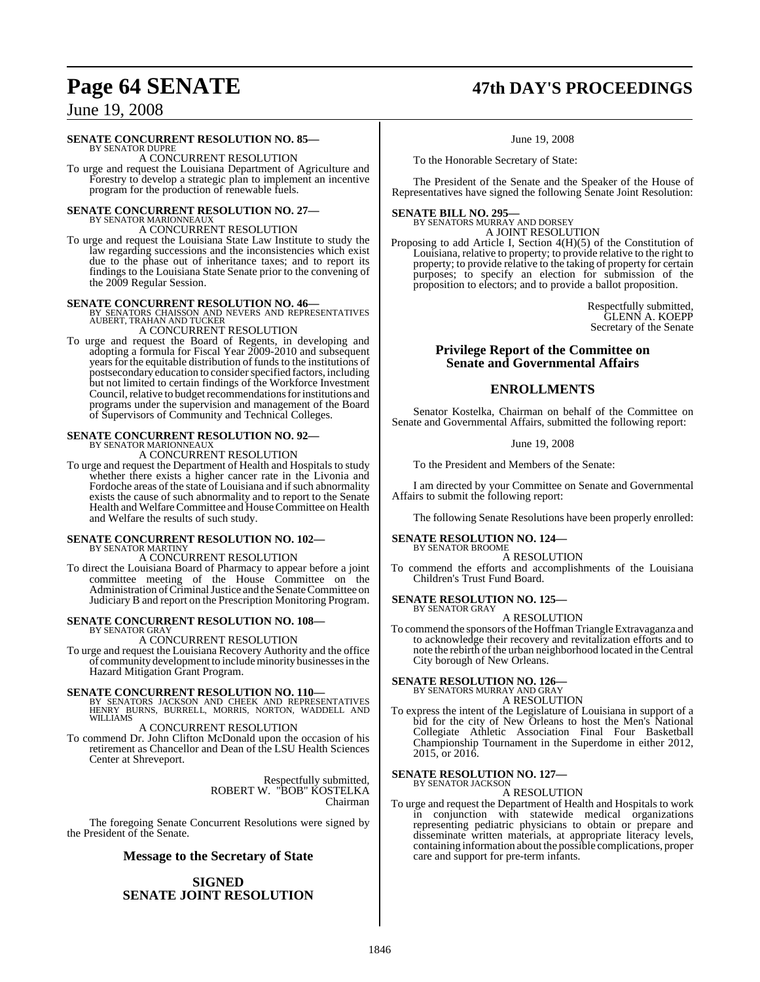# **Page 64 SENATE 47th DAY'S PROCEEDINGS**

### June 19, 2008

#### **SENATE CONCURRENT RESOLUTION NO. 85—**

BY SENATOR DUPRE A CONCURRENT RESOLUTION

To urge and request the Louisiana Department of Agriculture and Forestry to develop a strategic plan to implement an incentive program for the production of renewable fuels.

# **SENATE CONCURRENT RESOLUTION NO. 27—** BY SENATOR MARIONNEAUX

A CONCURRENT RESOLUTION

To urge and request the Louisiana State Law Institute to study the law regarding successions and the inconsistencies which exist due to the phase out of inheritance taxes; and to report its findings to the Louisiana State Senate prior to the convening of the 2009 Regular Session.

**SENATE CONCURRENT RESOLUTION NO. 46—<br>BY SENATORS CHAISSON AND NEVERS AND REPRESENTATIVES<br>AUBERT, TRAHAN AND TUCKER** A CONCURRENT RESOLUTION

To urge and request the Board of Regents, in developing and adopting a formula for Fiscal Year 2009-2010 and subsequent years for the equitable distribution of funds to the institutions of postsecondary education to consider specified factors, including but not limited to certain findings of the Workforce Investment Council, relative to budget recommendations for institutions and programs under the supervision and management of the Board of Supervisors of Community and Technical Colleges.

# **SENATE CONCURRENT RESOLUTION NO. 92—** BY SENATOR MARIONNEAUX

A CONCURRENT RESOLUTION

To urge and request the Department of Health and Hospitals to study whether there exists a higher cancer rate in the Livonia and Fordoche areas of the state of Louisiana and if such abnormality exists the cause of such abnormality and to report to the Senate Health and Welfare Committee and House Committee on Health and Welfare the results of such study.

### **SENATE CONCURRENT RESOLUTION NO. 102—** BY SENATOR MARTINY A CONCURRENT RESOLUTION

To direct the Louisiana Board of Pharmacy to appear before a joint committee meeting of the House Committee on the Administration of Criminal Justice and the Senate Committee on Judiciary B and report on the Prescription Monitoring Program.

#### **SENATE CONCURRENT RESOLUTION NO. 108—** BY SENATOR GRAY

A CONCURRENT RESOLUTION

To urge and request the Louisiana Recovery Authority and the office of communitydevelopment to includeminority businesses in the Hazard Mitigation Grant Program.

**SENATE CONCURRENT RESOLUTION NO. 110—**<br>BY SENATORS JACKSON AND CHEEK AND REPRESENTATIVES<br>HENRY BURNS, BURRELL, MORRIS, NORTON, WADDELL AND WILLIAMS

A CONCURRENT RESOLUTION

To commend Dr. John Clifton McDonald upon the occasion of his retirement as Chancellor and Dean of the LSU Health Sciences Center at Shreveport.

> Respectfully submitted, ROBERT W. "BOB" KOSTELKA Chairman

The foregoing Senate Concurrent Resolutions were signed by the President of the Senate.

#### **Message to the Secretary of State**

### **SIGNED SENATE JOINT RESOLUTION**

June 19, 2008

To the Honorable Secretary of State:

The President of the Senate and the Speaker of the House of Representatives have signed the following Senate Joint Resolution:

### **SENATE BILL NO. 295—** BY SENATORS MURRAY AND DORSEY

A JOINT RESOLUTION

Proposing to add Article I, Section 4(H)(5) of the Constitution of Louisiana, relative to property; to provide relative to the right to property; to provide relative to the taking of property for certain purposes; to specify an election for submission of the proposition to electors; and to provide a ballot proposition.

> Respectfully submitted, GLENN A. KOEPP Secretary of the Senate

#### **Privilege Report of the Committee on Senate and Governmental Affairs**

### **ENROLLMENTS**

Senator Kostelka, Chairman on behalf of the Committee on Senate and Governmental Affairs, submitted the following report:

June 19, 2008

To the President and Members of the Senate:

I am directed by your Committee on Senate and Governmental Affairs to submit the following report:

The following Senate Resolutions have been properly enrolled:

#### **SENATE RESOLUTION NO. 124—**

BY SENATOR BROOME A RESOLUTION

To commend the efforts and accomplishments of the Louisiana Children's Trust Fund Board.

**SENATE RESOLUTION NO. 125—**

BY SENATOR GRAY A RESOLUTION

To commend the sponsors of the Hoffman Triangle Extravaganza and to acknowledge their recovery and revitalization efforts and to note the rebirth of the urban neighborhood located in the Central City borough of New Orleans.

#### **SENATE RESOLUTION NO. 126—** BY SENATORS MURRAY AND GRAY

A RESOLUTION

To express the intent of the Legislature of Louisiana in support of a bid for the city of New Orleans to host the Men's National Collegiate Athletic Association Final Four Basketball Championship Tournament in the Superdome in either 2012, 2015, or 2016.

#### **SENATE RESOLUTION NO. 127—** BY SENATOR JACKSON

A RESOLUTION

To urge and request the Department of Health and Hospitals to work in conjunction with statewide medical organizations representing pediatric physicians to obtain or prepare and disseminate written materials, at appropriate literacy levels, containing information about the possible complications, proper care and support for pre-term infants.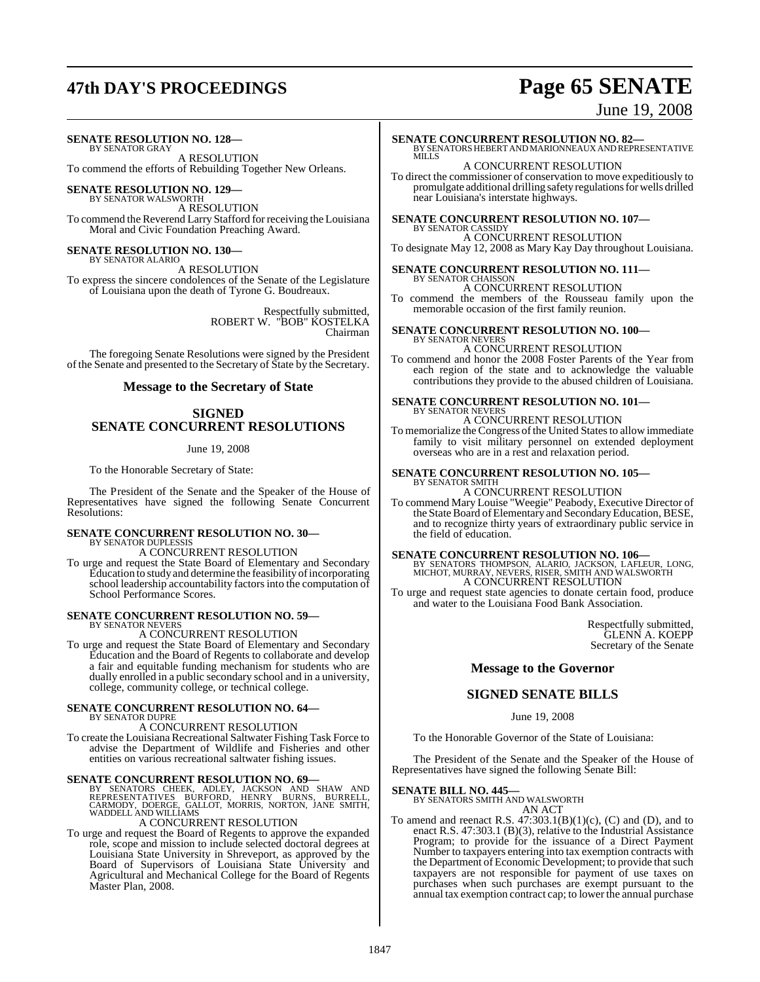# **47th DAY'S PROCEEDINGS Page 65 SENATE**

### June 19, 2008

### **SENATE RESOLUTION NO. 128—**

BY SENATOR GRAY A RESOLUTION To commend the efforts of Rebuilding Together New Orleans.

**SENATE RESOLUTION NO. 129—**

BY SENATOR WALSWORTH A RESOLUTION To commend the Reverend Larry Stafford forreceiving the Louisiana Moral and Civic Foundation Preaching Award.

# **SENATE RESOLUTION NO. 130—** BY SENATOR ALARIO

A RESOLUTION

To express the sincere condolences of the Senate of the Legislature of Louisiana upon the death of Tyrone G. Boudreaux.

> Respectfully submitted, ROBERT W. "BOB" KOSTELKA Chairman

The foregoing Senate Resolutions were signed by the President of the Senate and presented to the Secretary of State by the Secretary.

#### **Message to the Secretary of State**

### **SIGNED SENATE CONCURRENT RESOLUTIONS**

#### June 19, 2008

To the Honorable Secretary of State:

The President of the Senate and the Speaker of the House of Representatives have signed the following Senate Concurrent Resolutions:

#### **SENATE CONCURRENT RESOLUTION NO. 30—** BY SENATOR DUPLESSIS

A CONCURRENT RESOLUTION

To urge and request the State Board of Elementary and Secondary Education to study and determine the feasibility of incorporating school leadership accountability factors into the computation of School Performance Scores.

#### **SENATE CONCURRENT RESOLUTION NO. 59—**

BY SENATOR NEVERS A CONCURRENT RESOLUTION

To urge and request the State Board of Elementary and Secondary Education and the Board of Regents to collaborate and develop a fair and equitable funding mechanism for students who are dually enrolled in a public secondary school and in a university, college, community college, or technical college.

## **SENATE CONCURRENT RESOLUTION NO. 64—** BY SENATOR DUPRE

A CONCURRENT RESOLUTION

To create the Louisiana Recreational Saltwater Fishing Task Force to advise the Department of Wildlife and Fisheries and other entities on various recreational saltwater fishing issues.

SENATE CONCURRENT RESOLUTION NO. 69-BY SENATORS CHEEK, ADLEY, JACKSON AND SHAW AND REPRESENTATIVES BURRES, CALLOT, MORRIS, NORTON, JANE SMITH, WADDELL AND WILLIAMS A CONCURRENT RESOLUTION

To urge and request the Board of Regents to approve the expanded role, scope and mission to include selected doctoral degrees at Louisiana State University in Shreveport, as approved by the Board of Supervisors of Louisiana State University and Agricultural and Mechanical College for the Board of Regents Master Plan, 2008.

### **SENATE CONCURRENT RESOLUTION NO. 82—**

BY SENATORS HEBERT AND MARIONNEAUX AND REPRESENTATIVE MILLS A CONCURRENT RESOLUTION

To direct the commissioner of conservation to move expeditiously to promulgate additional drilling safety regulations for wells drilled near Louisiana's interstate highways.

#### **SENATE CONCURRENT RESOLUTION NO. 107—** BY SENATOR CASSIDY

A CONCURRENT RESOLUTION

To designate May 12, 2008 as Mary Kay Day throughout Louisiana.

# **SENATE CONCURRENT RESOLUTION NO. 111—** BY SENATOR CHAISSON

A CONCURRENT RESOLUTION

To commend the members of the Rousseau family upon the memorable occasion of the first family reunion.

# **SENATE CONCURRENT RESOLUTION NO. 100—** BY SENATOR NEVERS

### A CONCURRENT RESOLUTION

To commend and honor the 2008 Foster Parents of the Year from each region of the state and to acknowledge the valuable contributions they provide to the abused children of Louisiana.

#### **SENATE CONCURRENT RESOLUTION NO. 101—** BY SENATOR NEVERS

#### A CONCURRENT RESOLUTION

To memorialize the Congress of the United States to allow immediate family to visit military personnel on extended deployment overseas who are in a rest and relaxation period.

#### **SENATE CONCURRENT RESOLUTION NO. 105—**

BY SENATOR SMITH A CONCURRENT RESOLUTION

To commend Mary Louise "Weegie" Peabody, Executive Director of the State Board of Elementary and Secondary Education, BESE, and to recognize thirty years of extraordinary public service in the field of education.

**SENATE CONCURRENT RESOLUTION NO. 106—**<br>BY SENATORS THOMPSON, ALARIO, JACKSON, LAFLEUR, LONG,<br>MICHOT, MURRAY, NEVERS, RISER, SMITH AND WALSWORTH A CONCURRENT RESOLUTION

To urge and request state agencies to donate certain food, produce and water to the Louisiana Food Bank Association.

> Respectfully submitted, GLENN A. KOEPP Secretary of the Senate

### **Message to the Governor**

### **SIGNED SENATE BILLS**

#### June 19, 2008

To the Honorable Governor of the State of Louisiana:

The President of the Senate and the Speaker of the House of Representatives have signed the following Senate Bill:

### **SENATE BILL NO. 445—** BY SENATORS SMITH AND WALSWORTH

AN ACT

To amend and reenact R.S.  $47:303.1(B)(1)(c)$ , (C) and (D), and to enact R.S. 47:303.1 (B)(3), relative to the Industrial Assistance Program; to provide for the issuance of a Direct Payment Number to taxpayers entering into tax exemption contracts with the Department of Economic Development; to provide that such taxpayers are not responsible for payment of use taxes on purchases when such purchases are exempt pursuant to the annual tax exemption contract cap; to lower the annual purchase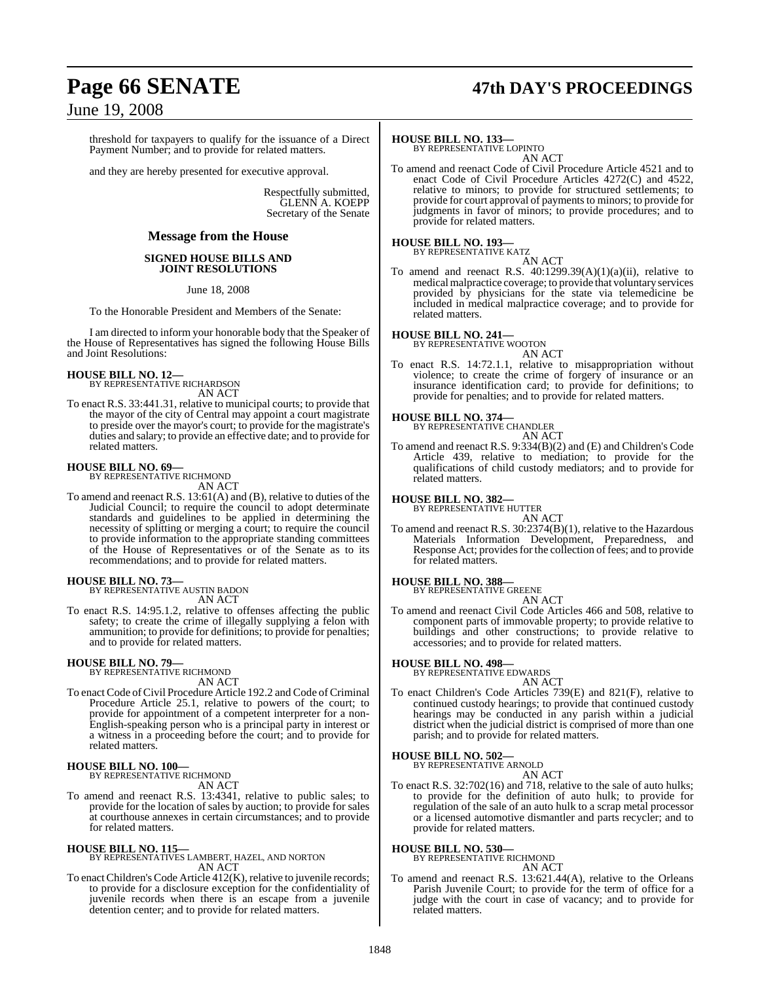# **Page 66 SENATE 47th DAY'S PROCEEDINGS**

### June 19, 2008

threshold for taxpayers to qualify for the issuance of a Direct Payment Number; and to provide for related matters.

and they are hereby presented for executive approval.

Respectfully submitted, GLENN A. KOEPP Secretary of the Senate

#### **Message from the House**

#### **SIGNED HOUSE BILLS AND JOINT RESOLUTIONS**

June 18, 2008

To the Honorable President and Members of the Senate:

I am directed to inform your honorable body that the Speaker of the House of Representatives has signed the following House Bills and Joint Resolutions:

# **HOUSE BILL NO. 12—** BY REPRESENTATIVE RICHARDSON

AN ACT

To enact R.S. 33:441.31, relative to municipal courts; to provide that the mayor of the city of Central may appoint a court magistrate to preside over the mayor's court; to provide for the magistrate's duties and salary; to provide an effective date; and to provide for related matters.

#### **HOUSE BILL NO. 69—** BY REPRESENTATIVE RICHMOND

AN ACT

To amend and reenact R.S. 13:61(A) and (B), relative to duties of the Judicial Council; to require the council to adopt determinate standards and guidelines to be applied in determining the necessity of splitting or merging a court; to require the council to provide information to the appropriate standing committees of the House of Representatives or of the Senate as to its recommendations; and to provide for related matters.

#### **HOUSE BILL NO. 73—**

BY REPRESENTATIVE AUSTIN BADON AN ACT

To enact R.S. 14:95.1.2, relative to offenses affecting the public safety; to create the crime of illegally supplying a felon with ammunition; to provide for definitions; to provide for penalties; and to provide for related matters.

#### **HOUSE BILL NO. 79—**

BY REPRESENTATIVE RICHMOND AN ACT

To enact Code of Civil Procedure Article 192.2 and Code of Criminal Procedure Article 25.1, relative to powers of the court; to provide for appointment of a competent interpreter for a non-English-speaking person who is a principal party in interest or a witness in a proceeding before the court; and to provide for related matters.

### **HOUSE BILL NO. 100—** BY REPRESENTATIVE RICHMOND

AN ACT

To amend and reenact R.S. 13:4341, relative to public sales; to provide for the location of sales by auction; to provide for sales at courthouse annexes in certain circumstances; and to provide for related matters.

**HOUSE BILL NO. 115—** BY REPRESENTATIVES LAMBERT, HAZEL, AND NORTON AN ACT

To enact Children's Code Article 412(K), relative to juvenile records; to provide for a disclosure exception for the confidentiality of juvenile records when there is an escape from a juvenile detention center; and to provide for related matters.

#### **HOUSE BILL NO. 133—**

BY REPRESENTATIVE LOPINTO AN ACT

To amend and reenact Code of Civil Procedure Article 4521 and to enact Code of Civil Procedure Articles 4272(C) and 4522, relative to minors; to provide for structured settlements; to provide for court approval of payments to minors; to provide for judgments in favor of minors; to provide procedures; and to provide for related matters.

# **HOUSE BILL NO. 193—** BY REPRESENTATIVE KATZ

AN ACT

To amend and reenact R.S.  $40:1299.39(A)(1)(a)(ii)$ , relative to medicalmalpractice coverage; to provide that voluntary services provided by physicians for the state via telemedicine be included in medical malpractice coverage; and to provide for related matters.

### **HOUSE BILL NO. 241—** BY REPRESENTATIVE WOOTON

AN ACT

To enact R.S. 14:72.1.1, relative to misappropriation without violence; to create the crime of forgery of insurance or an insurance identification card; to provide for definitions; to provide for penalties; and to provide for related matters.

#### **HOUSE BILL NO. 374—**

BY REPRESENTATIVE CHANDLER AN ACT

To amend and reenact R.S. 9:334(B)(2) and (E) and Children's Code Article 439, relative to mediation; to provide for the qualifications of child custody mediators; and to provide for related matters.

#### **HOUSE BILL NO. 382—**

BY REPRESENTATIVE HUTTER

AN ACT To amend and reenact R.S. 30:2374(B)(1), relative to the Hazardous Materials Information Development, Preparedness, and Response Act; provides for the collection of fees; and to provide for related matters.

### **HOUSE BILL NO. 388—** BY REPRESENTATIVE GREENE

AN ACT To amend and reenact Civil Code Articles 466 and 508, relative to component parts of immovable property; to provide relative to buildings and other constructions; to provide relative to accessories; and to provide for related matters.

#### **HOUSE BILL NO. 498—**

BY REPRESENTATIVE EDWARDS

AN ACT To enact Children's Code Articles 739(E) and 821(F), relative to continued custody hearings; to provide that continued custody hearings may be conducted in any parish within a judicial district when the judicial district is comprised of more than one parish; and to provide for related matters.

#### **HOUSE BILL NO. 502—**

BY REPRESENTATIVE ARNOLD

AN ACT To enact R.S. 32:702(16) and 718, relative to the sale of auto hulks; to provide for the definition of auto hulk; to provide for regulation of the sale of an auto hulk to a scrap metal processor or a licensed automotive dismantler and parts recycler; and to provide for related matters.

# **HOUSE BILL NO. 530—** BY REPRESENTATIVE RICHMOND

AN ACT

To amend and reenact R.S. 13:621.44(A), relative to the Orleans Parish Juvenile Court; to provide for the term of office for a judge with the court in case of vacancy; and to provide for related matters.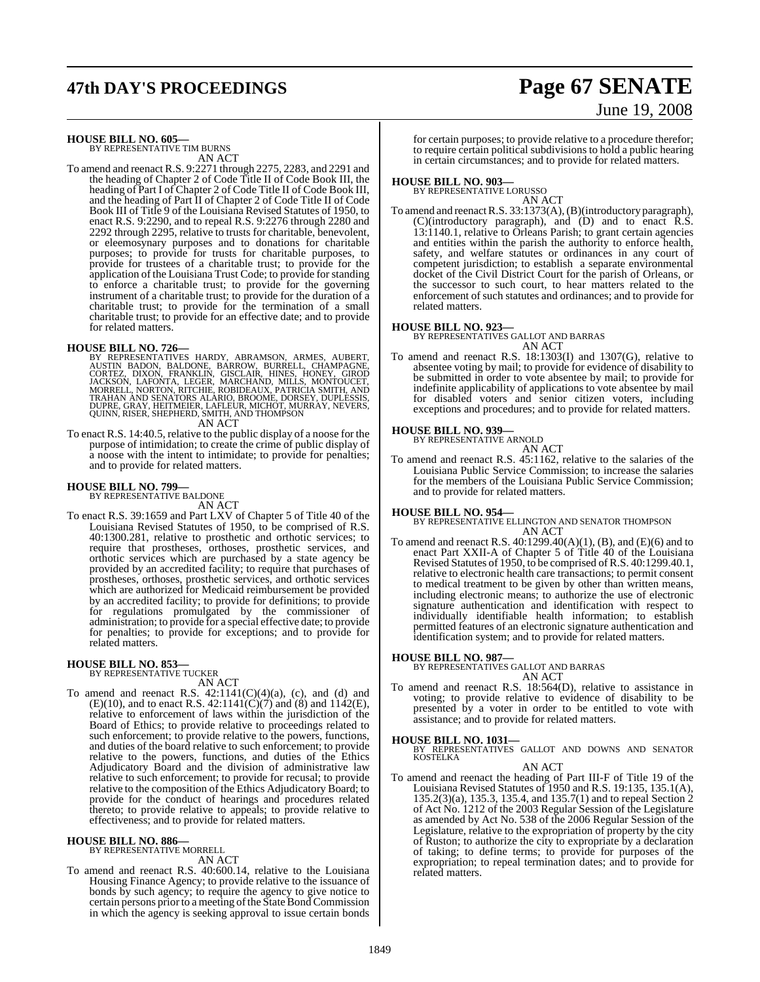# **47th DAY'S PROCEEDINGS Page 67 SENATE**

# June 19, 2008

**HOUSE BILL NO. 605—** BY REPRESENTATIVE TIM BURNS

AN ACT

To amend and reenact R.S. 9:2271 through 2275, 2283, and 2291 and the heading of Chapter 2 of Code Title II of Code Book III, the heading of Part I of Chapter 2 of Code Title II of Code Book III, and the heading of Part II of Chapter 2 of Code Title II of Code Book III of Title 9 of the Louisiana Revised Statutes of 1950, to enact R.S. 9:2290, and to repeal R.S. 9:2276 through 2280 and 2292 through 2295, relative to trusts for charitable, benevolent, or eleemosynary purposes and to donations for charitable purposes; to provide for trusts for charitable purposes, to provide for trustees of a charitable trust; to provide for the application of the Louisiana Trust Code; to provide for standing to enforce a charitable trust; to provide for the governing instrument of a charitable trust; to provide for the duration of a charitable trust; to provide for the termination of a small charitable trust; to provide for an effective date; and to provide for related matters.

**HOUSE BILL NO. 726—**<br>BY REPRESENTATIVES HARDY, ABRAMSON, ARMES, AUBERT, AUSTIN BADON, BALDONE, BARROW, BURRELL, CHAMPAGNE,<br>CORTEZ, DIXON, FRANKLIN, GISCLAIR, HINES, HONEY, GIROD<br>JACKSON, LAFONTA, LEGER, MARCHAND, MILLS, M

To enact R.S. 14:40.5, relative to the public display of a noose for the purpose of intimidation; to create the crime of public display of a noose with the intent to intimidate; to provide for penalties; and to provide for related matters.

#### **HOUSE BILL NO. 799—**

BY REPRESENTATIVE BALDONE AN ACT

To enact R.S. 39:1659 and Part LXV of Chapter 5 of Title 40 of the Louisiana Revised Statutes of 1950, to be comprised of R.S. 40:1300.281, relative to prosthetic and orthotic services; to require that prostheses, orthoses, prosthetic services, and orthotic services which are purchased by a state agency be provided by an accredited facility; to require that purchases of prostheses, orthoses, prosthetic services, and orthotic services which are authorized for Medicaid reimbursement be provided by an accredited facility; to provide for definitions; to provide for regulations promulgated by the commissioner of administration; to provide for a special effective date; to provide for penalties; to provide for exceptions; and to provide for related matters.

#### **HOUSE BILL NO. 853—**

BY REPRESENTATIVE TUCKER AN ACT

To amend and reenact R.S.  $42:1141(C)(4)(a)$ , (c), and (d) and  $(E)(10)$ , and to enact R.S. 42:1141 $(C)(7)$  and  $(8)$  and 1142 $(E)$ , relative to enforcement of laws within the jurisdiction of the Board of Ethics; to provide relative to proceedings related to such enforcement; to provide relative to the powers, functions, and duties of the board relative to such enforcement; to provide relative to the powers, functions, and duties of the Ethics Adjudicatory Board and the division of administrative law relative to such enforcement; to provide for recusal; to provide relative to the composition of the Ethics Adjudicatory Board; to provide for the conduct of hearings and procedures related thereto; to provide relative to appeals; to provide relative to effectiveness; and to provide for related matters.

#### **HOUSE BILL NO. 886—**

BY REPRESENTATIVE MORRELL

AN ACT

To amend and reenact R.S. 40:600.14, relative to the Louisiana Housing Finance Agency; to provide relative to the issuance of bonds by such agency; to require the agency to give notice to certain persons prior to a meeting of the State Bond Commission in which the agency is seeking approval to issue certain bonds

for certain purposes; to provide relative to a procedure therefor; to require certain political subdivisions to hold a public hearing in certain circumstances; and to provide for related matters.

**HOUSE BILL NO. 903—** BY REPRESENTATIVE LORUSSO

AN ACT To amend and reenact R.S. 33:1373(A), (B)(introductory paragraph), (C)(introductory paragraph), and (D) and to enact R.S. 13:1140.1, relative to Orleans Parish; to grant certain agencies and entities within the parish the authority to enforce health, safety, and welfare statutes or ordinances in any court of competent jurisdiction; to establish a separate environmental docket of the Civil District Court for the parish of Orleans, or the successor to such court, to hear matters related to the enforcement of such statutes and ordinances; and to provide for related matters.

#### **HOUSE BILL NO. 923—**

BY REPRESENTATIVES GALLOT AND BARRAS AN ACT

To amend and reenact R.S. 18:1303(I) and 1307(G), relative to absentee voting by mail; to provide for evidence of disability to be submitted in order to vote absentee by mail; to provide for indefinite applicability of applications to vote absentee by mail for disabled voters and senior citizen voters, including exceptions and procedures; and to provide for related matters.

#### **HOUSE BILL NO. 939—**

BY REPRESENTATIVE ARNOLD

AN ACT To amend and reenact R.S. 45:1162, relative to the salaries of the Louisiana Public Service Commission; to increase the salaries for the members of the Louisiana Public Service Commission; and to provide for related matters.

**HOUSE BILL NO. 954—** BY REPRESENTATIVE ELLINGTON AND SENATOR THOMPSON AN ACT

To amend and reenact R.S. 40:1299.40(A)(1), (B), and (E)(6) and to enact Part XXII-A of Chapter 5 of Title 40 of the Louisiana Revised Statutes of 1950, to be comprised ofR.S. 40:1299.40.1, relative to electronic health care transactions; to permit consent to medical treatment to be given by other than written means, including electronic means; to authorize the use of electronic signature authentication and identification with respect to individually identifiable health information; to establish permitted features of an electronic signature authentication and identification system; and to provide for related matters.

#### **HOUSE BILL NO. 987—**

BY REPRESENTATIVES GALLOT AND BARRAS

- AN ACT
- To amend and reenact R.S. 18:564(D), relative to assistance in voting; to provide relative to evidence of disability to be presented by a voter in order to be entitled to vote with assistance; and to provide for related matters.

**HOUSE BILL NO. 1031—** BY REPRESENTATIVES GALLOT AND DOWNS AND SENATOR KOSTELKA

AN ACT To amend and reenact the heading of Part III-F of Title 19 of the Louisiana Revised Statutes of 1950 and R.S. 19:135, 135.1(A), 135.2(3)(a), 135.3, 135.4, and 135.7(1) and to repeal Section 2 of Act No. 1212 of the 2003 Regular Session of the Legislature as amended by Act No. 538 of the 2006 Regular Session of the Legislature, relative to the expropriation of property by the city of Ruston; to authorize the city to expropriate by a declaration of taking; to define terms; to provide for purposes of the expropriation; to repeal termination dates; and to provide for related matters.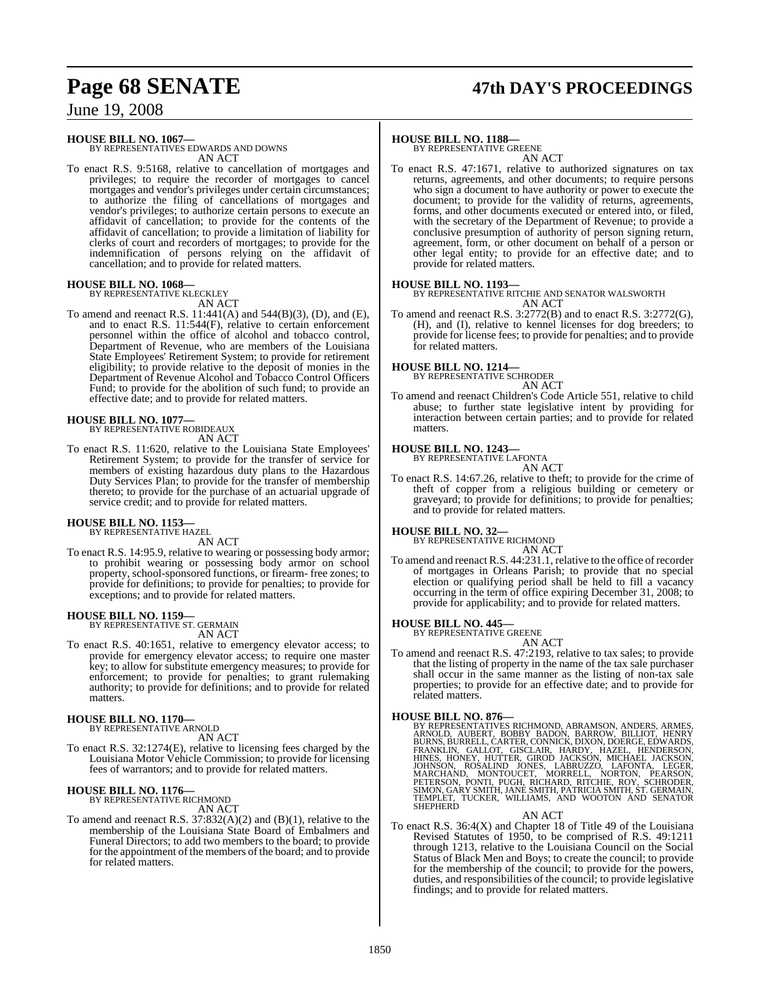# **Page 68 SENATE 47th DAY'S PROCEEDINGS**

### June 19, 2008

### **HOUSE BILL NO. 1067—** BY REPRESENTATIVES EDWARDS AND DOWNS

AN ACT

To enact R.S. 9:5168, relative to cancellation of mortgages and privileges; to require the recorder of mortgages to cancel mortgages and vendor's privileges under certain circumstances; to authorize the filing of cancellations of mortgages and vendor's privileges; to authorize certain persons to execute an affidavit of cancellation; to provide for the contents of the affidavit of cancellation; to provide a limitation of liability for clerks of court and recorders of mortgages; to provide for the indemnification of persons relying on the affidavit of cancellation; and to provide for related matters.

#### **HOUSE BILL NO. 1068—**

BY REPRESENTATIVE KLECKLEY AN ACT

To amend and reenact R.S. 11:441(A) and 544(B)(3), (D), and (E), and to enact R.S. 11:544(F), relative to certain enforcement personnel within the office of alcohol and tobacco control, Department of Revenue, who are members of the Louisiana State Employees' Retirement System; to provide for retirement eligibility; to provide relative to the deposit of monies in the Department of Revenue Alcohol and Tobacco Control Officers Fund; to provide for the abolition of such fund; to provide an effective date; and to provide for related matters.

# **HOUSE BILL NO. 1077—** BY REPRESENTATIVE ROBIDEAUX

AN ACT

To enact R.S. 11:620, relative to the Louisiana State Employees' Retirement System; to provide for the transfer of service for members of existing hazardous duty plans to the Hazardous Duty Services Plan; to provide for the transfer of membership thereto; to provide for the purchase of an actuarial upgrade of service credit; and to provide for related matters.

#### **HOUSE BILL NO. 1153—** BY REPRESENTATIVE HAZEL

AN ACT

To enact R.S. 14:95.9, relative to wearing or possessing body armor; to prohibit wearing or possessing body armor on school property, school-sponsored functions, or firearm- free zones; to provide for definitions; to provide for penalties; to provide for exceptions; and to provide for related matters.

### **HOUSE BILL NO. 1159—** BY REPRESENTATIVE ST. GERMAIN

AN ACT

To enact R.S. 40:1651, relative to emergency elevator access; to provide for emergency elevator access; to require one master key; to allow for substitute emergency measures; to provide for enforcement; to provide for penalties; to grant rulemaking authority; to provide for definitions; and to provide for related matters.

#### **HOUSE BILL NO. 1170—**

BY REPRESENTATIVE ARNOLD

AN ACT

To enact R.S. 32:1274(E), relative to licensing fees charged by the Louisiana Motor Vehicle Commission; to provide for licensing fees of warrantors; and to provide for related matters.

### **HOUSE BILL NO. 1176—** BY REPRESENTATIVE RICHMOND

AN ACT

To amend and reenact R.S. 37:832(A)(2) and (B)(1), relative to the membership of the Louisiana State Board of Embalmers and Funeral Directors; to add two members to the board; to provide for the appointment of the members of the board; and to provide for related matters.

#### **HOUSE BILL NO. 1188—**

BY REPRESENTATIVE GREENE AN ACT

To enact R.S. 47:1671, relative to authorized signatures on tax returns, agreements, and other documents; to require persons who sign a document to have authority or power to execute the document; to provide for the validity of returns, agreements, forms, and other documents executed or entered into, or filed, with the secretary of the Department of Revenue; to provide a conclusive presumption of authority of person signing return, agreement, form, or other document on behalf of a person or other legal entity; to provide for an effective date; and to provide for related matters.

#### **HOUSE BILL NO. 1193—**

BY REPRESENTATIVE RITCHIE AND SENATOR WALSWORTH AN ACT

To amend and reenact R.S. 3:2772(B) and to enact R.S. 3:2772(G), (H), and (I), relative to kennel licenses for dog breeders; to provide for license fees; to provide for penalties; and to provide for related matters.

#### **HOUSE BILL NO. 1214—**

BY REPRESENTATIVE SCHRODER

AN ACT

To amend and reenact Children's Code Article 551, relative to child abuse; to further state legislative intent by providing for interaction between certain parties; and to provide for related matters.

### **HOUSE BILL NO. 1243—** BY REPRESENTATIVE LAFONTA

AN ACT

To enact R.S. 14:67.26, relative to theft; to provide for the crime of theft of copper from a religious building or cemetery or graveyard; to provide for definitions; to provide for penalties; and to provide for related matters.

**HOUSE BILL NO. 32—** BY REPRESENTATIVE RICHMOND

AN ACT

To amend and reenact R.S. 44:231.1, relative to the office ofrecorder of mortgages in Orleans Parish; to provide that no special election or qualifying period shall be held to fill a vacancy occurring in the term of office expiring December 31, 2008; to provide for applicability; and to provide for related matters.

### **HOUSE BILL NO. 445—** BY REPRESENTATIVE GREENE

AN ACT To amend and reenact R.S. 47:2193, relative to tax sales; to provide that the listing of property in the name of the tax sale purchaser shall occur in the same manner as the listing of non-tax sale properties; to provide for an effective date; and to provide for related matters.

- **HOUSE BILL NO. 876—**<br>BY REPRESENTATIVES RICHMOND, ABRAMSON, ANDERS, ARMES, ARNOLD, AUBERT, BOBBY BADON, BARROW, BILLIOT, HENRY<br>BURNS, BURRELL, CARTER, CONNICK, DIXON, DOERGE, EDWARDS,<br>FRANKLIN, GALLOT, GISCLAIR, HARDY, HA AN ACT
- To enact R.S. 36:4(X) and Chapter 18 of Title 49 of the Louisiana Revised Statutes of 1950, to be comprised of R.S. 49:1211 through 1213, relative to the Louisiana Council on the Social Status of Black Men and Boys; to create the council; to provide for the membership of the council; to provide for the powers, duties, and responsibilities of the council; to provide legislative findings; and to provide for related matters.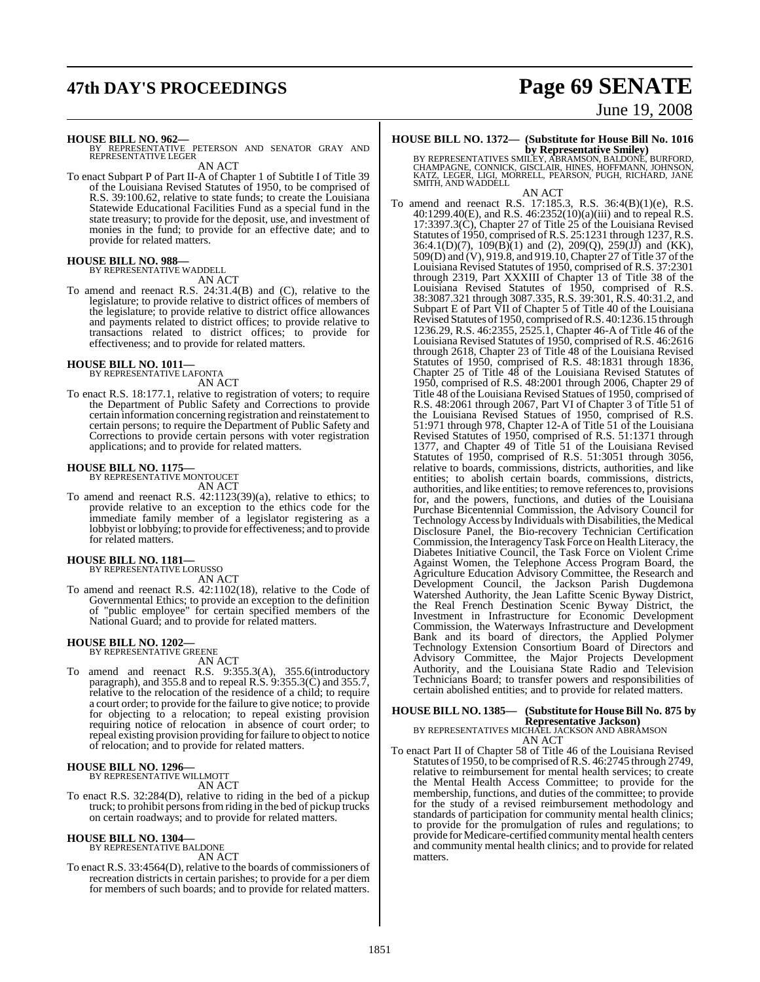# **47th DAY'S PROCEEDINGS Page 69 SENATE**

# June 19, 2008

**HOUSE BILL NO. 962—** BY REPRESENTATIVE PETERSON AND SENATOR GRAY AND REPRESENTATIVE LEGER

AN ACT

To enact Subpart P of Part II-A of Chapter 1 of Subtitle I of Title 39 of the Louisiana Revised Statutes of 1950, to be comprised of R.S. 39:100.62, relative to state funds; to create the Louisiana Statewide Educational Facilities Fund as a special fund in the state treasury; to provide for the deposit, use, and investment of monies in the fund; to provide for an effective date; and to provide for related matters.

#### **HOUSE BILL NO. 988—** BY REPRESENTATIVE WADDELL

AN ACT

To amend and reenact R.S. 24:31.4(B) and (C), relative to the legislature; to provide relative to district offices of members of the legislature; to provide relative to district office allowances and payments related to district offices; to provide relative to transactions related to district offices; to provide for effectiveness; and to provide for related matters.

### **HOUSE BILL NO. 1011—** BY REPRESENTATIVE LAFONTA

AN ACT

To enact R.S. 18:177.1, relative to registration of voters; to require the Department of Public Safety and Corrections to provide certain information concerning registration and reinstatement to certain persons; to require the Department of Public Safety and Corrections to provide certain persons with voter registration applications; and to provide for related matters.

#### **HOUSE BILL NO. 1175—**

BY REPRESENTATIVE MONTOUCET AN ACT

To amend and reenact R.S. 42:1123(39)(a), relative to ethics; to provide relative to an exception to the ethics code for the immediate family member of a legislator registering as a lobby ist or lobbying; to provide for effectiveness; and to provide for related matters.

#### **HOUSE BILL NO. 1181—**

BY REPRESENTATIVE LORUSSO AN ACT

To amend and reenact R.S. 42:1102(18), relative to the Code of Governmental Ethics; to provide an exception to the definition of "public employee" for certain specified members of the National Guard; and to provide for related matters.

### **HOUSE BILL NO. 1202—** BY REPRESENTATIVE GREENE

AN ACT

To amend and reenact R.S. 9:355.3(A), 355.6(introductory paragraph), and 355.8 and to repeal R.S. 9:355.3(C) and 355.7, relative to the relocation of the residence of a child; to require a court order; to provide for the failure to give notice; to provide for objecting to a relocation; to repeal existing provision requiring notice of relocation in absence of court order; to repeal existing provision providing for failure to object to notice of relocation; and to provide for related matters.

### **HOUSE BILL NO. 1296—** BY REPRESENTATIVE WILLMOTT

AN ACT

To enact R.S. 32:284(D), relative to riding in the bed of a pickup truck; to prohibit personsfromriding in the bed of pickup trucks on certain roadways; and to provide for related matters.

# **HOUSE BILL NO. 1304—** BY REPRESENTATIVE BALDONE

AN ACT

To enact R.S. 33:4564(D), relative to the boards of commissioners of recreation districts in certain parishes; to provide for a per diem for members of such boards; and to provide for related matters.

### **HOUSE BILL NO. 1372— (Substitute for House Bill No. 1016**

**by Representative Smiley)**<br>BY REPRESENTATIVES SMILEY, ABRAMSON, BALDONE, BURFORD,<br>CHAMPAGNE, CONNICK, GISCLAIR, HINES, HOFFMANN, JOHNSON,<br>KATZ, LEGER, LIGI, MORRELL, PEARSON, PUGH, RICHARD, JANE<br>SMITH, AND WADDELL

AN ACT

To amend and reenact R.S. 17:185.3, R.S. 36:4(B)(1)(e), R.S. 40:1299.40(E), and R.S. 46:2352(10)(a)(iii) and to repeal R.S. 17:3397.3(C), Chapter 27 of Title 25 of the Louisiana Revised Statutes of 1950, comprised of R.S. 25:1231 through 1237, R.S. 36:4.1(D)(7), 109(B)(1) and (2), 209(Q), 259(JJ) and (KK), 509(D) and (V), 919.8, and 919.10, Chapter 27 of Title 37 of the Louisiana Revised Statutes of 1950, comprised of R.S. 37:2301 through 2319, Part XXXIII of Chapter 13 of Title 38 of the Louisiana Revised Statutes of 1950, comprised of R.S. 38:3087.321 through 3087.335, R.S. 39:301, R.S. 40:31.2, and Subpart E of Part VII of Chapter 5 of Title 40 of the Louisiana Revised Statutes of 1950, comprised ofR.S. 40:1236.15 through 1236.29, R.S. 46:2355, 2525.1, Chapter 46-A of Title 46 of the Louisiana Revised Statutes of 1950, comprised of R.S. 46:2616 through 2618, Chapter 23 of Title 48 of the Louisiana Revised Statutes of 1950, comprised of R.S. 48:1831 through 1836, Chapter 25 of Title 48 of the Louisiana Revised Statutes of 1950, comprised of R.S. 48:2001 through 2006, Chapter 29 of Title 48 of the Louisiana Revised Statues of 1950, comprised of R.S. 48:2061 through 2067, Part VI of Chapter 3 of Title 51 of the Louisiana Revised Statues of 1950, comprised of R.S. 51:971 through 978, Chapter 12-A of Title 51 of the Louisiana Revised Statutes of 1950, comprised of R.S. 51:1371 through 1377, and Chapter 49 of Title 51 of the Louisiana Revised Statutes of 1950, comprised of R.S. 51:3051 through 3056, relative to boards, commissions, districts, authorities, and like entities; to abolish certain boards, commissions, districts, authorities, and like entities; to remove references to, provisions for, and the powers, functions, and duties of the Louisiana Purchase Bicentennial Commission, the Advisory Council for Technology Access by Individuals with Disabilities, the Medical Disclosure Panel, the Bio-recovery Technician Certification Commission, the InteragencyTask Force on Health Literacy, the Diabetes Initiative Council, the Task Force on Violent Crime Against Women, the Telephone Access Program Board, the Agriculture Education Advisory Committee, the Research and Development Council, the Jackson Parish Dugdemona Watershed Authority, the Jean Lafitte Scenic Byway District, the Real French Destination Scenic Byway District, the Investment in Infrastructure for Economic Development Commission, the Waterways Infrastructure and Development Bank and its board of directors, the Applied Polymer Technology Extension Consortium Board of Directors and Advisory Committee, the Major Projects Development Authority, and the Louisiana State Radio and Television Technicians Board; to transfer powers and responsibilities of certain abolished entities; and to provide for related matters.

### **HOUSE BILL NO. 1385— (Substitute for HouseBill No. 875 by Representative Jackson)** BY REPRESENTATIVES MICHAEL JACKSON AND ABRAMSON

AN ACT

To enact Part II of Chapter 58 of Title 46 of the Louisiana Revised Statutes of 1950, to be comprised ofR.S. 46:2745 through 2749, relative to reimbursement for mental health services; to create the Mental Health Access Committee; to provide for the membership, functions, and duties of the committee; to provide for the study of a revised reimbursement methodology and standards of participation for community mental health clinics; to provide for the promulgation of rules and regulations; to provide for Medicare-certified community mental health centers and community mental health clinics; and to provide for related matters.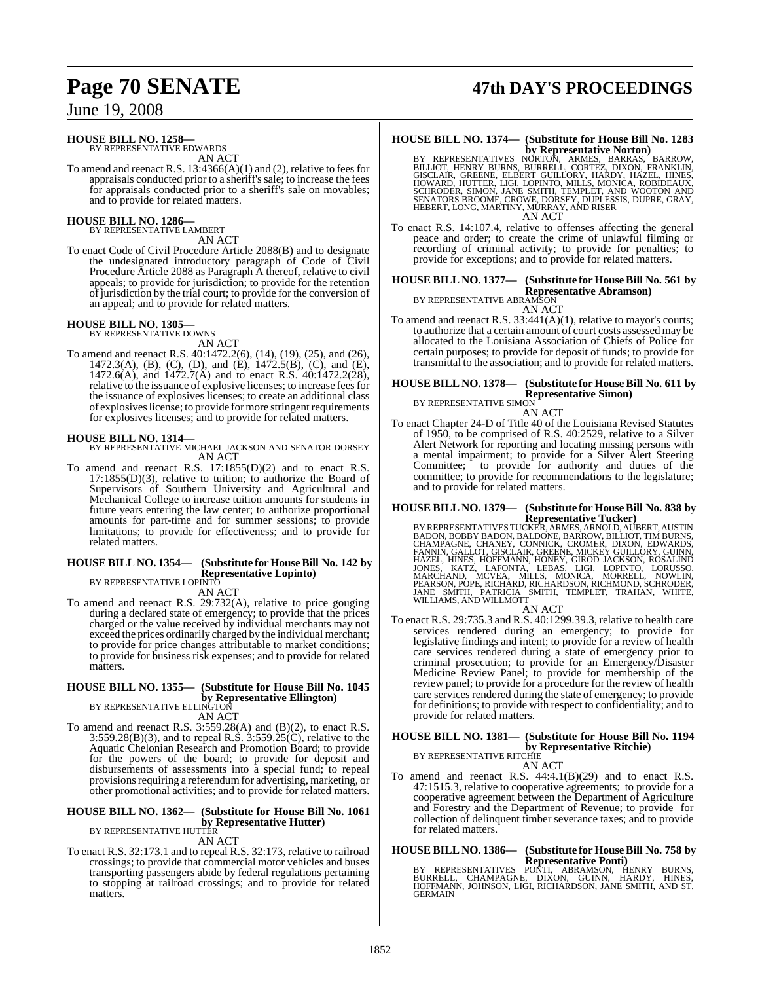#### **HOUSE BILL NO. 1258—**

BY REPRESENTATIVE EDWARDS AN ACT

To amend and reenact R.S.  $13:4366(A)(1)$  and (2), relative to fees for appraisals conducted prior to a sheriff's sale; to increase the fees for appraisals conducted prior to a sheriff's sale on movables; and to provide for related matters.

# **HOUSE BILL NO. 1286—** BY REPRESENTATIVE LAMBERT

AN ACT

To enact Code of Civil Procedure Article 2088(B) and to designate the undesignated introductory paragraph of Code of Civil Procedure Article 2088 as Paragraph A thereof, relative to civil appeals; to provide for jurisdiction; to provide for the retention ofjurisdiction by the trial court; to provide for the conversion of an appeal; and to provide for related matters.

### **HOUSE BILL NO. 1305—** BY REPRESENTATIVE DOWNS

AN ACT To amend and reenact R.S. 40:1472.2(6), (14), (19), (25), and (26), 1472.3(A), (B), (C), (D), and (E), 1472.5(B), (C), and (E), 1472.6(A), and 1472.7(A) and to enact R.S. 40:1472.2(28), relative to the issuance of explosive licenses; to increase feesfor the issuance of explosives licenses; to create an additional class of explosives license; to provide for more stringent requirements for explosives licenses; and to provide for related matters.

#### **HOUSE BILL NO. 1314—**

BY REPRESENTATIVE MICHAEL JACKSON AND SENATOR DORSEY AN ACT

To amend and reenact R.S. 17:1855(D)(2) and to enact R.S. 17:1855(D)(3), relative to tuition; to authorize the Board of Supervisors of Southern University and Agricultural and Mechanical College to increase tuition amounts for students in future years entering the law center; to authorize proportional amounts for part-time and for summer sessions; to provide limitations; to provide for effectiveness; and to provide for related matters.

#### **HOUSE BILL NO. 1354— (Substitute for HouseBill No. 142 by Representative Lopinto)** BY REPRESENTATIVE LOPINTO

AN ACT

To amend and reenact R.S. 29:732(A), relative to price gouging during a declared state of emergency; to provide that the prices charged or the value received by individual merchants may not exceed the prices ordinarily charged by the individual merchant; to provide for price changes attributable to market conditions; to provide for business risk expenses; and to provide for related matters.

#### **HOUSE BILL NO. 1355— (Substitute for House Bill No. 1045 by Representative Ellington)**

BY REPRESENTATIVE ELLINGTON AN ACT

To amend and reenact R.S. 3:559.28(A) and (B)(2), to enact R.S. 3:559.28(B)(3), and to repeal R.S. 3:559.25(C), relative to the Aquatic Chelonian Research and Promotion Board; to provide for the powers of the board; to provide for deposit and disbursements of assessments into a special fund; to repeal provisions requiring a referendum for advertising, marketing, or other promotional activities; and to provide for related matters.

#### **HOUSE BILL NO. 1362— (Substitute for House Bill No. 1061 by Representative Hutter)** BY REPRESENTATIVE HUTTER

AN ACT

To enact R.S. 32:173.1 and to repeal R.S. 32:173, relative to railroad crossings; to provide that commercial motor vehicles and buses transporting passengers abide by federal regulations pertaining to stopping at railroad crossings; and to provide for related matters.

# **Page 70 SENATE 47th DAY'S PROCEEDINGS**

### **HOUSE BILL NO. 1374— (Substitute for House Bill No. 1283**

- **by Representative Norton)**<br>BY REPRESENTATIVES NORTON, ARMES, BARRAS, BARROW,<br>BILLIOT, HENRY BURNS, BURRELL, CORTEZ, DIXON, FRANKLIN,<br>GISCLAIR, GREENE, ELBERT GUILLORY, HARDY, HAZEL, HINES,<br>HOWARD, HUTTER, LIGI, LOPINTO, M AN ACT
- To enact R.S. 14:107.4, relative to offenses affecting the general peace and order; to create the crime of unlawful filming or recording of criminal activity; to provide for penalties; to provide for exceptions; and to provide for related matters.

### **HOUSE BILL NO. 1377— (Substitute for HouseBill No. 561 by**

**Representative Abramson)** BY REPRESENTATIVE ABRAMSON

AN ACT

To amend and reenact R.S. 33:441(A)(1), relative to mayor's courts; to authorize that a certain amount of court costs assessed may be allocated to the Louisiana Association of Chiefs of Police for certain purposes; to provide for deposit of funds; to provide for transmittal to the association; and to provide for related matters.

#### **HOUSE BILL NO. 1378— (Substitute for House Bill No. 611 by Representative Simon)**

BY REPRESENTATIVE SIMON AN ACT

To enact Chapter 24-D of Title 40 of the Louisiana Revised Statutes of 1950, to be comprised of R.S. 40:2529, relative to a Silver Alert Network for reporting and locating missing persons with a mental impairment; to provide for a Silver Alert Steering Committee; to provide for authority and duties of the committee; to provide for recommendations to the legislature; and to provide for related matters.

### **HOUSE BILL NO. 1379— (Substitute for HouseBill No. 838 by**

**Representative Tucker)**<br>BY REPRESENTATIVES TUCKER, ARMES, ARNOLD, AUBERT, AUSTIN<br>BADON, BOBBY BADON, BALDONE, BARROW, BILLIOT, TIM BURNS,<br>CHAMPAGNE, CHANEY, CONNICK, CROMER, DIXON, EDWARDS,<br>FANNIN, GALLOT, GISCLAIR, GREEN

AN ACT To enact R.S. 29:735.3 and R.S. 40:1299.39.3, relative to health care services rendered during an emergency; to provide for legislative findings and intent; to provide for a review of health care services rendered during a state of emergency prior to criminal prosecution; to provide for an Emergency/Disaster Medicine Review Panel; to provide for membership of the review panel; to provide for a procedure for the review of health care services rendered during the state of emergency; to provide for definitions; to provide with respect to confidentiality; and to provide for related matters.

#### **HOUSE BILL NO. 1381— (Substitute for House Bill No. 1194 by Representative Ritchie)** BY REPRESENTATIVE RITCHIE

AN ACT

To amend and reenact R.S. 44:4.1(B)(29) and to enact R.S. 47:1515.3, relative to cooperative agreements; to provide for a cooperative agreement between the Department of Agriculture and Forestry and the Department of Revenue; to provide for collection of delinquent timber severance taxes; and to provide for related matters.

# **HOUSE BILL NO. 1386— (Substitute for HouseBill No. 758 by**

**REPRESENTATIVES PONTI, ABRAMSON, HENRY BURNS, BURNELL, CHAMPAGNE, DIXON, GUINN, HARDY, HINES,<br>BURRELL, CHAMPAGNE, DIXON, GUINN, HARDY, HINES,<br>HOFFMANN, JOHNSON, LIGI, RICHARDSON, JANE SMITH, AND ST.<br>GERMAIN**